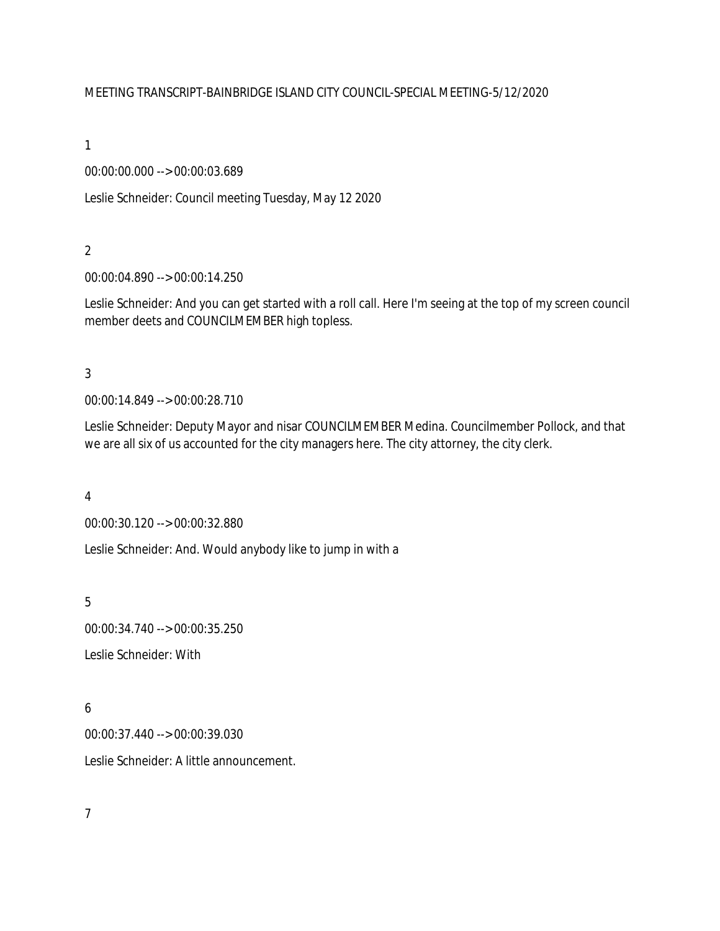#### MEETING TRANSCRIPT-BAINBRIDGE ISLAND CITY COUNCIL-SPECIAL MEETING-5/12/2020

1

00:00:00.000 --> 00:00:03.689

Leslie Schneider: Council meeting Tuesday, May 12 2020

2

00:00:04.890 --> 00:00:14.250

Leslie Schneider: And you can get started with a roll call. Here I'm seeing at the top of my screen council member deets and COUNCILMEMBER high topless.

3

00:00:14.849 --> 00:00:28.710

Leslie Schneider: Deputy Mayor and nisar COUNCILMEMBER Medina. Councilmember Pollock, and that we are all six of us accounted for the city managers here. The city attorney, the city clerk.

4

00:00:30.120 --> 00:00:32.880

Leslie Schneider: And. Would anybody like to jump in with a

5

00:00:34.740 --> 00:00:35.250

Leslie Schneider: With

6

00:00:37.440 --> 00:00:39.030

Leslie Schneider: A little announcement.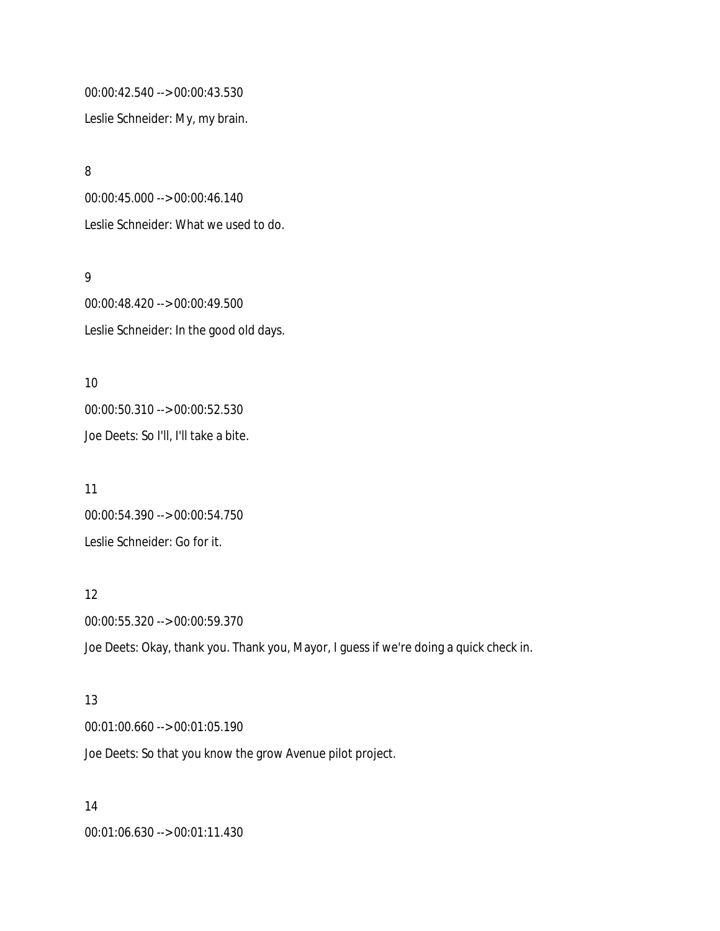00:00:42.540 --> 00:00:43.530

Leslie Schneider: My, my brain.

8 00:00:45.000 --> 00:00:46.140 Leslie Schneider: What we used to do.

9

00:00:48.420 --> 00:00:49.500 Leslie Schneider: In the good old days.

10 00:00:50.310 --> 00:00:52.530 Joe Deets: So I'll, I'll take a bite.

11 00:00:54.390 --> 00:00:54.750 Leslie Schneider: Go for it.

12 00:00:55.320 --> 00:00:59.370 Joe Deets: Okay, thank you. Thank you, Mayor, I guess if we're doing a quick check in.

13 00:01:00.660 --> 00:01:05.190 Joe Deets: So that you know the grow Avenue pilot project.

14 00:01:06.630 --> 00:01:11.430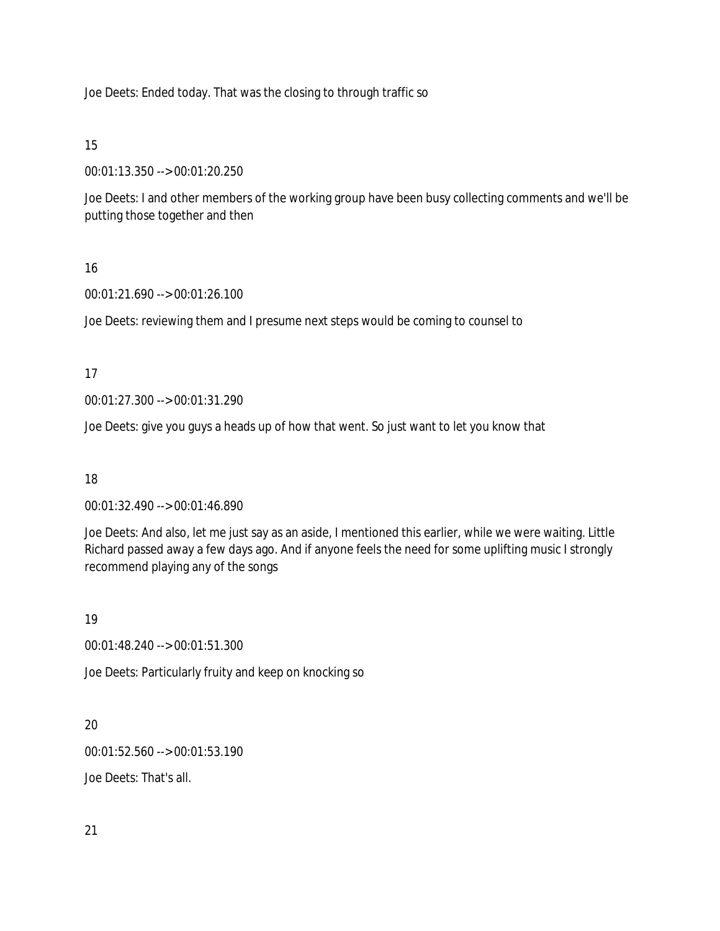Joe Deets: Ended today. That was the closing to through traffic so

15

00:01:13.350 --> 00:01:20.250

Joe Deets: I and other members of the working group have been busy collecting comments and we'll be putting those together and then

# 16

00:01:21.690 --> 00:01:26.100

Joe Deets: reviewing them and I presume next steps would be coming to counsel to

17

00:01:27.300 --> 00:01:31.290

Joe Deets: give you guys a heads up of how that went. So just want to let you know that

18

00:01:32.490 --> 00:01:46.890

Joe Deets: And also, let me just say as an aside, I mentioned this earlier, while we were waiting. Little Richard passed away a few days ago. And if anyone feels the need for some uplifting music I strongly recommend playing any of the songs

19

00:01:48.240 --> 00:01:51.300

Joe Deets: Particularly fruity and keep on knocking so

20

00:01:52.560 --> 00:01:53.190

Joe Deets: That's all.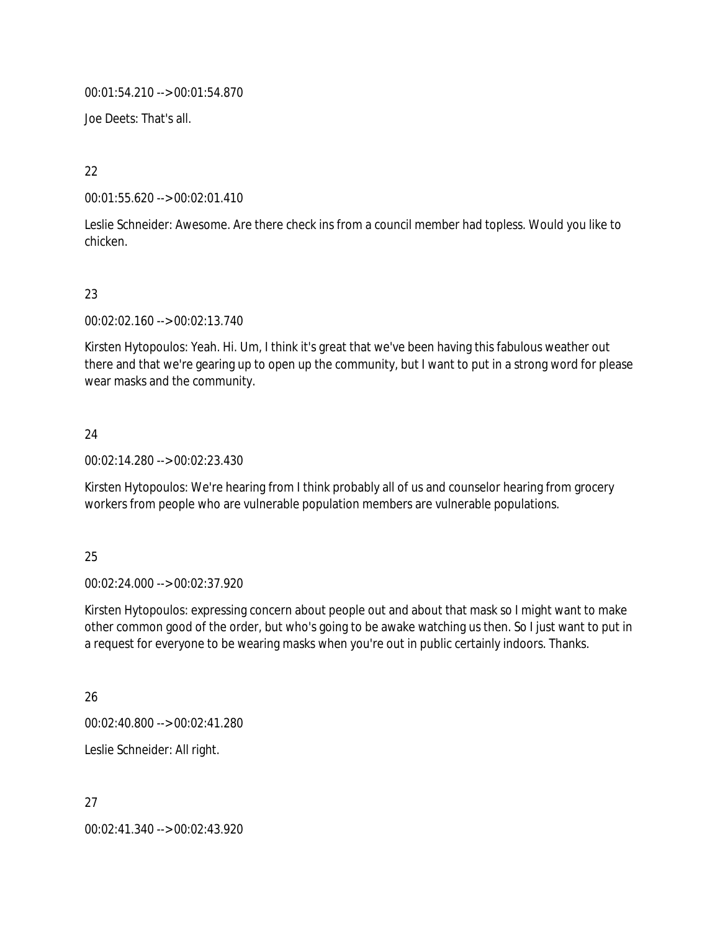00:01:54.210 --> 00:01:54.870

Joe Deets: That's all.

22

00:01:55.620 --> 00:02:01.410

Leslie Schneider: Awesome. Are there check ins from a council member had topless. Would you like to chicken.

## 23

00:02:02.160 --> 00:02:13.740

Kirsten Hytopoulos: Yeah. Hi. Um, I think it's great that we've been having this fabulous weather out there and that we're gearing up to open up the community, but I want to put in a strong word for please wear masks and the community.

## 24

00:02:14.280 --> 00:02:23.430

Kirsten Hytopoulos: We're hearing from I think probably all of us and counselor hearing from grocery workers from people who are vulnerable population members are vulnerable populations.

## 25

00:02:24.000 --> 00:02:37.920

Kirsten Hytopoulos: expressing concern about people out and about that mask so I might want to make other common good of the order, but who's going to be awake watching us then. So I just want to put in a request for everyone to be wearing masks when you're out in public certainly indoors. Thanks.

## 26

00:02:40.800 --> 00:02:41.280

Leslie Schneider: All right.

27 00:02:41.340 --> 00:02:43.920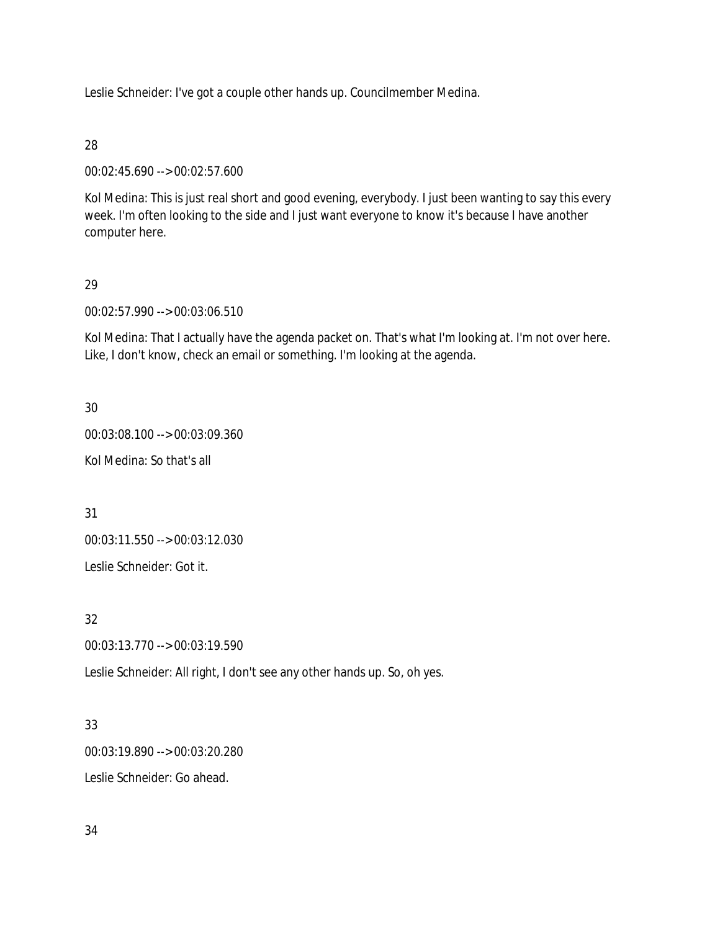Leslie Schneider: I've got a couple other hands up. Councilmember Medina.

#### 28

00:02:45.690 --> 00:02:57.600

Kol Medina: This is just real short and good evening, everybody. I just been wanting to say this every week. I'm often looking to the side and I just want everyone to know it's because I have another computer here.

## 29

00:02:57.990 --> 00:03:06.510

Kol Medina: That I actually have the agenda packet on. That's what I'm looking at. I'm not over here. Like, I don't know, check an email or something. I'm looking at the agenda.

## 30

00:03:08.100 --> 00:03:09.360

Kol Medina: So that's all

31

00:03:11.550 --> 00:03:12.030

Leslie Schneider: Got it.

# 32

00:03:13.770 --> 00:03:19.590

Leslie Schneider: All right, I don't see any other hands up. So, oh yes.

## 33

00:03:19.890 --> 00:03:20.280

Leslie Schneider: Go ahead.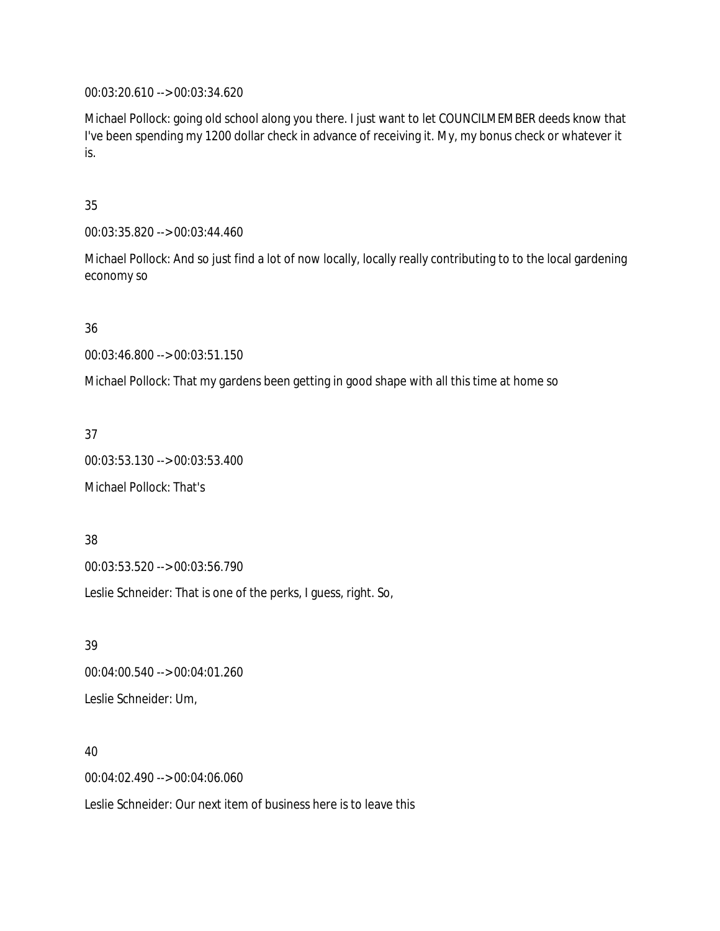00:03:20.610 --> 00:03:34.620

Michael Pollock: going old school along you there. I just want to let COUNCILMEMBER deeds know that I've been spending my 1200 dollar check in advance of receiving it. My, my bonus check or whatever it is.

35

00:03:35.820 --> 00:03:44.460

Michael Pollock: And so just find a lot of now locally, locally really contributing to to the local gardening economy so

36

00:03:46.800 --> 00:03:51.150

Michael Pollock: That my gardens been getting in good shape with all this time at home so

37

00:03:53.130 --> 00:03:53.400

Michael Pollock: That's

38 00:03:53.520 --> 00:03:56.790

Leslie Schneider: That is one of the perks, I guess, right. So,

39 00:04:00.540 --> 00:04:01.260 Leslie Schneider: Um,

40

00:04:02.490 --> 00:04:06.060

Leslie Schneider: Our next item of business here is to leave this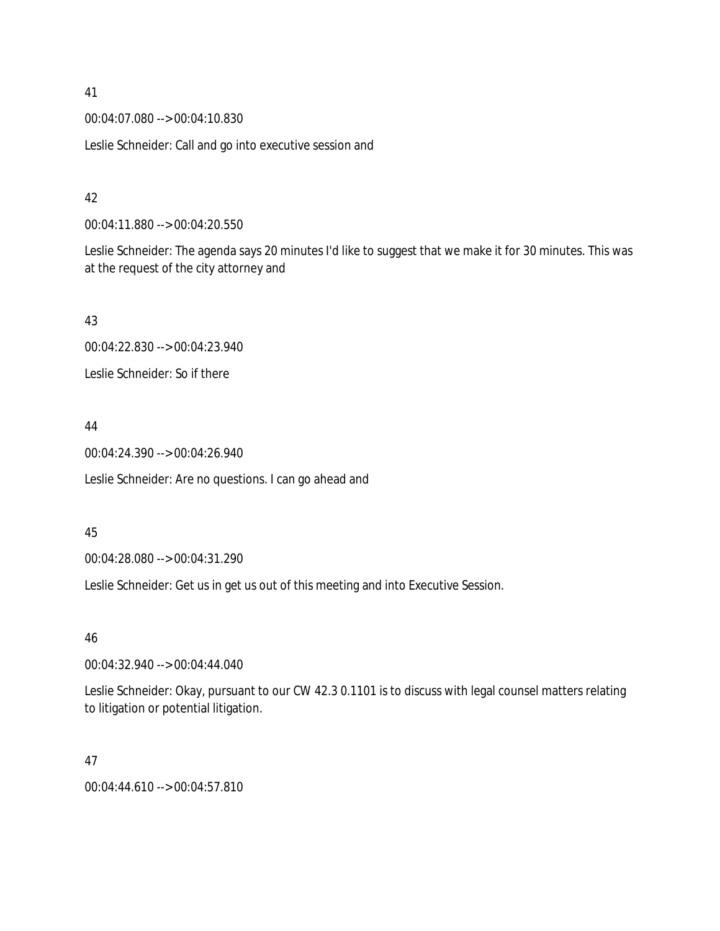00:04:07.080 --> 00:04:10.830

Leslie Schneider: Call and go into executive session and

#### 42

00:04:11.880 --> 00:04:20.550

Leslie Schneider: The agenda says 20 minutes I'd like to suggest that we make it for 30 minutes. This was at the request of the city attorney and

#### 43

00:04:22.830 --> 00:04:23.940

Leslie Schneider: So if there

## 44

00:04:24.390 --> 00:04:26.940

Leslie Schneider: Are no questions. I can go ahead and

#### 45

00:04:28.080 --> 00:04:31.290

Leslie Schneider: Get us in get us out of this meeting and into Executive Session.

## 46

00:04:32.940 --> 00:04:44.040

Leslie Schneider: Okay, pursuant to our CW 42.3 0.1101 is to discuss with legal counsel matters relating to litigation or potential litigation.

#### 47

00:04:44.610 --> 00:04:57.810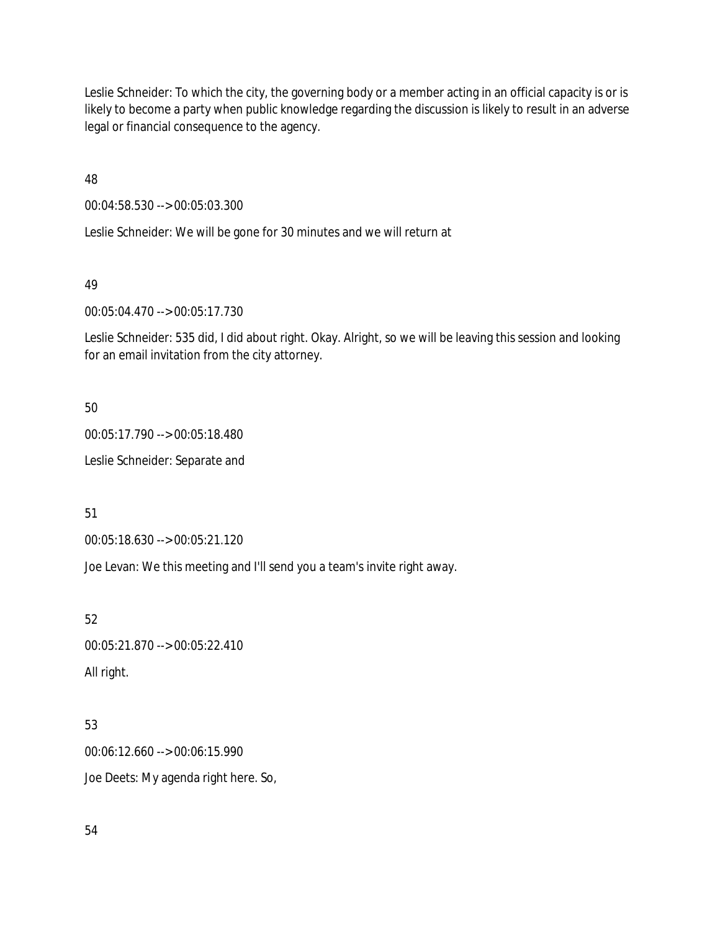Leslie Schneider: To which the city, the governing body or a member acting in an official capacity is or is likely to become a party when public knowledge regarding the discussion is likely to result in an adverse legal or financial consequence to the agency.

48

00:04:58.530 --> 00:05:03.300

Leslie Schneider: We will be gone for 30 minutes and we will return at

49

00:05:04.470 --> 00:05:17.730

Leslie Schneider: 535 did, I did about right. Okay. Alright, so we will be leaving this session and looking for an email invitation from the city attorney.

50

00:05:17.790 --> 00:05:18.480

Leslie Schneider: Separate and

51

00:05:18.630 --> 00:05:21.120

Joe Levan: We this meeting and I'll send you a team's invite right away.

52

00:05:21.870 --> 00:05:22.410 All right.

53

00:06:12.660 --> 00:06:15.990 Joe Deets: My agenda right here. So,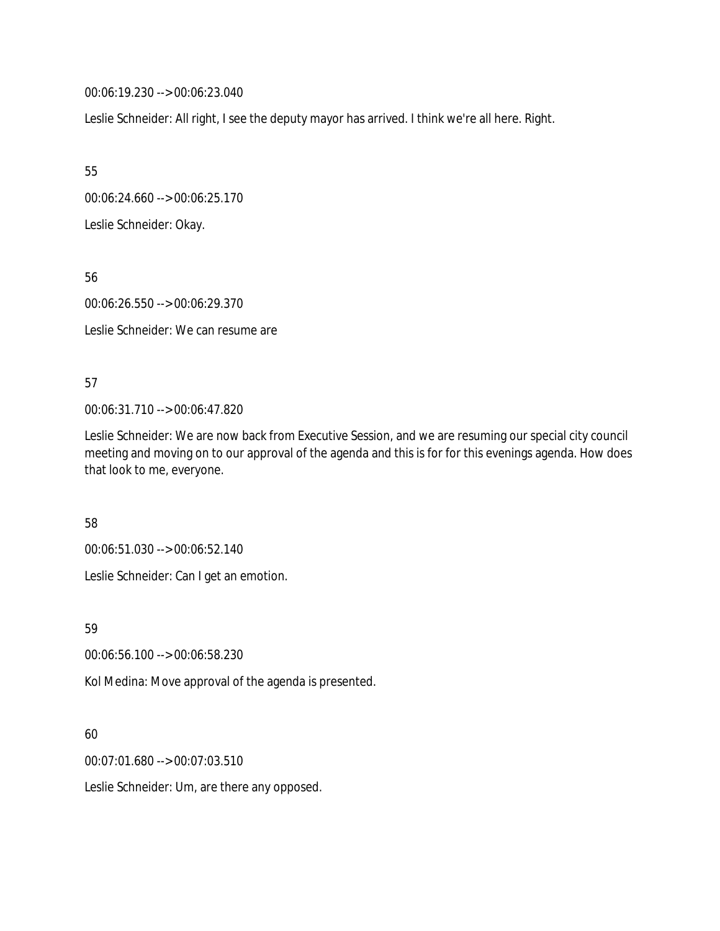00:06:19.230 --> 00:06:23.040

Leslie Schneider: All right, I see the deputy mayor has arrived. I think we're all here. Right.

55

00:06:24.660 --> 00:06:25.170

Leslie Schneider: Okay.

56

00:06:26.550 --> 00:06:29.370

Leslie Schneider: We can resume are

#### 57

00:06:31.710 --> 00:06:47.820

Leslie Schneider: We are now back from Executive Session, and we are resuming our special city council meeting and moving on to our approval of the agenda and this is for for this evenings agenda. How does that look to me, everyone.

#### 58

00:06:51.030 --> 00:06:52.140

Leslie Schneider: Can I get an emotion.

59

00:06:56.100 --> 00:06:58.230

Kol Medina: Move approval of the agenda is presented.

## 60

00:07:01.680 --> 00:07:03.510

Leslie Schneider: Um, are there any opposed.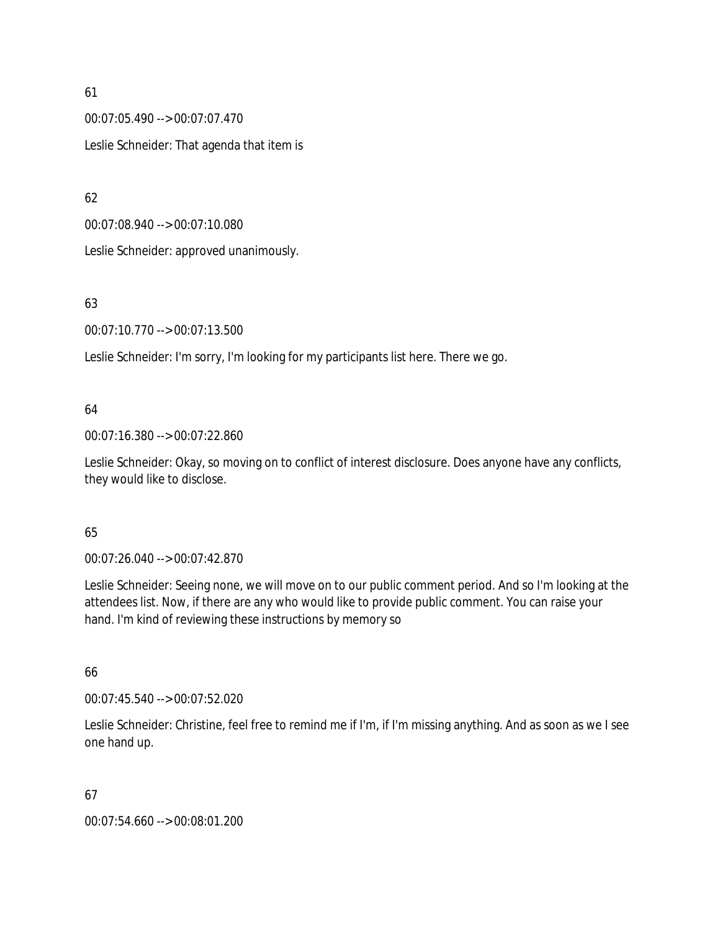00:07:05.490 --> 00:07:07.470 Leslie Schneider: That agenda that item is

62

00:07:08.940 --> 00:07:10.080

Leslie Schneider: approved unanimously.

## 63

00:07:10.770 --> 00:07:13.500

Leslie Schneider: I'm sorry, I'm looking for my participants list here. There we go.

## 64

00:07:16.380 --> 00:07:22.860

Leslie Schneider: Okay, so moving on to conflict of interest disclosure. Does anyone have any conflicts, they would like to disclose.

## 65

00:07:26.040 --> 00:07:42.870

Leslie Schneider: Seeing none, we will move on to our public comment period. And so I'm looking at the attendees list. Now, if there are any who would like to provide public comment. You can raise your hand. I'm kind of reviewing these instructions by memory so

## 66

00:07:45.540 --> 00:07:52.020

Leslie Schneider: Christine, feel free to remind me if I'm, if I'm missing anything. And as soon as we I see one hand up.

## 67

00:07:54.660 --> 00:08:01.200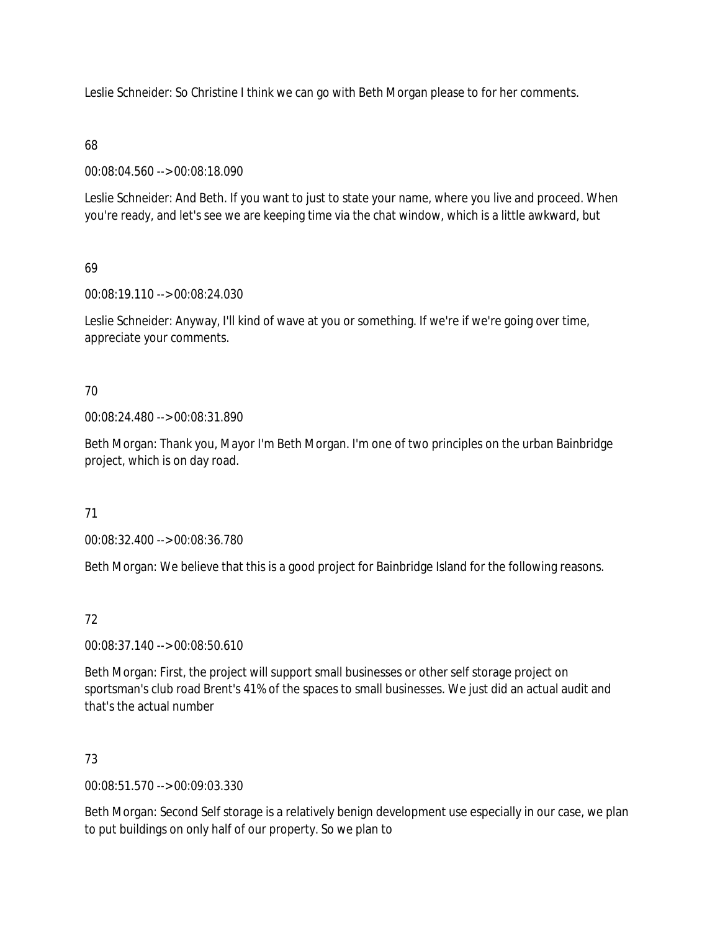Leslie Schneider: So Christine I think we can go with Beth Morgan please to for her comments.

#### 68

00:08:04.560 --> 00:08:18.090

Leslie Schneider: And Beth. If you want to just to state your name, where you live and proceed. When you're ready, and let's see we are keeping time via the chat window, which is a little awkward, but

## 69

00:08:19.110 --> 00:08:24.030

Leslie Schneider: Anyway, I'll kind of wave at you or something. If we're if we're going over time, appreciate your comments.

## 70

00:08:24.480 --> 00:08:31.890

Beth Morgan: Thank you, Mayor I'm Beth Morgan. I'm one of two principles on the urban Bainbridge project, which is on day road.

## 71

00:08:32.400 --> 00:08:36.780

Beth Morgan: We believe that this is a good project for Bainbridge Island for the following reasons.

## 72

00:08:37.140 --> 00:08:50.610

Beth Morgan: First, the project will support small businesses or other self storage project on sportsman's club road Brent's 41% of the spaces to small businesses. We just did an actual audit and that's the actual number

## 73

00:08:51.570 --> 00:09:03.330

Beth Morgan: Second Self storage is a relatively benign development use especially in our case, we plan to put buildings on only half of our property. So we plan to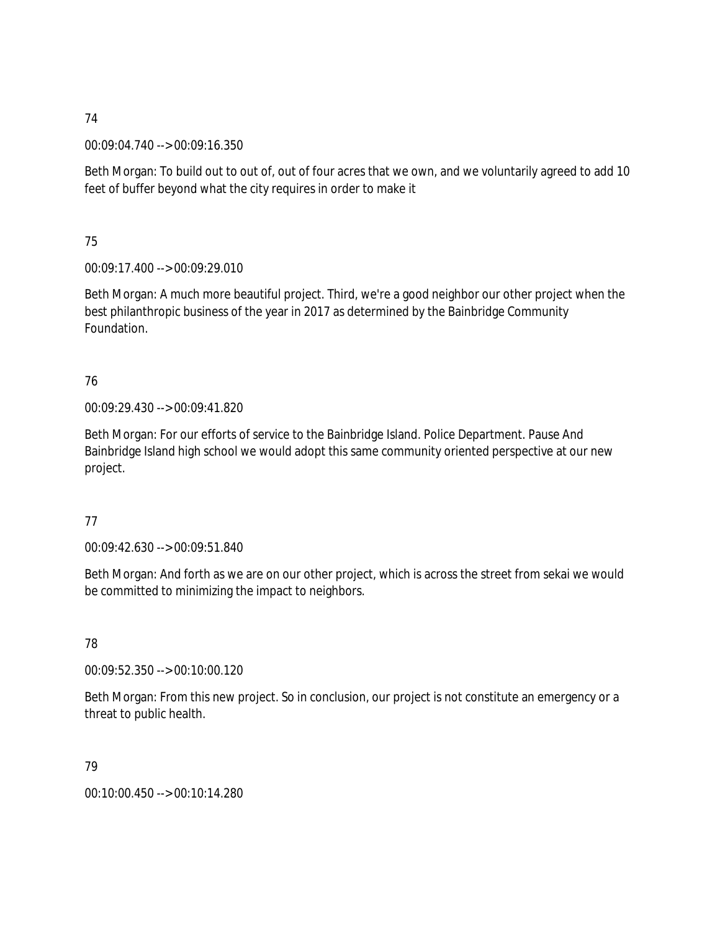00:09:04.740 --> 00:09:16.350

Beth Morgan: To build out to out of, out of four acres that we own, and we voluntarily agreed to add 10 feet of buffer beyond what the city requires in order to make it

75

00:09:17.400 --> 00:09:29.010

Beth Morgan: A much more beautiful project. Third, we're a good neighbor our other project when the best philanthropic business of the year in 2017 as determined by the Bainbridge Community Foundation.

## 76

00:09:29.430 --> 00:09:41.820

Beth Morgan: For our efforts of service to the Bainbridge Island. Police Department. Pause And Bainbridge Island high school we would adopt this same community oriented perspective at our new project.

## 77

00:09:42.630 --> 00:09:51.840

Beth Morgan: And forth as we are on our other project, which is across the street from sekai we would be committed to minimizing the impact to neighbors.

78

00:09:52.350 --> 00:10:00.120

Beth Morgan: From this new project. So in conclusion, our project is not constitute an emergency or a threat to public health.

79

00:10:00.450 --> 00:10:14.280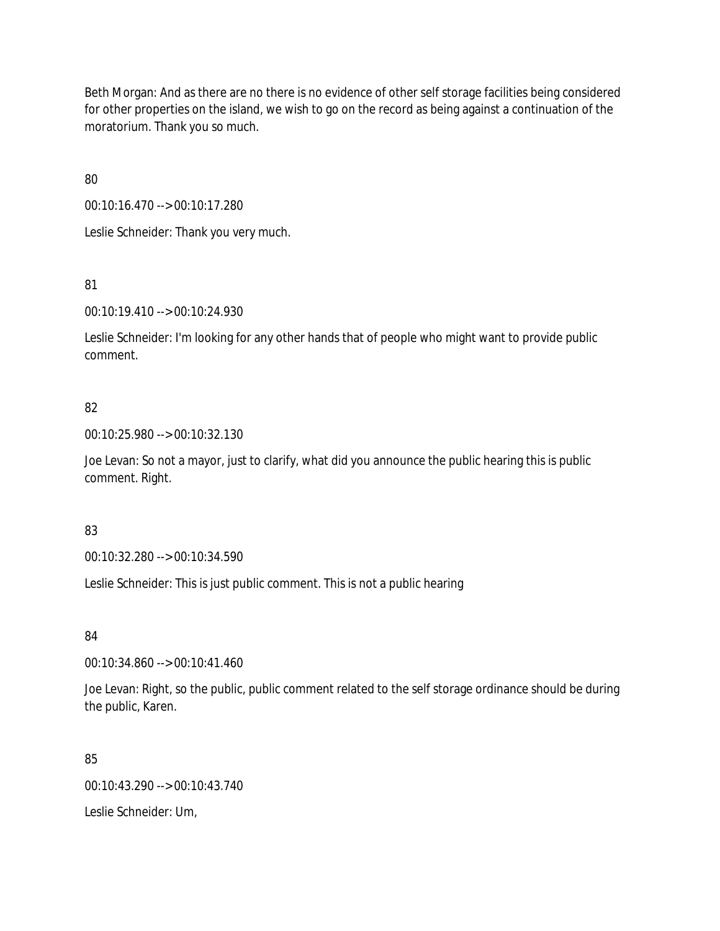Beth Morgan: And as there are no there is no evidence of other self storage facilities being considered for other properties on the island, we wish to go on the record as being against a continuation of the moratorium. Thank you so much.

80

00:10:16.470 --> 00:10:17.280

Leslie Schneider: Thank you very much.

81

00:10:19.410 --> 00:10:24.930

Leslie Schneider: I'm looking for any other hands that of people who might want to provide public comment.

## 82

00:10:25.980 --> 00:10:32.130

Joe Levan: So not a mayor, just to clarify, what did you announce the public hearing this is public comment. Right.

## 83

00:10:32.280 --> 00:10:34.590

Leslie Schneider: This is just public comment. This is not a public hearing

## 84

00:10:34.860 --> 00:10:41.460

Joe Levan: Right, so the public, public comment related to the self storage ordinance should be during the public, Karen.

#### 85

00:10:43.290 --> 00:10:43.740

Leslie Schneider: Um,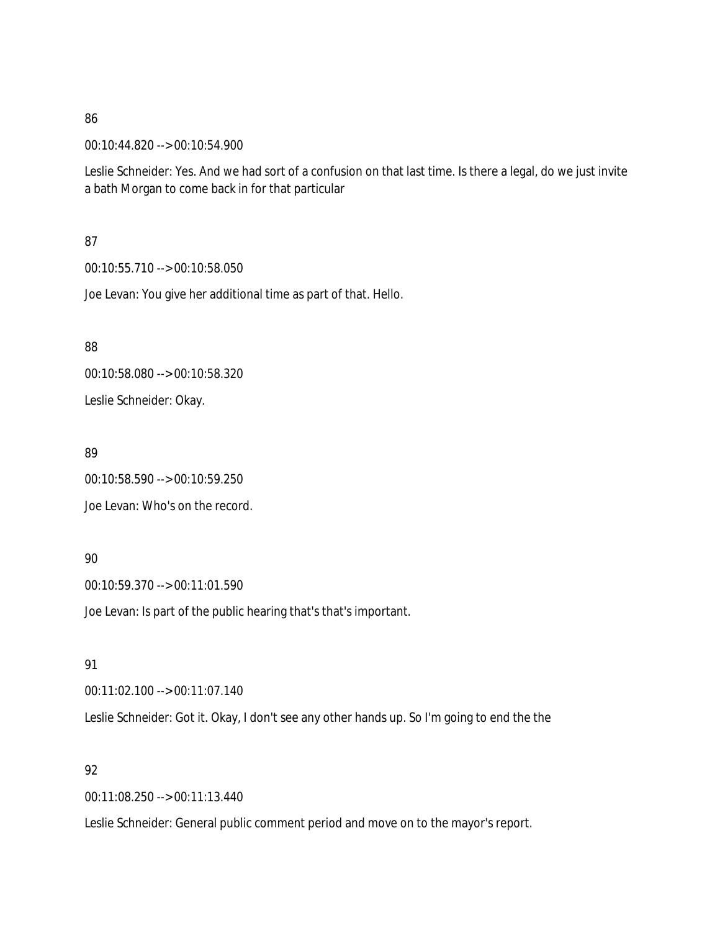00:10:44.820 --> 00:10:54.900

Leslie Schneider: Yes. And we had sort of a confusion on that last time. Is there a legal, do we just invite a bath Morgan to come back in for that particular

87

00:10:55.710 --> 00:10:58.050

Joe Levan: You give her additional time as part of that. Hello.

88

00:10:58.080 --> 00:10:58.320 Leslie Schneider: Okay.

89

00:10:58.590 --> 00:10:59.250 Joe Levan: Who's on the record.

## 90

00:10:59.370 --> 00:11:01.590

Joe Levan: Is part of the public hearing that's that's important.

91

00:11:02.100 --> 00:11:07.140

Leslie Schneider: Got it. Okay, I don't see any other hands up. So I'm going to end the the

#### 92

00:11:08.250 --> 00:11:13.440

Leslie Schneider: General public comment period and move on to the mayor's report.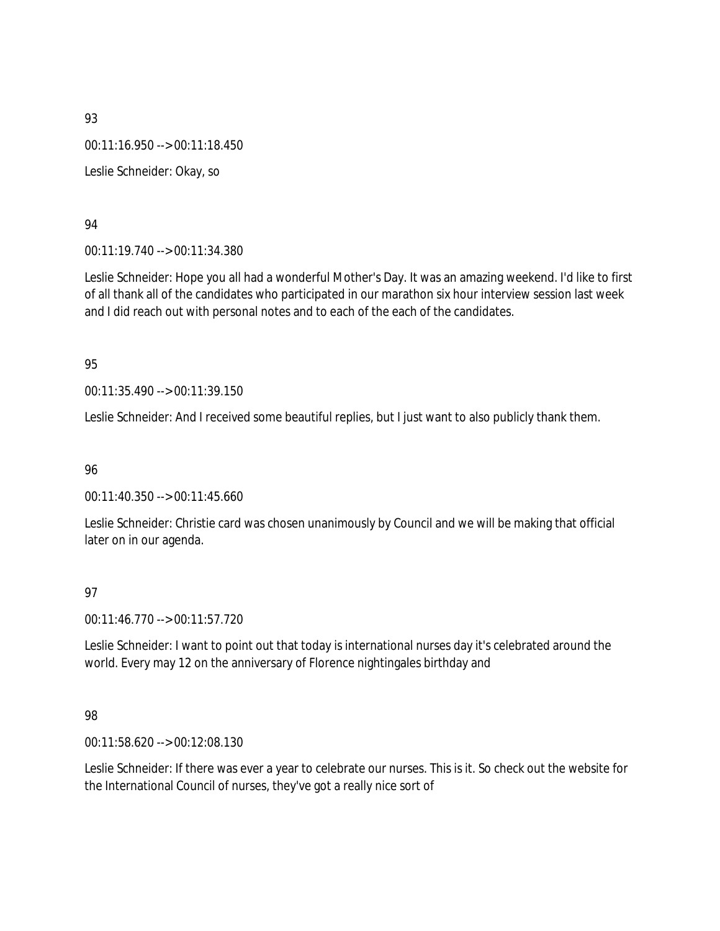00:11:16.950 --> 00:11:18.450 Leslie Schneider: Okay, so

#### 94

00:11:19.740 --> 00:11:34.380

Leslie Schneider: Hope you all had a wonderful Mother's Day. It was an amazing weekend. I'd like to first of all thank all of the candidates who participated in our marathon six hour interview session last week and I did reach out with personal notes and to each of the each of the candidates.

#### 95

00:11:35.490 --> 00:11:39.150

Leslie Schneider: And I received some beautiful replies, but I just want to also publicly thank them.

96

00:11:40.350 --> 00:11:45.660

Leslie Schneider: Christie card was chosen unanimously by Council and we will be making that official later on in our agenda.

## 97

00:11:46.770 --> 00:11:57.720

Leslie Schneider: I want to point out that today is international nurses day it's celebrated around the world. Every may 12 on the anniversary of Florence nightingales birthday and

#### 98

00:11:58.620 --> 00:12:08.130

Leslie Schneider: If there was ever a year to celebrate our nurses. This is it. So check out the website for the International Council of nurses, they've got a really nice sort of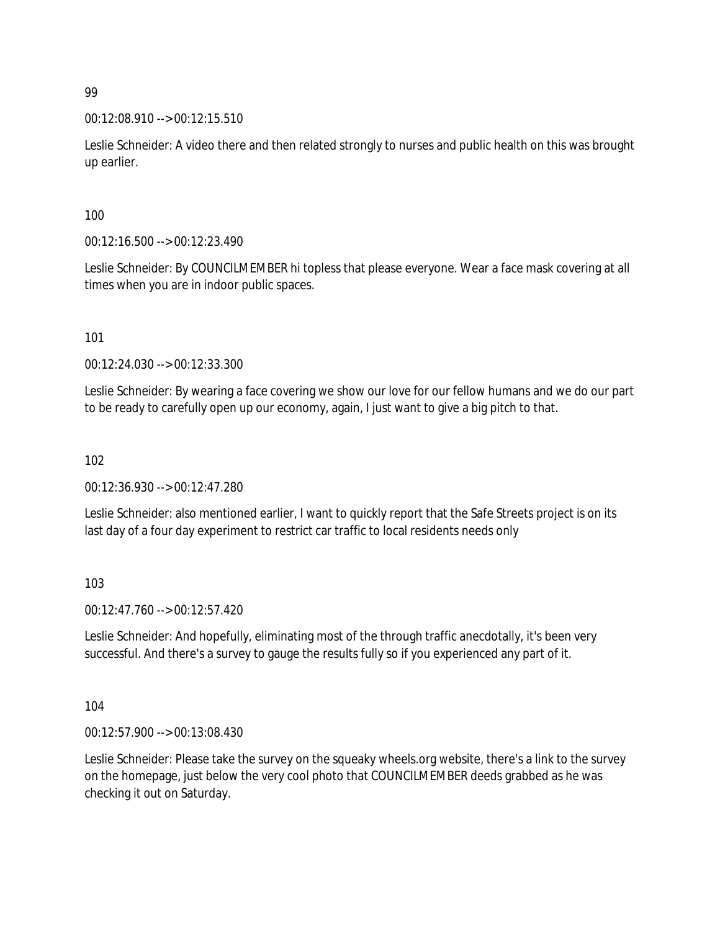00:12:08.910 --> 00:12:15.510

Leslie Schneider: A video there and then related strongly to nurses and public health on this was brought up earlier.

100

00:12:16.500 --> 00:12:23.490

Leslie Schneider: By COUNCILMEMBER hi topless that please everyone. Wear a face mask covering at all times when you are in indoor public spaces.

101

00:12:24.030 --> 00:12:33.300

Leslie Schneider: By wearing a face covering we show our love for our fellow humans and we do our part to be ready to carefully open up our economy, again, I just want to give a big pitch to that.

102

00:12:36.930 --> 00:12:47.280

Leslie Schneider: also mentioned earlier, I want to quickly report that the Safe Streets project is on its last day of a four day experiment to restrict car traffic to local residents needs only

103

00:12:47.760 --> 00:12:57.420

Leslie Schneider: And hopefully, eliminating most of the through traffic anecdotally, it's been very successful. And there's a survey to gauge the results fully so if you experienced any part of it.

104

00:12:57.900 --> 00:13:08.430

Leslie Schneider: Please take the survey on the squeaky wheels.org website, there's a link to the survey on the homepage, just below the very cool photo that COUNCILMEMBER deeds grabbed as he was checking it out on Saturday.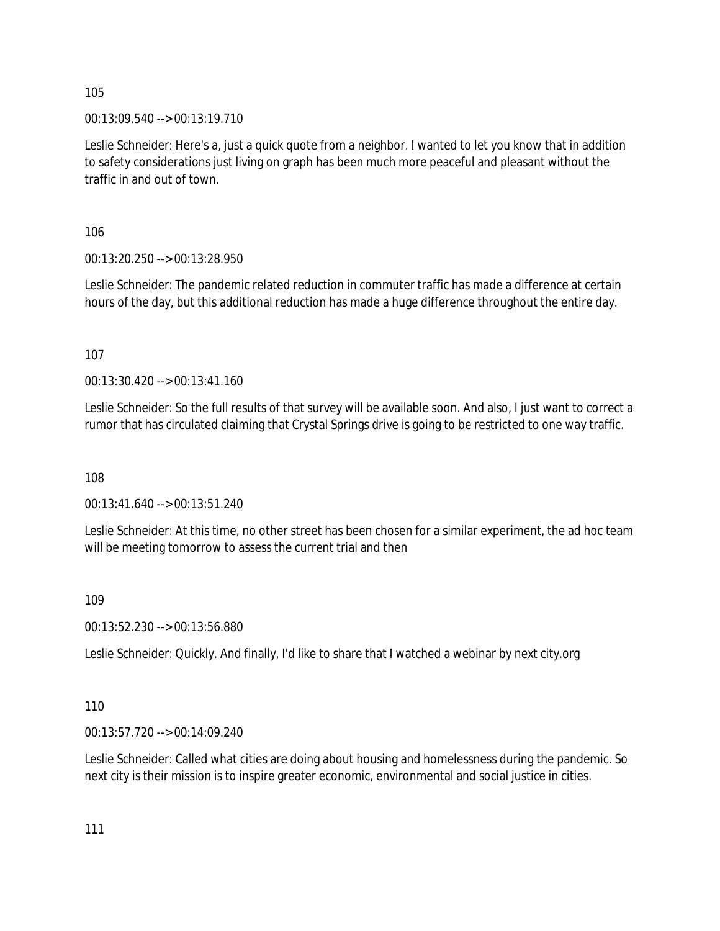00:13:09.540 --> 00:13:19.710

Leslie Schneider: Here's a, just a quick quote from a neighbor. I wanted to let you know that in addition to safety considerations just living on graph has been much more peaceful and pleasant without the traffic in and out of town.

106

00:13:20.250 --> 00:13:28.950

Leslie Schneider: The pandemic related reduction in commuter traffic has made a difference at certain hours of the day, but this additional reduction has made a huge difference throughout the entire day.

107

00:13:30.420 --> 00:13:41.160

Leslie Schneider: So the full results of that survey will be available soon. And also, I just want to correct a rumor that has circulated claiming that Crystal Springs drive is going to be restricted to one way traffic.

108

00:13:41.640 --> 00:13:51.240

Leslie Schneider: At this time, no other street has been chosen for a similar experiment, the ad hoc team will be meeting tomorrow to assess the current trial and then

109

00:13:52.230 --> 00:13:56.880

Leslie Schneider: Quickly. And finally, I'd like to share that I watched a webinar by next city.org

110

00:13:57.720 --> 00:14:09.240

Leslie Schneider: Called what cities are doing about housing and homelessness during the pandemic. So next city is their mission is to inspire greater economic, environmental and social justice in cities.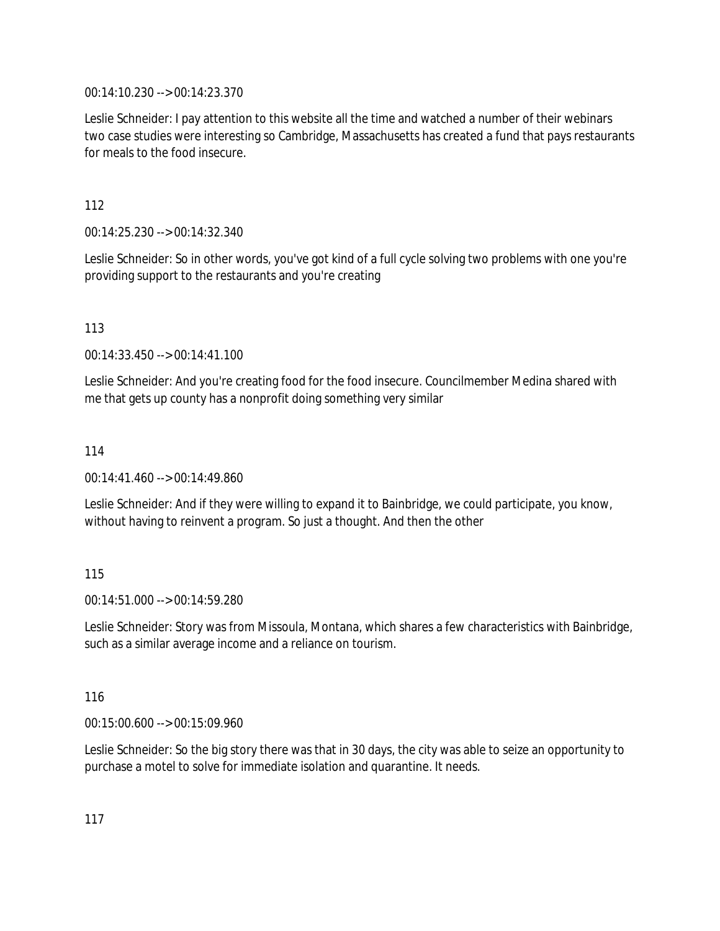00:14:10.230 --> 00:14:23.370

Leslie Schneider: I pay attention to this website all the time and watched a number of their webinars two case studies were interesting so Cambridge, Massachusetts has created a fund that pays restaurants for meals to the food insecure.

112

00:14:25.230 --> 00:14:32.340

Leslie Schneider: So in other words, you've got kind of a full cycle solving two problems with one you're providing support to the restaurants and you're creating

113

00:14:33.450 --> 00:14:41.100

Leslie Schneider: And you're creating food for the food insecure. Councilmember Medina shared with me that gets up county has a nonprofit doing something very similar

114

00:14:41.460 --> 00:14:49.860

Leslie Schneider: And if they were willing to expand it to Bainbridge, we could participate, you know, without having to reinvent a program. So just a thought. And then the other

115

00:14:51.000 --> 00:14:59.280

Leslie Schneider: Story was from Missoula, Montana, which shares a few characteristics with Bainbridge, such as a similar average income and a reliance on tourism.

116

00:15:00.600 --> 00:15:09.960

Leslie Schneider: So the big story there was that in 30 days, the city was able to seize an opportunity to purchase a motel to solve for immediate isolation and quarantine. It needs.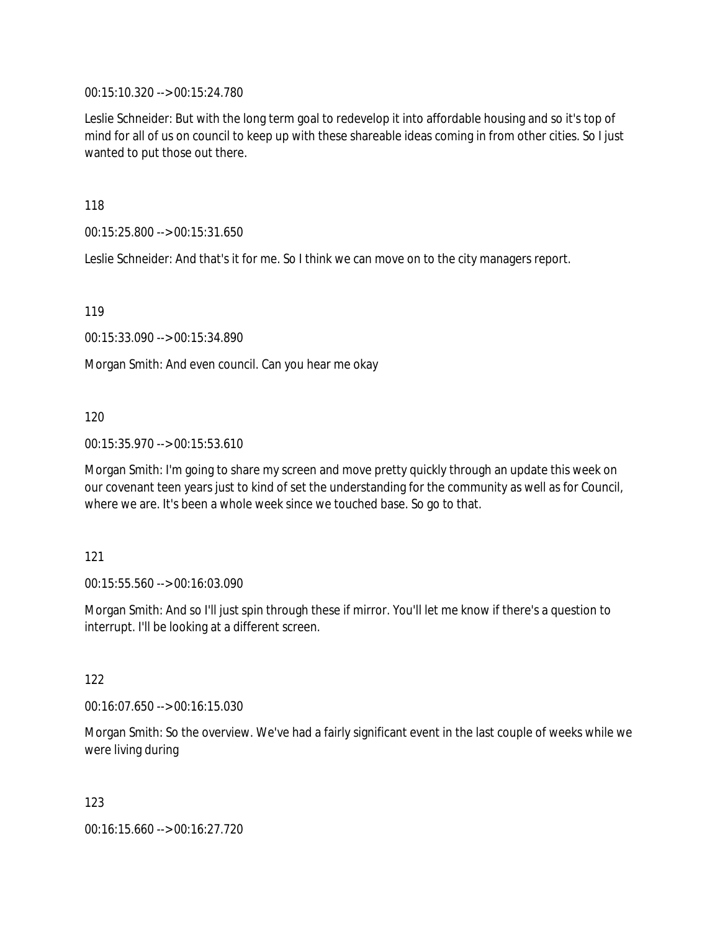00:15:10.320 --> 00:15:24.780

Leslie Schneider: But with the long term goal to redevelop it into affordable housing and so it's top of mind for all of us on council to keep up with these shareable ideas coming in from other cities. So I just wanted to put those out there.

118

00:15:25.800 --> 00:15:31.650

Leslie Schneider: And that's it for me. So I think we can move on to the city managers report.

119

00:15:33.090 --> 00:15:34.890

Morgan Smith: And even council. Can you hear me okay

120

00:15:35.970 --> 00:15:53.610

Morgan Smith: I'm going to share my screen and move pretty quickly through an update this week on our covenant teen years just to kind of set the understanding for the community as well as for Council, where we are. It's been a whole week since we touched base. So go to that.

121

00:15:55.560 --> 00:16:03.090

Morgan Smith: And so I'll just spin through these if mirror. You'll let me know if there's a question to interrupt. I'll be looking at a different screen.

122

00:16:07.650 --> 00:16:15.030

Morgan Smith: So the overview. We've had a fairly significant event in the last couple of weeks while we were living during

123

00:16:15.660 --> 00:16:27.720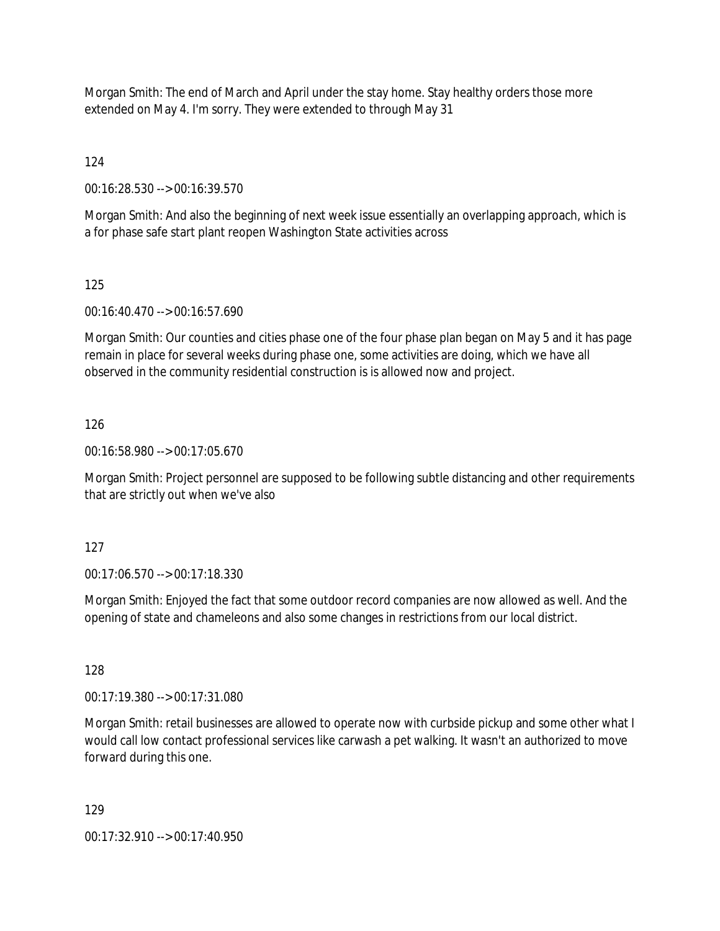Morgan Smith: The end of March and April under the stay home. Stay healthy orders those more extended on May 4. I'm sorry. They were extended to through May 31

124

00:16:28.530 --> 00:16:39.570

Morgan Smith: And also the beginning of next week issue essentially an overlapping approach, which is a for phase safe start plant reopen Washington State activities across

## 125

00:16:40.470 --> 00:16:57.690

Morgan Smith: Our counties and cities phase one of the four phase plan began on May 5 and it has page remain in place for several weeks during phase one, some activities are doing, which we have all observed in the community residential construction is is allowed now and project.

## 126

00:16:58.980 --> 00:17:05.670

Morgan Smith: Project personnel are supposed to be following subtle distancing and other requirements that are strictly out when we've also

## 127

00:17:06.570 --> 00:17:18.330

Morgan Smith: Enjoyed the fact that some outdoor record companies are now allowed as well. And the opening of state and chameleons and also some changes in restrictions from our local district.

## 128

00:17:19.380 --> 00:17:31.080

Morgan Smith: retail businesses are allowed to operate now with curbside pickup and some other what I would call low contact professional services like carwash a pet walking. It wasn't an authorized to move forward during this one.

#### 129

00:17:32.910 --> 00:17:40.950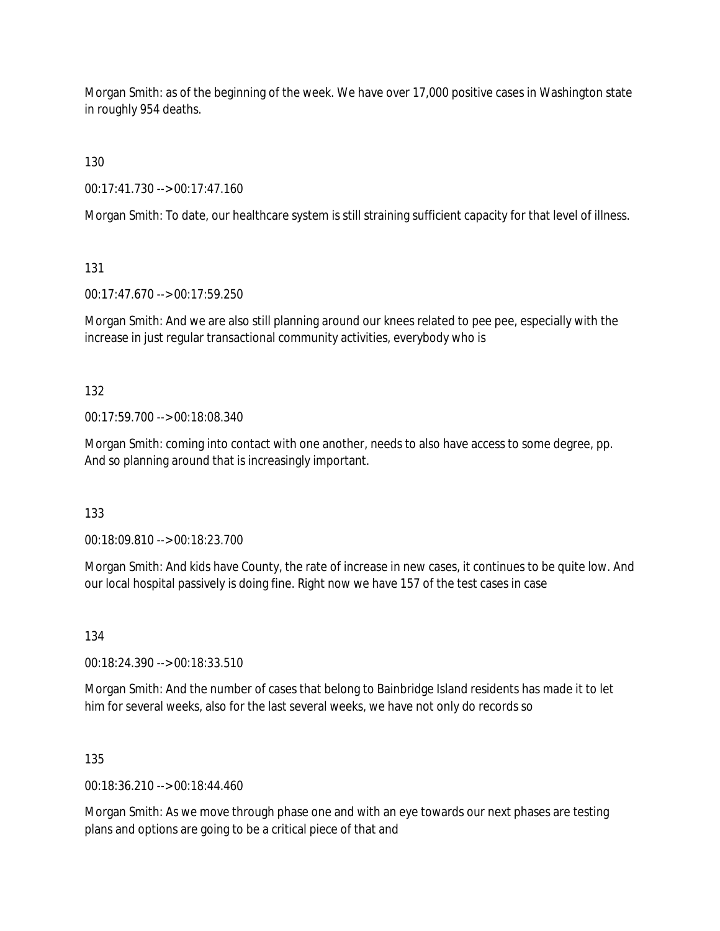Morgan Smith: as of the beginning of the week. We have over 17,000 positive cases in Washington state in roughly 954 deaths.

130

00:17:41.730 --> 00:17:47.160

Morgan Smith: To date, our healthcare system is still straining sufficient capacity for that level of illness.

131

00:17:47.670 --> 00:17:59.250

Morgan Smith: And we are also still planning around our knees related to pee pee, especially with the increase in just regular transactional community activities, everybody who is

132

00:17:59.700 --> 00:18:08.340

Morgan Smith: coming into contact with one another, needs to also have access to some degree, pp. And so planning around that is increasingly important.

133

00:18:09.810 --> 00:18:23.700

Morgan Smith: And kids have County, the rate of increase in new cases, it continues to be quite low. And our local hospital passively is doing fine. Right now we have 157 of the test cases in case

134

00:18:24.390 --> 00:18:33.510

Morgan Smith: And the number of cases that belong to Bainbridge Island residents has made it to let him for several weeks, also for the last several weeks, we have not only do records so

135

00:18:36.210 --> 00:18:44.460

Morgan Smith: As we move through phase one and with an eye towards our next phases are testing plans and options are going to be a critical piece of that and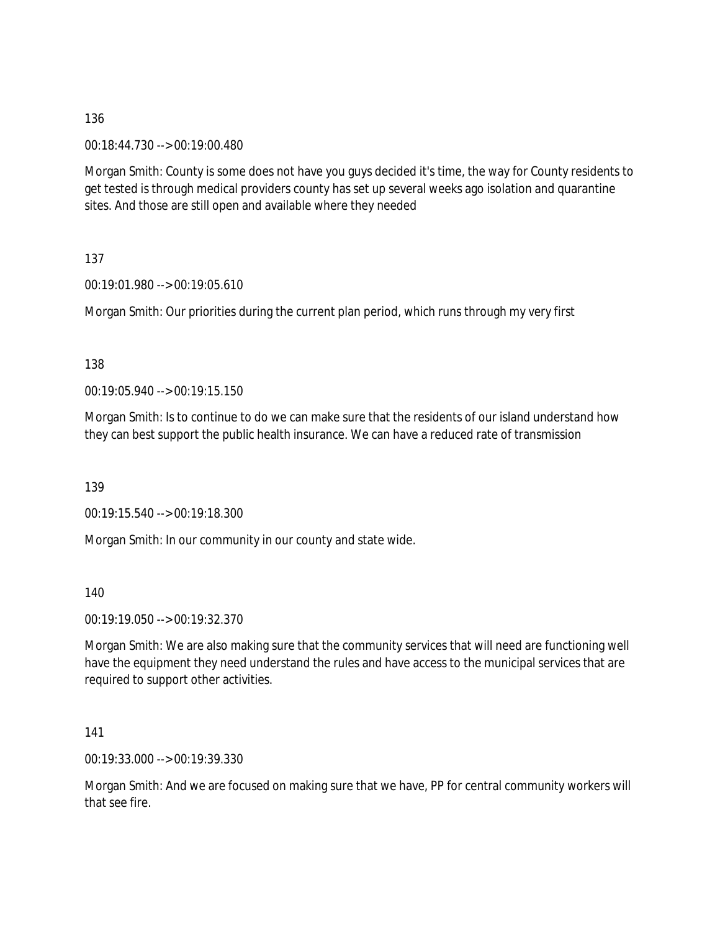00:18:44.730 --> 00:19:00.480

Morgan Smith: County is some does not have you guys decided it's time, the way for County residents to get tested is through medical providers county has set up several weeks ago isolation and quarantine sites. And those are still open and available where they needed

137

00:19:01.980 --> 00:19:05.610

Morgan Smith: Our priorities during the current plan period, which runs through my very first

138

00:19:05.940 --> 00:19:15.150

Morgan Smith: Is to continue to do we can make sure that the residents of our island understand how they can best support the public health insurance. We can have a reduced rate of transmission

139

00:19:15.540 --> 00:19:18.300

Morgan Smith: In our community in our county and state wide.

140

00:19:19.050 --> 00:19:32.370

Morgan Smith: We are also making sure that the community services that will need are functioning well have the equipment they need understand the rules and have access to the municipal services that are required to support other activities.

141

00:19:33.000 --> 00:19:39.330

Morgan Smith: And we are focused on making sure that we have, PP for central community workers will that see fire.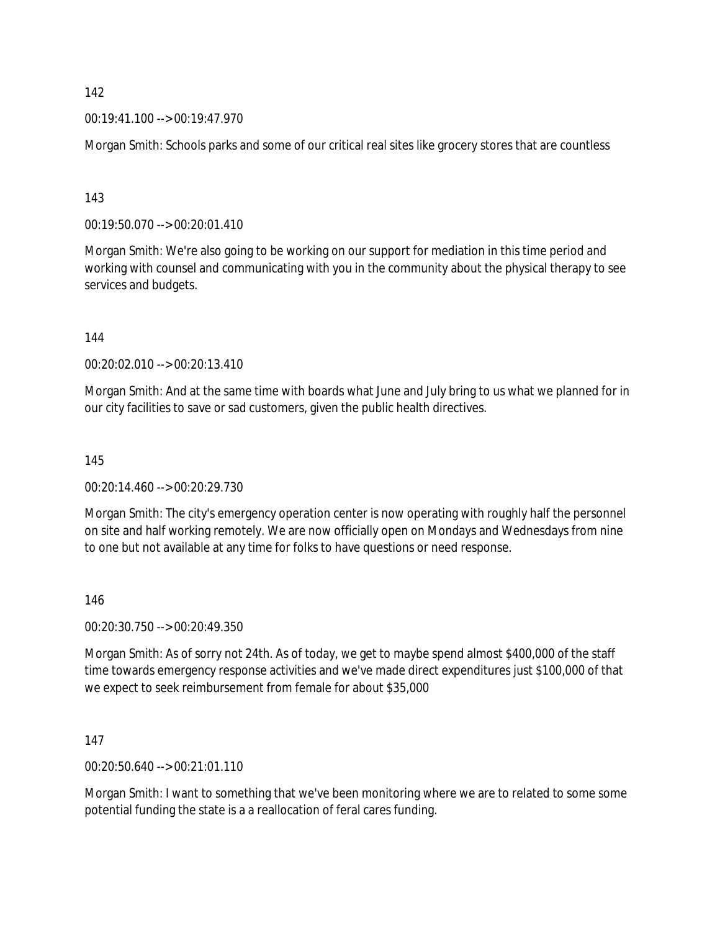00:19:41.100 --> 00:19:47.970

Morgan Smith: Schools parks and some of our critical real sites like grocery stores that are countless

143

00:19:50.070 --> 00:20:01.410

Morgan Smith: We're also going to be working on our support for mediation in this time period and working with counsel and communicating with you in the community about the physical therapy to see services and budgets.

144

00:20:02.010 --> 00:20:13.410

Morgan Smith: And at the same time with boards what June and July bring to us what we planned for in our city facilities to save or sad customers, given the public health directives.

145

00:20:14.460 --> 00:20:29.730

Morgan Smith: The city's emergency operation center is now operating with roughly half the personnel on site and half working remotely. We are now officially open on Mondays and Wednesdays from nine to one but not available at any time for folks to have questions or need response.

146

00:20:30.750 --> 00:20:49.350

Morgan Smith: As of sorry not 24th. As of today, we get to maybe spend almost \$400,000 of the staff time towards emergency response activities and we've made direct expenditures just \$100,000 of that we expect to seek reimbursement from female for about \$35,000

147

00:20:50.640 --> 00:21:01.110

Morgan Smith: I want to something that we've been monitoring where we are to related to some some potential funding the state is a a reallocation of feral cares funding.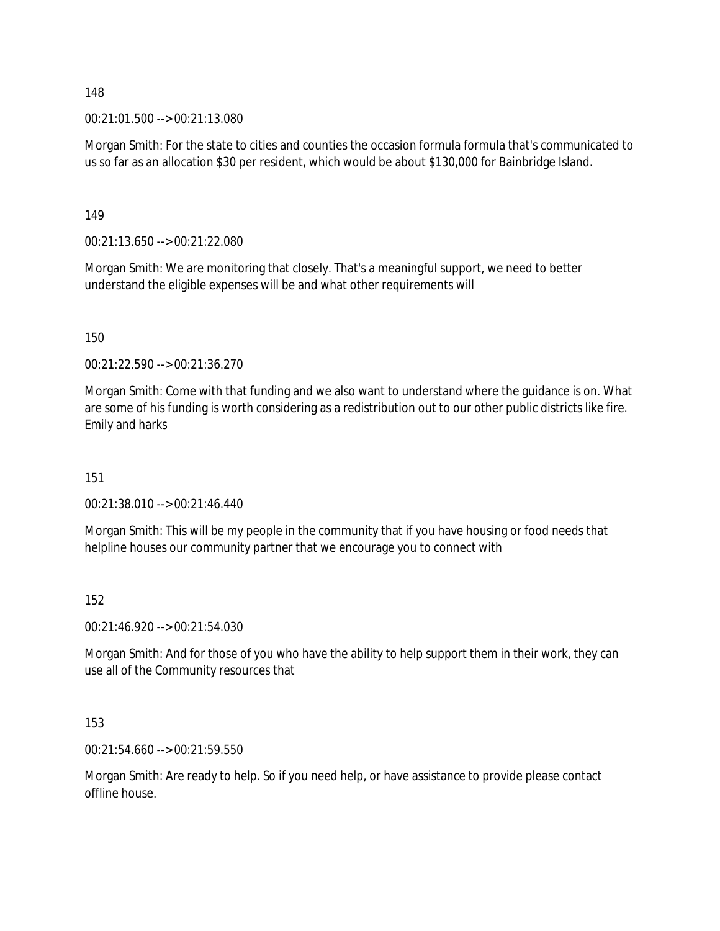00:21:01.500 --> 00:21:13.080

Morgan Smith: For the state to cities and counties the occasion formula formula that's communicated to us so far as an allocation \$30 per resident, which would be about \$130,000 for Bainbridge Island.

149

00:21:13.650 --> 00:21:22.080

Morgan Smith: We are monitoring that closely. That's a meaningful support, we need to better understand the eligible expenses will be and what other requirements will

150

00:21:22.590 --> 00:21:36.270

Morgan Smith: Come with that funding and we also want to understand where the guidance is on. What are some of his funding is worth considering as a redistribution out to our other public districts like fire. Emily and harks

151

00:21:38.010 --> 00:21:46.440

Morgan Smith: This will be my people in the community that if you have housing or food needs that helpline houses our community partner that we encourage you to connect with

152

00:21:46.920 --> 00:21:54.030

Morgan Smith: And for those of you who have the ability to help support them in their work, they can use all of the Community resources that

153

00:21:54.660 --> 00:21:59.550

Morgan Smith: Are ready to help. So if you need help, or have assistance to provide please contact offline house.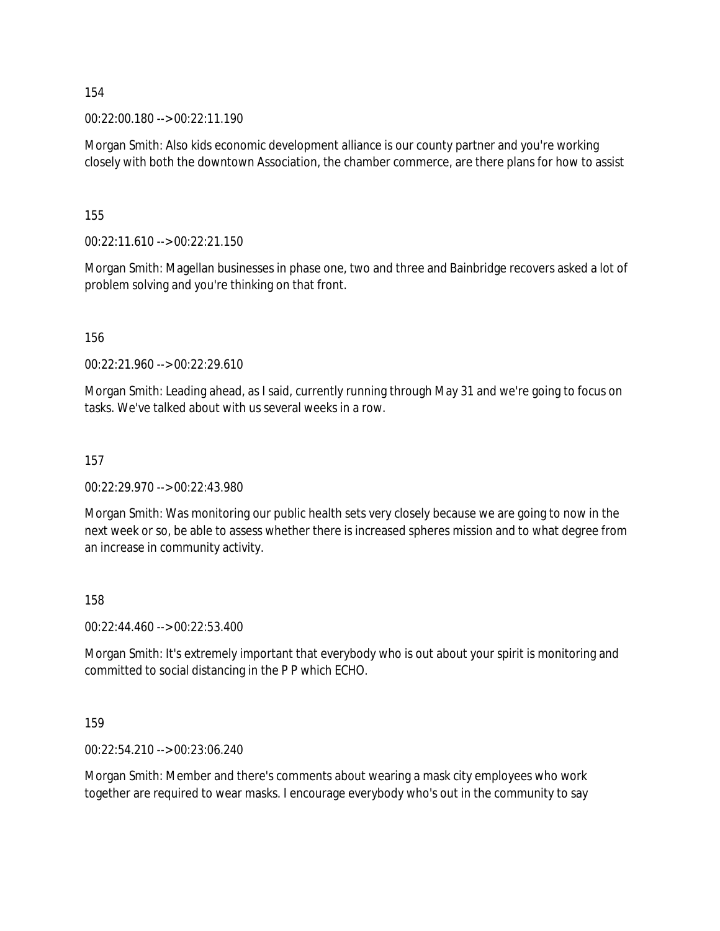00:22:00.180 --> 00:22:11.190

Morgan Smith: Also kids economic development alliance is our county partner and you're working closely with both the downtown Association, the chamber commerce, are there plans for how to assist

155

00:22:11.610 --> 00:22:21.150

Morgan Smith: Magellan businesses in phase one, two and three and Bainbridge recovers asked a lot of problem solving and you're thinking on that front.

156

00:22:21.960 --> 00:22:29.610

Morgan Smith: Leading ahead, as I said, currently running through May 31 and we're going to focus on tasks. We've talked about with us several weeks in a row.

157

00:22:29.970 --> 00:22:43.980

Morgan Smith: Was monitoring our public health sets very closely because we are going to now in the next week or so, be able to assess whether there is increased spheres mission and to what degree from an increase in community activity.

158

00:22:44.460 --> 00:22:53.400

Morgan Smith: It's extremely important that everybody who is out about your spirit is monitoring and committed to social distancing in the P P which ECHO.

159

00:22:54.210 --> 00:23:06.240

Morgan Smith: Member and there's comments about wearing a mask city employees who work together are required to wear masks. I encourage everybody who's out in the community to say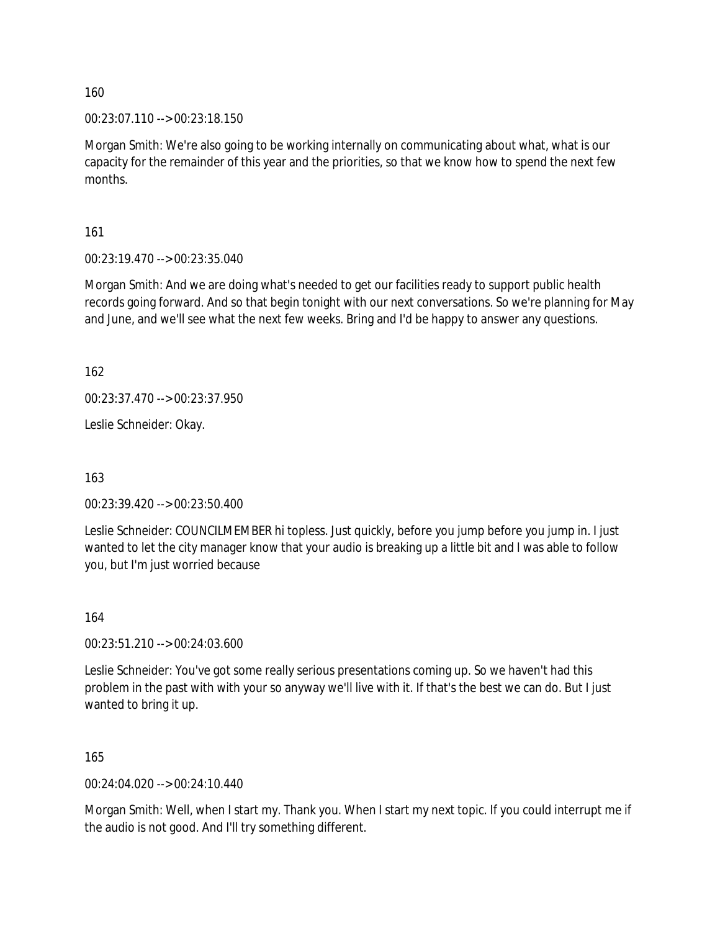00:23:07.110 --> 00:23:18.150

Morgan Smith: We're also going to be working internally on communicating about what, what is our capacity for the remainder of this year and the priorities, so that we know how to spend the next few months.

161

00:23:19.470 --> 00:23:35.040

Morgan Smith: And we are doing what's needed to get our facilities ready to support public health records going forward. And so that begin tonight with our next conversations. So we're planning for May and June, and we'll see what the next few weeks. Bring and I'd be happy to answer any questions.

162

00:23:37.470 --> 00:23:37.950

Leslie Schneider: Okay.

163

00:23:39.420 --> 00:23:50.400

Leslie Schneider: COUNCILMEMBER hi topless. Just quickly, before you jump before you jump in. I just wanted to let the city manager know that your audio is breaking up a little bit and I was able to follow you, but I'm just worried because

164

00:23:51.210 --> 00:24:03.600

Leslie Schneider: You've got some really serious presentations coming up. So we haven't had this problem in the past with with your so anyway we'll live with it. If that's the best we can do. But I just wanted to bring it up.

165

00:24:04.020 --> 00:24:10.440

Morgan Smith: Well, when I start my. Thank you. When I start my next topic. If you could interrupt me if the audio is not good. And I'll try something different.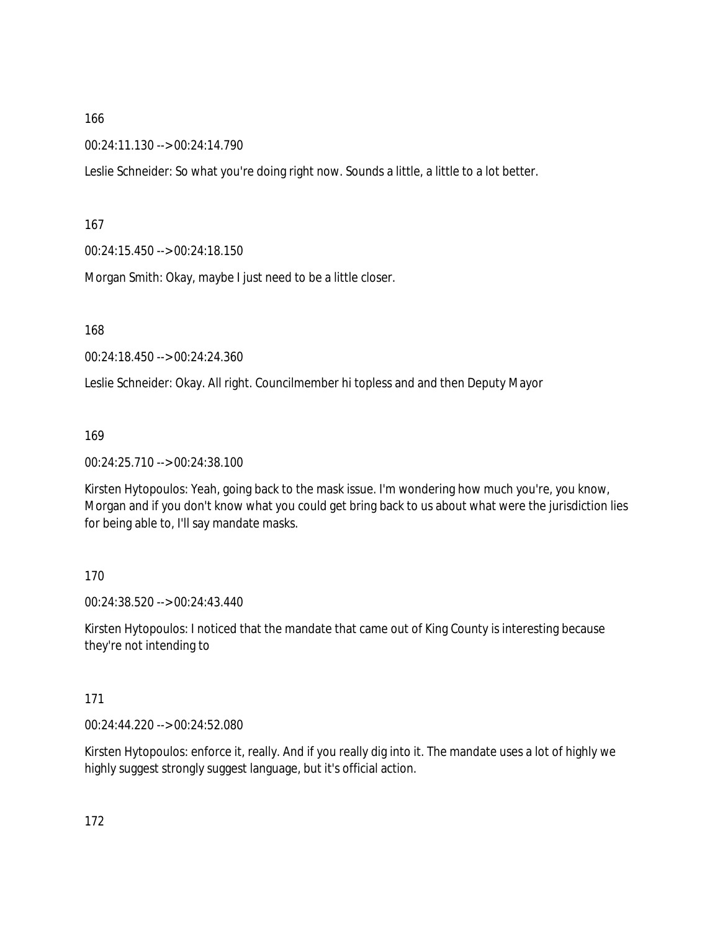00:24:11.130 --> 00:24:14.790

Leslie Schneider: So what you're doing right now. Sounds a little, a little to a lot better.

167

00:24:15.450 --> 00:24:18.150

Morgan Smith: Okay, maybe I just need to be a little closer.

168

00:24:18.450 --> 00:24:24.360

Leslie Schneider: Okay. All right. Councilmember hi topless and and then Deputy Mayor

169

00:24:25.710 --> 00:24:38.100

Kirsten Hytopoulos: Yeah, going back to the mask issue. I'm wondering how much you're, you know, Morgan and if you don't know what you could get bring back to us about what were the jurisdiction lies for being able to, I'll say mandate masks.

#### 170

00:24:38.520 --> 00:24:43.440

Kirsten Hytopoulos: I noticed that the mandate that came out of King County is interesting because they're not intending to

#### 171

00:24:44.220 --> 00:24:52.080

Kirsten Hytopoulos: enforce it, really. And if you really dig into it. The mandate uses a lot of highly we highly suggest strongly suggest language, but it's official action.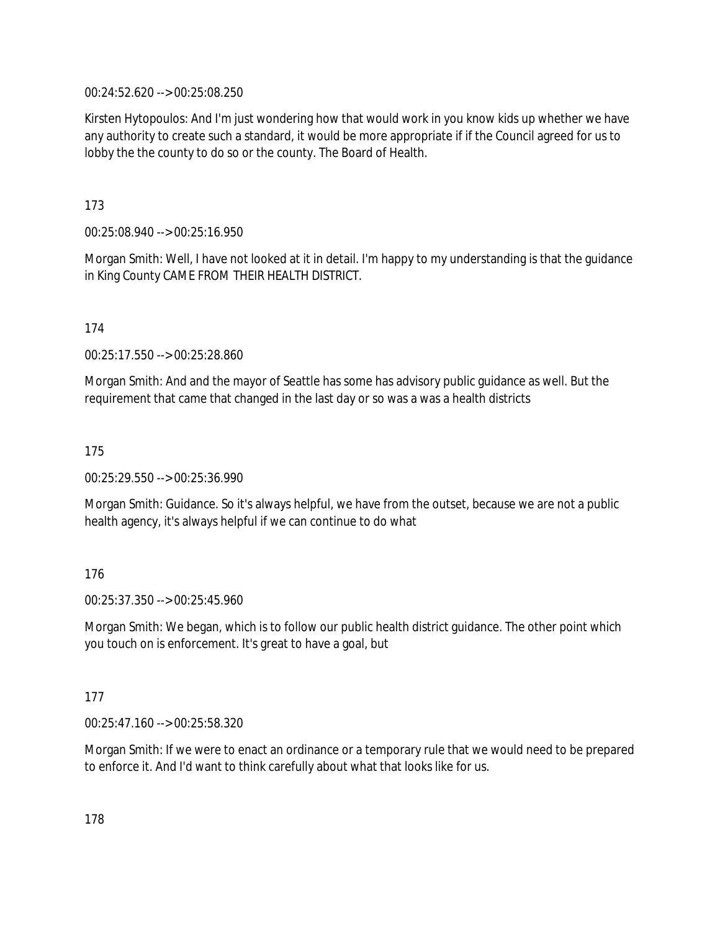00:24:52.620 --> 00:25:08.250

Kirsten Hytopoulos: And I'm just wondering how that would work in you know kids up whether we have any authority to create such a standard, it would be more appropriate if if the Council agreed for us to lobby the the county to do so or the county. The Board of Health.

173

00:25:08.940 --> 00:25:16.950

Morgan Smith: Well, I have not looked at it in detail. I'm happy to my understanding is that the guidance in King County CAME FROM THEIR HEALTH DISTRICT.

174

00:25:17.550 --> 00:25:28.860

Morgan Smith: And and the mayor of Seattle has some has advisory public guidance as well. But the requirement that came that changed in the last day or so was a was a health districts

175

00:25:29.550 --> 00:25:36.990

Morgan Smith: Guidance. So it's always helpful, we have from the outset, because we are not a public health agency, it's always helpful if we can continue to do what

176

00:25:37.350 --> 00:25:45.960

Morgan Smith: We began, which is to follow our public health district guidance. The other point which you touch on is enforcement. It's great to have a goal, but

177

00:25:47.160 --> 00:25:58.320

Morgan Smith: If we were to enact an ordinance or a temporary rule that we would need to be prepared to enforce it. And I'd want to think carefully about what that looks like for us.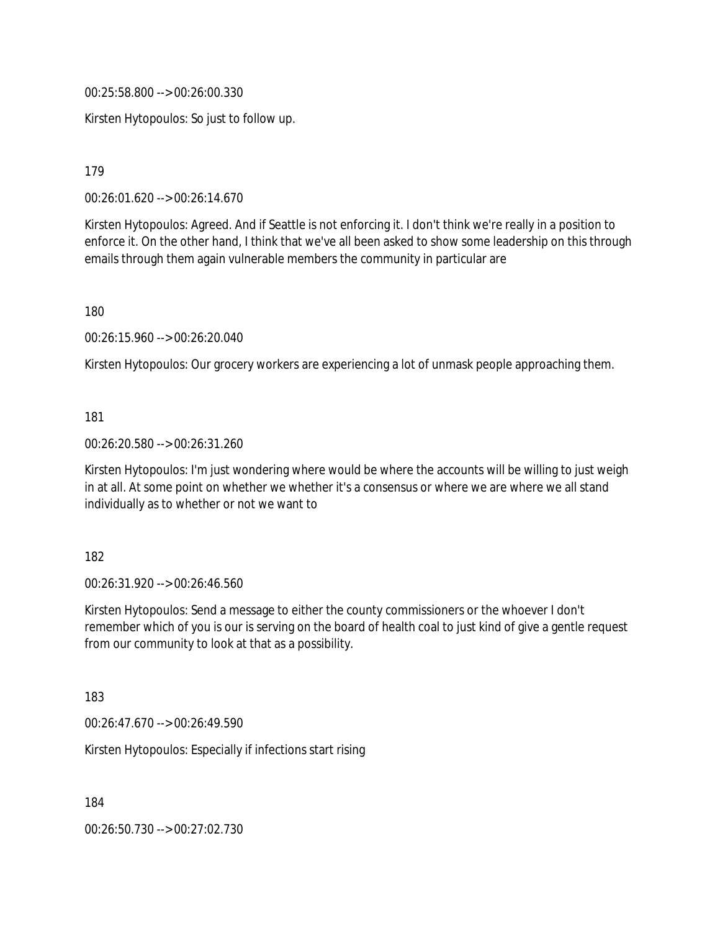00:25:58.800 --> 00:26:00.330

Kirsten Hytopoulos: So just to follow up.

179

00:26:01.620 --> 00:26:14.670

Kirsten Hytopoulos: Agreed. And if Seattle is not enforcing it. I don't think we're really in a position to enforce it. On the other hand, I think that we've all been asked to show some leadership on this through emails through them again vulnerable members the community in particular are

180

00:26:15.960 --> 00:26:20.040

Kirsten Hytopoulos: Our grocery workers are experiencing a lot of unmask people approaching them.

181

00:26:20.580 --> 00:26:31.260

Kirsten Hytopoulos: I'm just wondering where would be where the accounts will be willing to just weigh in at all. At some point on whether we whether it's a consensus or where we are where we all stand individually as to whether or not we want to

182

00:26:31.920 --> 00:26:46.560

Kirsten Hytopoulos: Send a message to either the county commissioners or the whoever I don't remember which of you is our is serving on the board of health coal to just kind of give a gentle request from our community to look at that as a possibility.

183

00:26:47.670 --> 00:26:49.590

Kirsten Hytopoulos: Especially if infections start rising

184

00:26:50.730 --> 00:27:02.730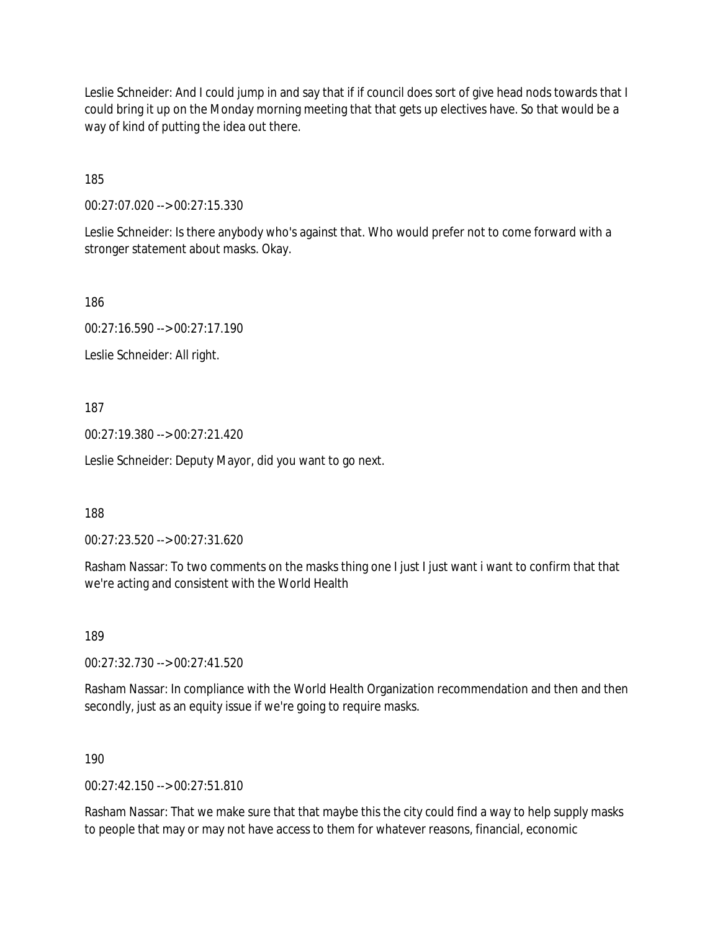Leslie Schneider: And I could jump in and say that if if council does sort of give head nods towards that I could bring it up on the Monday morning meeting that that gets up electives have. So that would be a way of kind of putting the idea out there.

185

00:27:07.020 --> 00:27:15.330

Leslie Schneider: Is there anybody who's against that. Who would prefer not to come forward with a stronger statement about masks. Okay.

186

00:27:16.590 --> 00:27:17.190

Leslie Schneider: All right.

187

00:27:19.380 --> 00:27:21.420

Leslie Schneider: Deputy Mayor, did you want to go next.

188

00:27:23.520 --> 00:27:31.620

Rasham Nassar: To two comments on the masks thing one I just I just want i want to confirm that that we're acting and consistent with the World Health

189

00:27:32.730 --> 00:27:41.520

Rasham Nassar: In compliance with the World Health Organization recommendation and then and then secondly, just as an equity issue if we're going to require masks.

190

 $00.27.42150 -500.27.51810$ 

Rasham Nassar: That we make sure that that maybe this the city could find a way to help supply masks to people that may or may not have access to them for whatever reasons, financial, economic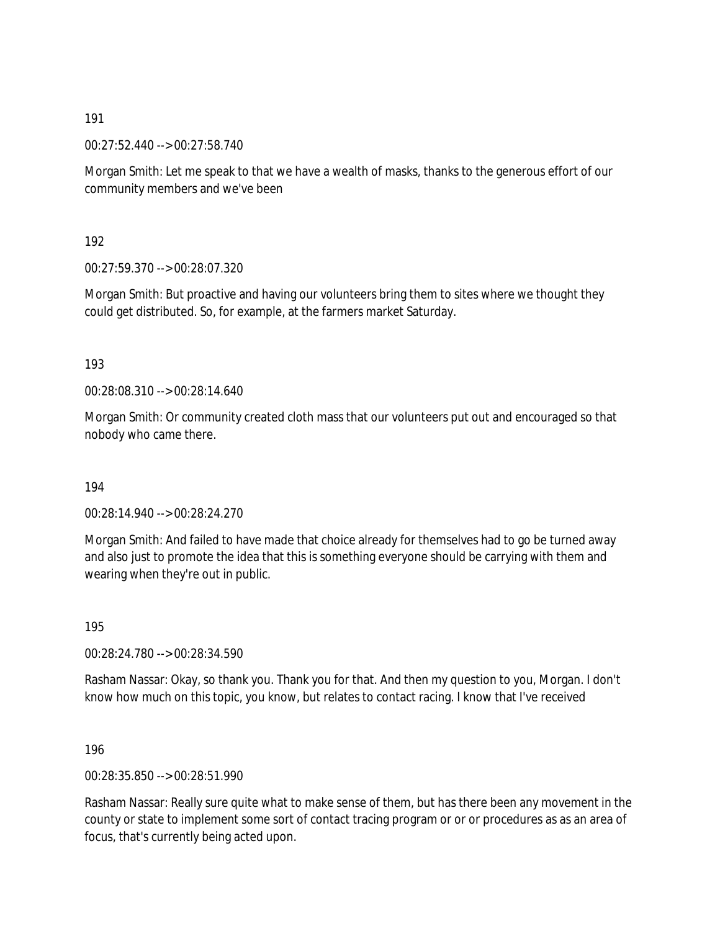00:27:52.440 --> 00:27:58.740

Morgan Smith: Let me speak to that we have a wealth of masks, thanks to the generous effort of our community members and we've been

192

00:27:59.370 --> 00:28:07.320

Morgan Smith: But proactive and having our volunteers bring them to sites where we thought they could get distributed. So, for example, at the farmers market Saturday.

193

00:28:08.310 --> 00:28:14.640

Morgan Smith: Or community created cloth mass that our volunteers put out and encouraged so that nobody who came there.

194

00:28:14.940 --> 00:28:24.270

Morgan Smith: And failed to have made that choice already for themselves had to go be turned away and also just to promote the idea that this is something everyone should be carrying with them and wearing when they're out in public.

195

00:28:24.780 --> 00:28:34.590

Rasham Nassar: Okay, so thank you. Thank you for that. And then my question to you, Morgan. I don't know how much on this topic, you know, but relates to contact racing. I know that I've received

196

00:28:35.850 --> 00:28:51.990

Rasham Nassar: Really sure quite what to make sense of them, but has there been any movement in the county or state to implement some sort of contact tracing program or or or procedures as as an area of focus, that's currently being acted upon.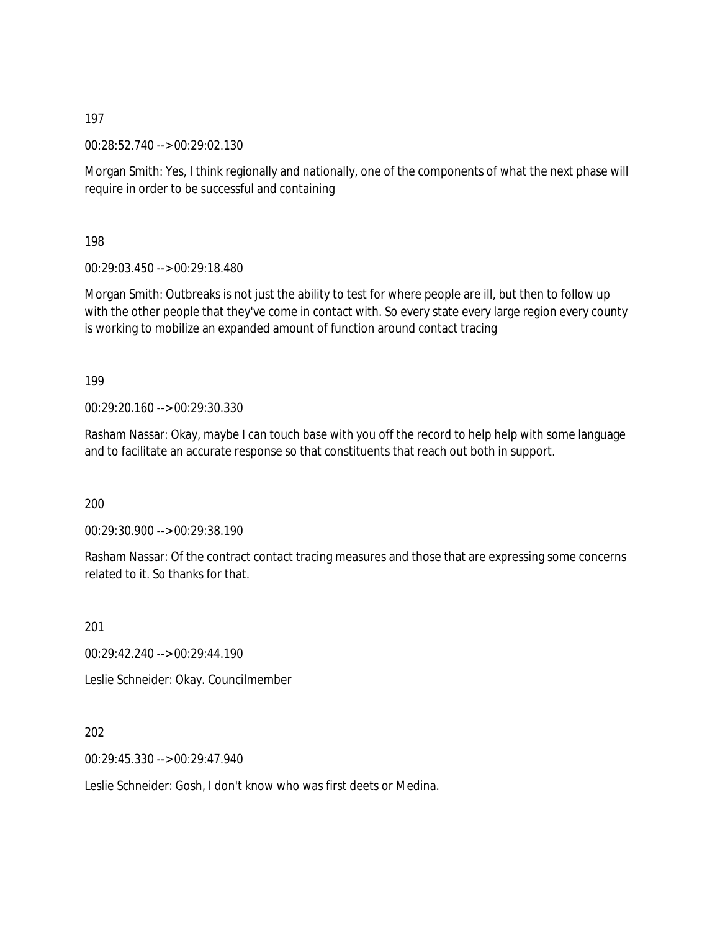00:28:52.740 --> 00:29:02.130

Morgan Smith: Yes, I think regionally and nationally, one of the components of what the next phase will require in order to be successful and containing

198

00:29:03.450 --> 00:29:18.480

Morgan Smith: Outbreaks is not just the ability to test for where people are ill, but then to follow up with the other people that they've come in contact with. So every state every large region every county is working to mobilize an expanded amount of function around contact tracing

199

00:29:20.160 --> 00:29:30.330

Rasham Nassar: Okay, maybe I can touch base with you off the record to help help with some language and to facilitate an accurate response so that constituents that reach out both in support.

200

00:29:30.900 --> 00:29:38.190

Rasham Nassar: Of the contract contact tracing measures and those that are expressing some concerns related to it. So thanks for that.

201

00:29:42.240 --> 00:29:44.190

Leslie Schneider: Okay. Councilmember

202

00:29:45.330 --> 00:29:47.940

Leslie Schneider: Gosh, I don't know who was first deets or Medina.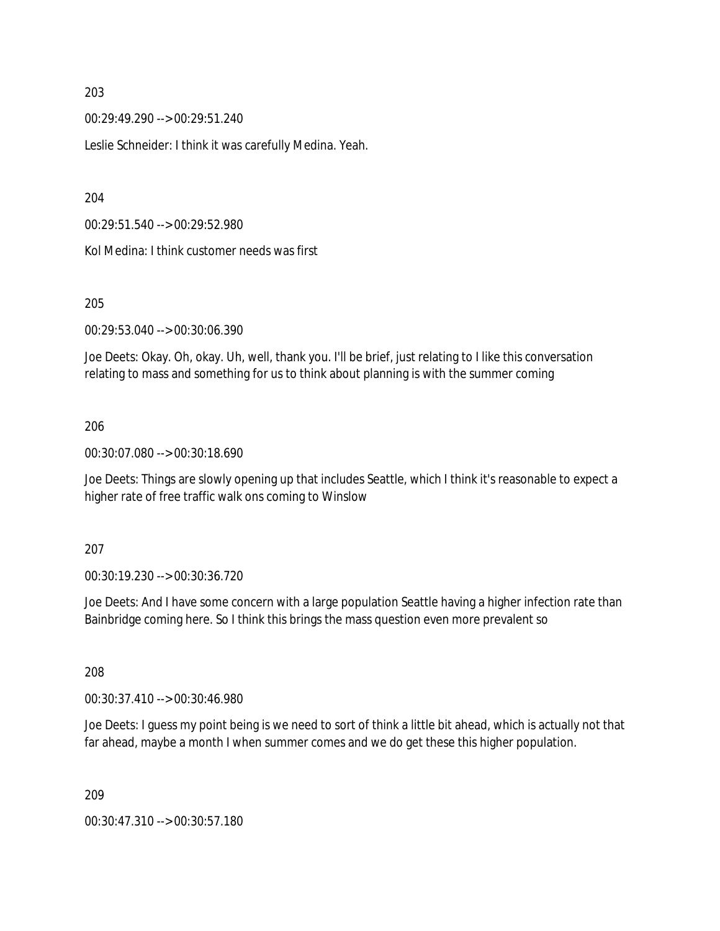00:29:49.290 --> 00:29:51.240

Leslie Schneider: I think it was carefully Medina. Yeah.

204

00:29:51.540 --> 00:29:52.980

Kol Medina: I think customer needs was first

#### 205

00:29:53.040 --> 00:30:06.390

Joe Deets: Okay. Oh, okay. Uh, well, thank you. I'll be brief, just relating to I like this conversation relating to mass and something for us to think about planning is with the summer coming

#### 206

00:30:07.080 --> 00:30:18.690

Joe Deets: Things are slowly opening up that includes Seattle, which I think it's reasonable to expect a higher rate of free traffic walk ons coming to Winslow

#### 207

00:30:19.230 --> 00:30:36.720

Joe Deets: And I have some concern with a large population Seattle having a higher infection rate than Bainbridge coming here. So I think this brings the mass question even more prevalent so

208

00:30:37.410 --> 00:30:46.980

Joe Deets: I guess my point being is we need to sort of think a little bit ahead, which is actually not that far ahead, maybe a month I when summer comes and we do get these this higher population.

209

00:30:47.310 --> 00:30:57.180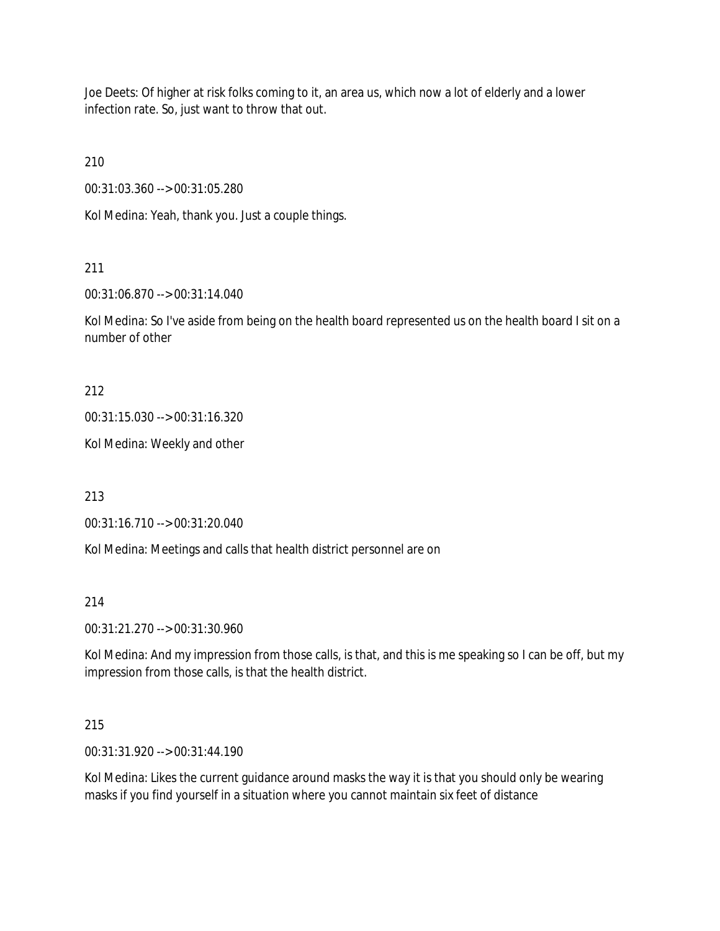Joe Deets: Of higher at risk folks coming to it, an area us, which now a lot of elderly and a lower infection rate. So, just want to throw that out.

210

00:31:03.360 --> 00:31:05.280

Kol Medina: Yeah, thank you. Just a couple things.

# 211

00:31:06.870 --> 00:31:14.040

Kol Medina: So I've aside from being on the health board represented us on the health board I sit on a number of other

212

00:31:15.030 --> 00:31:16.320

Kol Medina: Weekly and other

213

00:31:16.710 --> 00:31:20.040

Kol Medina: Meetings and calls that health district personnel are on

214

00:31:21.270 --> 00:31:30.960

Kol Medina: And my impression from those calls, is that, and this is me speaking so I can be off, but my impression from those calls, is that the health district.

## 215

00:31:31.920 --> 00:31:44.190

Kol Medina: Likes the current guidance around masks the way it is that you should only be wearing masks if you find yourself in a situation where you cannot maintain six feet of distance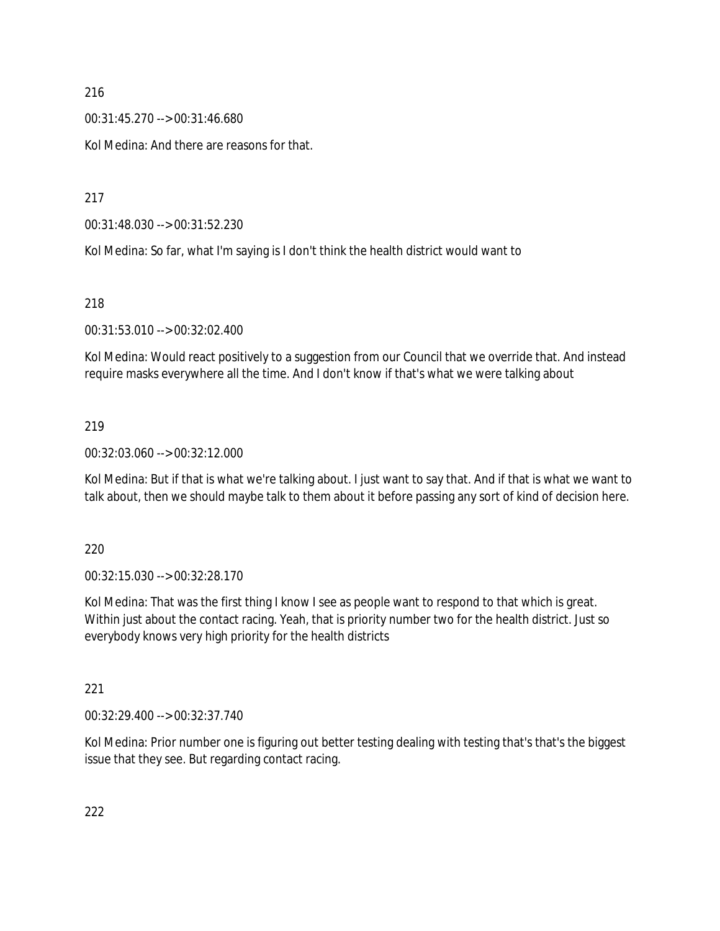00:31:45.270 --> 00:31:46.680

Kol Medina: And there are reasons for that.

217

00:31:48.030 --> 00:31:52.230

Kol Medina: So far, what I'm saying is I don't think the health district would want to

218

00:31:53.010 --> 00:32:02.400

Kol Medina: Would react positively to a suggestion from our Council that we override that. And instead require masks everywhere all the time. And I don't know if that's what we were talking about

## 219

00:32:03.060 --> 00:32:12.000

Kol Medina: But if that is what we're talking about. I just want to say that. And if that is what we want to talk about, then we should maybe talk to them about it before passing any sort of kind of decision here.

220

00:32:15.030 --> 00:32:28.170

Kol Medina: That was the first thing I know I see as people want to respond to that which is great. Within just about the contact racing. Yeah, that is priority number two for the health district. Just so everybody knows very high priority for the health districts

221

00:32:29.400 --> 00:32:37.740

Kol Medina: Prior number one is figuring out better testing dealing with testing that's that's the biggest issue that they see. But regarding contact racing.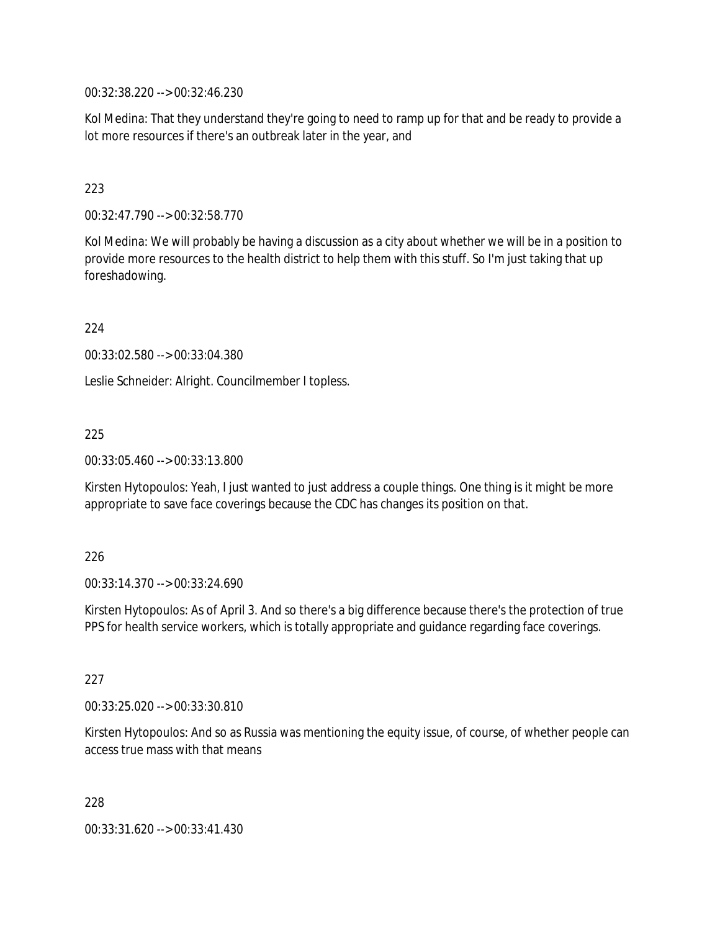00:32:38.220 --> 00:32:46.230

Kol Medina: That they understand they're going to need to ramp up for that and be ready to provide a lot more resources if there's an outbreak later in the year, and

#### 223

00:32:47.790 --> 00:32:58.770

Kol Medina: We will probably be having a discussion as a city about whether we will be in a position to provide more resources to the health district to help them with this stuff. So I'm just taking that up foreshadowing.

224

00:33:02.580 --> 00:33:04.380

Leslie Schneider: Alright. Councilmember I topless.

#### 225

00:33:05.460 --> 00:33:13.800

Kirsten Hytopoulos: Yeah, I just wanted to just address a couple things. One thing is it might be more appropriate to save face coverings because the CDC has changes its position on that.

#### 226

00:33:14.370 --> 00:33:24.690

Kirsten Hytopoulos: As of April 3. And so there's a big difference because there's the protection of true PPS for health service workers, which is totally appropriate and guidance regarding face coverings.

#### 227

00:33:25.020 --> 00:33:30.810

Kirsten Hytopoulos: And so as Russia was mentioning the equity issue, of course, of whether people can access true mass with that means

228

00:33:31.620 --> 00:33:41.430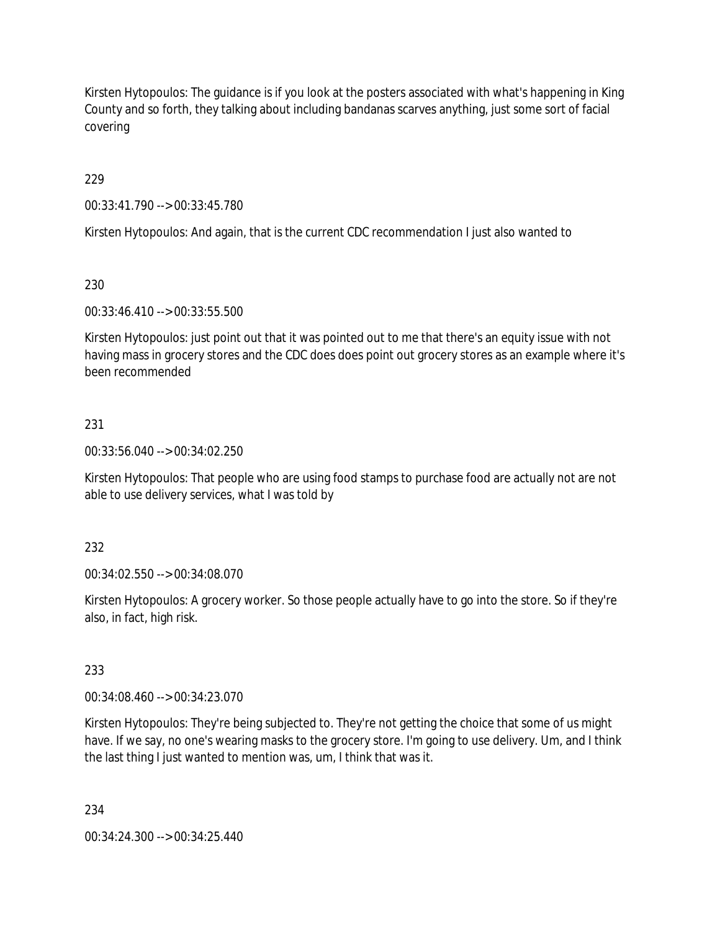Kirsten Hytopoulos: The guidance is if you look at the posters associated with what's happening in King County and so forth, they talking about including bandanas scarves anything, just some sort of facial covering

229

00:33:41.790 --> 00:33:45.780

Kirsten Hytopoulos: And again, that is the current CDC recommendation I just also wanted to

## 230

00:33:46.410 --> 00:33:55.500

Kirsten Hytopoulos: just point out that it was pointed out to me that there's an equity issue with not having mass in grocery stores and the CDC does does point out grocery stores as an example where it's been recommended

## 231

00:33:56.040 --> 00:34:02.250

Kirsten Hytopoulos: That people who are using food stamps to purchase food are actually not are not able to use delivery services, what I was told by

### 232

00:34:02.550 --> 00:34:08.070

Kirsten Hytopoulos: A grocery worker. So those people actually have to go into the store. So if they're also, in fact, high risk.

### 233

00:34:08.460 --> 00:34:23.070

Kirsten Hytopoulos: They're being subjected to. They're not getting the choice that some of us might have. If we say, no one's wearing masks to the grocery store. I'm going to use delivery. Um, and I think the last thing I just wanted to mention was, um, I think that was it.

234

00:34:24.300 --> 00:34:25.440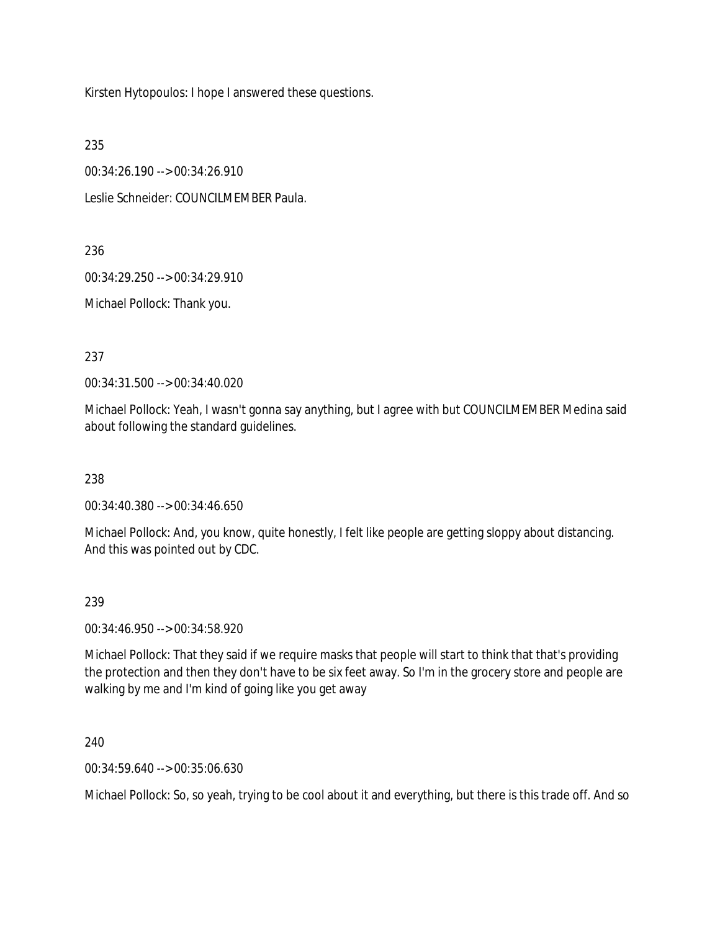Kirsten Hytopoulos: I hope I answered these questions.

235

00:34:26.190 --> 00:34:26.910

Leslie Schneider: COUNCILMEMBER Paula.

236

00:34:29.250 --> 00:34:29.910

Michael Pollock: Thank you.

237

00:34:31.500 --> 00:34:40.020

Michael Pollock: Yeah, I wasn't gonna say anything, but I agree with but COUNCILMEMBER Medina said about following the standard guidelines.

238

00:34:40.380 --> 00:34:46.650

Michael Pollock: And, you know, quite honestly, I felt like people are getting sloppy about distancing. And this was pointed out by CDC.

### 239

00:34:46.950 --> 00:34:58.920

Michael Pollock: That they said if we require masks that people will start to think that that's providing the protection and then they don't have to be six feet away. So I'm in the grocery store and people are walking by me and I'm kind of going like you get away

240

00:34:59.640 --> 00:35:06.630

Michael Pollock: So, so yeah, trying to be cool about it and everything, but there is this trade off. And so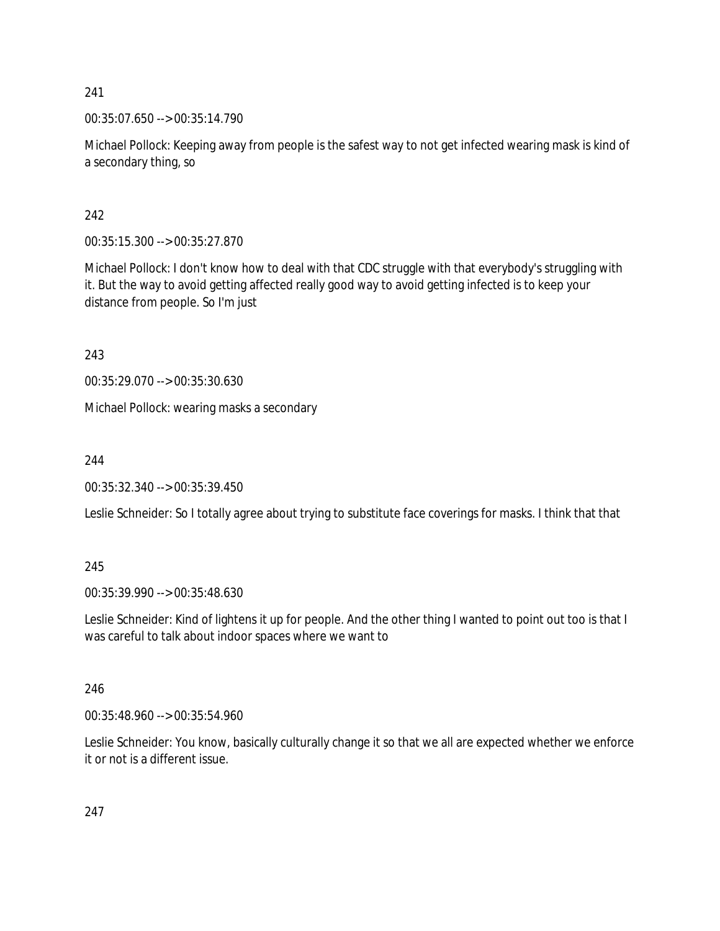00:35:07.650 --> 00:35:14.790

Michael Pollock: Keeping away from people is the safest way to not get infected wearing mask is kind of a secondary thing, so

# 242

00:35:15.300 --> 00:35:27.870

Michael Pollock: I don't know how to deal with that CDC struggle with that everybody's struggling with it. But the way to avoid getting affected really good way to avoid getting infected is to keep your distance from people. So I'm just

243

00:35:29.070 --> 00:35:30.630

Michael Pollock: wearing masks a secondary

244

00:35:32.340 --> 00:35:39.450

Leslie Schneider: So I totally agree about trying to substitute face coverings for masks. I think that that

# 245

00:35:39.990 --> 00:35:48.630

Leslie Schneider: Kind of lightens it up for people. And the other thing I wanted to point out too is that I was careful to talk about indoor spaces where we want to

# 246

00:35:48.960 --> 00:35:54.960

Leslie Schneider: You know, basically culturally change it so that we all are expected whether we enforce it or not is a different issue.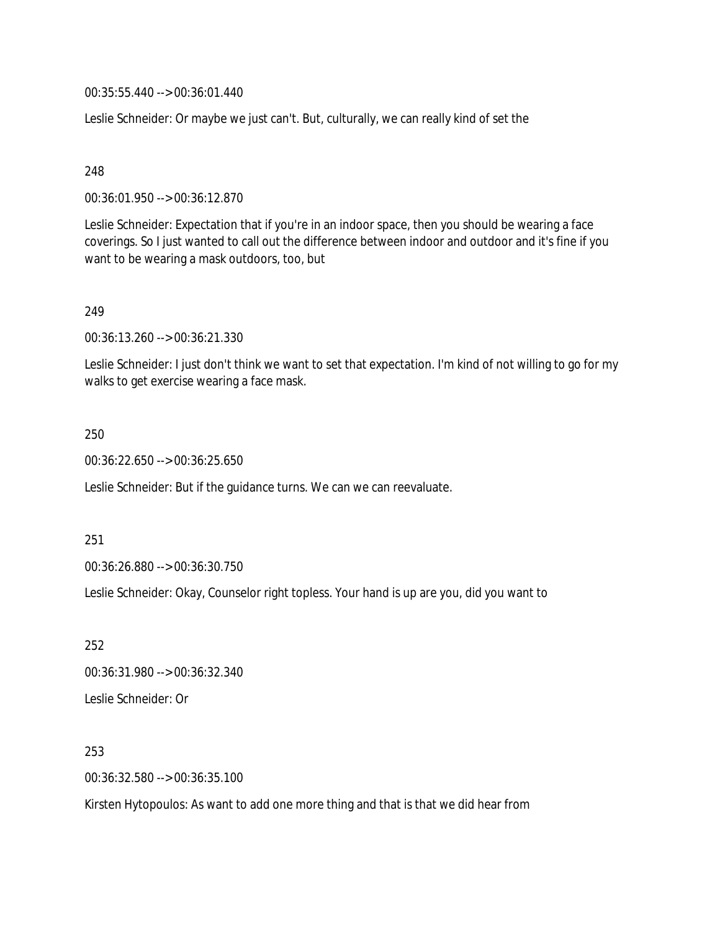00:35:55.440 --> 00:36:01.440

Leslie Schneider: Or maybe we just can't. But, culturally, we can really kind of set the

248

00:36:01.950 --> 00:36:12.870

Leslie Schneider: Expectation that if you're in an indoor space, then you should be wearing a face coverings. So I just wanted to call out the difference between indoor and outdoor and it's fine if you want to be wearing a mask outdoors, too, but

249

00:36:13.260 --> 00:36:21.330

Leslie Schneider: I just don't think we want to set that expectation. I'm kind of not willing to go for my walks to get exercise wearing a face mask.

250

00:36:22.650 --> 00:36:25.650

Leslie Schneider: But if the guidance turns. We can we can reevaluate.

251

00:36:26.880 --> 00:36:30.750

Leslie Schneider: Okay, Counselor right topless. Your hand is up are you, did you want to

252 00:36:31.980 --> 00:36:32.340 Leslie Schneider: Or

253

00:36:32.580 --> 00:36:35.100

Kirsten Hytopoulos: As want to add one more thing and that is that we did hear from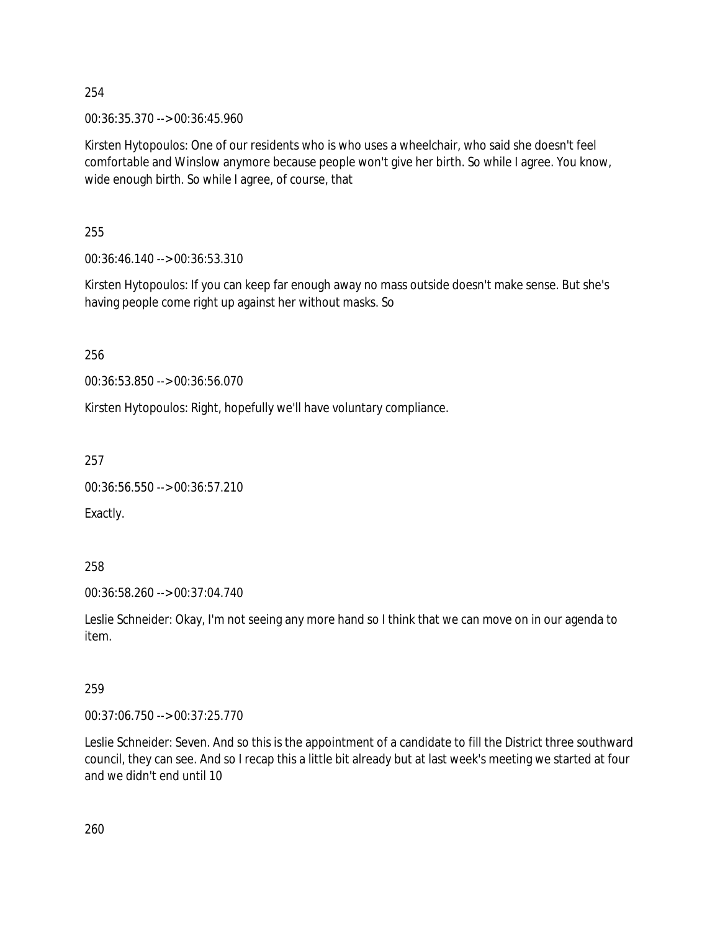00:36:35.370 --> 00:36:45.960

Kirsten Hytopoulos: One of our residents who is who uses a wheelchair, who said she doesn't feel comfortable and Winslow anymore because people won't give her birth. So while I agree. You know, wide enough birth. So while I agree, of course, that

255

00:36:46.140 --> 00:36:53.310

Kirsten Hytopoulos: If you can keep far enough away no mass outside doesn't make sense. But she's having people come right up against her without masks. So

256

00:36:53.850 --> 00:36:56.070

Kirsten Hytopoulos: Right, hopefully we'll have voluntary compliance.

257

```
00:36:56.550 --> 00:36:57.210
```
Exactly.

258

00:36:58.260 --> 00:37:04.740

Leslie Schneider: Okay, I'm not seeing any more hand so I think that we can move on in our agenda to item.

259

00:37:06.750 --> 00:37:25.770

Leslie Schneider: Seven. And so this is the appointment of a candidate to fill the District three southward council, they can see. And so I recap this a little bit already but at last week's meeting we started at four and we didn't end until 10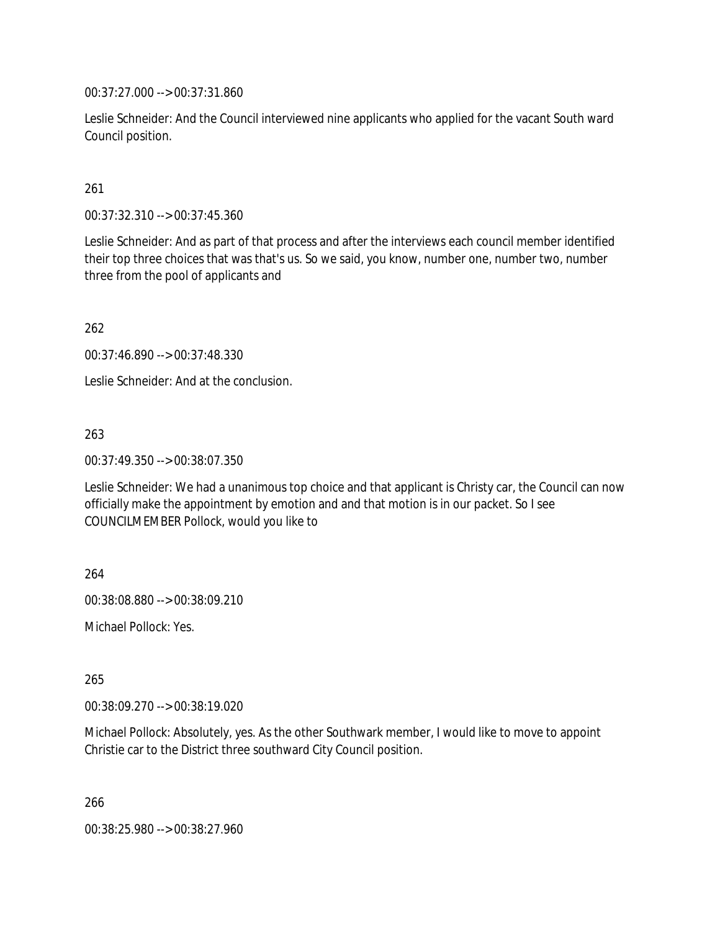00:37:27.000 --> 00:37:31.860

Leslie Schneider: And the Council interviewed nine applicants who applied for the vacant South ward Council position.

261

00:37:32.310 --> 00:37:45.360

Leslie Schneider: And as part of that process and after the interviews each council member identified their top three choices that was that's us. So we said, you know, number one, number two, number three from the pool of applicants and

262

00:37:46.890 --> 00:37:48.330

Leslie Schneider: And at the conclusion.

263

00:37:49.350 --> 00:38:07.350

Leslie Schneider: We had a unanimous top choice and that applicant is Christy car, the Council can now officially make the appointment by emotion and and that motion is in our packet. So I see COUNCILMEMBER Pollock, would you like to

264

00:38:08.880 --> 00:38:09.210

Michael Pollock: Yes.

265

00:38:09.270 --> 00:38:19.020

Michael Pollock: Absolutely, yes. As the other Southwark member, I would like to move to appoint Christie car to the District three southward City Council position.

266

00:38:25.980 --> 00:38:27.960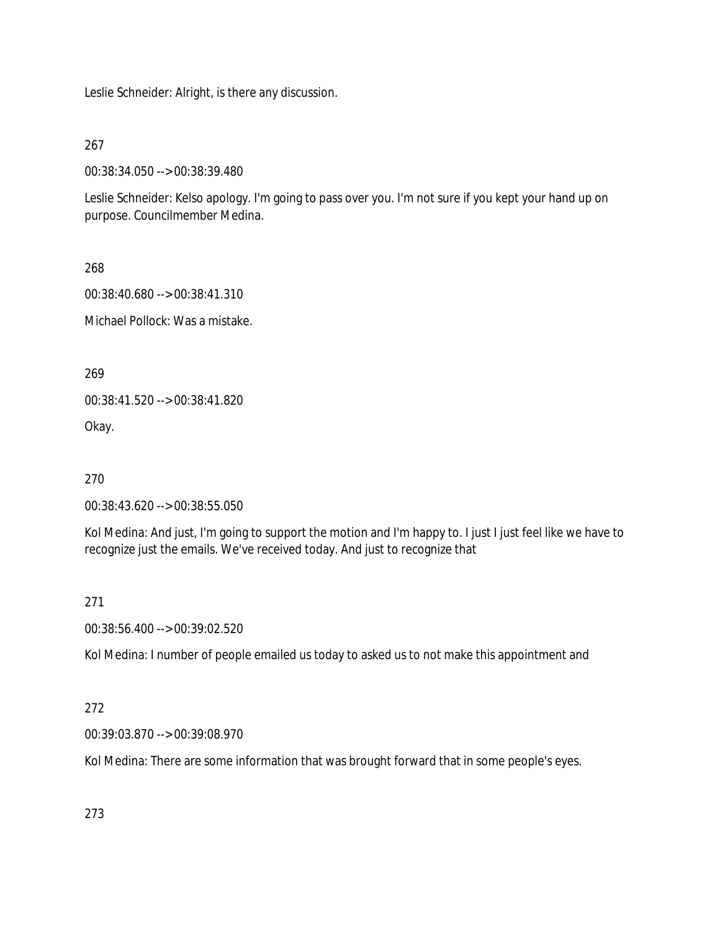Leslie Schneider: Alright, is there any discussion.

267

00:38:34.050 --> 00:38:39.480

Leslie Schneider: Kelso apology. I'm going to pass over you. I'm not sure if you kept your hand up on purpose. Councilmember Medina.

268

00:38:40.680 --> 00:38:41.310

Michael Pollock: Was a mistake.

269

00:38:41.520 --> 00:38:41.820

Okay.

270

00:38:43.620 --> 00:38:55.050

Kol Medina: And just, I'm going to support the motion and I'm happy to. I just I just feel like we have to recognize just the emails. We've received today. And just to recognize that

271

00:38:56.400 --> 00:39:02.520

Kol Medina: I number of people emailed us today to asked us to not make this appointment and

# 272

00:39:03.870 --> 00:39:08.970

Kol Medina: There are some information that was brought forward that in some people's eyes.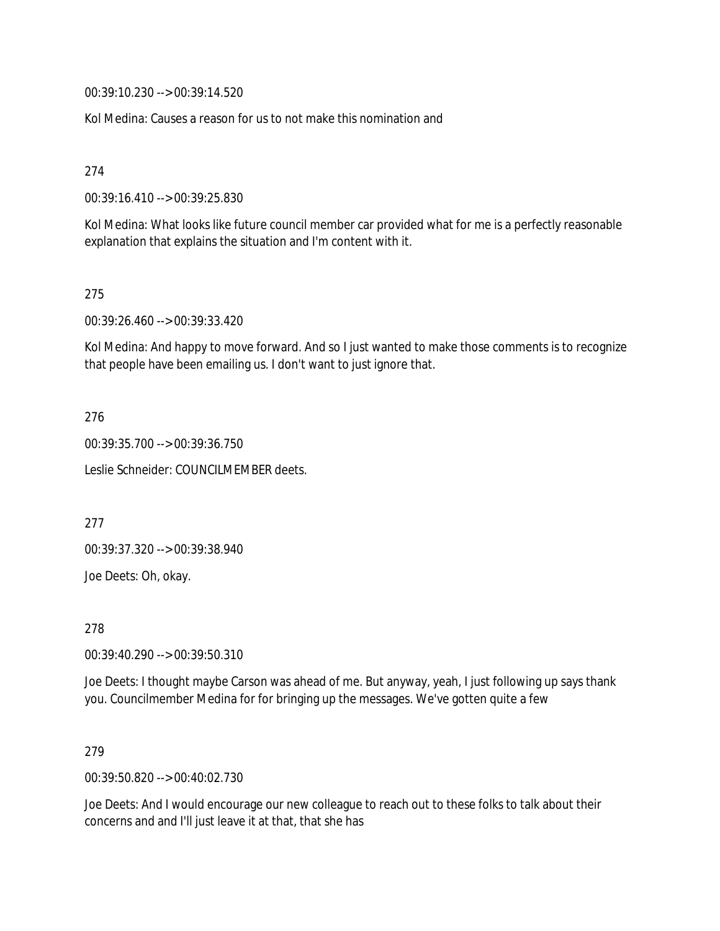00:39:10.230 --> 00:39:14.520

Kol Medina: Causes a reason for us to not make this nomination and

274

00:39:16.410 --> 00:39:25.830

Kol Medina: What looks like future council member car provided what for me is a perfectly reasonable explanation that explains the situation and I'm content with it.

275

00:39:26.460 --> 00:39:33.420

Kol Medina: And happy to move forward. And so I just wanted to make those comments is to recognize that people have been emailing us. I don't want to just ignore that.

276

00:39:35.700 --> 00:39:36.750 Leslie Schneider: COUNCILMEMBER deets.

277

00:39:37.320 --> 00:39:38.940

Joe Deets: Oh, okay.

278

00:39:40.290 --> 00:39:50.310

Joe Deets: I thought maybe Carson was ahead of me. But anyway, yeah, I just following up says thank you. Councilmember Medina for for bringing up the messages. We've gotten quite a few

279

00:39:50.820 --> 00:40:02.730

Joe Deets: And I would encourage our new colleague to reach out to these folks to talk about their concerns and and I'll just leave it at that, that she has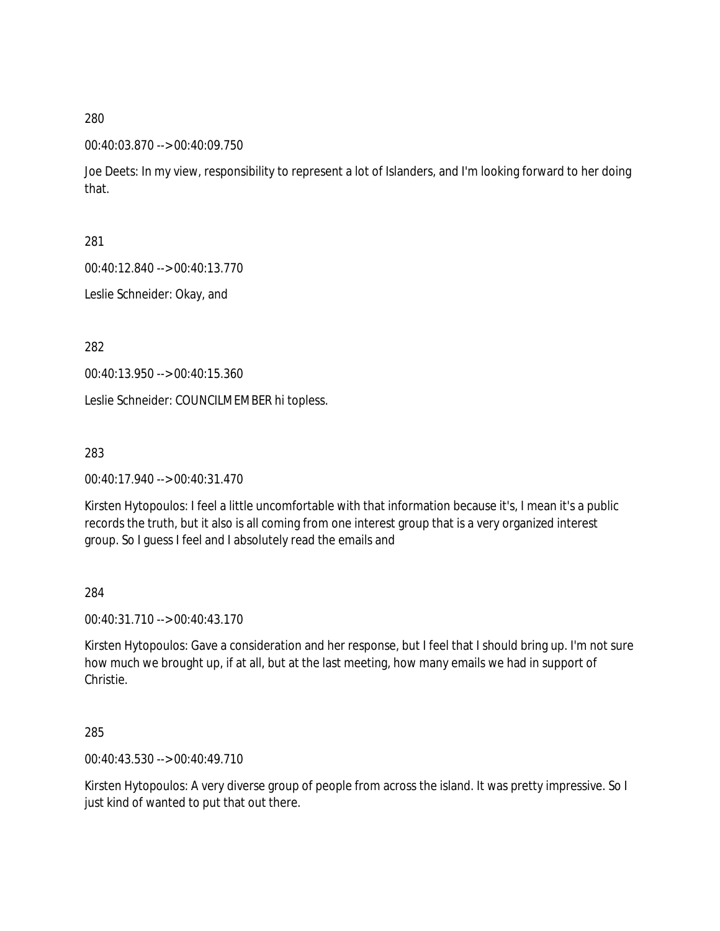#### 00:40:03.870 --> 00:40:09.750

Joe Deets: In my view, responsibility to represent a lot of Islanders, and I'm looking forward to her doing that.

281

00:40:12.840 --> 00:40:13.770

Leslie Schneider: Okay, and

282

00:40:13.950 --> 00:40:15.360

Leslie Schneider: COUNCILMEMBER hi topless.

283

00:40:17.940 --> 00:40:31.470

Kirsten Hytopoulos: I feel a little uncomfortable with that information because it's, I mean it's a public records the truth, but it also is all coming from one interest group that is a very organized interest group. So I guess I feel and I absolutely read the emails and

284

00:40:31.710 --> 00:40:43.170

Kirsten Hytopoulos: Gave a consideration and her response, but I feel that I should bring up. I'm not sure how much we brought up, if at all, but at the last meeting, how many emails we had in support of Christie.

285

00:40:43.530 --> 00:40:49.710

Kirsten Hytopoulos: A very diverse group of people from across the island. It was pretty impressive. So I just kind of wanted to put that out there.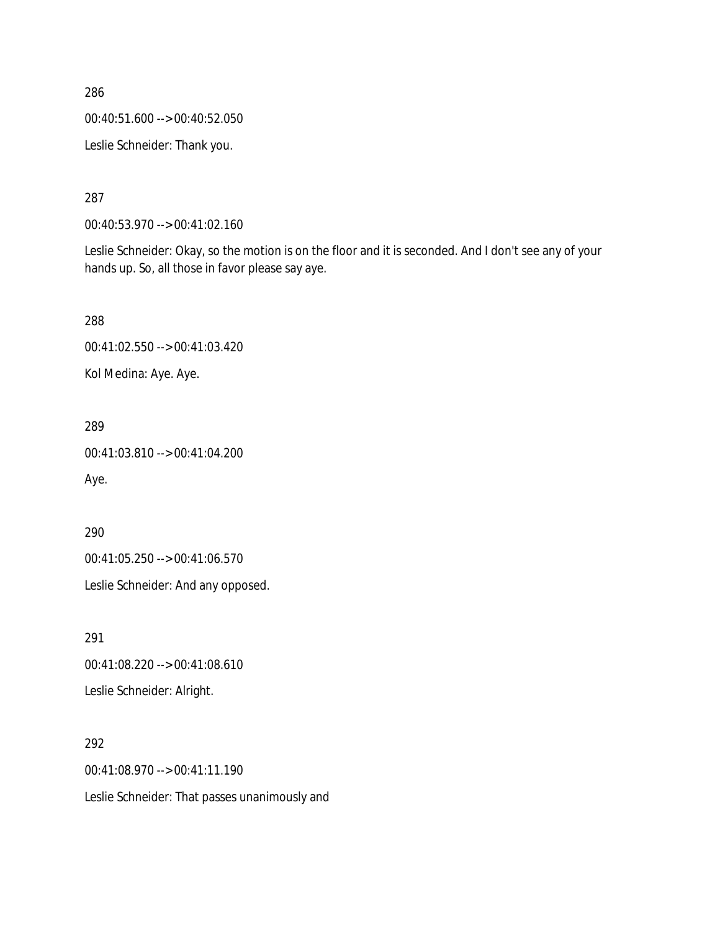00:40:51.600 --> 00:40:52.050

Leslie Schneider: Thank you.

287

00:40:53.970 --> 00:41:02.160

Leslie Schneider: Okay, so the motion is on the floor and it is seconded. And I don't see any of your hands up. So, all those in favor please say aye.

288

00:41:02.550 --> 00:41:03.420

Kol Medina: Aye. Aye.

289

00:41:03.810 --> 00:41:04.200

Aye.

290

00:41:05.250 --> 00:41:06.570

Leslie Schneider: And any opposed.

291

00:41:08.220 --> 00:41:08.610

Leslie Schneider: Alright.

292

00:41:08.970 --> 00:41:11.190

Leslie Schneider: That passes unanimously and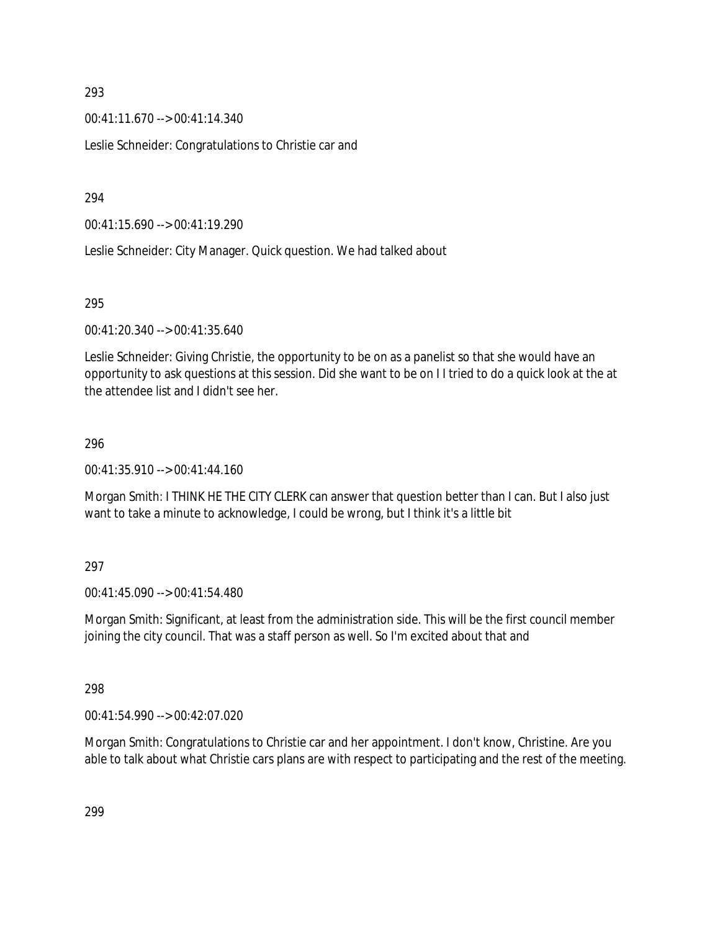00:41:11.670 --> 00:41:14.340

Leslie Schneider: Congratulations to Christie car and

294

00:41:15.690 --> 00:41:19.290

Leslie Schneider: City Manager. Quick question. We had talked about

#### 295

00:41:20.340 --> 00:41:35.640

Leslie Schneider: Giving Christie, the opportunity to be on as a panelist so that she would have an opportunity to ask questions at this session. Did she want to be on I I tried to do a quick look at the at the attendee list and I didn't see her.

#### 296

00:41:35.910 --> 00:41:44.160

Morgan Smith: I THINK HE THE CITY CLERK can answer that question better than I can. But I also just want to take a minute to acknowledge, I could be wrong, but I think it's a little bit

### 297

00:41:45.090 --> 00:41:54.480

Morgan Smith: Significant, at least from the administration side. This will be the first council member joining the city council. That was a staff person as well. So I'm excited about that and

#### 298

00:41:54.990 --> 00:42:07.020

Morgan Smith: Congratulations to Christie car and her appointment. I don't know, Christine. Are you able to talk about what Christie cars plans are with respect to participating and the rest of the meeting.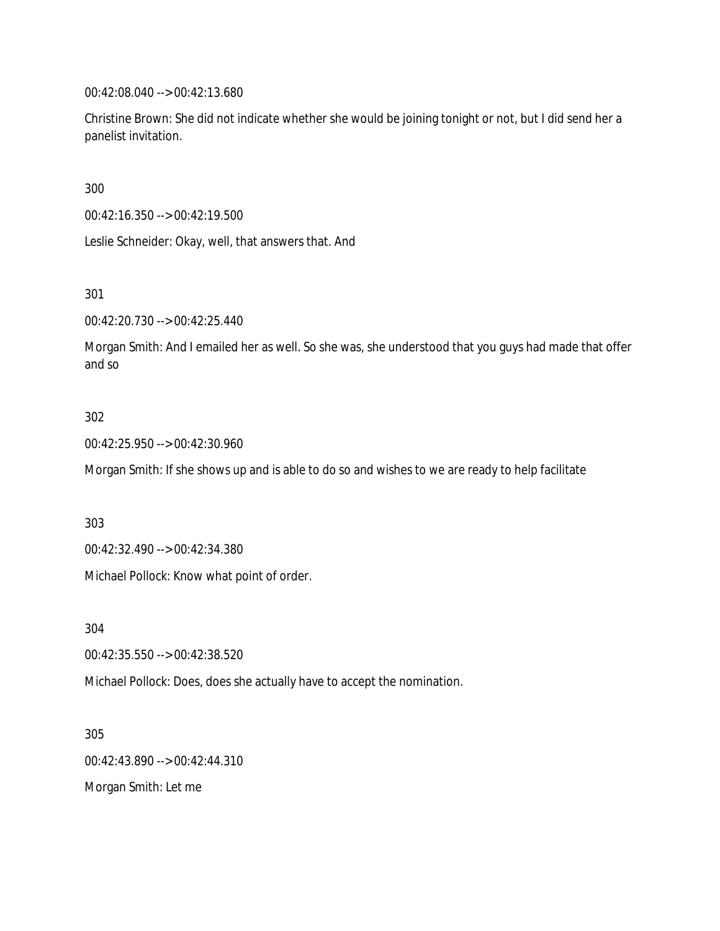00:42:08.040 --> 00:42:13.680

Christine Brown: She did not indicate whether she would be joining tonight or not, but I did send her a panelist invitation.

300

00:42:16.350 --> 00:42:19.500

Leslie Schneider: Okay, well, that answers that. And

301

00:42:20.730 --> 00:42:25.440

Morgan Smith: And I emailed her as well. So she was, she understood that you guys had made that offer and so

### 302

00:42:25.950 --> 00:42:30.960

Morgan Smith: If she shows up and is able to do so and wishes to we are ready to help facilitate

303

00:42:32.490 --> 00:42:34.380

Michael Pollock: Know what point of order.

304

00:42:35.550 --> 00:42:38.520

Michael Pollock: Does, does she actually have to accept the nomination.

305 00:42:43.890 --> 00:42:44.310

Morgan Smith: Let me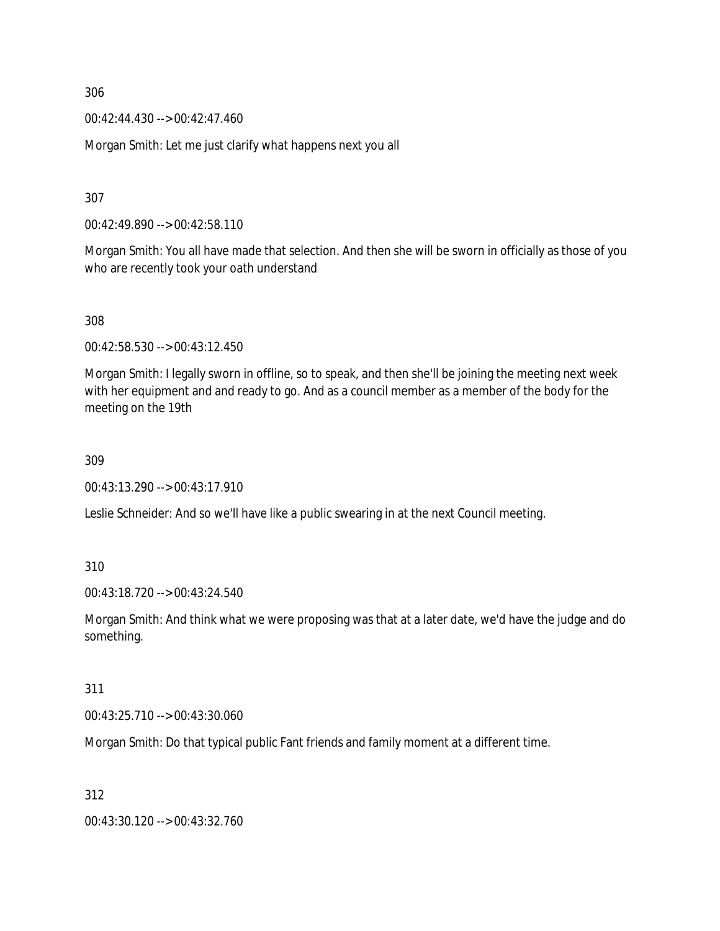00:42:44.430 --> 00:42:47.460

Morgan Smith: Let me just clarify what happens next you all

307

00:42:49.890 --> 00:42:58.110

Morgan Smith: You all have made that selection. And then she will be sworn in officially as those of you who are recently took your oath understand

308

00:42:58.530 --> 00:43:12.450

Morgan Smith: I legally sworn in offline, so to speak, and then she'll be joining the meeting next week with her equipment and and ready to go. And as a council member as a member of the body for the meeting on the 19th

309

00:43:13.290 --> 00:43:17.910

Leslie Schneider: And so we'll have like a public swearing in at the next Council meeting.

310

00:43:18.720 --> 00:43:24.540

Morgan Smith: And think what we were proposing was that at a later date, we'd have the judge and do something.

311

00:43:25.710 --> 00:43:30.060

Morgan Smith: Do that typical public Fant friends and family moment at a different time.

312

00:43:30.120 --> 00:43:32.760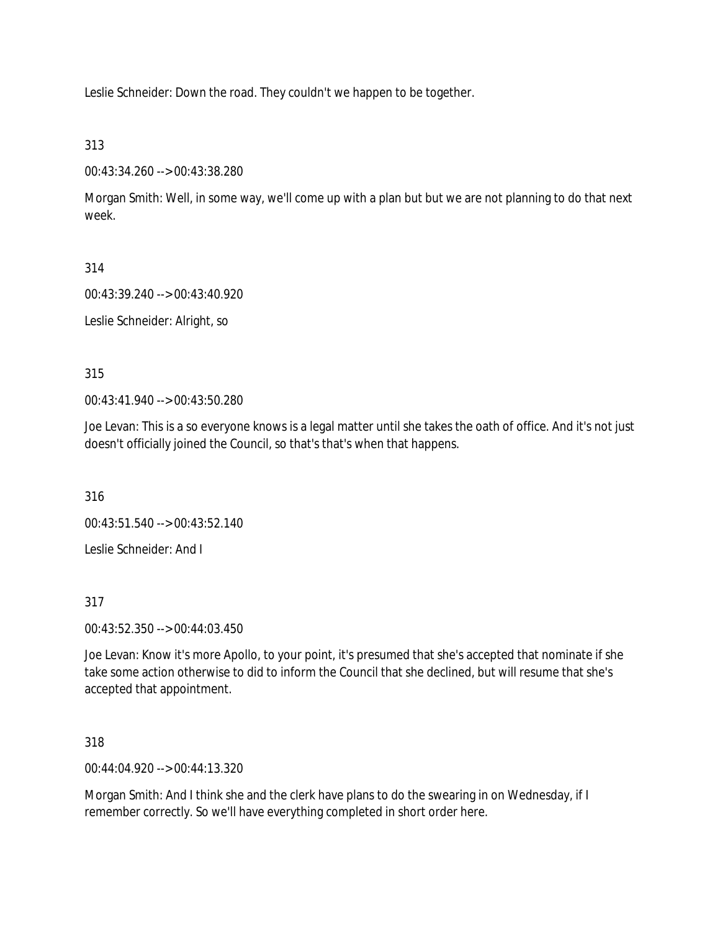Leslie Schneider: Down the road. They couldn't we happen to be together.

313

00:43:34.260 --> 00:43:38.280

Morgan Smith: Well, in some way, we'll come up with a plan but but we are not planning to do that next week.

314

00:43:39.240 --> 00:43:40.920

Leslie Schneider: Alright, so

315

00:43:41.940 --> 00:43:50.280

Joe Levan: This is a so everyone knows is a legal matter until she takes the oath of office. And it's not just doesn't officially joined the Council, so that's that's when that happens.

316

00:43:51.540 --> 00:43:52.140

Leslie Schneider: And I

317

00:43:52.350 --> 00:44:03.450

Joe Levan: Know it's more Apollo, to your point, it's presumed that she's accepted that nominate if she take some action otherwise to did to inform the Council that she declined, but will resume that she's accepted that appointment.

318

00:44:04.920 --> 00:44:13.320

Morgan Smith: And I think she and the clerk have plans to do the swearing in on Wednesday, if I remember correctly. So we'll have everything completed in short order here.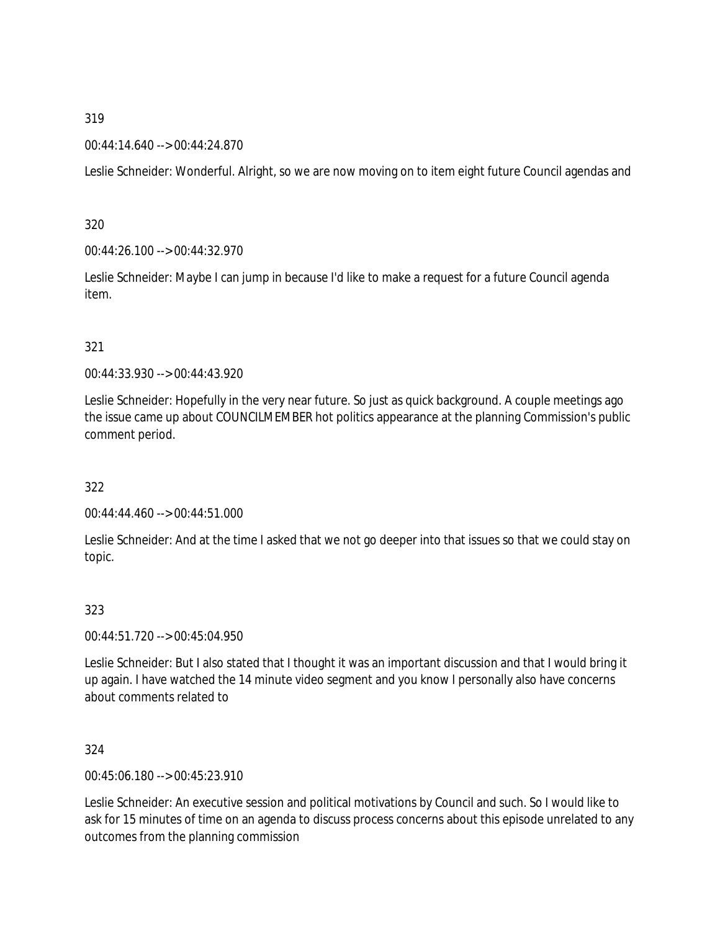### 00:44:14.640 --> 00:44:24.870

Leslie Schneider: Wonderful. Alright, so we are now moving on to item eight future Council agendas and

320

00:44:26.100 --> 00:44:32.970

Leslie Schneider: Maybe I can jump in because I'd like to make a request for a future Council agenda item.

## 321

00:44:33.930 --> 00:44:43.920

Leslie Schneider: Hopefully in the very near future. So just as quick background. A couple meetings ago the issue came up about COUNCILMEMBER hot politics appearance at the planning Commission's public comment period.

# 322

00:44:44.460 --> 00:44:51.000

Leslie Schneider: And at the time I asked that we not go deeper into that issues so that we could stay on topic.

# 323

00:44:51.720 --> 00:45:04.950

Leslie Schneider: But I also stated that I thought it was an important discussion and that I would bring it up again. I have watched the 14 minute video segment and you know I personally also have concerns about comments related to

### 324

00:45:06.180 --> 00:45:23.910

Leslie Schneider: An executive session and political motivations by Council and such. So I would like to ask for 15 minutes of time on an agenda to discuss process concerns about this episode unrelated to any outcomes from the planning commission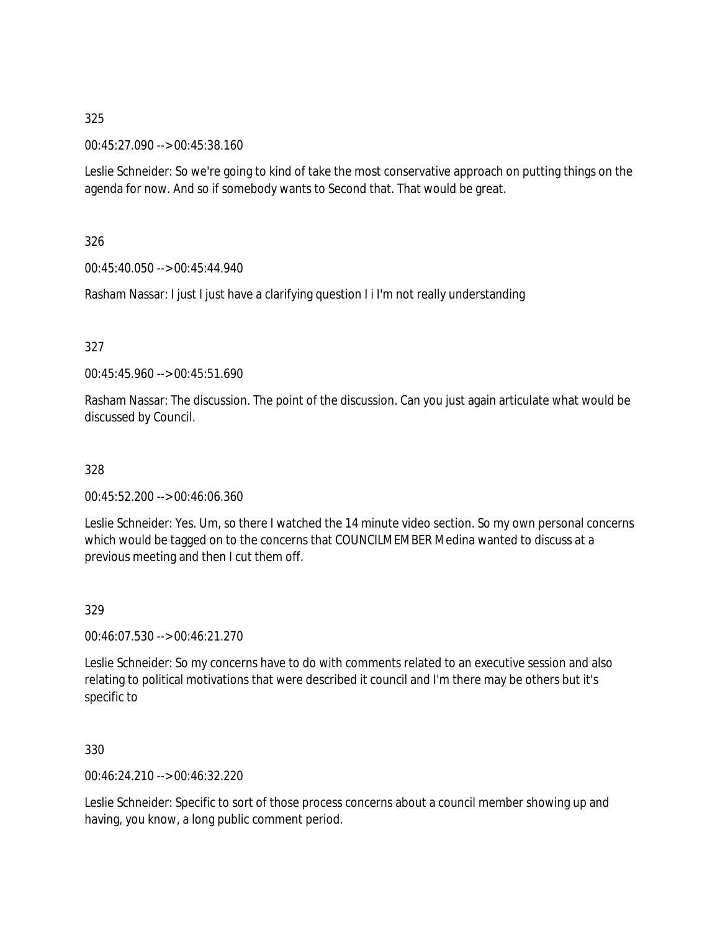00:45:27.090 --> 00:45:38.160

Leslie Schneider: So we're going to kind of take the most conservative approach on putting things on the agenda for now. And so if somebody wants to Second that. That would be great.

326

00:45:40.050 --> 00:45:44.940

Rasham Nassar: I just I just have a clarifying question I i I'm not really understanding

327

00:45:45.960 --> 00:45:51.690

Rasham Nassar: The discussion. The point of the discussion. Can you just again articulate what would be discussed by Council.

328

00:45:52.200 --> 00:46:06.360

Leslie Schneider: Yes. Um, so there I watched the 14 minute video section. So my own personal concerns which would be tagged on to the concerns that COUNCILMEMBER Medina wanted to discuss at a previous meeting and then I cut them off.

329

00:46:07.530 --> 00:46:21.270

Leslie Schneider: So my concerns have to do with comments related to an executive session and also relating to political motivations that were described it council and I'm there may be others but it's specific to

330

00:46:24.210 --> 00:46:32.220

Leslie Schneider: Specific to sort of those process concerns about a council member showing up and having, you know, a long public comment period.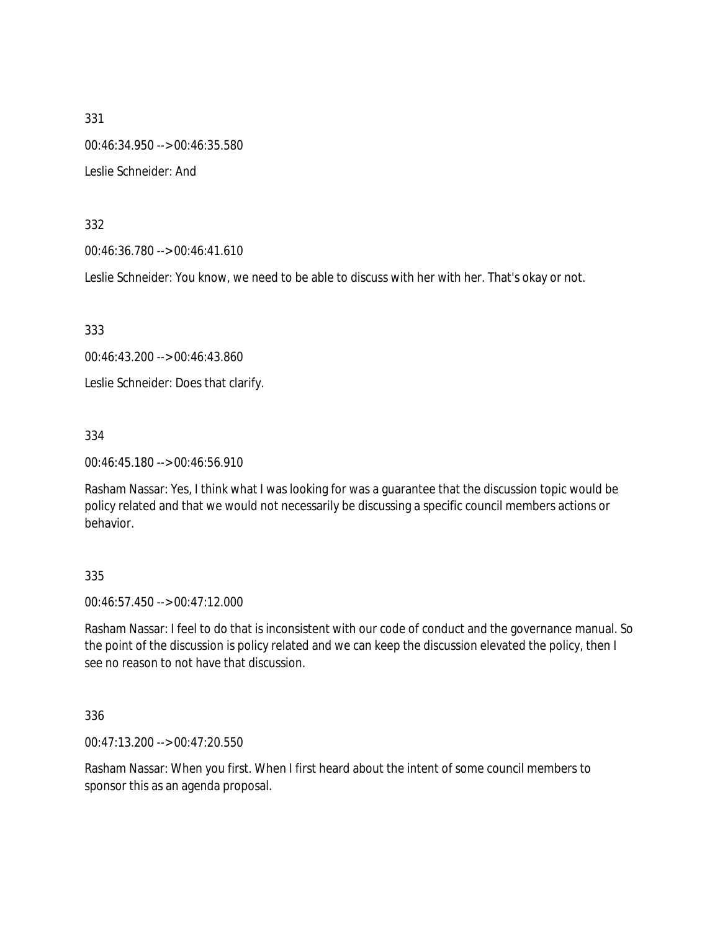331 00:46:34.950 --> 00:46:35.580 Leslie Schneider: And

332

00:46:36.780 --> 00:46:41.610

Leslie Schneider: You know, we need to be able to discuss with her with her. That's okay or not.

333

00:46:43.200 --> 00:46:43.860

Leslie Schneider: Does that clarify.

334

00:46:45.180 --> 00:46:56.910

Rasham Nassar: Yes, I think what I was looking for was a guarantee that the discussion topic would be policy related and that we would not necessarily be discussing a specific council members actions or behavior.

### 335

00:46:57.450 --> 00:47:12.000

Rasham Nassar: I feel to do that is inconsistent with our code of conduct and the governance manual. So the point of the discussion is policy related and we can keep the discussion elevated the policy, then I see no reason to not have that discussion.

336

00:47:13.200 --> 00:47:20.550

Rasham Nassar: When you first. When I first heard about the intent of some council members to sponsor this as an agenda proposal.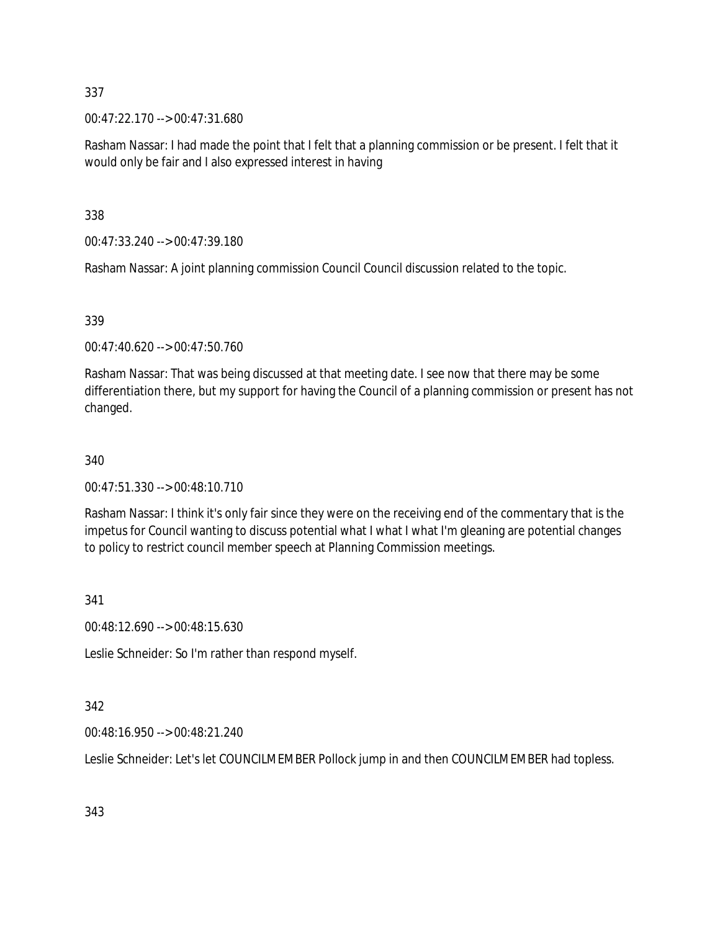00:47:22.170 --> 00:47:31.680

Rasham Nassar: I had made the point that I felt that a planning commission or be present. I felt that it would only be fair and I also expressed interest in having

338

00:47:33.240 --> 00:47:39.180

Rasham Nassar: A joint planning commission Council Council discussion related to the topic.

339

00:47:40.620 --> 00:47:50.760

Rasham Nassar: That was being discussed at that meeting date. I see now that there may be some differentiation there, but my support for having the Council of a planning commission or present has not changed.

340

00:47:51.330 --> 00:48:10.710

Rasham Nassar: I think it's only fair since they were on the receiving end of the commentary that is the impetus for Council wanting to discuss potential what I what I what I'm gleaning are potential changes to policy to restrict council member speech at Planning Commission meetings.

341

00:48:12.690 --> 00:48:15.630

Leslie Schneider: So I'm rather than respond myself.

342

00:48:16.950 --> 00:48:21.240

Leslie Schneider: Let's let COUNCILMEMBER Pollock jump in and then COUNCILMEMBER had topless.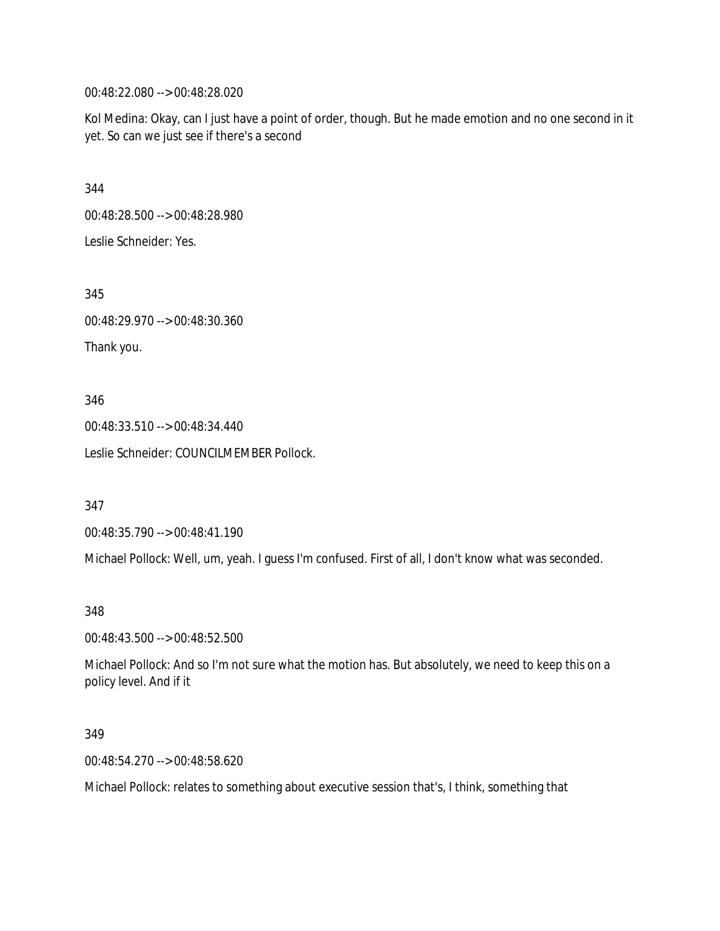00:48:22.080 --> 00:48:28.020

Kol Medina: Okay, can I just have a point of order, though. But he made emotion and no one second in it yet. So can we just see if there's a second

344

00:48:28.500 --> 00:48:28.980

Leslie Schneider: Yes.

345

00:48:29.970 --> 00:48:30.360

Thank you.

346

00:48:33.510 --> 00:48:34.440

Leslie Schneider: COUNCILMEMBER Pollock.

347

00:48:35.790 --> 00:48:41.190

Michael Pollock: Well, um, yeah. I guess I'm confused. First of all, I don't know what was seconded.

348

00:48:43.500 --> 00:48:52.500

Michael Pollock: And so I'm not sure what the motion has. But absolutely, we need to keep this on a policy level. And if it

349

00:48:54.270 --> 00:48:58.620

Michael Pollock: relates to something about executive session that's, I think, something that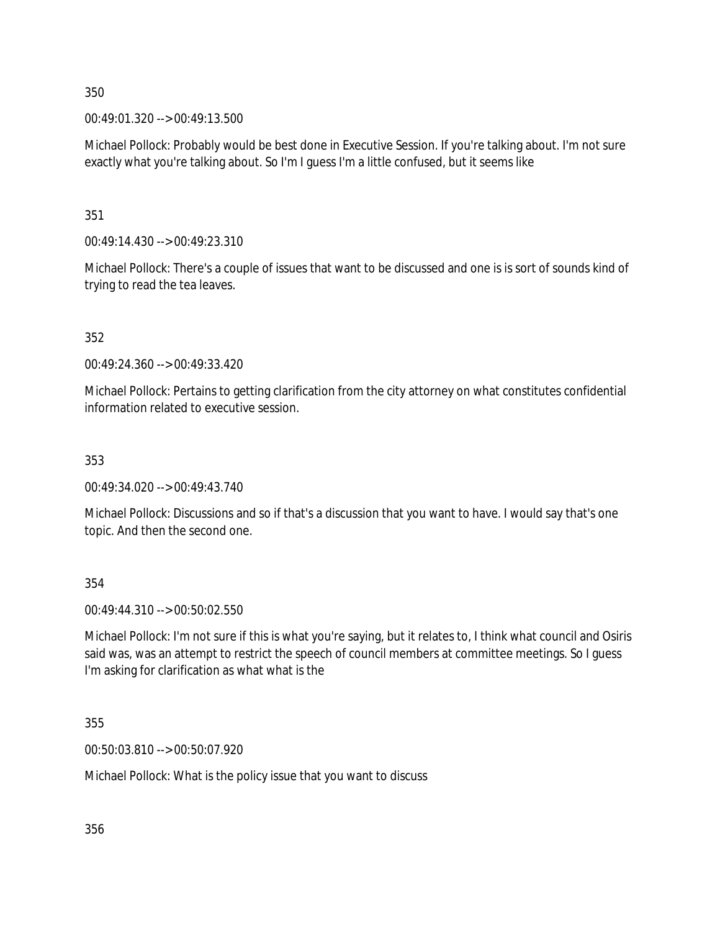00:49:01.320 --> 00:49:13.500

Michael Pollock: Probably would be best done in Executive Session. If you're talking about. I'm not sure exactly what you're talking about. So I'm I guess I'm a little confused, but it seems like

351

00:49:14.430 --> 00:49:23.310

Michael Pollock: There's a couple of issues that want to be discussed and one is is sort of sounds kind of trying to read the tea leaves.

352

00:49:24.360 --> 00:49:33.420

Michael Pollock: Pertains to getting clarification from the city attorney on what constitutes confidential information related to executive session.

353

00:49:34.020 --> 00:49:43.740

Michael Pollock: Discussions and so if that's a discussion that you want to have. I would say that's one topic. And then the second one.

354

00:49:44.310 --> 00:50:02.550

Michael Pollock: I'm not sure if this is what you're saying, but it relates to, I think what council and Osiris said was, was an attempt to restrict the speech of council members at committee meetings. So I guess I'm asking for clarification as what what is the

355

00:50:03.810 --> 00:50:07.920

Michael Pollock: What is the policy issue that you want to discuss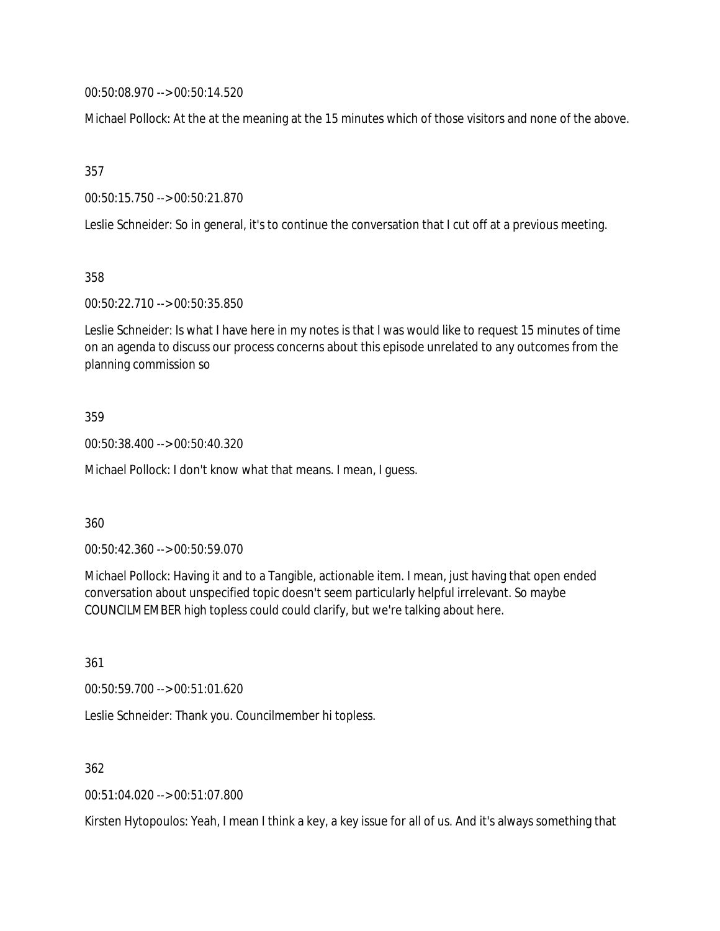00:50:08.970 --> 00:50:14.520

Michael Pollock: At the at the meaning at the 15 minutes which of those visitors and none of the above.

357

00:50:15.750 --> 00:50:21.870

Leslie Schneider: So in general, it's to continue the conversation that I cut off at a previous meeting.

358

00:50:22.710 --> 00:50:35.850

Leslie Schneider: Is what I have here in my notes is that I was would like to request 15 minutes of time on an agenda to discuss our process concerns about this episode unrelated to any outcomes from the planning commission so

#### 359

00:50:38.400 --> 00:50:40.320

Michael Pollock: I don't know what that means. I mean, I guess.

360

00:50:42.360 --> 00:50:59.070

Michael Pollock: Having it and to a Tangible, actionable item. I mean, just having that open ended conversation about unspecified topic doesn't seem particularly helpful irrelevant. So maybe COUNCILMEMBER high topless could could clarify, but we're talking about here.

361

00:50:59.700 --> 00:51:01.620

Leslie Schneider: Thank you. Councilmember hi topless.

362

00:51:04.020 --> 00:51:07.800

Kirsten Hytopoulos: Yeah, I mean I think a key, a key issue for all of us. And it's always something that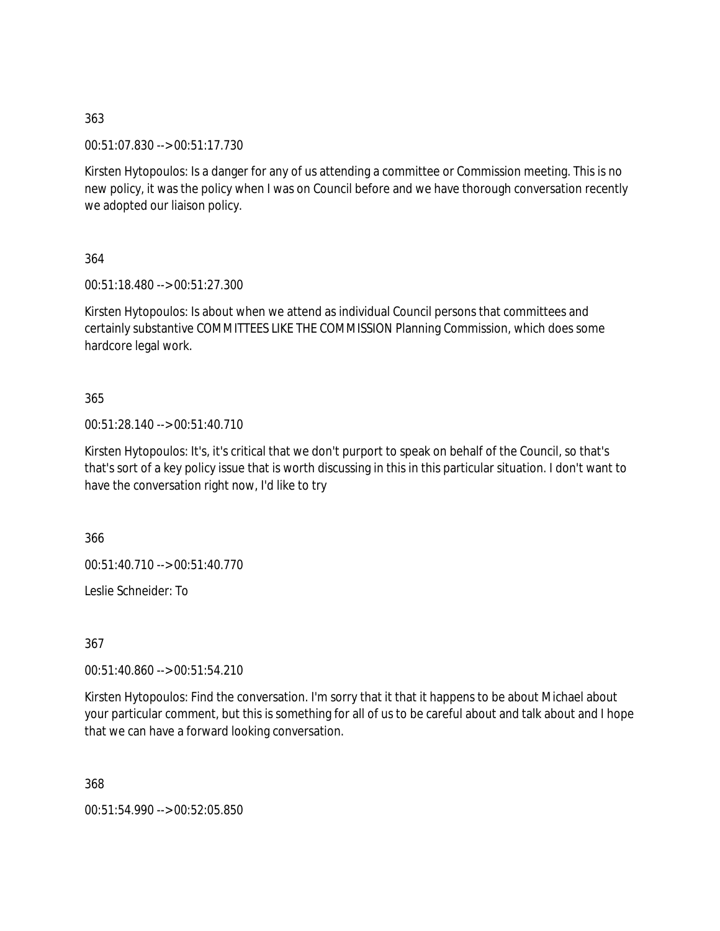00:51:07.830 --> 00:51:17.730

Kirsten Hytopoulos: Is a danger for any of us attending a committee or Commission meeting. This is no new policy, it was the policy when I was on Council before and we have thorough conversation recently we adopted our liaison policy.

364

00:51:18.480 --> 00:51:27.300

Kirsten Hytopoulos: Is about when we attend as individual Council persons that committees and certainly substantive COMMITTEES LIKE THE COMMISSION Planning Commission, which does some hardcore legal work.

365

00:51:28.140 --> 00:51:40.710

Kirsten Hytopoulos: It's, it's critical that we don't purport to speak on behalf of the Council, so that's that's sort of a key policy issue that is worth discussing in this in this particular situation. I don't want to have the conversation right now, I'd like to try

366

00:51:40.710 --> 00:51:40.770

Leslie Schneider: To

367

00:51:40.860 --> 00:51:54.210

Kirsten Hytopoulos: Find the conversation. I'm sorry that it that it happens to be about Michael about your particular comment, but this is something for all of us to be careful about and talk about and I hope that we can have a forward looking conversation.

368

00:51:54.990 --> 00:52:05.850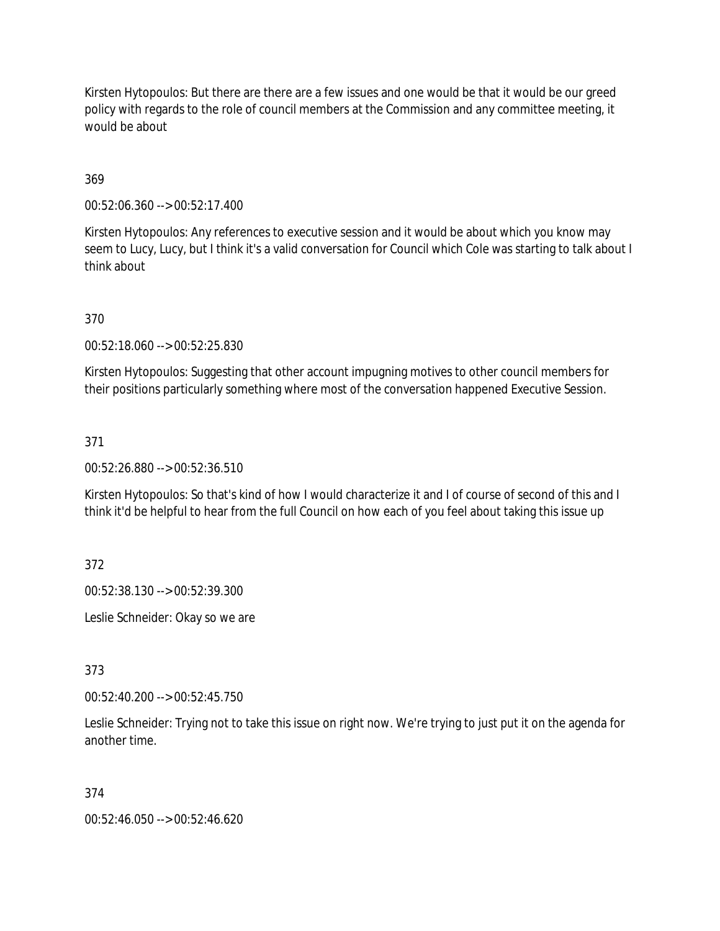Kirsten Hytopoulos: But there are there are a few issues and one would be that it would be our greed policy with regards to the role of council members at the Commission and any committee meeting, it would be about

## 369

00:52:06.360 --> 00:52:17.400

Kirsten Hytopoulos: Any references to executive session and it would be about which you know may seem to Lucy, Lucy, but I think it's a valid conversation for Council which Cole was starting to talk about I think about

# 370

00:52:18.060 --> 00:52:25.830

Kirsten Hytopoulos: Suggesting that other account impugning motives to other council members for their positions particularly something where most of the conversation happened Executive Session.

## 371

00:52:26.880 --> 00:52:36.510

Kirsten Hytopoulos: So that's kind of how I would characterize it and I of course of second of this and I think it'd be helpful to hear from the full Council on how each of you feel about taking this issue up

372

00:52:38.130 --> 00:52:39.300

Leslie Schneider: Okay so we are

373

00:52:40.200 --> 00:52:45.750

Leslie Schneider: Trying not to take this issue on right now. We're trying to just put it on the agenda for another time.

374

00:52:46.050 --> 00:52:46.620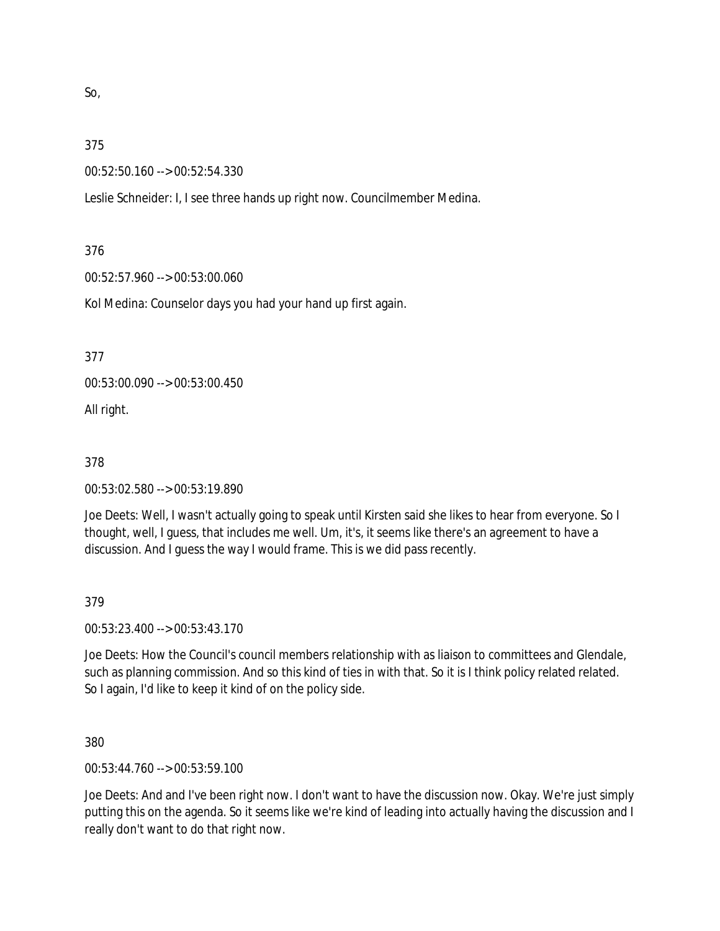So,

### 375

00:52:50.160 --> 00:52:54.330

Leslie Schneider: I, I see three hands up right now. Councilmember Medina.

### 376

00:52:57.960 --> 00:53:00.060

Kol Medina: Counselor days you had your hand up first again.

377

00:53:00.090 --> 00:53:00.450

All right.

### 378

00:53:02.580 --> 00:53:19.890

Joe Deets: Well, I wasn't actually going to speak until Kirsten said she likes to hear from everyone. So I thought, well, I guess, that includes me well. Um, it's, it seems like there's an agreement to have a discussion. And I guess the way I would frame. This is we did pass recently.

### 379

00:53:23.400 --> 00:53:43.170

Joe Deets: How the Council's council members relationship with as liaison to committees and Glendale, such as planning commission. And so this kind of ties in with that. So it is I think policy related related. So I again, I'd like to keep it kind of on the policy side.

380

00:53:44.760 --> 00:53:59.100

Joe Deets: And and I've been right now. I don't want to have the discussion now. Okay. We're just simply putting this on the agenda. So it seems like we're kind of leading into actually having the discussion and I really don't want to do that right now.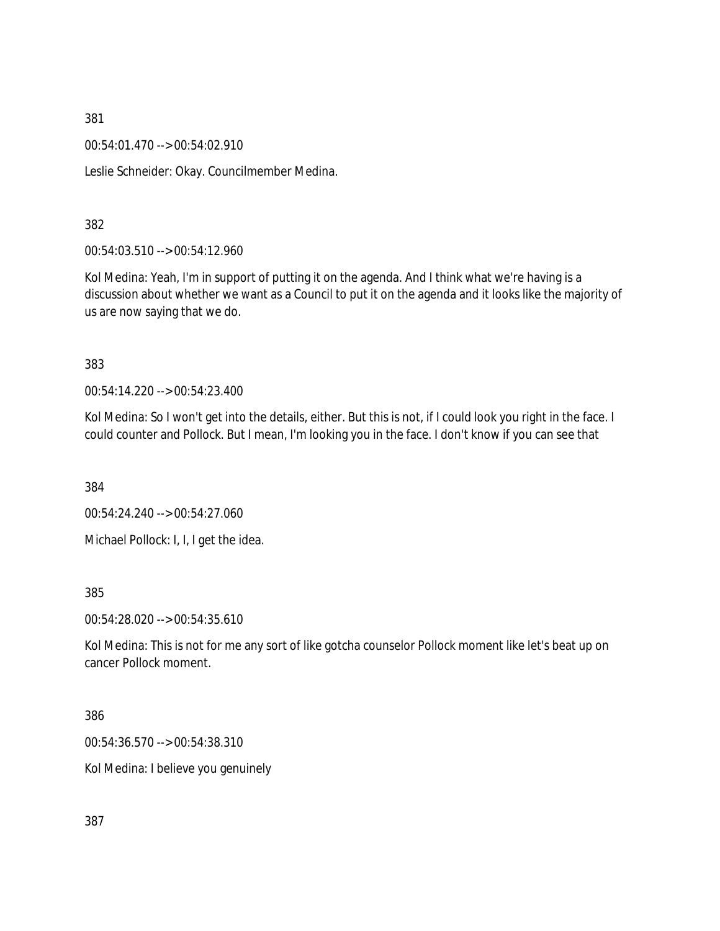00:54:01.470 --> 00:54:02.910

Leslie Schneider: Okay. Councilmember Medina.

382

00:54:03.510 --> 00:54:12.960

Kol Medina: Yeah, I'm in support of putting it on the agenda. And I think what we're having is a discussion about whether we want as a Council to put it on the agenda and it looks like the majority of us are now saying that we do.

383

00:54:14.220 --> 00:54:23.400

Kol Medina: So I won't get into the details, either. But this is not, if I could look you right in the face. I could counter and Pollock. But I mean, I'm looking you in the face. I don't know if you can see that

384

00:54:24.240 --> 00:54:27.060

Michael Pollock: I, I, I get the idea.

385

00:54:28.020 --> 00:54:35.610

Kol Medina: This is not for me any sort of like gotcha counselor Pollock moment like let's beat up on cancer Pollock moment.

386

00:54:36.570 --> 00:54:38.310

Kol Medina: I believe you genuinely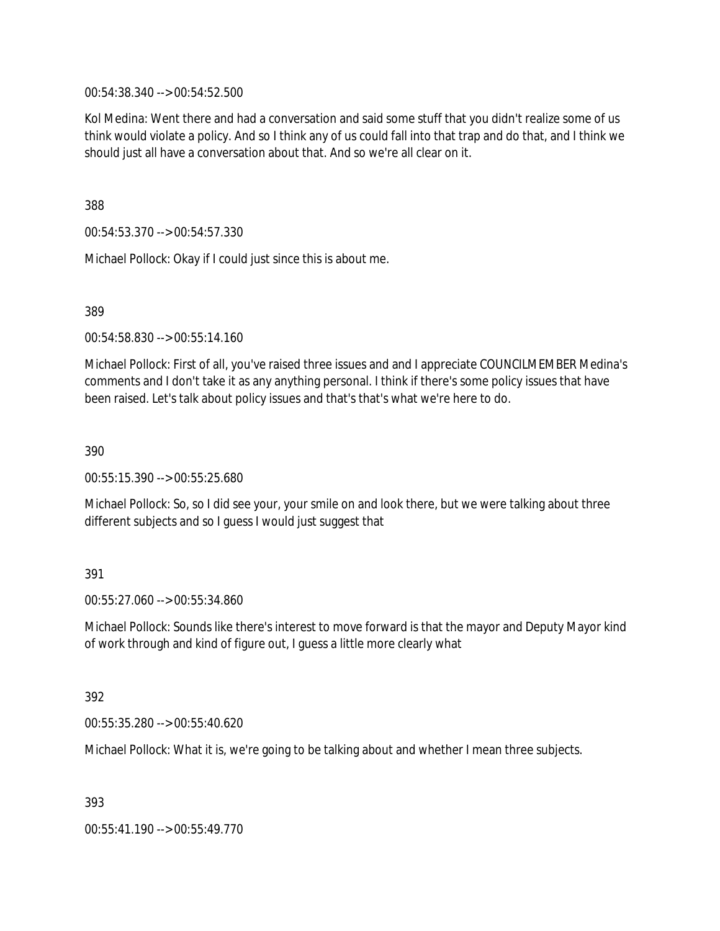00:54:38.340 --> 00:54:52.500

Kol Medina: Went there and had a conversation and said some stuff that you didn't realize some of us think would violate a policy. And so I think any of us could fall into that trap and do that, and I think we should just all have a conversation about that. And so we're all clear on it.

388

00:54:53.370 --> 00:54:57.330

Michael Pollock: Okay if I could just since this is about me.

389

00:54:58.830 --> 00:55:14.160

Michael Pollock: First of all, you've raised three issues and and I appreciate COUNCILMEMBER Medina's comments and I don't take it as any anything personal. I think if there's some policy issues that have been raised. Let's talk about policy issues and that's that's what we're here to do.

390

00:55:15.390 --> 00:55:25.680

Michael Pollock: So, so I did see your, your smile on and look there, but we were talking about three different subjects and so I guess I would just suggest that

#### 391

00:55:27.060 --> 00:55:34.860

Michael Pollock: Sounds like there's interest to move forward is that the mayor and Deputy Mayor kind of work through and kind of figure out, I guess a little more clearly what

#### 392

00:55:35.280 --> 00:55:40.620

Michael Pollock: What it is, we're going to be talking about and whether I mean three subjects.

393

00:55:41.190 --> 00:55:49.770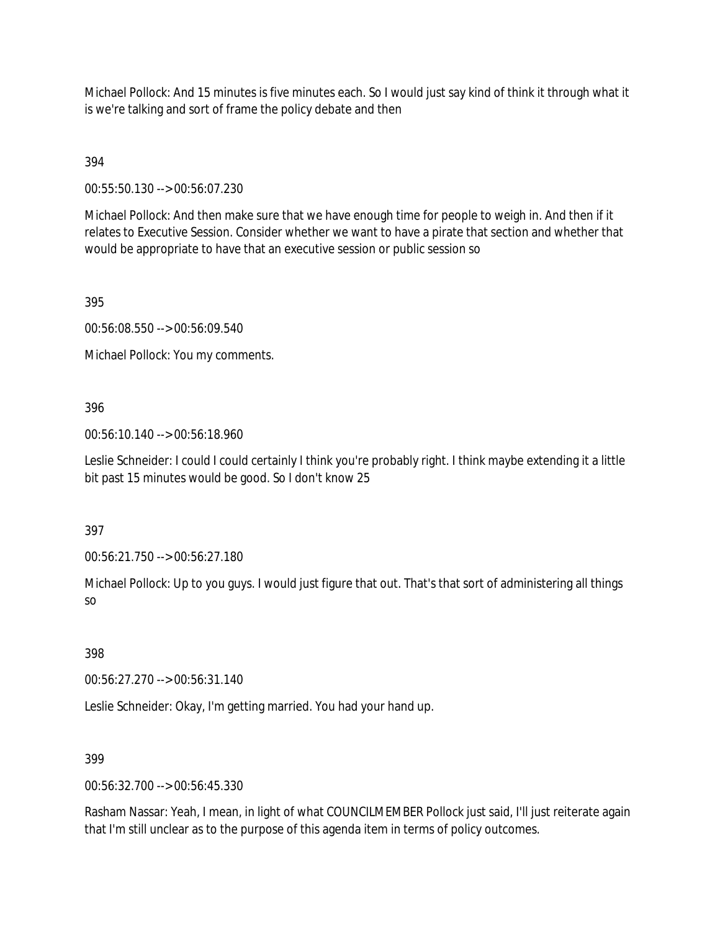Michael Pollock: And 15 minutes is five minutes each. So I would just say kind of think it through what it is we're talking and sort of frame the policy debate and then

394

00:55:50.130 --> 00:56:07.230

Michael Pollock: And then make sure that we have enough time for people to weigh in. And then if it relates to Executive Session. Consider whether we want to have a pirate that section and whether that would be appropriate to have that an executive session or public session so

395

00:56:08.550 --> 00:56:09.540

Michael Pollock: You my comments.

# 396

00:56:10.140 --> 00:56:18.960

Leslie Schneider: I could I could certainly I think you're probably right. I think maybe extending it a little bit past 15 minutes would be good. So I don't know 25

397

00:56:21.750 --> 00:56:27.180

Michael Pollock: Up to you guys. I would just figure that out. That's that sort of administering all things so

398

00:56:27.270 --> 00:56:31.140

Leslie Schneider: Okay, I'm getting married. You had your hand up.

### 399

00:56:32.700 --> 00:56:45.330

Rasham Nassar: Yeah, I mean, in light of what COUNCILMEMBER Pollock just said, I'll just reiterate again that I'm still unclear as to the purpose of this agenda item in terms of policy outcomes.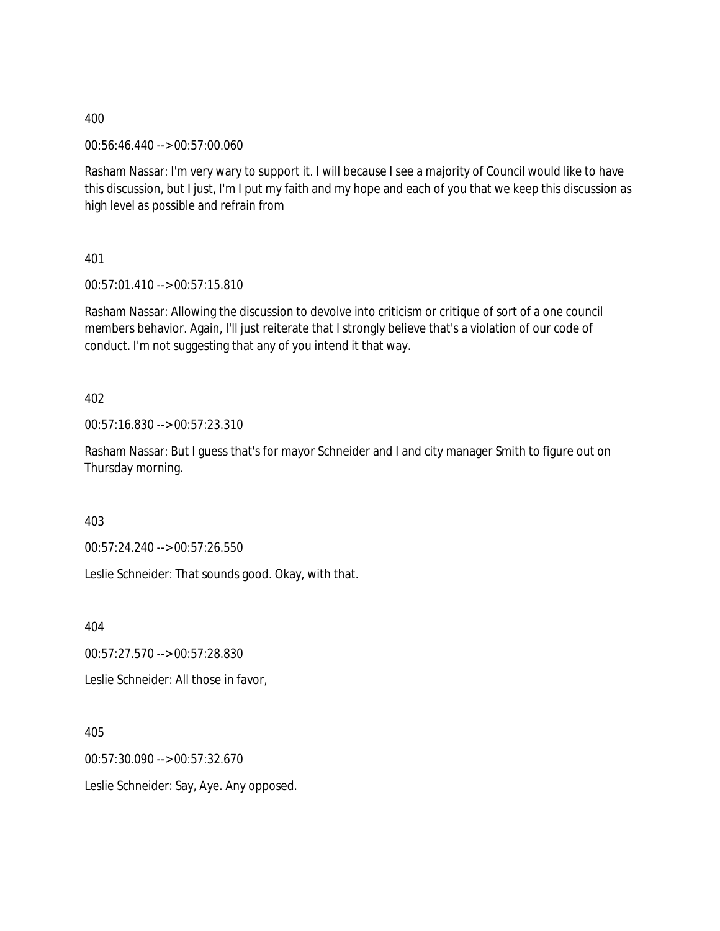00:56:46.440 --> 00:57:00.060

Rasham Nassar: I'm very wary to support it. I will because I see a majority of Council would like to have this discussion, but I just, I'm I put my faith and my hope and each of you that we keep this discussion as high level as possible and refrain from

401

00:57:01.410 --> 00:57:15.810

Rasham Nassar: Allowing the discussion to devolve into criticism or critique of sort of a one council members behavior. Again, I'll just reiterate that I strongly believe that's a violation of our code of conduct. I'm not suggesting that any of you intend it that way.

402

00:57:16.830 --> 00:57:23.310

Rasham Nassar: But I guess that's for mayor Schneider and I and city manager Smith to figure out on Thursday morning.

403

00:57:24.240 --> 00:57:26.550

Leslie Schneider: That sounds good. Okay, with that.

404

00:57:27.570 --> 00:57:28.830

Leslie Schneider: All those in favor,

405

00:57:30.090 --> 00:57:32.670

Leslie Schneider: Say, Aye. Any opposed.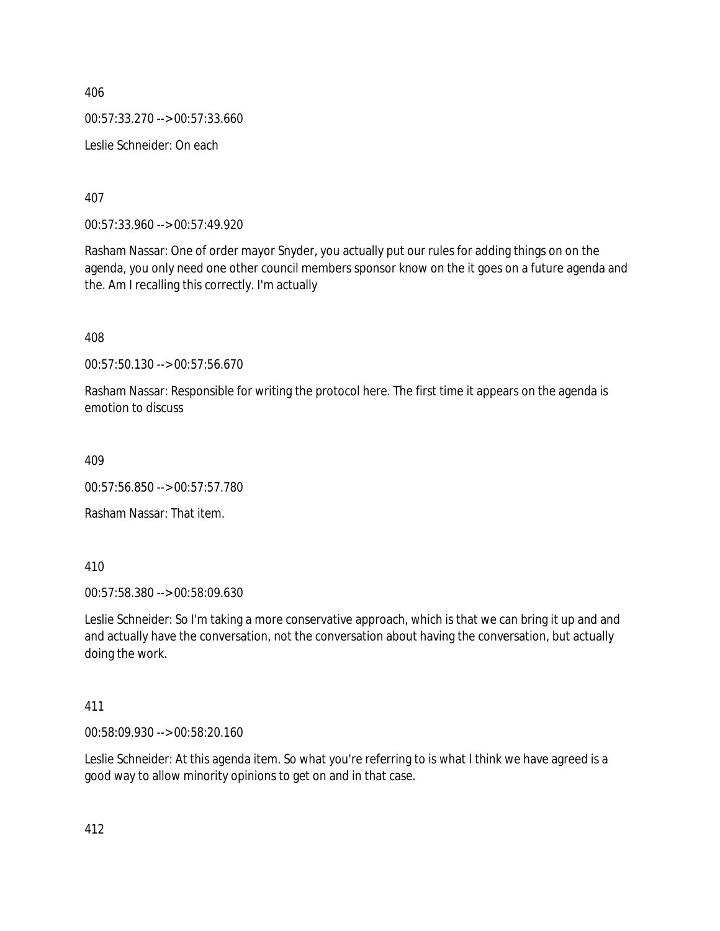00:57:33.270 --> 00:57:33.660

Leslie Schneider: On each

407

00:57:33.960 --> 00:57:49.920

Rasham Nassar: One of order mayor Snyder, you actually put our rules for adding things on on the agenda, you only need one other council members sponsor know on the it goes on a future agenda and the. Am I recalling this correctly. I'm actually

408

00:57:50.130 --> 00:57:56.670

Rasham Nassar: Responsible for writing the protocol here. The first time it appears on the agenda is emotion to discuss

409

00:57:56.850 --> 00:57:57.780

Rasham Nassar: That item.

410

00:57:58.380 --> 00:58:09.630

Leslie Schneider: So I'm taking a more conservative approach, which is that we can bring it up and and and actually have the conversation, not the conversation about having the conversation, but actually doing the work.

### 411

00:58:09.930 --> 00:58:20.160

Leslie Schneider: At this agenda item. So what you're referring to is what I think we have agreed is a good way to allow minority opinions to get on and in that case.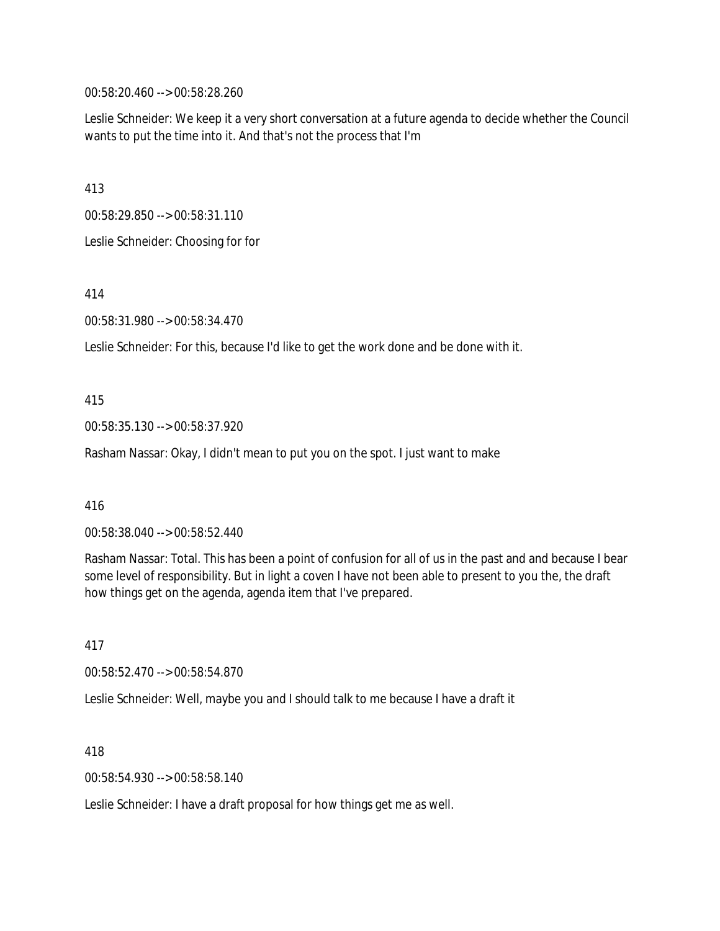00:58:20.460 --> 00:58:28.260

Leslie Schneider: We keep it a very short conversation at a future agenda to decide whether the Council wants to put the time into it. And that's not the process that I'm

413

00:58:29.850 --> 00:58:31.110

Leslie Schneider: Choosing for for

414

00:58:31.980 --> 00:58:34.470

Leslie Schneider: For this, because I'd like to get the work done and be done with it.

415

00:58:35.130 --> 00:58:37.920

Rasham Nassar: Okay, I didn't mean to put you on the spot. I just want to make

416

00:58:38.040 --> 00:58:52.440

Rasham Nassar: Total. This has been a point of confusion for all of us in the past and and because I bear some level of responsibility. But in light a coven I have not been able to present to you the, the draft how things get on the agenda, agenda item that I've prepared.

417

00:58:52.470 --> 00:58:54.870

Leslie Schneider: Well, maybe you and I should talk to me because I have a draft it

418

00:58:54.930 --> 00:58:58.140

Leslie Schneider: I have a draft proposal for how things get me as well.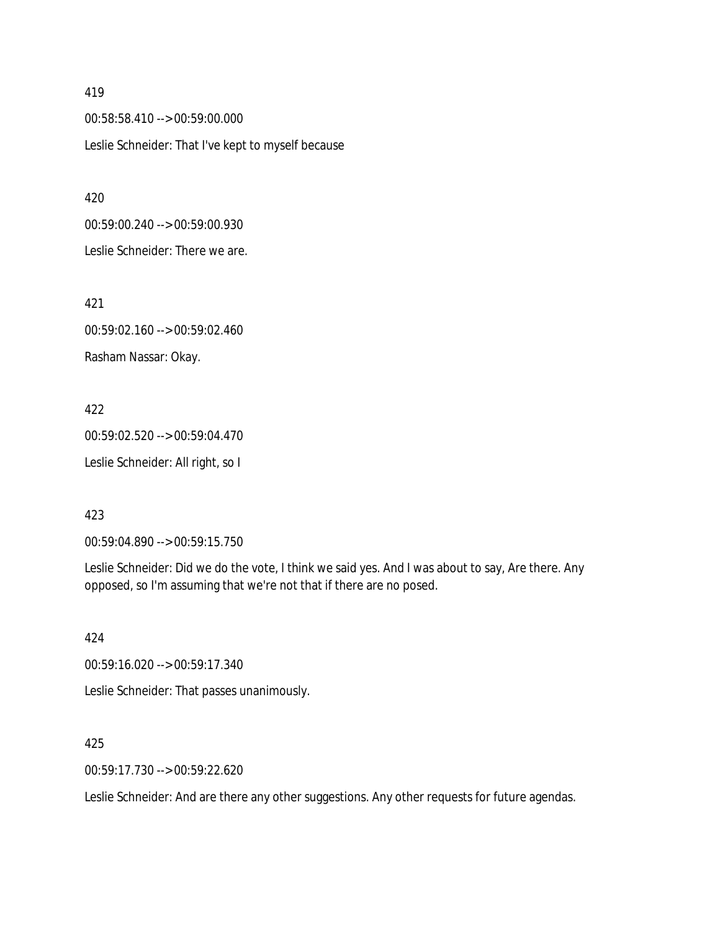00:58:58.410 --> 00:59:00.000 Leslie Schneider: That I've kept to myself because

420 00:59:00.240 --> 00:59:00.930 Leslie Schneider: There we are.

421 00:59:02.160 --> 00:59:02.460 Rasham Nassar: Okay.

422 00:59:02.520 --> 00:59:04.470 Leslie Schneider: All right, so I

423

00:59:04.890 --> 00:59:15.750

Leslie Schneider: Did we do the vote, I think we said yes. And I was about to say, Are there. Any opposed, so I'm assuming that we're not that if there are no posed.

424

00:59:16.020 --> 00:59:17.340

Leslie Schneider: That passes unanimously.

425

00:59:17.730 --> 00:59:22.620

Leslie Schneider: And are there any other suggestions. Any other requests for future agendas.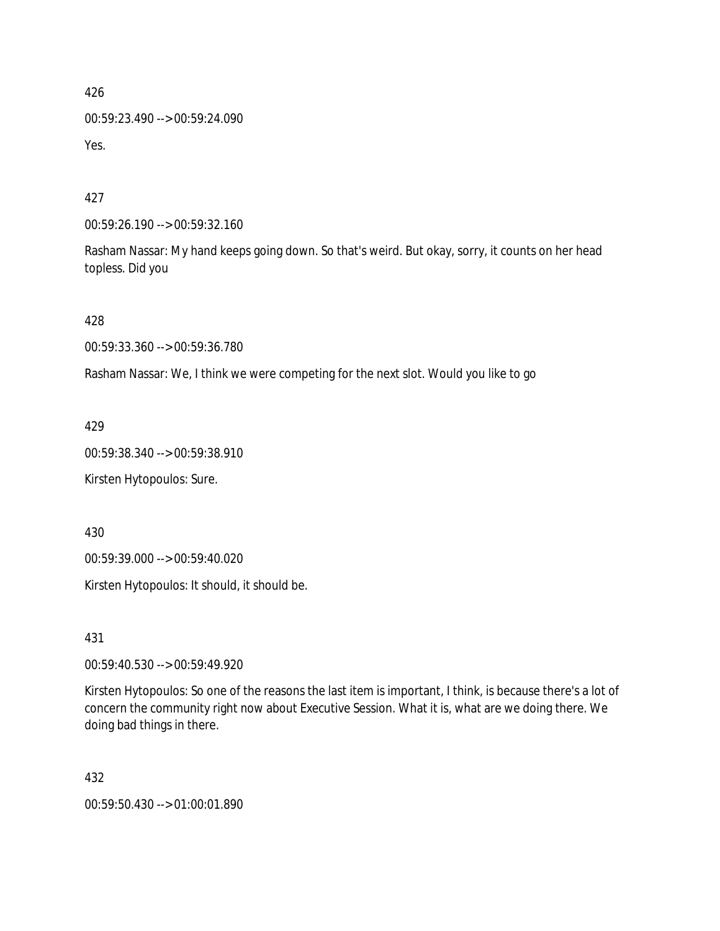00:59:23.490 --> 00:59:24.090 Yes.

427

00:59:26.190 --> 00:59:32.160

Rasham Nassar: My hand keeps going down. So that's weird. But okay, sorry, it counts on her head topless. Did you

428

00:59:33.360 --> 00:59:36.780

Rasham Nassar: We, I think we were competing for the next slot. Would you like to go

429

00:59:38.340 --> 00:59:38.910

Kirsten Hytopoulos: Sure.

430

00:59:39.000 --> 00:59:40.020

Kirsten Hytopoulos: It should, it should be.

431

00:59:40.530 --> 00:59:49.920

Kirsten Hytopoulos: So one of the reasons the last item is important, I think, is because there's a lot of concern the community right now about Executive Session. What it is, what are we doing there. We doing bad things in there.

432

00:59:50.430 --> 01:00:01.890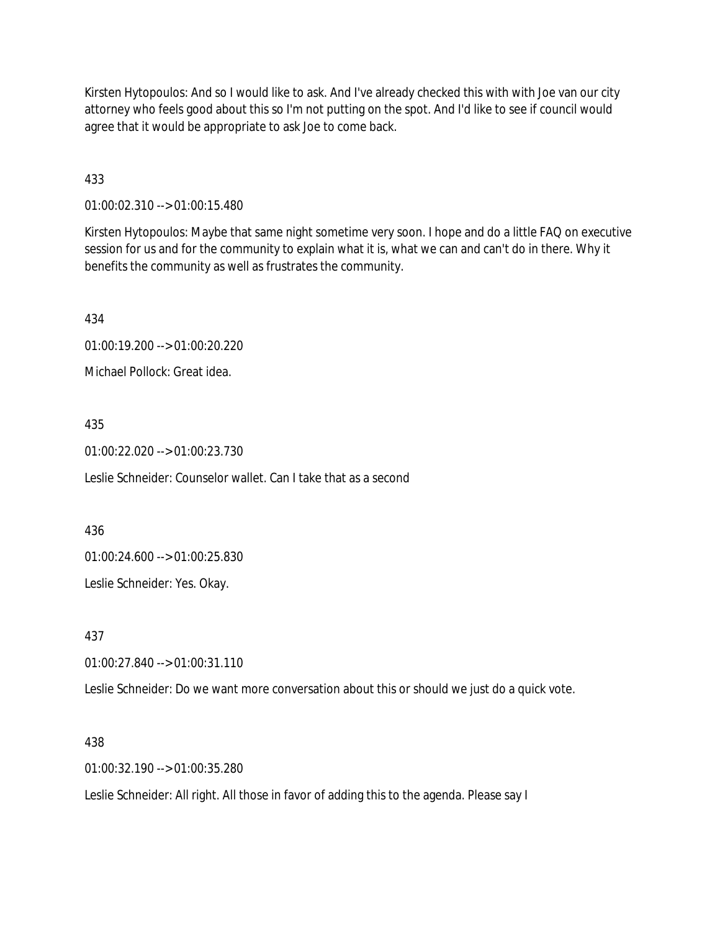Kirsten Hytopoulos: And so I would like to ask. And I've already checked this with with Joe van our city attorney who feels good about this so I'm not putting on the spot. And I'd like to see if council would agree that it would be appropriate to ask Joe to come back.

433

01:00:02.310 --> 01:00:15.480

Kirsten Hytopoulos: Maybe that same night sometime very soon. I hope and do a little FAQ on executive session for us and for the community to explain what it is, what we can and can't do in there. Why it benefits the community as well as frustrates the community.

434

01:00:19.200 --> 01:00:20.220

Michael Pollock: Great idea.

### 435

01:00:22.020 --> 01:00:23.730

Leslie Schneider: Counselor wallet. Can I take that as a second

436

01:00:24.600 --> 01:00:25.830

Leslie Schneider: Yes. Okay.

437

01:00:27.840 --> 01:00:31.110

Leslie Schneider: Do we want more conversation about this or should we just do a quick vote.

### 438

01:00:32.190 --> 01:00:35.280

Leslie Schneider: All right. All those in favor of adding this to the agenda. Please say I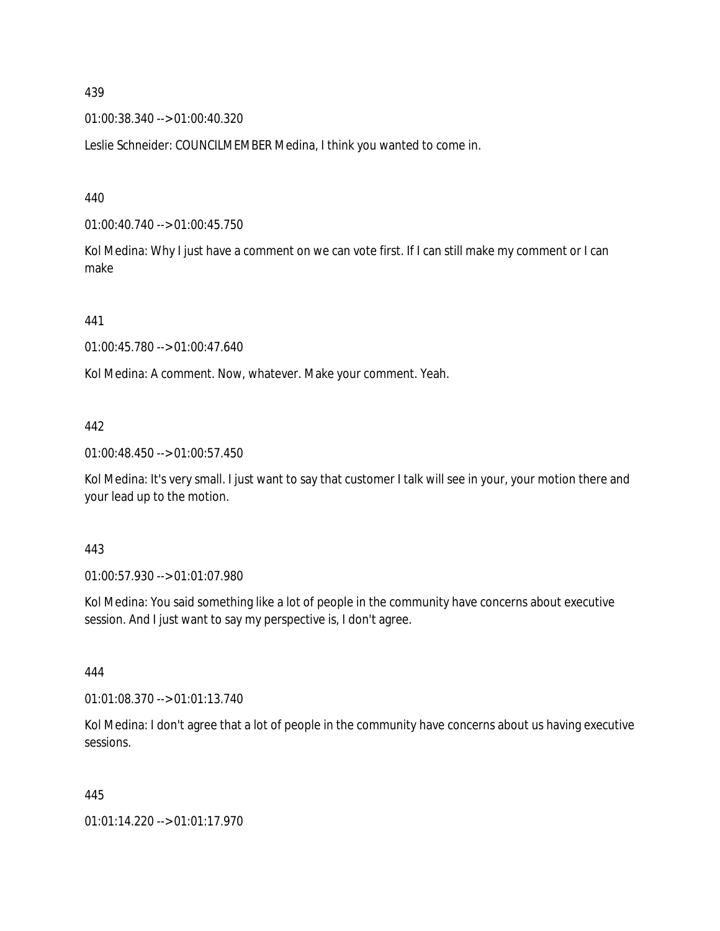01:00:38.340 --> 01:00:40.320

Leslie Schneider: COUNCILMEMBER Medina, I think you wanted to come in.

440

01:00:40.740 --> 01:00:45.750

Kol Medina: Why I just have a comment on we can vote first. If I can still make my comment or I can make

441

01:00:45.780 --> 01:00:47.640

Kol Medina: A comment. Now, whatever. Make your comment. Yeah.

442

01:00:48.450 --> 01:00:57.450

Kol Medina: It's very small. I just want to say that customer I talk will see in your, your motion there and your lead up to the motion.

443

01:00:57.930 --> 01:01:07.980

Kol Medina: You said something like a lot of people in the community have concerns about executive session. And I just want to say my perspective is, I don't agree.

444

01:01:08.370 --> 01:01:13.740

Kol Medina: I don't agree that a lot of people in the community have concerns about us having executive sessions.

445

01:01:14.220 --> 01:01:17.970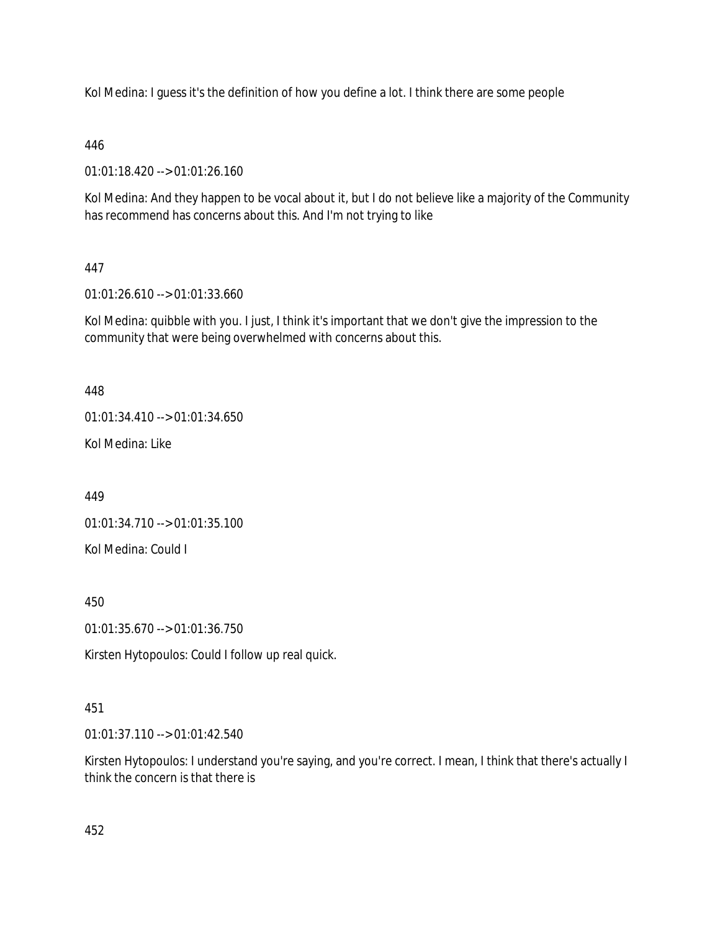Kol Medina: I guess it's the definition of how you define a lot. I think there are some people

446

01:01:18.420 --> 01:01:26.160

Kol Medina: And they happen to be vocal about it, but I do not believe like a majority of the Community has recommend has concerns about this. And I'm not trying to like

## 447

01:01:26.610 --> 01:01:33.660

Kol Medina: quibble with you. I just, I think it's important that we don't give the impression to the community that were being overwhelmed with concerns about this.

448

01:01:34.410 --> 01:01:34.650

Kol Medina: Like

449

01:01:34.710 --> 01:01:35.100

Kol Medina: Could I

450

01:01:35.670 --> 01:01:36.750

Kirsten Hytopoulos: Could I follow up real quick.

### 451

01:01:37.110 --> 01:01:42.540

Kirsten Hytopoulos: I understand you're saying, and you're correct. I mean, I think that there's actually I think the concern is that there is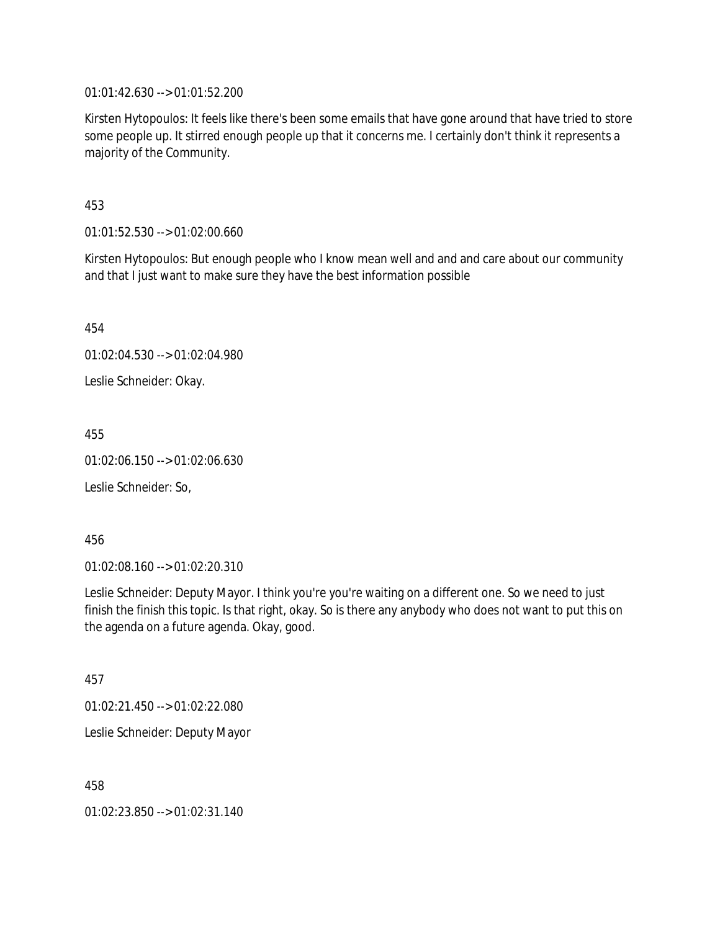01:01:42.630 --> 01:01:52.200

Kirsten Hytopoulos: It feels like there's been some emails that have gone around that have tried to store some people up. It stirred enough people up that it concerns me. I certainly don't think it represents a majority of the Community.

453

01:01:52.530 --> 01:02:00.660

Kirsten Hytopoulos: But enough people who I know mean well and and and care about our community and that I just want to make sure they have the best information possible

454

01:02:04.530 --> 01:02:04.980

Leslie Schneider: Okay.

455

01:02:06.150 --> 01:02:06.630

Leslie Schneider: So,

456

01:02:08.160 --> 01:02:20.310

Leslie Schneider: Deputy Mayor. I think you're you're waiting on a different one. So we need to just finish the finish this topic. Is that right, okay. So is there any anybody who does not want to put this on the agenda on a future agenda. Okay, good.

457

01:02:21.450 --> 01:02:22.080

Leslie Schneider: Deputy Mayor

458

01:02:23.850 --> 01:02:31.140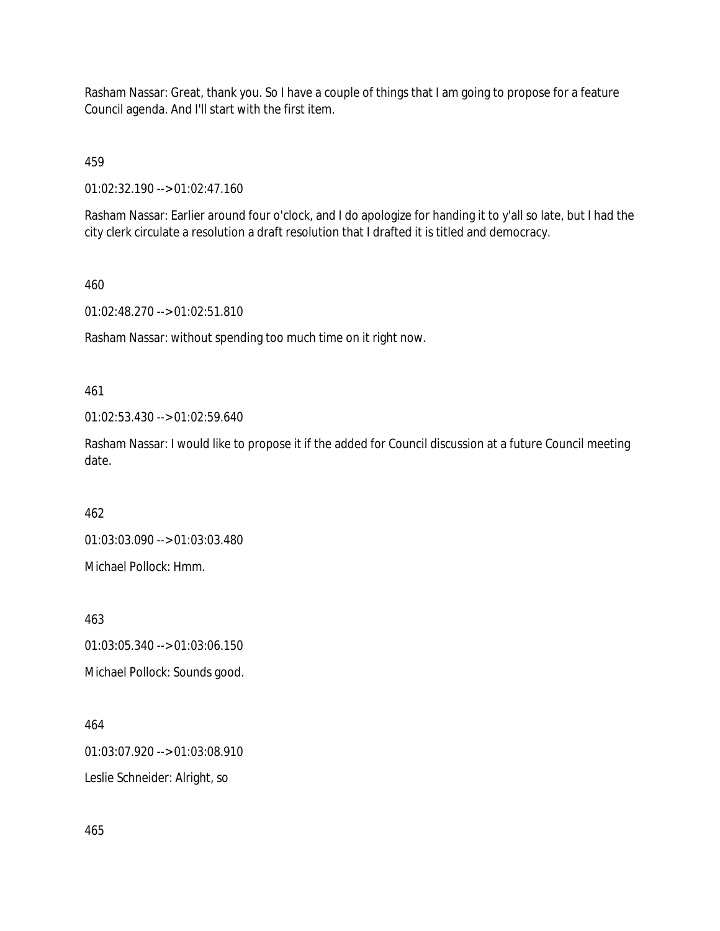Rasham Nassar: Great, thank you. So I have a couple of things that I am going to propose for a feature Council agenda. And I'll start with the first item.

459

01:02:32.190 --> 01:02:47.160

Rasham Nassar: Earlier around four o'clock, and I do apologize for handing it to y'all so late, but I had the city clerk circulate a resolution a draft resolution that I drafted it is titled and democracy.

460

01:02:48.270 --> 01:02:51.810

Rasham Nassar: without spending too much time on it right now.

461

01:02:53.430 --> 01:02:59.640

Rasham Nassar: I would like to propose it if the added for Council discussion at a future Council meeting date.

462

01:03:03.090 --> 01:03:03.480

Michael Pollock: Hmm.

463

01:03:05.340 --> 01:03:06.150 Michael Pollock: Sounds good.

464

01:03:07.920 --> 01:03:08.910

Leslie Schneider: Alright, so

465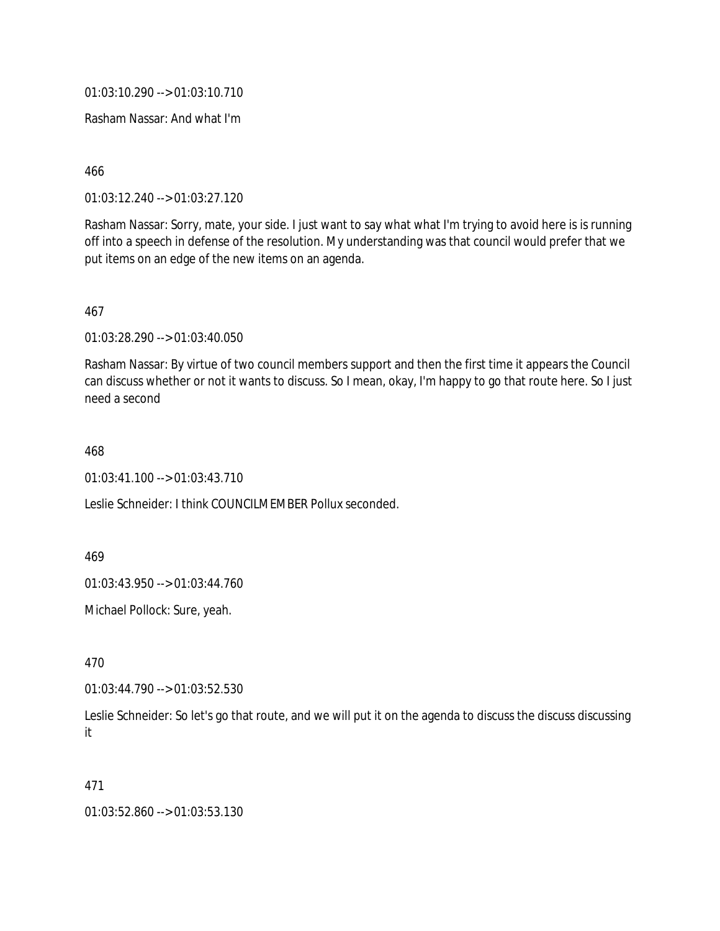01:03:10.290 --> 01:03:10.710

Rasham Nassar: And what I'm

466

01:03:12.240 --> 01:03:27.120

Rasham Nassar: Sorry, mate, your side. I just want to say what what I'm trying to avoid here is is running off into a speech in defense of the resolution. My understanding was that council would prefer that we put items on an edge of the new items on an agenda.

467

01:03:28.290 --> 01:03:40.050

Rasham Nassar: By virtue of two council members support and then the first time it appears the Council can discuss whether or not it wants to discuss. So I mean, okay, I'm happy to go that route here. So I just need a second

468

01:03:41.100 --> 01:03:43.710

Leslie Schneider: I think COUNCILMEMBER Pollux seconded.

469

01:03:43.950 --> 01:03:44.760

Michael Pollock: Sure, yeah.

470

01:03:44.790 --> 01:03:52.530

Leslie Schneider: So let's go that route, and we will put it on the agenda to discuss the discuss discussing it

471

01:03:52.860 --> 01:03:53.130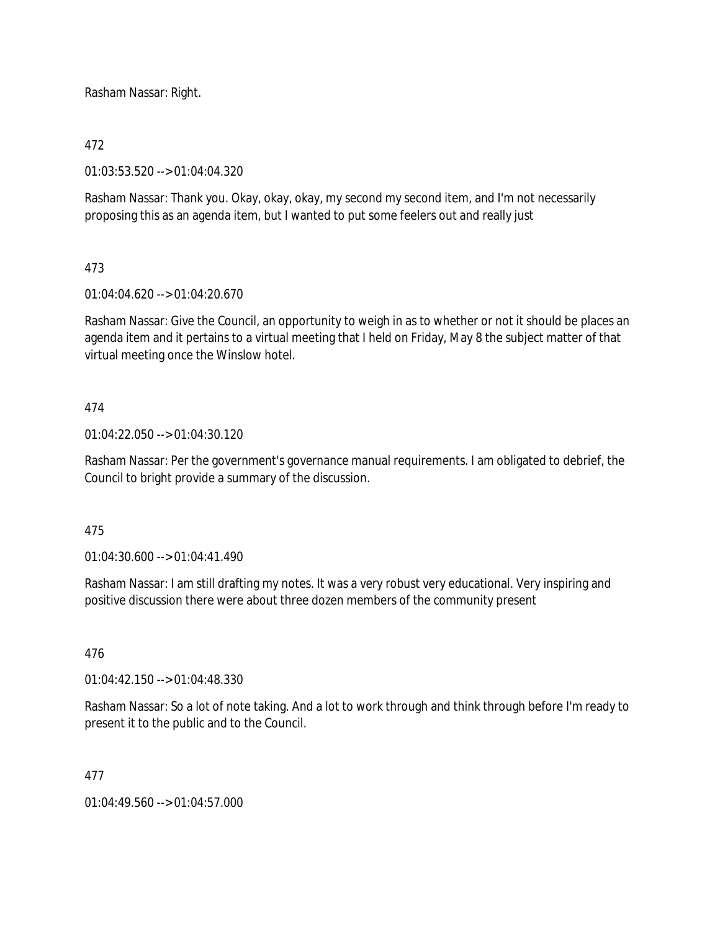Rasham Nassar: Right.

## 472

01:03:53.520 --> 01:04:04.320

Rasham Nassar: Thank you. Okay, okay, okay, my second my second item, and I'm not necessarily proposing this as an agenda item, but I wanted to put some feelers out and really just

## 473

01:04:04.620 --> 01:04:20.670

Rasham Nassar: Give the Council, an opportunity to weigh in as to whether or not it should be places an agenda item and it pertains to a virtual meeting that I held on Friday, May 8 the subject matter of that virtual meeting once the Winslow hotel.

## 474

01:04:22.050 --> 01:04:30.120

Rasham Nassar: Per the government's governance manual requirements. I am obligated to debrief, the Council to bright provide a summary of the discussion.

### 475

01:04:30.600 --> 01:04:41.490

Rasham Nassar: I am still drafting my notes. It was a very robust very educational. Very inspiring and positive discussion there were about three dozen members of the community present

### 476

01:04:42.150 --> 01:04:48.330

Rasham Nassar: So a lot of note taking. And a lot to work through and think through before I'm ready to present it to the public and to the Council.

### 477

01:04:49.560 --> 01:04:57.000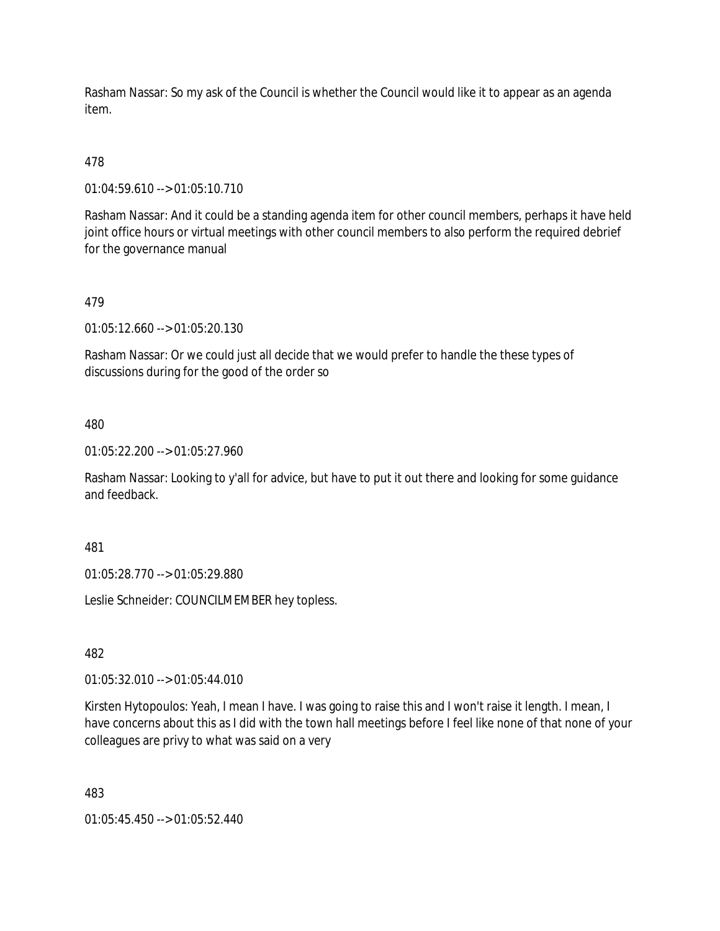Rasham Nassar: So my ask of the Council is whether the Council would like it to appear as an agenda item.

## 478

01:04:59.610 --> 01:05:10.710

Rasham Nassar: And it could be a standing agenda item for other council members, perhaps it have held joint office hours or virtual meetings with other council members to also perform the required debrief for the governance manual

### 479

01:05:12.660 --> 01:05:20.130

Rasham Nassar: Or we could just all decide that we would prefer to handle the these types of discussions during for the good of the order so

#### 480

01:05:22.200 --> 01:05:27.960

Rasham Nassar: Looking to y'all for advice, but have to put it out there and looking for some guidance and feedback.

#### 481

01:05:28.770 --> 01:05:29.880

Leslie Schneider: COUNCILMEMBER hey topless.

### 482

01:05:32.010 --> 01:05:44.010

Kirsten Hytopoulos: Yeah, I mean I have. I was going to raise this and I won't raise it length. I mean, I have concerns about this as I did with the town hall meetings before I feel like none of that none of your colleagues are privy to what was said on a very

#### 483

01:05:45.450 --> 01:05:52.440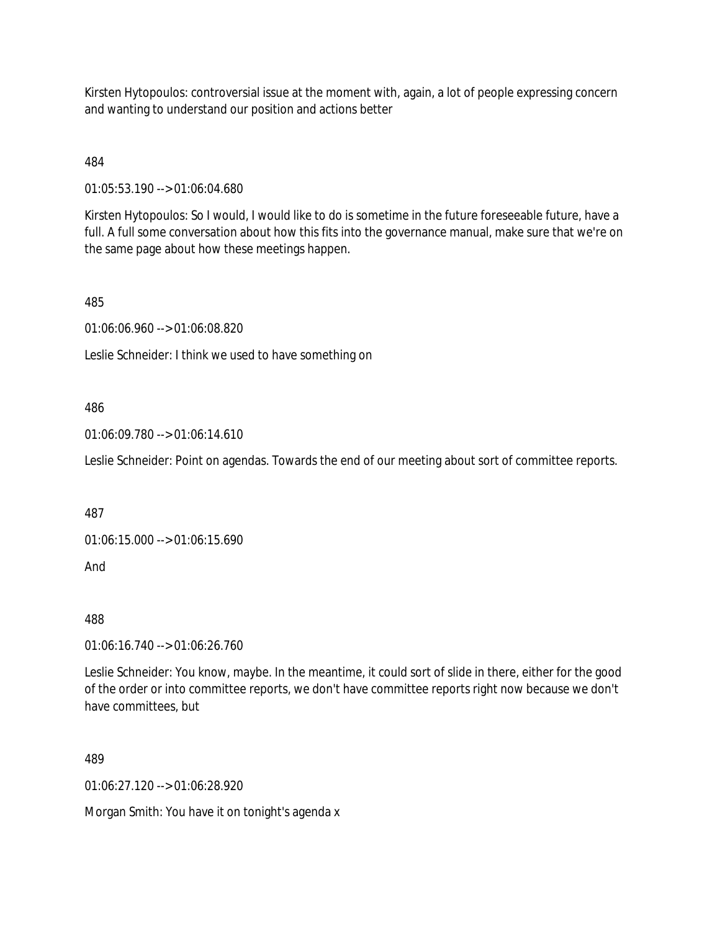Kirsten Hytopoulos: controversial issue at the moment with, again, a lot of people expressing concern and wanting to understand our position and actions better

484

01:05:53.190 --> 01:06:04.680

Kirsten Hytopoulos: So I would, I would like to do is sometime in the future foreseeable future, have a full. A full some conversation about how this fits into the governance manual, make sure that we're on the same page about how these meetings happen.

485

01:06:06.960 --> 01:06:08.820

Leslie Schneider: I think we used to have something on

### 486

01:06:09.780 --> 01:06:14.610

Leslie Schneider: Point on agendas. Towards the end of our meeting about sort of committee reports.

487

01:06:15.000 --> 01:06:15.690

And

488

01:06:16.740 --> 01:06:26.760

Leslie Schneider: You know, maybe. In the meantime, it could sort of slide in there, either for the good of the order or into committee reports, we don't have committee reports right now because we don't have committees, but

489

01:06:27.120 --> 01:06:28.920

Morgan Smith: You have it on tonight's agenda x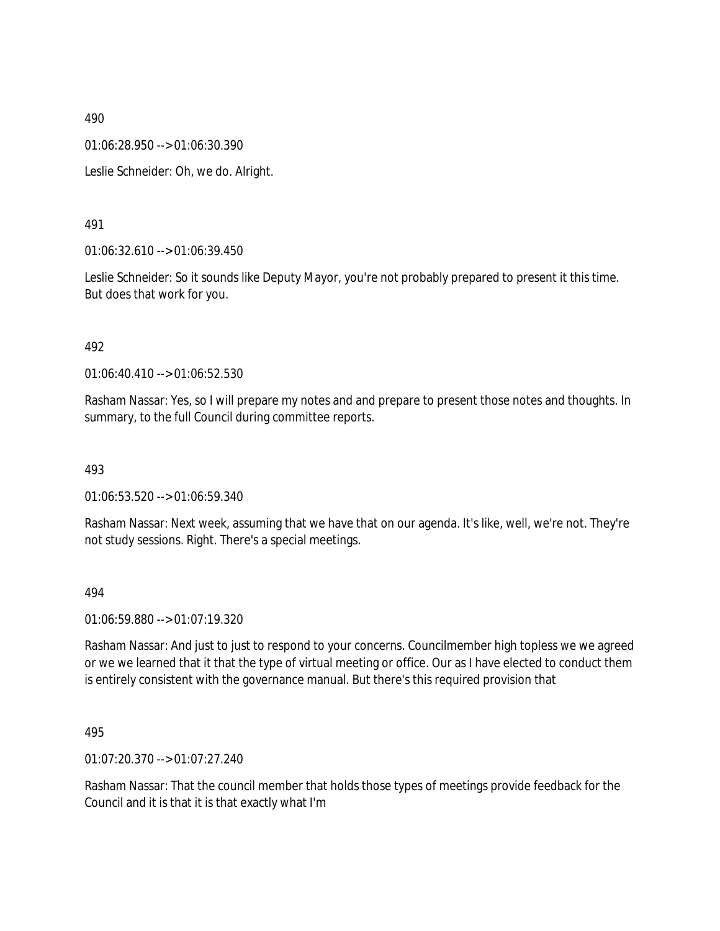01:06:28.950 --> 01:06:30.390

Leslie Schneider: Oh, we do. Alright.

### 491

01:06:32.610 --> 01:06:39.450

Leslie Schneider: So it sounds like Deputy Mayor, you're not probably prepared to present it this time. But does that work for you.

#### 492

01:06:40.410 --> 01:06:52.530

Rasham Nassar: Yes, so I will prepare my notes and and prepare to present those notes and thoughts. In summary, to the full Council during committee reports.

#### 493

01:06:53.520 --> 01:06:59.340

Rasham Nassar: Next week, assuming that we have that on our agenda. It's like, well, we're not. They're not study sessions. Right. There's a special meetings.

#### 494

01:06:59.880 --> 01:07:19.320

Rasham Nassar: And just to just to respond to your concerns. Councilmember high topless we we agreed or we we learned that it that the type of virtual meeting or office. Our as I have elected to conduct them is entirely consistent with the governance manual. But there's this required provision that

#### 495

01:07:20.370 --> 01:07:27.240

Rasham Nassar: That the council member that holds those types of meetings provide feedback for the Council and it is that it is that exactly what I'm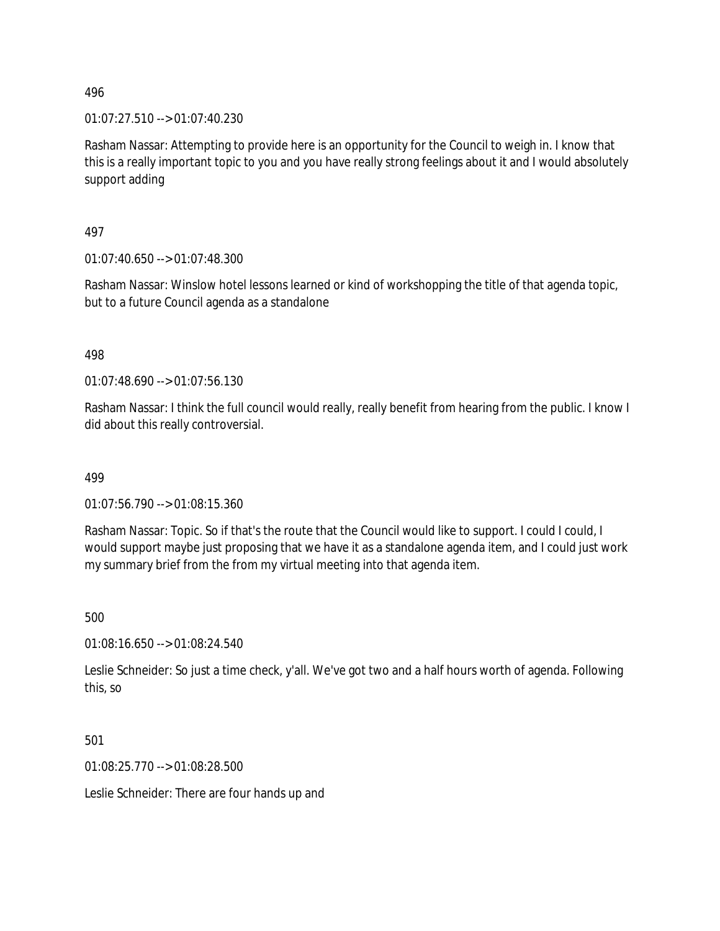01:07:27.510 --> 01:07:40.230

Rasham Nassar: Attempting to provide here is an opportunity for the Council to weigh in. I know that this is a really important topic to you and you have really strong feelings about it and I would absolutely support adding

497

01:07:40.650 --> 01:07:48.300

Rasham Nassar: Winslow hotel lessons learned or kind of workshopping the title of that agenda topic, but to a future Council agenda as a standalone

498

01:07:48.690 --> 01:07:56.130

Rasham Nassar: I think the full council would really, really benefit from hearing from the public. I know I did about this really controversial.

499

01:07:56.790 --> 01:08:15.360

Rasham Nassar: Topic. So if that's the route that the Council would like to support. I could I could, I would support maybe just proposing that we have it as a standalone agenda item, and I could just work my summary brief from the from my virtual meeting into that agenda item.

500

01:08:16.650 --> 01:08:24.540

Leslie Schneider: So just a time check, y'all. We've got two and a half hours worth of agenda. Following this, so

501

01:08:25.770 --> 01:08:28.500

Leslie Schneider: There are four hands up and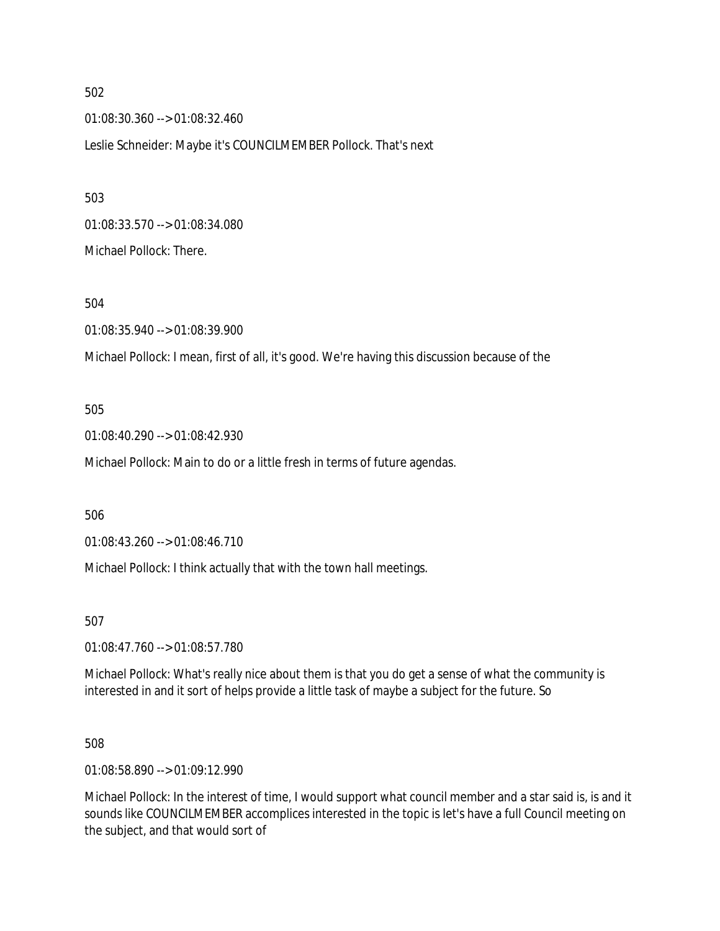01:08:30.360 --> 01:08:32.460 Leslie Schneider: Maybe it's COUNCILMEMBER Pollock. That's next

01:08:33.570 --> 01:08:34.080 Michael Pollock: There.

504

01:08:35.940 --> 01:08:39.900

Michael Pollock: I mean, first of all, it's good. We're having this discussion because of the

#### 505

01:08:40.290 --> 01:08:42.930

Michael Pollock: Main to do or a little fresh in terms of future agendas.

506

01:08:43.260 --> 01:08:46.710

Michael Pollock: I think actually that with the town hall meetings.

507

01:08:47.760 --> 01:08:57.780

Michael Pollock: What's really nice about them is that you do get a sense of what the community is interested in and it sort of helps provide a little task of maybe a subject for the future. So

508

01:08:58.890 --> 01:09:12.990

Michael Pollock: In the interest of time, I would support what council member and a star said is, is and it sounds like COUNCILMEMBER accomplices interested in the topic is let's have a full Council meeting on the subject, and that would sort of

502

503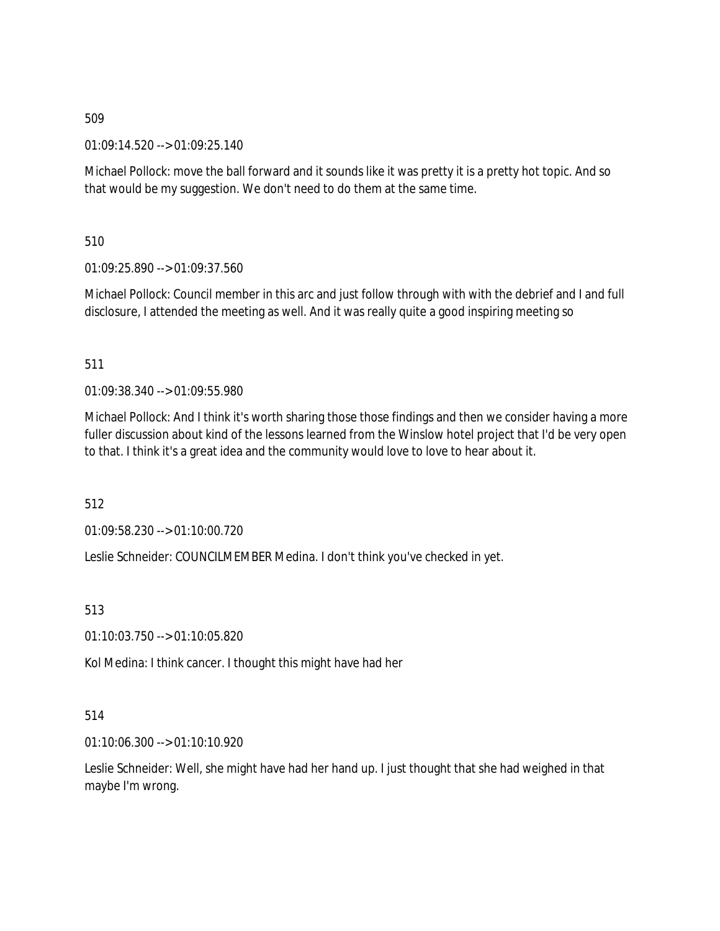01:09:14.520 --> 01:09:25.140

Michael Pollock: move the ball forward and it sounds like it was pretty it is a pretty hot topic. And so that would be my suggestion. We don't need to do them at the same time.

510

01:09:25.890 --> 01:09:37.560

Michael Pollock: Council member in this arc and just follow through with with the debrief and I and full disclosure, I attended the meeting as well. And it was really quite a good inspiring meeting so

511

01:09:38.340 --> 01:09:55.980

Michael Pollock: And I think it's worth sharing those those findings and then we consider having a more fuller discussion about kind of the lessons learned from the Winslow hotel project that I'd be very open to that. I think it's a great idea and the community would love to love to hear about it.

512

01:09:58.230 --> 01:10:00.720

Leslie Schneider: COUNCILMEMBER Medina. I don't think you've checked in yet.

513

01:10:03.750 --> 01:10:05.820

Kol Medina: I think cancer. I thought this might have had her

514

01:10:06.300 --> 01:10:10.920

Leslie Schneider: Well, she might have had her hand up. I just thought that she had weighed in that maybe I'm wrong.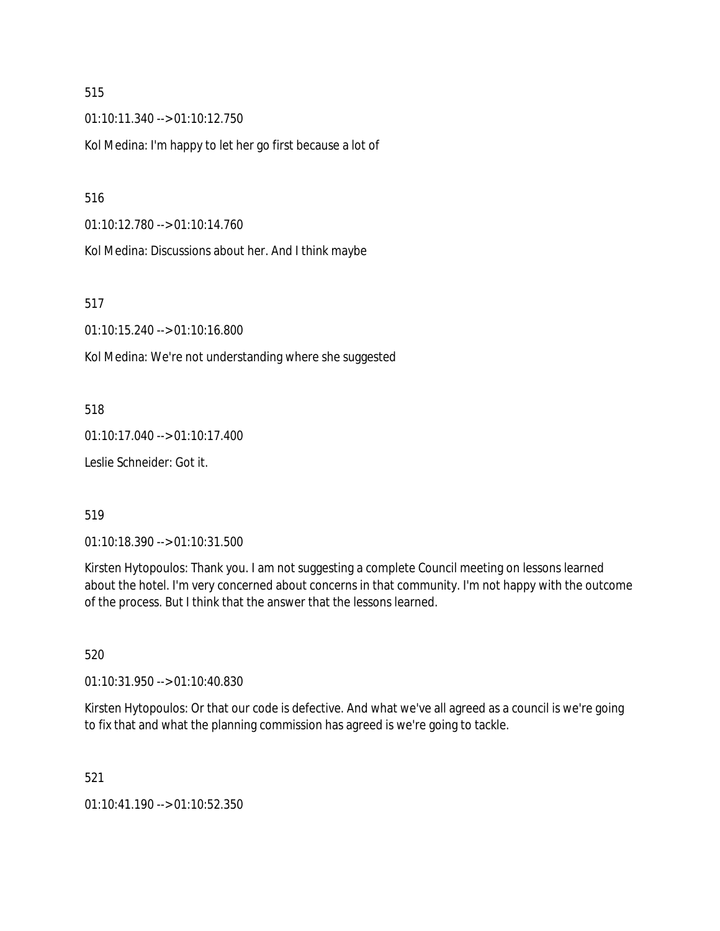01:10:11.340 --> 01:10:12.750

Kol Medina: I'm happy to let her go first because a lot of

#### 516

01:10:12.780 --> 01:10:14.760

Kol Medina: Discussions about her. And I think maybe

517

01:10:15.240 --> 01:10:16.800

Kol Medina: We're not understanding where she suggested

518

01:10:17.040 --> 01:10:17.400

Leslie Schneider: Got it.

#### 519

01:10:18.390 --> 01:10:31.500

Kirsten Hytopoulos: Thank you. I am not suggesting a complete Council meeting on lessons learned about the hotel. I'm very concerned about concerns in that community. I'm not happy with the outcome of the process. But I think that the answer that the lessons learned.

520

01:10:31.950 --> 01:10:40.830

Kirsten Hytopoulos: Or that our code is defective. And what we've all agreed as a council is we're going to fix that and what the planning commission has agreed is we're going to tackle.

521

01:10:41.190 --> 01:10:52.350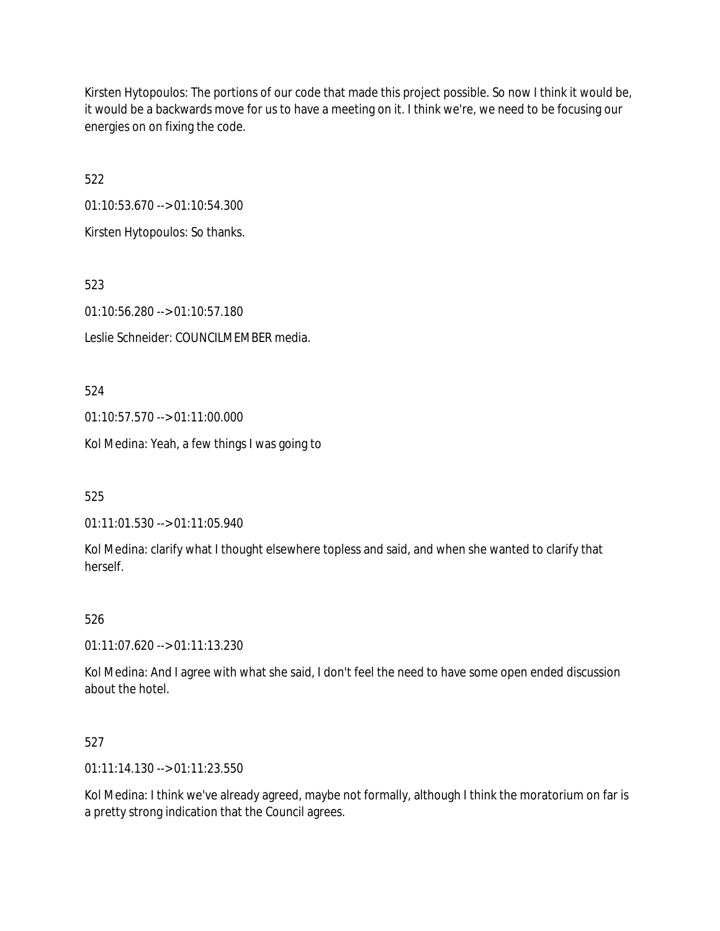Kirsten Hytopoulos: The portions of our code that made this project possible. So now I think it would be, it would be a backwards move for us to have a meeting on it. I think we're, we need to be focusing our energies on on fixing the code.

522

01:10:53.670 --> 01:10:54.300

Kirsten Hytopoulos: So thanks.

523

01:10:56.280 --> 01:10:57.180

Leslie Schneider: COUNCILMEMBER media.

524

01:10:57.570 --> 01:11:00.000

Kol Medina: Yeah, a few things I was going to

525

01:11:01.530 --> 01:11:05.940

Kol Medina: clarify what I thought elsewhere topless and said, and when she wanted to clarify that herself.

### 526

01:11:07.620 --> 01:11:13.230

Kol Medina: And I agree with what she said, I don't feel the need to have some open ended discussion about the hotel.

527

01:11:14.130 --> 01:11:23.550

Kol Medina: I think we've already agreed, maybe not formally, although I think the moratorium on far is a pretty strong indication that the Council agrees.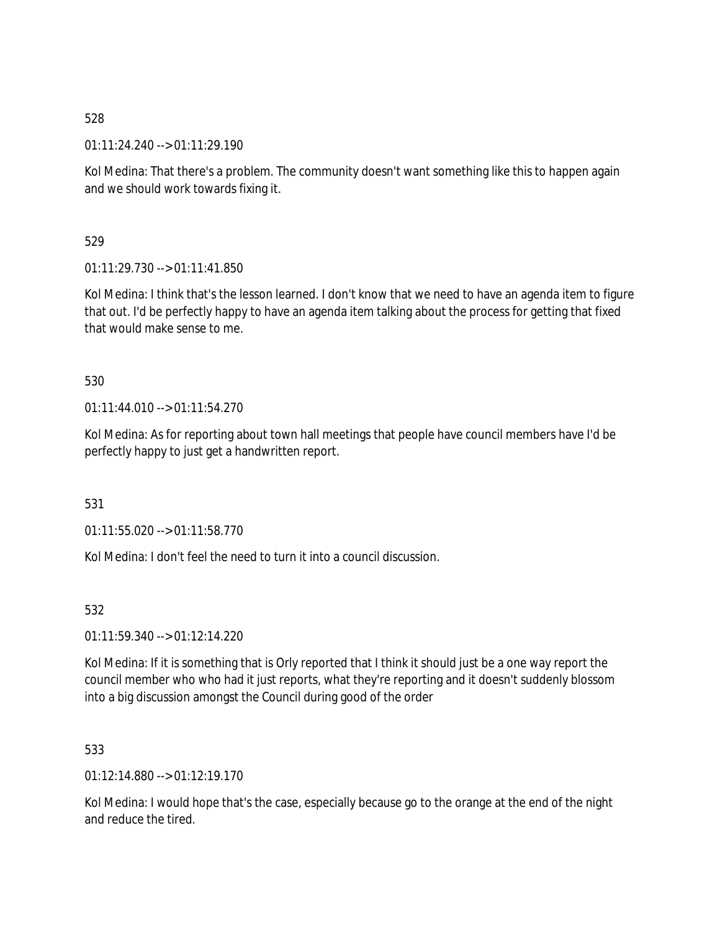01:11:24.240 --> 01:11:29.190

Kol Medina: That there's a problem. The community doesn't want something like this to happen again and we should work towards fixing it.

529

01:11:29.730 --> 01:11:41.850

Kol Medina: I think that's the lesson learned. I don't know that we need to have an agenda item to figure that out. I'd be perfectly happy to have an agenda item talking about the process for getting that fixed that would make sense to me.

530

01:11:44.010 --> 01:11:54.270

Kol Medina: As for reporting about town hall meetings that people have council members have I'd be perfectly happy to just get a handwritten report.

531

01:11:55.020 --> 01:11:58.770

Kol Medina: I don't feel the need to turn it into a council discussion.

532

01:11:59.340 --> 01:12:14.220

Kol Medina: If it is something that is Orly reported that I think it should just be a one way report the council member who who had it just reports, what they're reporting and it doesn't suddenly blossom into a big discussion amongst the Council during good of the order

533

01:12:14.880 --> 01:12:19.170

Kol Medina: I would hope that's the case, especially because go to the orange at the end of the night and reduce the tired.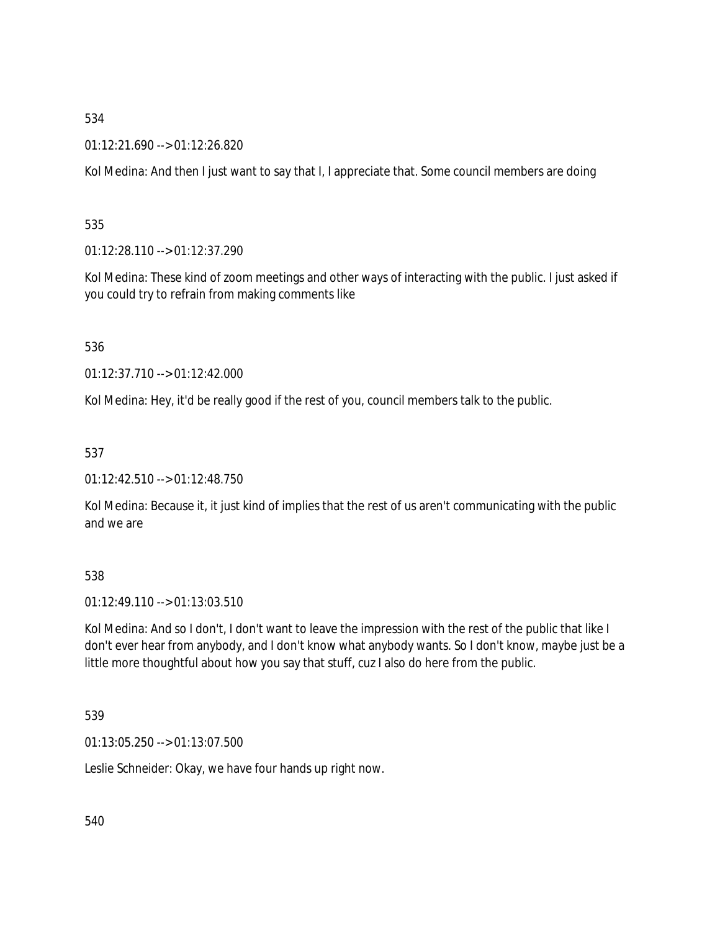01:12:21.690 --> 01:12:26.820

Kol Medina: And then I just want to say that I, I appreciate that. Some council members are doing

535

01:12:28.110 --> 01:12:37.290

Kol Medina: These kind of zoom meetings and other ways of interacting with the public. I just asked if you could try to refrain from making comments like

536

01:12:37.710 --> 01:12:42.000

Kol Medina: Hey, it'd be really good if the rest of you, council members talk to the public.

537

01:12:42.510 --> 01:12:48.750

Kol Medina: Because it, it just kind of implies that the rest of us aren't communicating with the public and we are

538

01:12:49.110 --> 01:13:03.510

Kol Medina: And so I don't, I don't want to leave the impression with the rest of the public that like I don't ever hear from anybody, and I don't know what anybody wants. So I don't know, maybe just be a little more thoughtful about how you say that stuff, cuz I also do here from the public.

539

01:13:05.250 --> 01:13:07.500

Leslie Schneider: Okay, we have four hands up right now.

540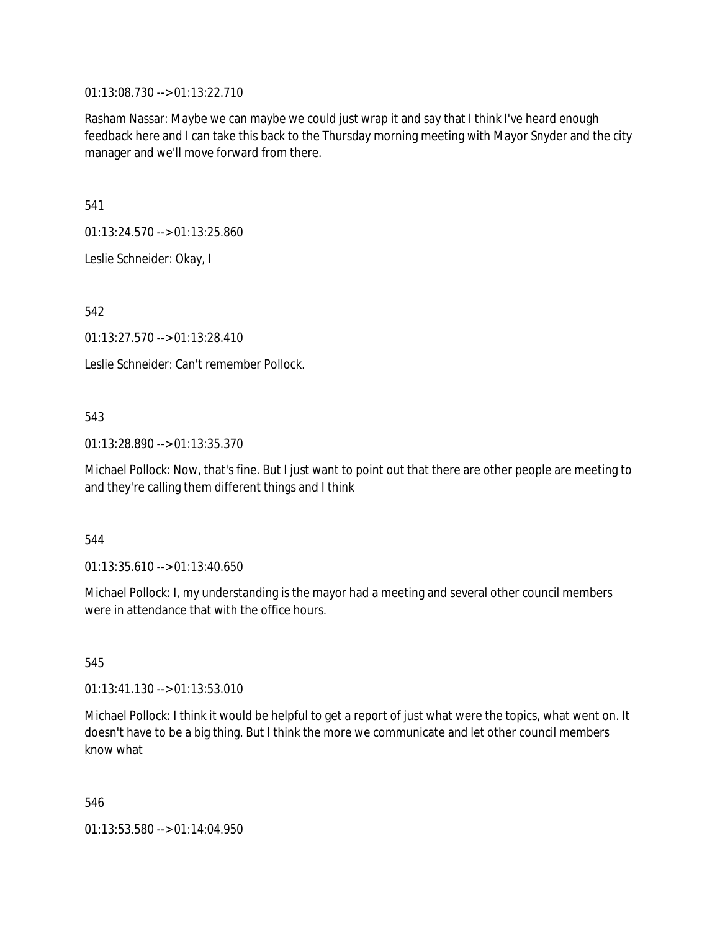01:13:08.730 --> 01:13:22.710

Rasham Nassar: Maybe we can maybe we could just wrap it and say that I think I've heard enough feedback here and I can take this back to the Thursday morning meeting with Mayor Snyder and the city manager and we'll move forward from there.

541

01:13:24.570 --> 01:13:25.860

Leslie Schneider: Okay, I

542

01:13:27.570 --> 01:13:28.410

Leslie Schneider: Can't remember Pollock.

# 543

01:13:28.890 --> 01:13:35.370

Michael Pollock: Now, that's fine. But I just want to point out that there are other people are meeting to and they're calling them different things and I think

### 544

01:13:35.610 --> 01:13:40.650

Michael Pollock: I, my understanding is the mayor had a meeting and several other council members were in attendance that with the office hours.

545

01:13:41.130 --> 01:13:53.010

Michael Pollock: I think it would be helpful to get a report of just what were the topics, what went on. It doesn't have to be a big thing. But I think the more we communicate and let other council members know what

546

01:13:53.580 --> 01:14:04.950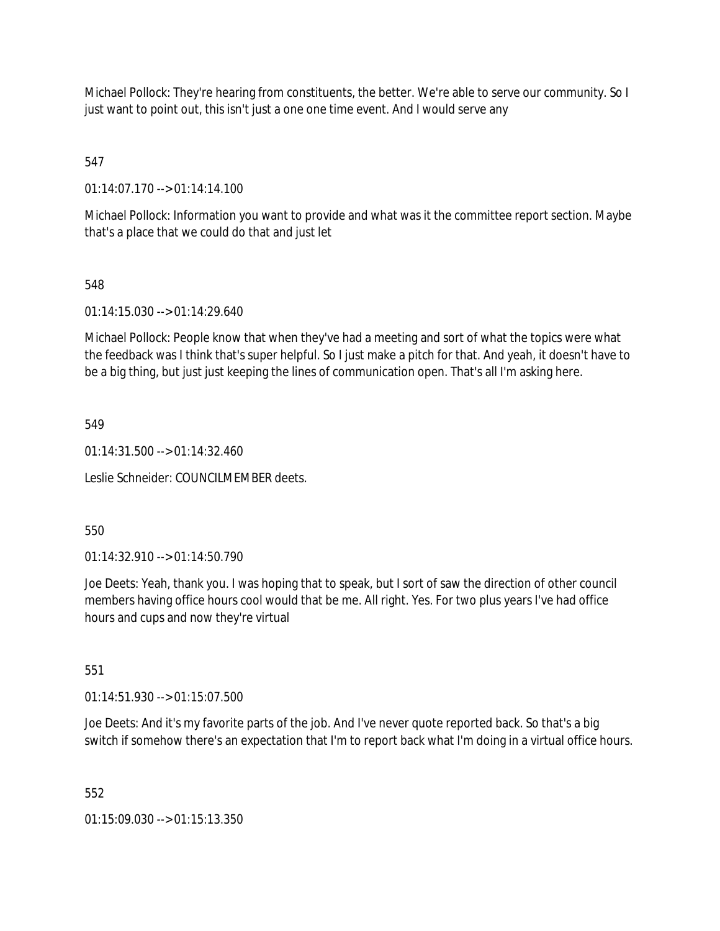Michael Pollock: They're hearing from constituents, the better. We're able to serve our community. So I just want to point out, this isn't just a one one time event. And I would serve any

547

01:14:07.170 --> 01:14:14.100

Michael Pollock: Information you want to provide and what was it the committee report section. Maybe that's a place that we could do that and just let

548

01:14:15.030 --> 01:14:29.640

Michael Pollock: People know that when they've had a meeting and sort of what the topics were what the feedback was I think that's super helpful. So I just make a pitch for that. And yeah, it doesn't have to be a big thing, but just just keeping the lines of communication open. That's all I'm asking here.

549

 $01:14:31.500 \rightarrow 01:14:32.460$ 

Leslie Schneider: COUNCILMEMBER deets.

550

01:14:32.910 --> 01:14:50.790

Joe Deets: Yeah, thank you. I was hoping that to speak, but I sort of saw the direction of other council members having office hours cool would that be me. All right. Yes. For two plus years I've had office hours and cups and now they're virtual

551

01:14:51.930 --> 01:15:07.500

Joe Deets: And it's my favorite parts of the job. And I've never quote reported back. So that's a big switch if somehow there's an expectation that I'm to report back what I'm doing in a virtual office hours.

552

 $01:15:09.030 \rightarrow 01:15:13.350$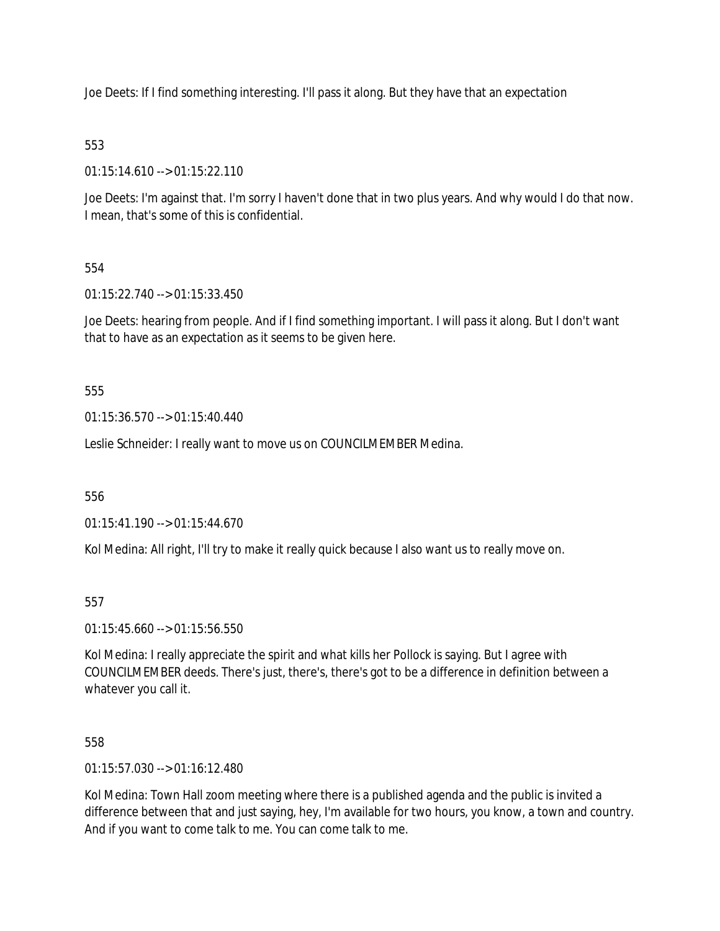Joe Deets: If I find something interesting. I'll pass it along. But they have that an expectation

# 553

01:15:14.610 --> 01:15:22.110

Joe Deets: I'm against that. I'm sorry I haven't done that in two plus years. And why would I do that now. I mean, that's some of this is confidential.

# 554

01:15:22.740 --> 01:15:33.450

Joe Deets: hearing from people. And if I find something important. I will pass it along. But I don't want that to have as an expectation as it seems to be given here.

555

01:15:36.570 --> 01:15:40.440

Leslie Schneider: I really want to move us on COUNCILMEMBER Medina.

556

01:15:41.190 --> 01:15:44.670

Kol Medina: All right, I'll try to make it really quick because I also want us to really move on.

### 557

01:15:45.660 --> 01:15:56.550

Kol Medina: I really appreciate the spirit and what kills her Pollock is saying. But I agree with COUNCILMEMBER deeds. There's just, there's, there's got to be a difference in definition between a whatever you call it.

558

01:15:57.030 --> 01:16:12.480

Kol Medina: Town Hall zoom meeting where there is a published agenda and the public is invited a difference between that and just saying, hey, I'm available for two hours, you know, a town and country. And if you want to come talk to me. You can come talk to me.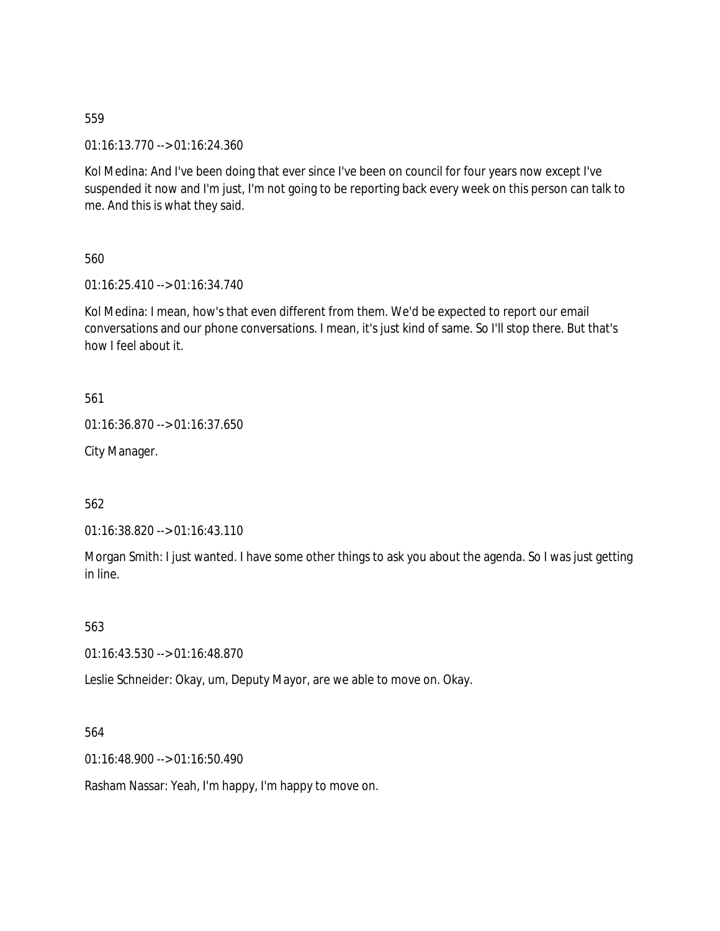01:16:13.770 --> 01:16:24.360

Kol Medina: And I've been doing that ever since I've been on council for four years now except I've suspended it now and I'm just, I'm not going to be reporting back every week on this person can talk to me. And this is what they said.

560

01:16:25.410 --> 01:16:34.740

Kol Medina: I mean, how's that even different from them. We'd be expected to report our email conversations and our phone conversations. I mean, it's just kind of same. So I'll stop there. But that's how I feel about it.

561

```
01:16:36.870 --> 01:16:37.650
```
City Manager.

562

01:16:38.820 --> 01:16:43.110

Morgan Smith: I just wanted. I have some other things to ask you about the agenda. So I was just getting in line.

563

01:16:43.530 --> 01:16:48.870

Leslie Schneider: Okay, um, Deputy Mayor, are we able to move on. Okay.

564

01:16:48.900 --> 01:16:50.490

Rasham Nassar: Yeah, I'm happy, I'm happy to move on.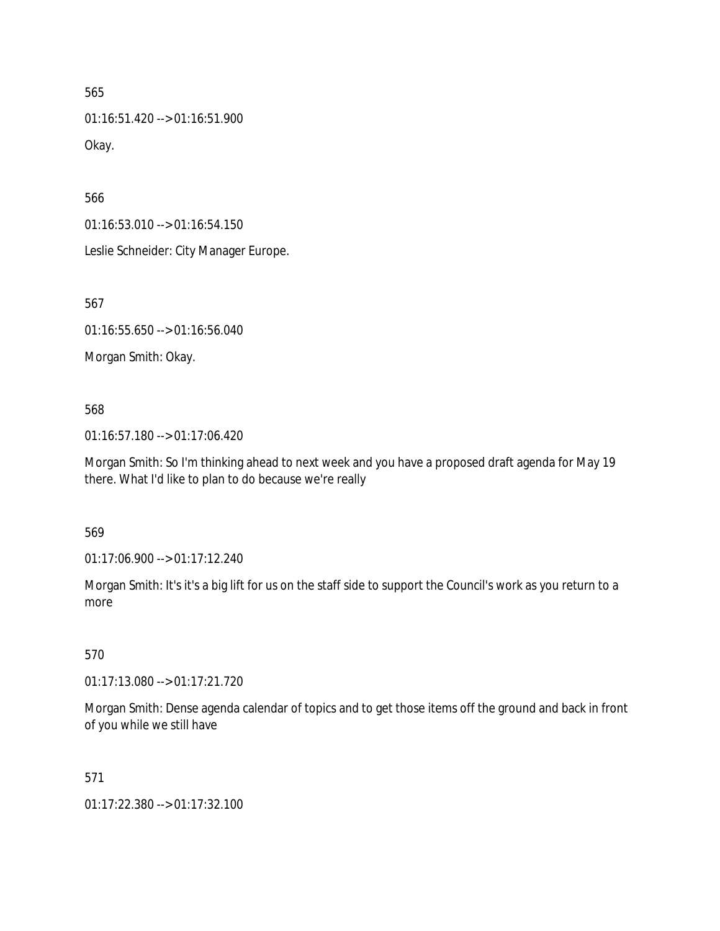01:16:51.420 --> 01:16:51.900 Okay.

566

01:16:53.010 --> 01:16:54.150

Leslie Schneider: City Manager Europe.

567

01:16:55.650 --> 01:16:56.040

Morgan Smith: Okay.

568

01:16:57.180 --> 01:17:06.420

Morgan Smith: So I'm thinking ahead to next week and you have a proposed draft agenda for May 19 there. What I'd like to plan to do because we're really

569

01:17:06.900 --> 01:17:12.240

Morgan Smith: It's it's a big lift for us on the staff side to support the Council's work as you return to a more

570

01:17:13.080 --> 01:17:21.720

Morgan Smith: Dense agenda calendar of topics and to get those items off the ground and back in front of you while we still have

571

01:17:22.380 --> 01:17:32.100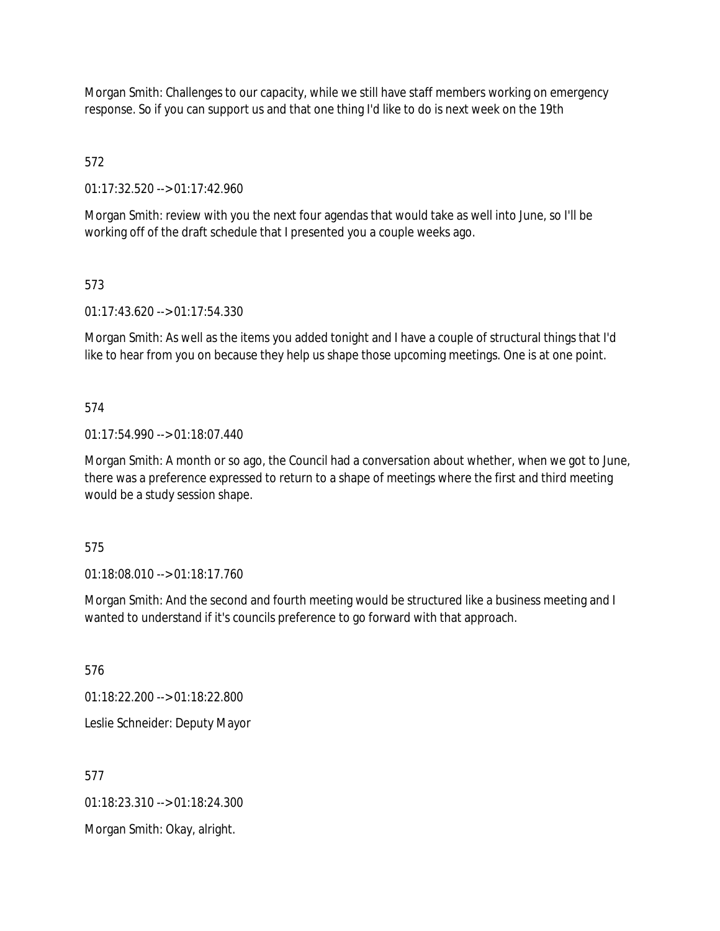Morgan Smith: Challenges to our capacity, while we still have staff members working on emergency response. So if you can support us and that one thing I'd like to do is next week on the 19th

572

01:17:32.520 --> 01:17:42.960

Morgan Smith: review with you the next four agendas that would take as well into June, so I'll be working off of the draft schedule that I presented you a couple weeks ago.

# 573

01:17:43.620 --> 01:17:54.330

Morgan Smith: As well as the items you added tonight and I have a couple of structural things that I'd like to hear from you on because they help us shape those upcoming meetings. One is at one point.

# 574

01:17:54.990 --> 01:18:07.440

Morgan Smith: A month or so ago, the Council had a conversation about whether, when we got to June, there was a preference expressed to return to a shape of meetings where the first and third meeting would be a study session shape.

### 575

01:18:08.010 --> 01:18:17.760

Morgan Smith: And the second and fourth meeting would be structured like a business meeting and I wanted to understand if it's councils preference to go forward with that approach.

576

01:18:22.200 --> 01:18:22.800

Leslie Schneider: Deputy Mayor

577

01:18:23.310 --> 01:18:24.300

Morgan Smith: Okay, alright.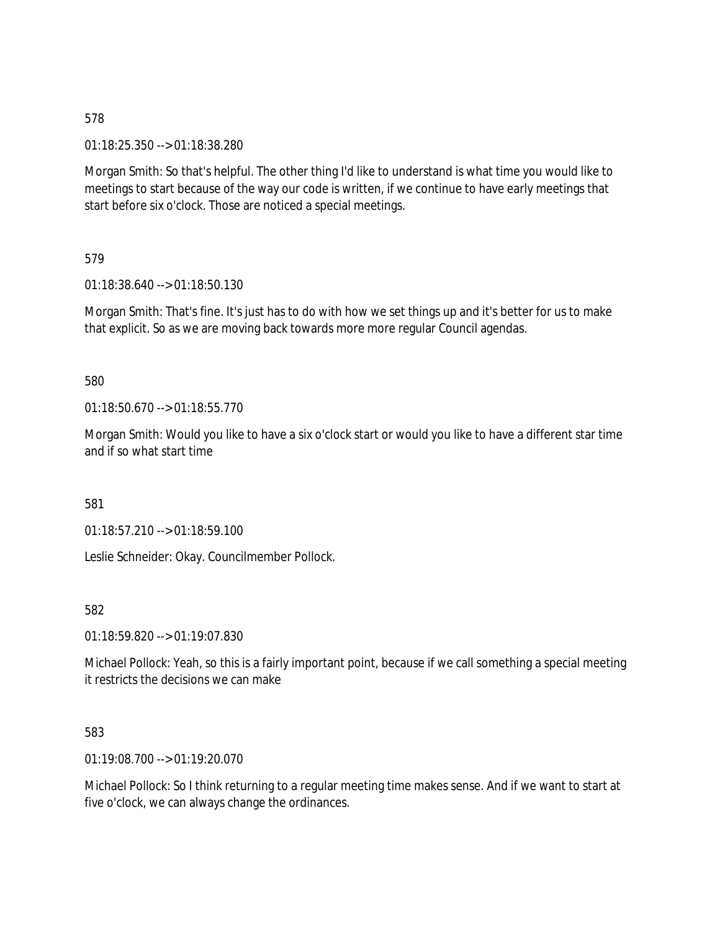01:18:25.350 --> 01:18:38.280

Morgan Smith: So that's helpful. The other thing I'd like to understand is what time you would like to meetings to start because of the way our code is written, if we continue to have early meetings that start before six o'clock. Those are noticed a special meetings.

579

01:18:38.640 --> 01:18:50.130

Morgan Smith: That's fine. It's just has to do with how we set things up and it's better for us to make that explicit. So as we are moving back towards more more regular Council agendas.

580

01:18:50.670 --> 01:18:55.770

Morgan Smith: Would you like to have a six o'clock start or would you like to have a different star time and if so what start time

581

01:18:57.210 --> 01:18:59.100

Leslie Schneider: Okay. Councilmember Pollock.

582

01:18:59.820 --> 01:19:07.830

Michael Pollock: Yeah, so this is a fairly important point, because if we call something a special meeting it restricts the decisions we can make

583

01:19:08.700 --> 01:19:20.070

Michael Pollock: So I think returning to a regular meeting time makes sense. And if we want to start at five o'clock, we can always change the ordinances.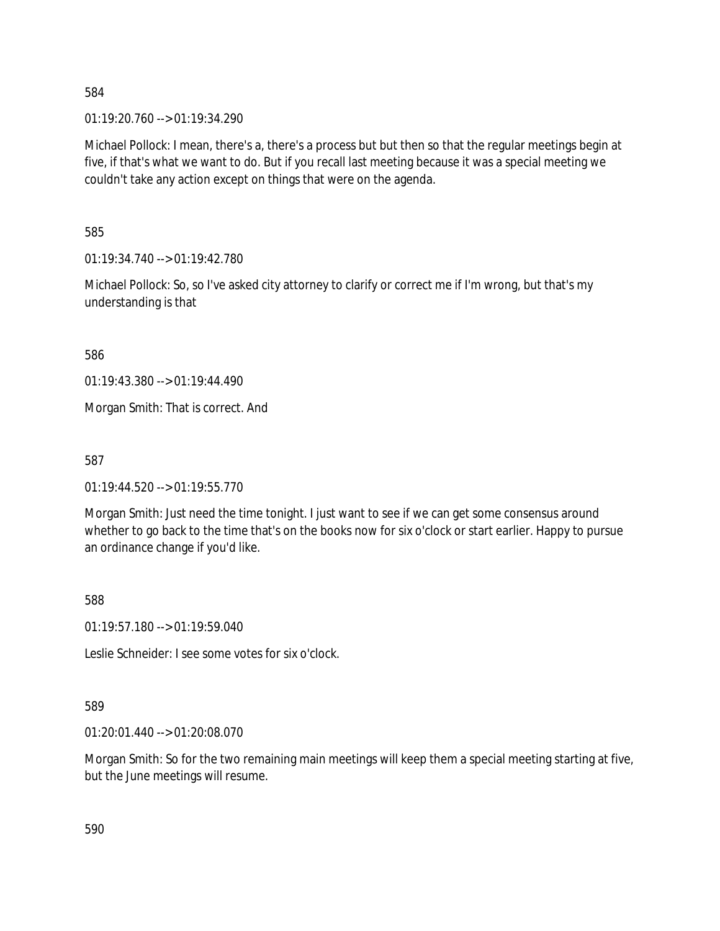01:19:20.760 --> 01:19:34.290

Michael Pollock: I mean, there's a, there's a process but but then so that the regular meetings begin at five, if that's what we want to do. But if you recall last meeting because it was a special meeting we couldn't take any action except on things that were on the agenda.

585

01:19:34.740 --> 01:19:42.780

Michael Pollock: So, so I've asked city attorney to clarify or correct me if I'm wrong, but that's my understanding is that

586

01:19:43.380 --> 01:19:44.490

Morgan Smith: That is correct. And

587

 $01:19:44.520 \rightarrow 01:19:55.770$ 

Morgan Smith: Just need the time tonight. I just want to see if we can get some consensus around whether to go back to the time that's on the books now for six o'clock or start earlier. Happy to pursue an ordinance change if you'd like.

588

01:19:57.180 --> 01:19:59.040

Leslie Schneider: I see some votes for six o'clock.

### 589

01:20:01.440 --> 01:20:08.070

Morgan Smith: So for the two remaining main meetings will keep them a special meeting starting at five, but the June meetings will resume.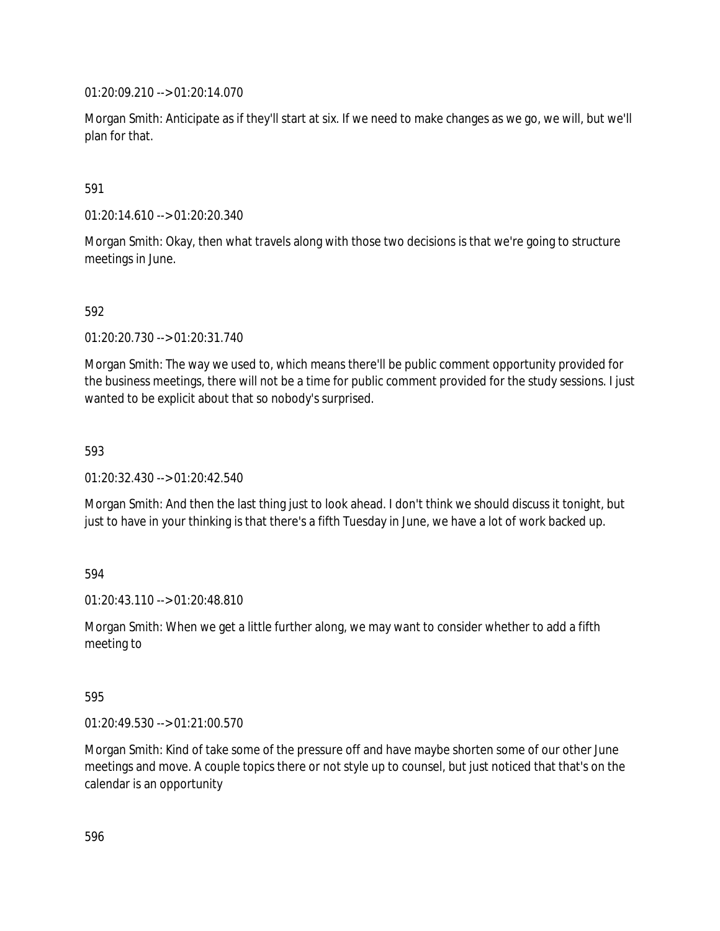01:20:09.210 --> 01:20:14.070

Morgan Smith: Anticipate as if they'll start at six. If we need to make changes as we go, we will, but we'll plan for that.

### 591

01:20:14.610 --> 01:20:20.340

Morgan Smith: Okay, then what travels along with those two decisions is that we're going to structure meetings in June.

### 592

01:20:20.730 --> 01:20:31.740

Morgan Smith: The way we used to, which means there'll be public comment opportunity provided for the business meetings, there will not be a time for public comment provided for the study sessions. I just wanted to be explicit about that so nobody's surprised.

### 593

01:20:32.430 --> 01:20:42.540

Morgan Smith: And then the last thing just to look ahead. I don't think we should discuss it tonight, but just to have in your thinking is that there's a fifth Tuesday in June, we have a lot of work backed up.

# 594

01:20:43.110 --> 01:20:48.810

Morgan Smith: When we get a little further along, we may want to consider whether to add a fifth meeting to

### 595

01:20:49.530 --> 01:21:00.570

Morgan Smith: Kind of take some of the pressure off and have maybe shorten some of our other June meetings and move. A couple topics there or not style up to counsel, but just noticed that that's on the calendar is an opportunity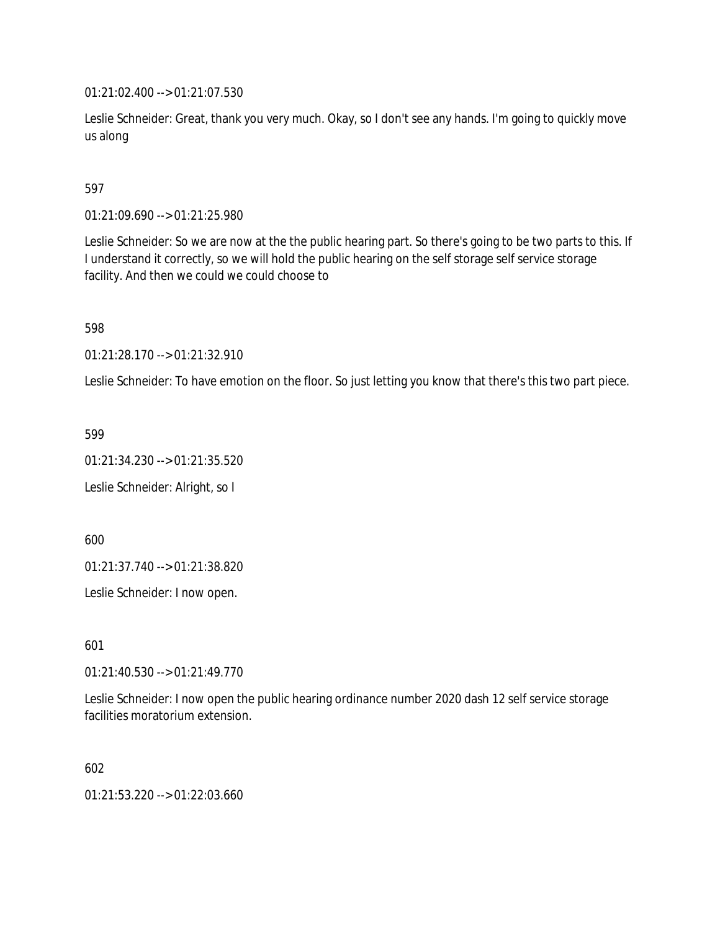01:21:02.400 --> 01:21:07.530

Leslie Schneider: Great, thank you very much. Okay, so I don't see any hands. I'm going to quickly move us along

## 597

01:21:09.690 --> 01:21:25.980

Leslie Schneider: So we are now at the the public hearing part. So there's going to be two parts to this. If I understand it correctly, so we will hold the public hearing on the self storage self service storage facility. And then we could we could choose to

598

01:21:28.170 --> 01:21:32.910

Leslie Schneider: To have emotion on the floor. So just letting you know that there's this two part piece.

599

01:21:34.230 --> 01:21:35.520

Leslie Schneider: Alright, so I

600

01:21:37.740 --> 01:21:38.820

Leslie Schneider: I now open.

601

01:21:40.530 --> 01:21:49.770

Leslie Schneider: I now open the public hearing ordinance number 2020 dash 12 self service storage facilities moratorium extension.

602

01:21:53.220 --> 01:22:03.660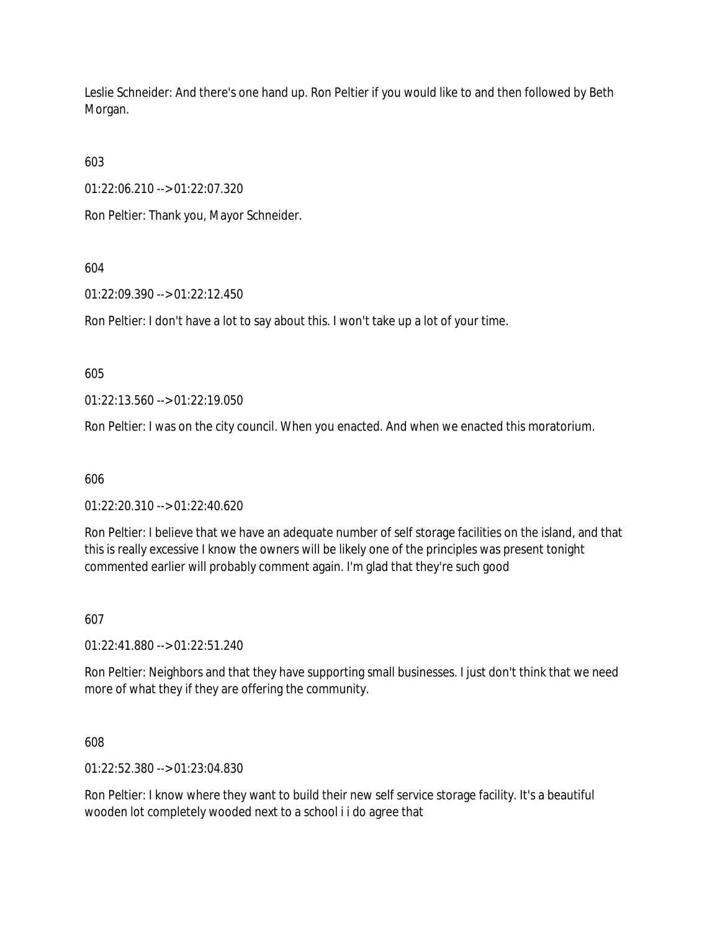Leslie Schneider: And there's one hand up. Ron Peltier if you would like to and then followed by Beth Morgan.

603

01:22:06.210 --> 01:22:07.320

Ron Peltier: Thank you, Mayor Schneider.

604

01:22:09.390 --> 01:22:12.450

Ron Peltier: I don't have a lot to say about this. I won't take up a lot of your time.

605

01:22:13.560 --> 01:22:19.050

Ron Peltier: I was on the city council. When you enacted. And when we enacted this moratorium.

606

01:22:20.310 --> 01:22:40.620

Ron Peltier: I believe that we have an adequate number of self storage facilities on the island, and that this is really excessive I know the owners will be likely one of the principles was present tonight commented earlier will probably comment again. I'm glad that they're such good

607

01:22:41.880 --> 01:22:51.240

Ron Peltier: Neighbors and that they have supporting small businesses. I just don't think that we need more of what they if they are offering the community.

608

01:22:52.380 --> 01:23:04.830

Ron Peltier: I know where they want to build their new self service storage facility. It's a beautiful wooden lot completely wooded next to a school i i do agree that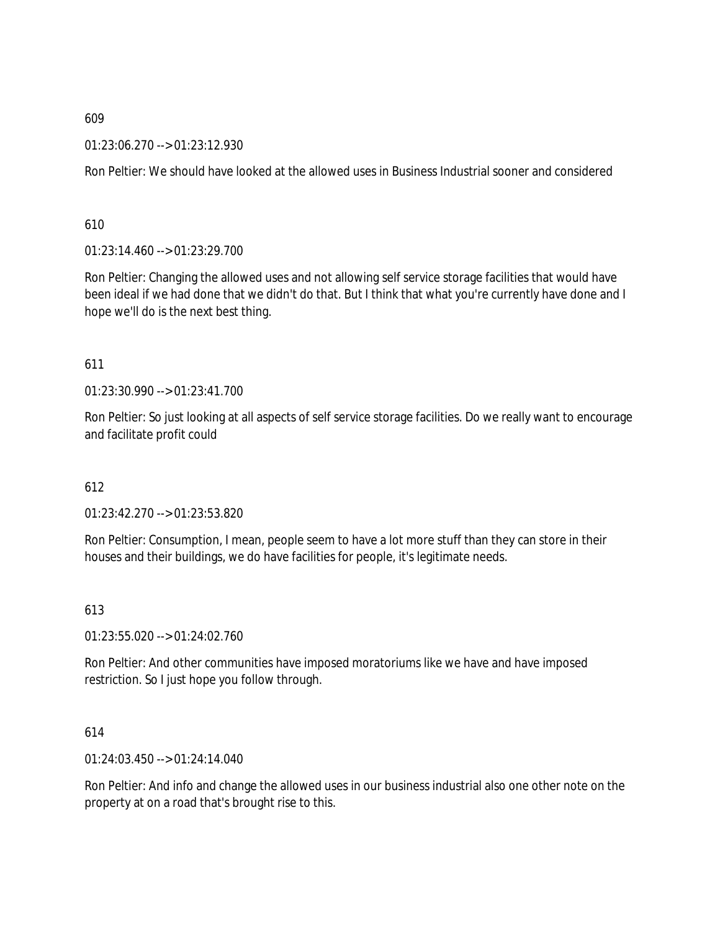01:23:06.270 --> 01:23:12.930

Ron Peltier: We should have looked at the allowed uses in Business Industrial sooner and considered

610

01:23:14.460 --> 01:23:29.700

Ron Peltier: Changing the allowed uses and not allowing self service storage facilities that would have been ideal if we had done that we didn't do that. But I think that what you're currently have done and I hope we'll do is the next best thing.

### 611

01:23:30.990 --> 01:23:41.700

Ron Peltier: So just looking at all aspects of self service storage facilities. Do we really want to encourage and facilitate profit could

### 612

01:23:42.270 --> 01:23:53.820

Ron Peltier: Consumption, I mean, people seem to have a lot more stuff than they can store in their houses and their buildings, we do have facilities for people, it's legitimate needs.

### 613

01:23:55.020 --> 01:24:02.760

Ron Peltier: And other communities have imposed moratoriums like we have and have imposed restriction. So I just hope you follow through.

### 614

01:24:03.450 --> 01:24:14.040

Ron Peltier: And info and change the allowed uses in our business industrial also one other note on the property at on a road that's brought rise to this.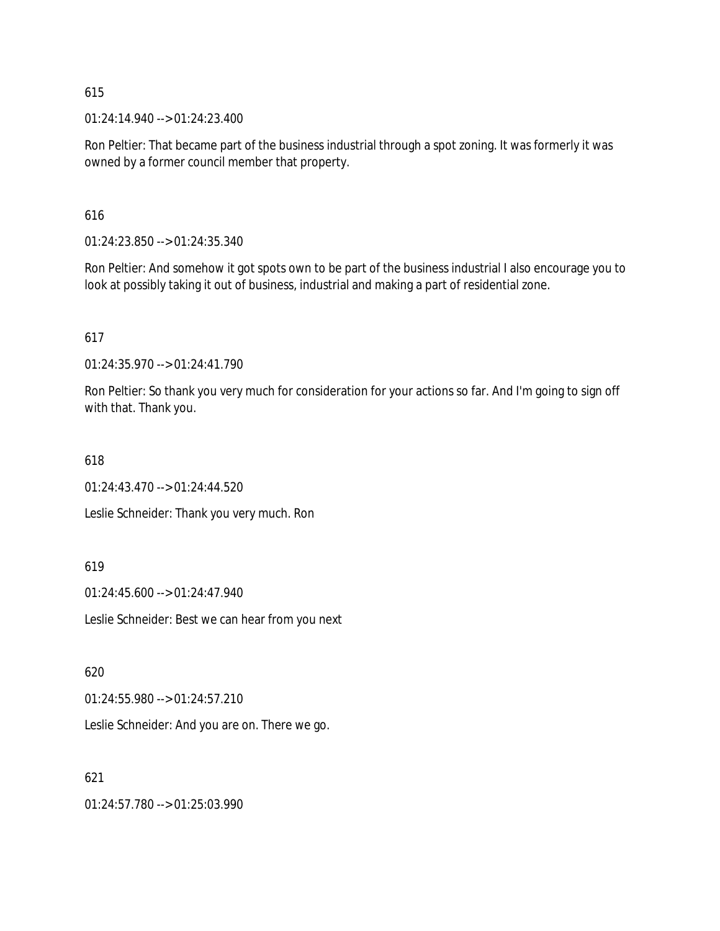01:24:14.940 --> 01:24:23.400

Ron Peltier: That became part of the business industrial through a spot zoning. It was formerly it was owned by a former council member that property.

616

01:24:23.850 --> 01:24:35.340

Ron Peltier: And somehow it got spots own to be part of the business industrial I also encourage you to look at possibly taking it out of business, industrial and making a part of residential zone.

617

01:24:35.970 --> 01:24:41.790

Ron Peltier: So thank you very much for consideration for your actions so far. And I'm going to sign off with that. Thank you.

618

01:24:43.470 --> 01:24:44.520

Leslie Schneider: Thank you very much. Ron

619

01:24:45.600 --> 01:24:47.940

Leslie Schneider: Best we can hear from you next

620

01:24:55.980 --> 01:24:57.210

Leslie Schneider: And you are on. There we go.

621

01:24:57.780 --> 01:25:03.990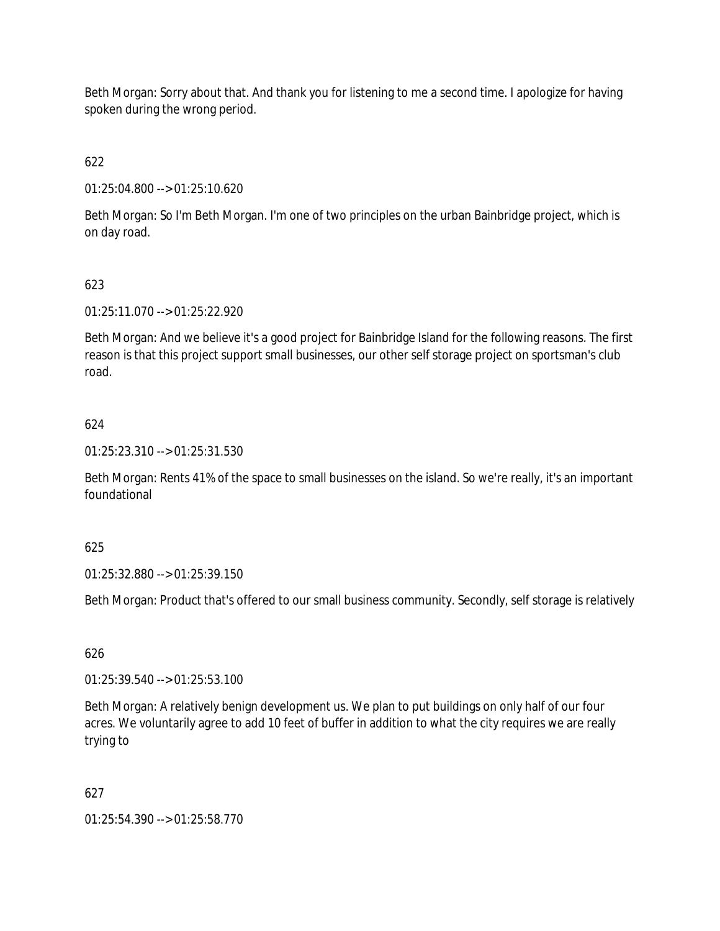Beth Morgan: Sorry about that. And thank you for listening to me a second time. I apologize for having spoken during the wrong period.

622

01:25:04.800 --> 01:25:10.620

Beth Morgan: So I'm Beth Morgan. I'm one of two principles on the urban Bainbridge project, which is on day road.

# 623

01:25:11.070 --> 01:25:22.920

Beth Morgan: And we believe it's a good project for Bainbridge Island for the following reasons. The first reason is that this project support small businesses, our other self storage project on sportsman's club road.

# 624

01:25:23.310 --> 01:25:31.530

Beth Morgan: Rents 41% of the space to small businesses on the island. So we're really, it's an important foundational

### 625

01:25:32.880 --> 01:25:39.150

Beth Morgan: Product that's offered to our small business community. Secondly, self storage is relatively

## 626

01:25:39.540 --> 01:25:53.100

Beth Morgan: A relatively benign development us. We plan to put buildings on only half of our four acres. We voluntarily agree to add 10 feet of buffer in addition to what the city requires we are really trying to

# 627

01:25:54.390 --> 01:25:58.770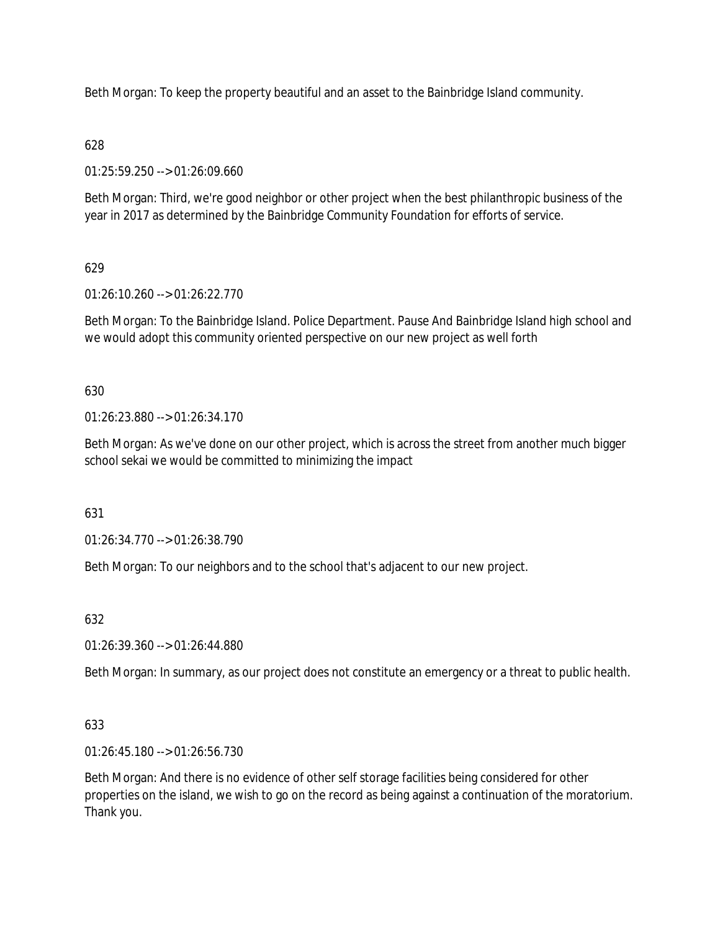Beth Morgan: To keep the property beautiful and an asset to the Bainbridge Island community.

# 628

01:25:59.250 --> 01:26:09.660

Beth Morgan: Third, we're good neighbor or other project when the best philanthropic business of the year in 2017 as determined by the Bainbridge Community Foundation for efforts of service.

# 629

01:26:10.260 --> 01:26:22.770

Beth Morgan: To the Bainbridge Island. Police Department. Pause And Bainbridge Island high school and we would adopt this community oriented perspective on our new project as well forth

# 630

01:26:23.880 --> 01:26:34.170

Beth Morgan: As we've done on our other project, which is across the street from another much bigger school sekai we would be committed to minimizing the impact

# 631

01:26:34.770 --> 01:26:38.790

Beth Morgan: To our neighbors and to the school that's adjacent to our new project.

# 632

01:26:39.360 --> 01:26:44.880

Beth Morgan: In summary, as our project does not constitute an emergency or a threat to public health.

# 633

01:26:45.180 --> 01:26:56.730

Beth Morgan: And there is no evidence of other self storage facilities being considered for other properties on the island, we wish to go on the record as being against a continuation of the moratorium. Thank you.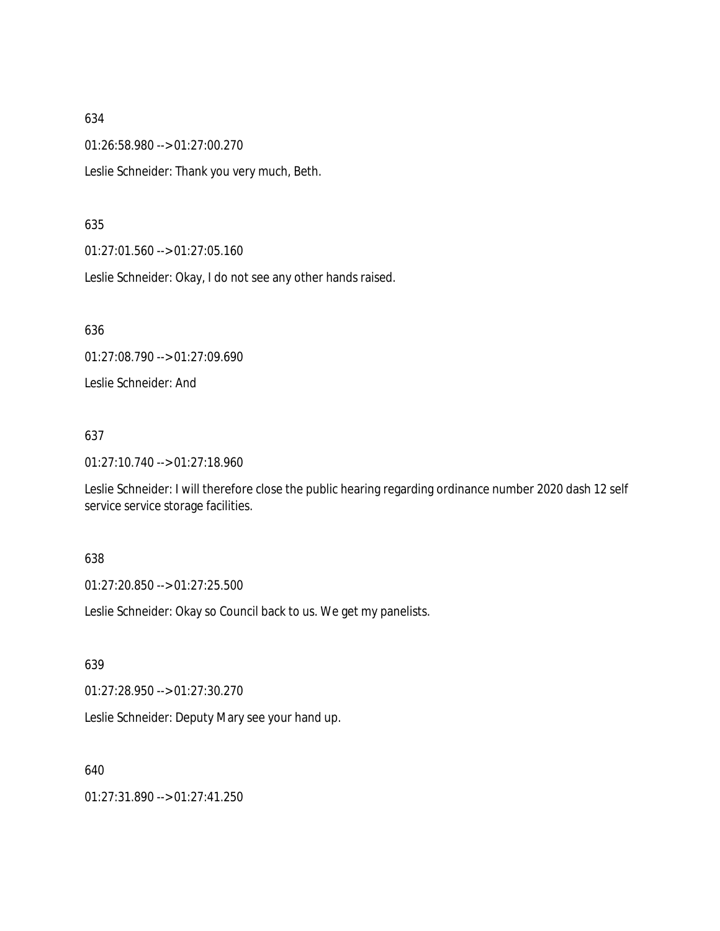01:26:58.980 --> 01:27:00.270

Leslie Schneider: Thank you very much, Beth.

#### 635

01:27:01.560 --> 01:27:05.160

Leslie Schneider: Okay, I do not see any other hands raised.

636

01:27:08.790 --> 01:27:09.690

Leslie Schneider: And

### 637

01:27:10.740 --> 01:27:18.960

Leslie Schneider: I will therefore close the public hearing regarding ordinance number 2020 dash 12 self service service storage facilities.

### 638

01:27:20.850 --> 01:27:25.500

Leslie Schneider: Okay so Council back to us. We get my panelists.

### 639

01:27:28.950 --> 01:27:30.270

Leslie Schneider: Deputy Mary see your hand up.

### 640

01:27:31.890 --> 01:27:41.250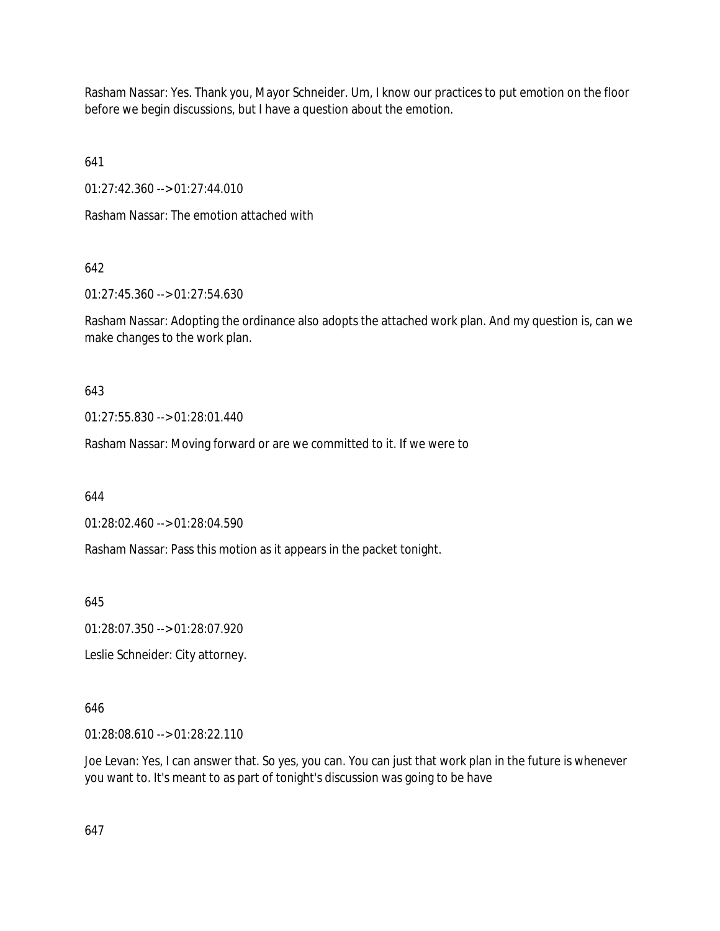Rasham Nassar: Yes. Thank you, Mayor Schneider. Um, I know our practices to put emotion on the floor before we begin discussions, but I have a question about the emotion.

641

01:27:42.360 --> 01:27:44.010

Rasham Nassar: The emotion attached with

# 642

01:27:45.360 --> 01:27:54.630

Rasham Nassar: Adopting the ordinance also adopts the attached work plan. And my question is, can we make changes to the work plan.

643

01:27:55.830 --> 01:28:01.440

Rasham Nassar: Moving forward or are we committed to it. If we were to

644

01:28:02.460 --> 01:28:04.590

Rasham Nassar: Pass this motion as it appears in the packet tonight.

645

01:28:07.350 --> 01:28:07.920

Leslie Schneider: City attorney.

### 646

01:28:08.610 --> 01:28:22.110

Joe Levan: Yes, I can answer that. So yes, you can. You can just that work plan in the future is whenever you want to. It's meant to as part of tonight's discussion was going to be have

647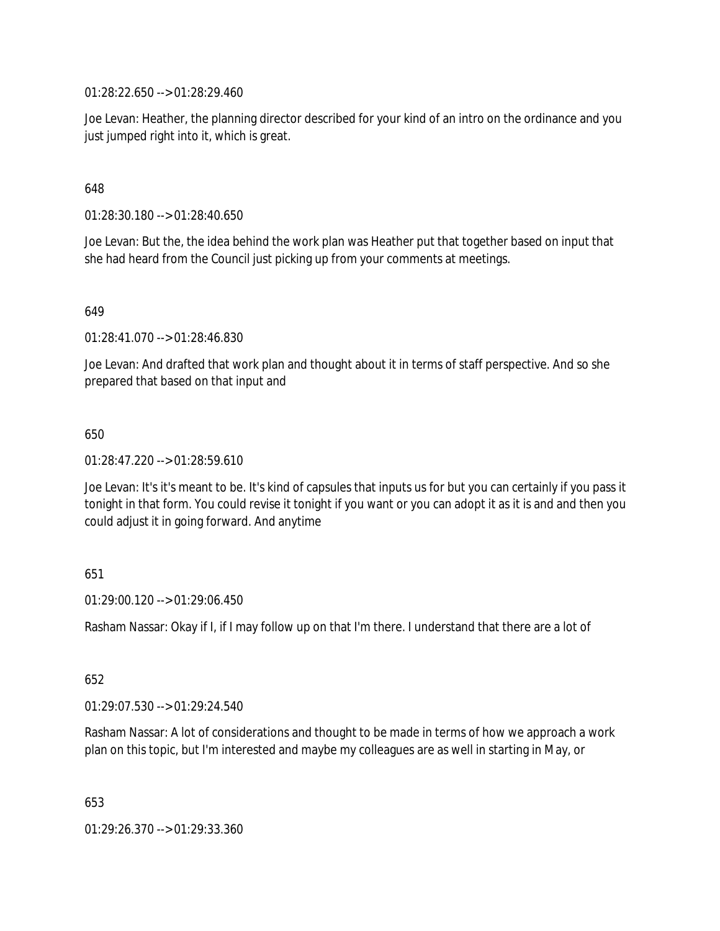01:28:22.650 --> 01:28:29.460

Joe Levan: Heather, the planning director described for your kind of an intro on the ordinance and you just jumped right into it, which is great.

### 648

01:28:30.180 --> 01:28:40.650

Joe Levan: But the, the idea behind the work plan was Heather put that together based on input that she had heard from the Council just picking up from your comments at meetings.

649

01:28:41.070 --> 01:28:46.830

Joe Levan: And drafted that work plan and thought about it in terms of staff perspective. And so she prepared that based on that input and

### 650

01:28:47.220 --> 01:28:59.610

Joe Levan: It's it's meant to be. It's kind of capsules that inputs us for but you can certainly if you pass it tonight in that form. You could revise it tonight if you want or you can adopt it as it is and and then you could adjust it in going forward. And anytime

### 651

 $01:29:00.120 \rightarrow 01:29:06.450$ 

Rasham Nassar: Okay if I, if I may follow up on that I'm there. I understand that there are a lot of

652

01:29:07.530 --> 01:29:24.540

Rasham Nassar: A lot of considerations and thought to be made in terms of how we approach a work plan on this topic, but I'm interested and maybe my colleagues are as well in starting in May, or

653

01:29:26.370 --> 01:29:33.360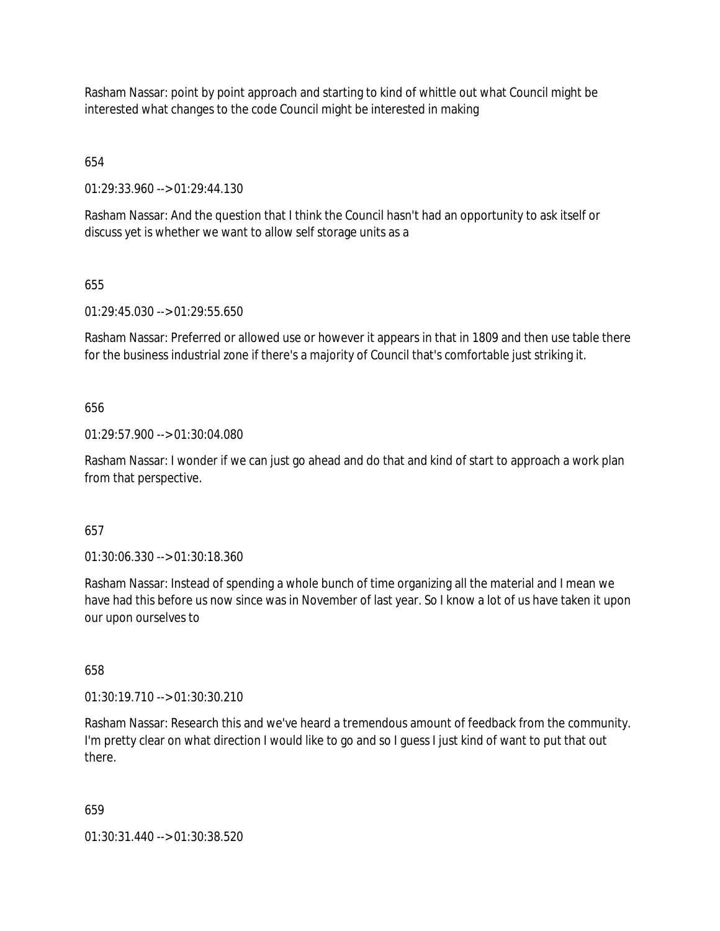Rasham Nassar: point by point approach and starting to kind of whittle out what Council might be interested what changes to the code Council might be interested in making

654

01:29:33.960 --> 01:29:44.130

Rasham Nassar: And the question that I think the Council hasn't had an opportunity to ask itself or discuss yet is whether we want to allow self storage units as a

## 655

01:29:45.030 --> 01:29:55.650

Rasham Nassar: Preferred or allowed use or however it appears in that in 1809 and then use table there for the business industrial zone if there's a majority of Council that's comfortable just striking it.

## 656

01:29:57.900 --> 01:30:04.080

Rasham Nassar: I wonder if we can just go ahead and do that and kind of start to approach a work plan from that perspective.

### 657

01:30:06.330 --> 01:30:18.360

Rasham Nassar: Instead of spending a whole bunch of time organizing all the material and I mean we have had this before us now since was in November of last year. So I know a lot of us have taken it upon our upon ourselves to

658

01:30:19.710 --> 01:30:30.210

Rasham Nassar: Research this and we've heard a tremendous amount of feedback from the community. I'm pretty clear on what direction I would like to go and so I guess I just kind of want to put that out there.

659

01:30:31.440 --> 01:30:38.520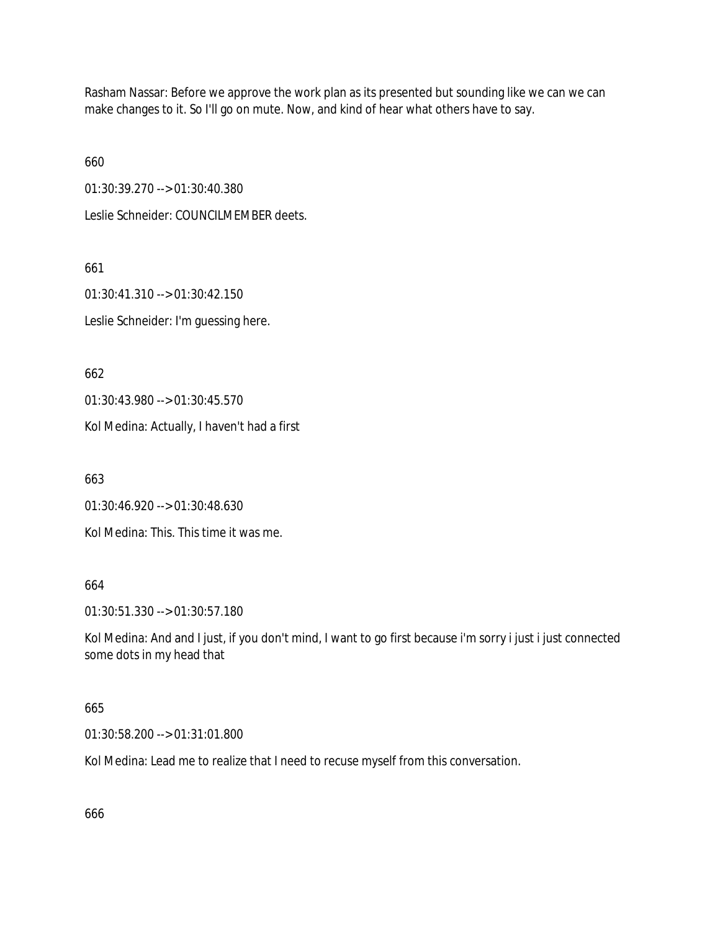Rasham Nassar: Before we approve the work plan as its presented but sounding like we can we can make changes to it. So I'll go on mute. Now, and kind of hear what others have to say.

660

01:30:39.270 --> 01:30:40.380

Leslie Schneider: COUNCILMEMBER deets.

661 01:30:41.310 --> 01:30:42.150

Leslie Schneider: I'm guessing here.

662

01:30:43.980 --> 01:30:45.570

Kol Medina: Actually, I haven't had a first

663

01:30:46.920 --> 01:30:48.630

Kol Medina: This. This time it was me.

664

01:30:51.330 --> 01:30:57.180

Kol Medina: And and I just, if you don't mind, I want to go first because i'm sorry i just i just connected some dots in my head that

### 665

01:30:58.200 --> 01:31:01.800

Kol Medina: Lead me to realize that I need to recuse myself from this conversation.

666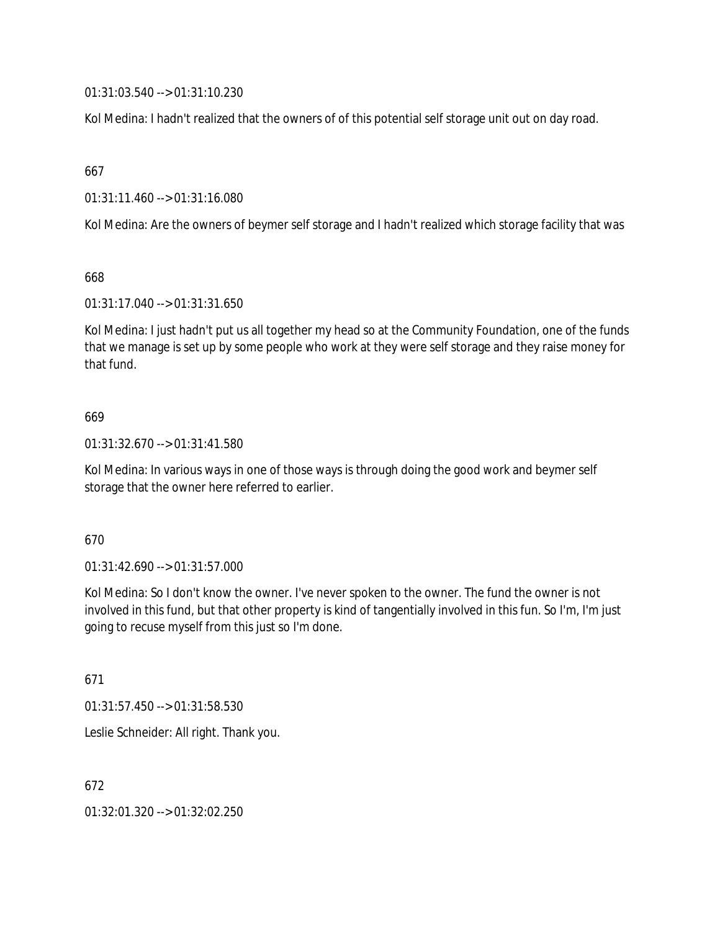01:31:03.540 --> 01:31:10.230

Kol Medina: I hadn't realized that the owners of of this potential self storage unit out on day road.

667

01:31:11.460 --> 01:31:16.080

Kol Medina: Are the owners of beymer self storage and I hadn't realized which storage facility that was

668

01:31:17.040 --> 01:31:31.650

Kol Medina: I just hadn't put us all together my head so at the Community Foundation, one of the funds that we manage is set up by some people who work at they were self storage and they raise money for that fund.

## 669

01:31:32.670 --> 01:31:41.580

Kol Medina: In various ways in one of those ways is through doing the good work and beymer self storage that the owner here referred to earlier.

### 670

01:31:42.690 --> 01:31:57.000

Kol Medina: So I don't know the owner. I've never spoken to the owner. The fund the owner is not involved in this fund, but that other property is kind of tangentially involved in this fun. So I'm, I'm just going to recuse myself from this just so I'm done.

671

01:31:57.450 --> 01:31:58.530

Leslie Schneider: All right. Thank you.

672

01:32:01.320 --> 01:32:02.250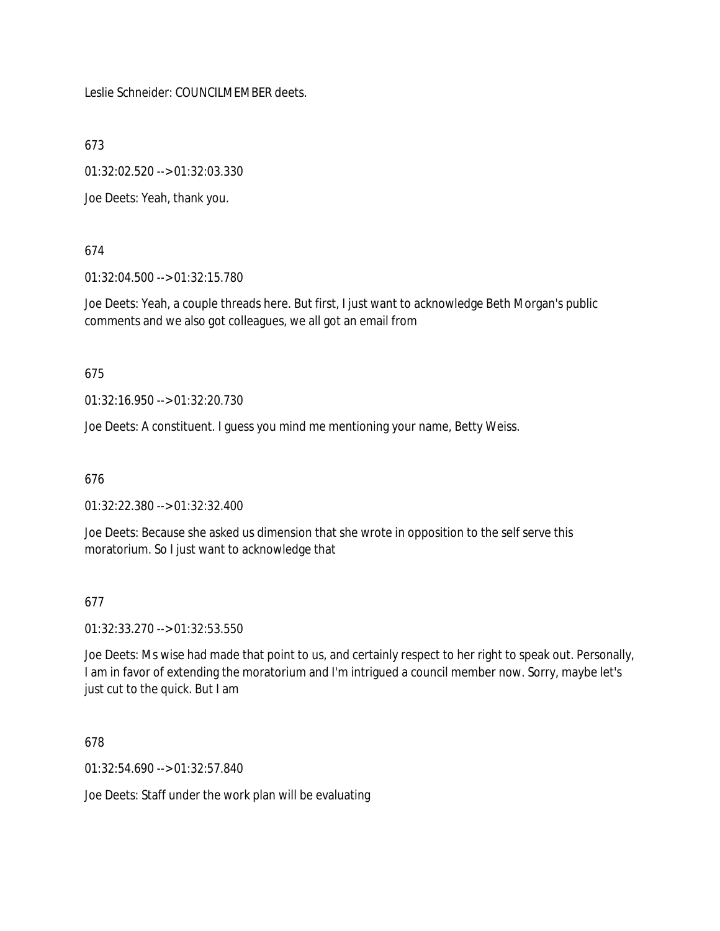Leslie Schneider: COUNCILMEMBER deets.

673

01:32:02.520 --> 01:32:03.330

Joe Deets: Yeah, thank you.

## 674

01:32:04.500 --> 01:32:15.780

Joe Deets: Yeah, a couple threads here. But first, I just want to acknowledge Beth Morgan's public comments and we also got colleagues, we all got an email from

## 675

01:32:16.950 --> 01:32:20.730

Joe Deets: A constituent. I guess you mind me mentioning your name, Betty Weiss.

# 676

01:32:22.380 --> 01:32:32.400

Joe Deets: Because she asked us dimension that she wrote in opposition to the self serve this moratorium. So I just want to acknowledge that

# 677

01:32:33.270 --> 01:32:53.550

Joe Deets: Ms wise had made that point to us, and certainly respect to her right to speak out. Personally, I am in favor of extending the moratorium and I'm intrigued a council member now. Sorry, maybe let's just cut to the quick. But I am

678

01:32:54.690 --> 01:32:57.840

Joe Deets: Staff under the work plan will be evaluating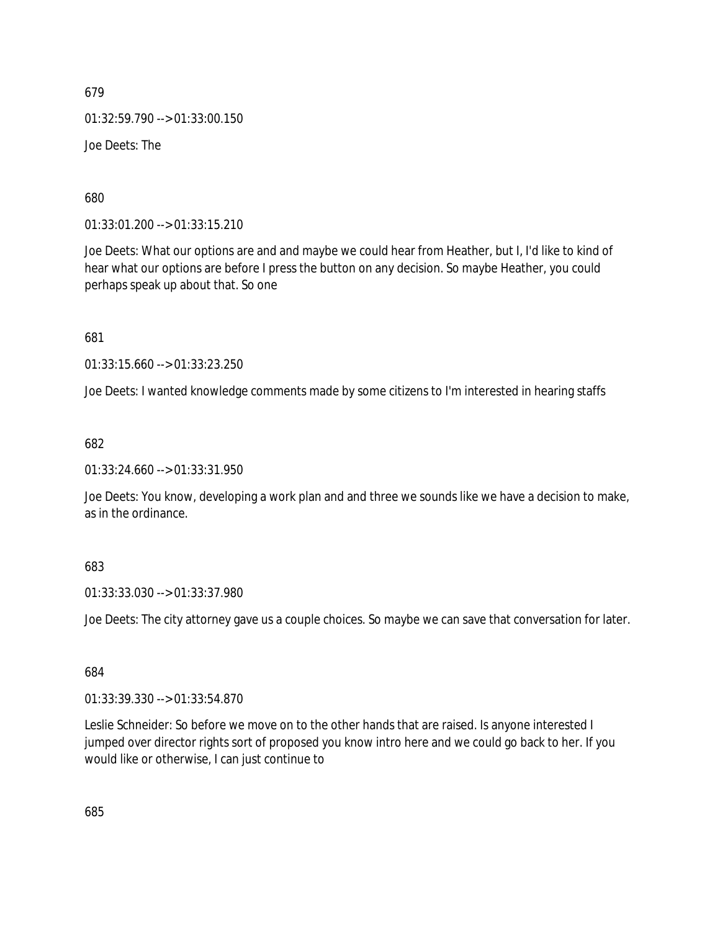679 01:32:59.790 --> 01:33:00.150 Joe Deets: The

680

01:33:01.200 --> 01:33:15.210

Joe Deets: What our options are and and maybe we could hear from Heather, but I, I'd like to kind of hear what our options are before I press the button on any decision. So maybe Heather, you could perhaps speak up about that. So one

681

01:33:15.660 --> 01:33:23.250

Joe Deets: I wanted knowledge comments made by some citizens to I'm interested in hearing staffs

682

01:33:24.660 --> 01:33:31.950

Joe Deets: You know, developing a work plan and and three we sounds like we have a decision to make, as in the ordinance.

#### 683

01:33:33.030 --> 01:33:37.980

Joe Deets: The city attorney gave us a couple choices. So maybe we can save that conversation for later.

684

01:33:39.330 --> 01:33:54.870

Leslie Schneider: So before we move on to the other hands that are raised. Is anyone interested I jumped over director rights sort of proposed you know intro here and we could go back to her. If you would like or otherwise, I can just continue to

685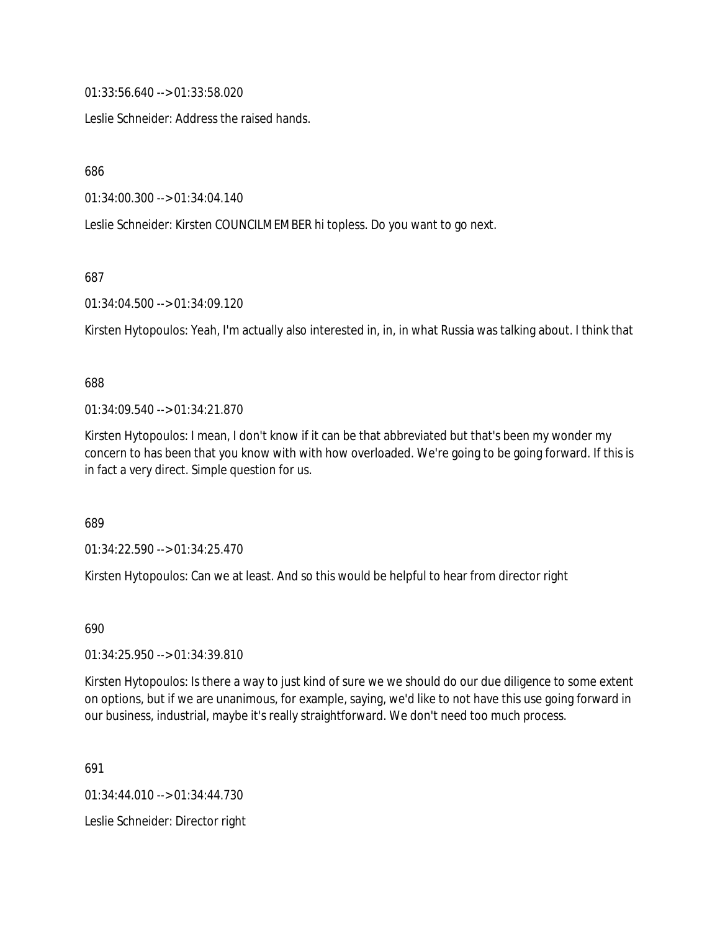01:33:56.640 --> 01:33:58.020

Leslie Schneider: Address the raised hands.

686

01:34:00.300 --> 01:34:04.140

Leslie Schneider: Kirsten COUNCILMEMBER hi topless. Do you want to go next.

687

01:34:04.500 --> 01:34:09.120

Kirsten Hytopoulos: Yeah, I'm actually also interested in, in, in what Russia was talking about. I think that

#### 688

01:34:09.540 --> 01:34:21.870

Kirsten Hytopoulos: I mean, I don't know if it can be that abbreviated but that's been my wonder my concern to has been that you know with with how overloaded. We're going to be going forward. If this is in fact a very direct. Simple question for us.

689

01:34:22.590 --> 01:34:25.470

Kirsten Hytopoulos: Can we at least. And so this would be helpful to hear from director right

690

01:34:25.950 --> 01:34:39.810

Kirsten Hytopoulos: Is there a way to just kind of sure we we should do our due diligence to some extent on options, but if we are unanimous, for example, saying, we'd like to not have this use going forward in our business, industrial, maybe it's really straightforward. We don't need too much process.

691

01:34:44.010 --> 01:34:44.730

Leslie Schneider: Director right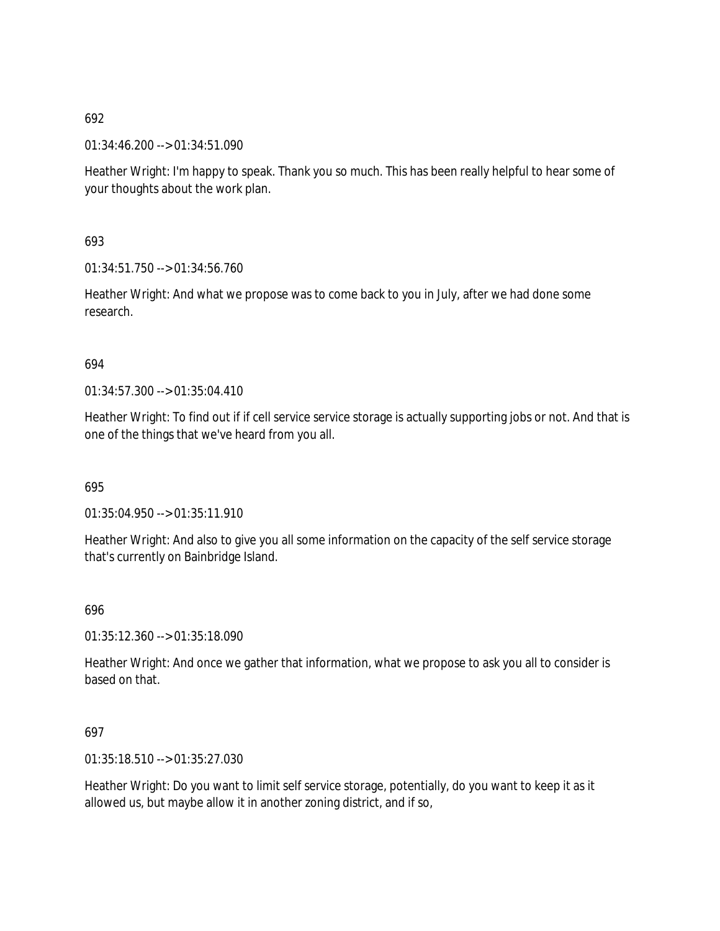01:34:46.200 --> 01:34:51.090

Heather Wright: I'm happy to speak. Thank you so much. This has been really helpful to hear some of your thoughts about the work plan.

693

01:34:51.750 --> 01:34:56.760

Heather Wright: And what we propose was to come back to you in July, after we had done some research.

### 694

01:34:57.300 --> 01:35:04.410

Heather Wright: To find out if if cell service service storage is actually supporting jobs or not. And that is one of the things that we've heard from you all.

695

01:35:04.950 --> 01:35:11.910

Heather Wright: And also to give you all some information on the capacity of the self service storage that's currently on Bainbridge Island.

### 696

01:35:12.360 --> 01:35:18.090

Heather Wright: And once we gather that information, what we propose to ask you all to consider is based on that.

### 697

01:35:18.510 --> 01:35:27.030

Heather Wright: Do you want to limit self service storage, potentially, do you want to keep it as it allowed us, but maybe allow it in another zoning district, and if so,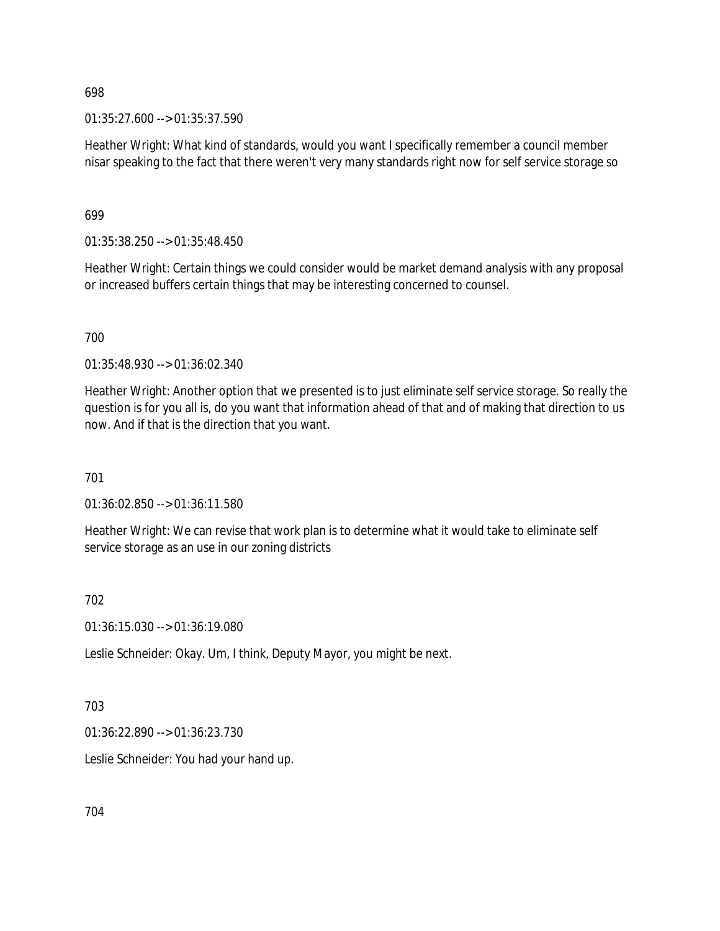01:35:27.600 --> 01:35:37.590

Heather Wright: What kind of standards, would you want I specifically remember a council member nisar speaking to the fact that there weren't very many standards right now for self service storage so

699

01:35:38.250 --> 01:35:48.450

Heather Wright: Certain things we could consider would be market demand analysis with any proposal or increased buffers certain things that may be interesting concerned to counsel.

700

01:35:48.930 --> 01:36:02.340

Heather Wright: Another option that we presented is to just eliminate self service storage. So really the question is for you all is, do you want that information ahead of that and of making that direction to us now. And if that is the direction that you want.

701

01:36:02.850 --> 01:36:11.580

Heather Wright: We can revise that work plan is to determine what it would take to eliminate self service storage as an use in our zoning districts

702

01:36:15.030 --> 01:36:19.080

Leslie Schneider: Okay. Um, I think, Deputy Mayor, you might be next.

703

01:36:22.890 --> 01:36:23.730

Leslie Schneider: You had your hand up.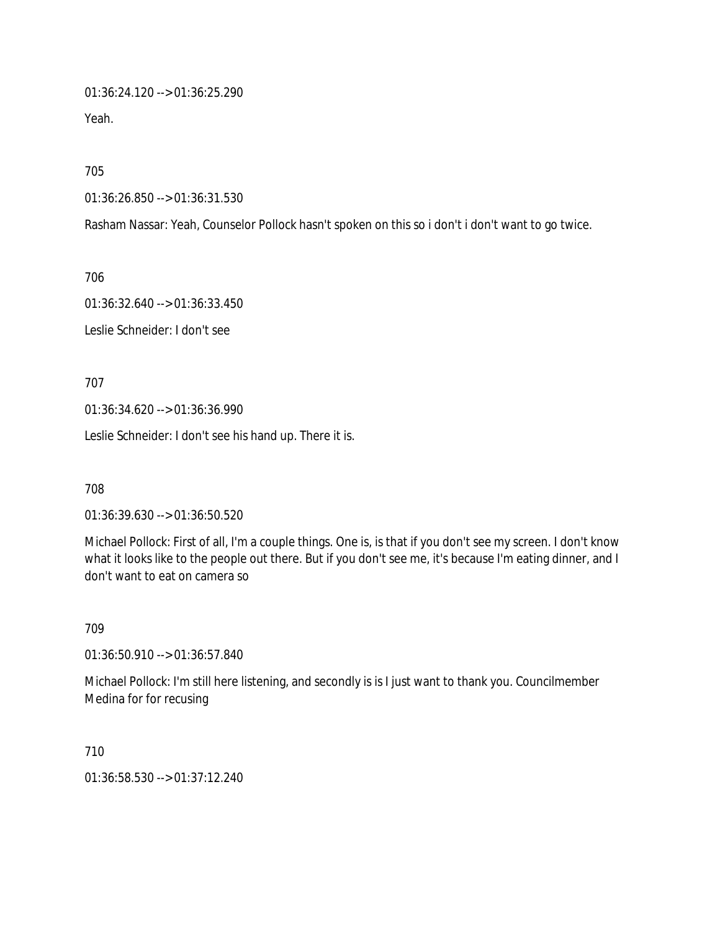01:36:24.120 --> 01:36:25.290

Yeah.

705

01:36:26.850 --> 01:36:31.530

Rasham Nassar: Yeah, Counselor Pollock hasn't spoken on this so i don't i don't want to go twice.

706

01:36:32.640 --> 01:36:33.450

Leslie Schneider: I don't see

707

01:36:34.620 --> 01:36:36.990

Leslie Schneider: I don't see his hand up. There it is.

708

01:36:39.630 --> 01:36:50.520

Michael Pollock: First of all, I'm a couple things. One is, is that if you don't see my screen. I don't know what it looks like to the people out there. But if you don't see me, it's because I'm eating dinner, and I don't want to eat on camera so

709

01:36:50.910 --> 01:36:57.840

Michael Pollock: I'm still here listening, and secondly is is I just want to thank you. Councilmember Medina for for recusing

710

01:36:58.530 --> 01:37:12.240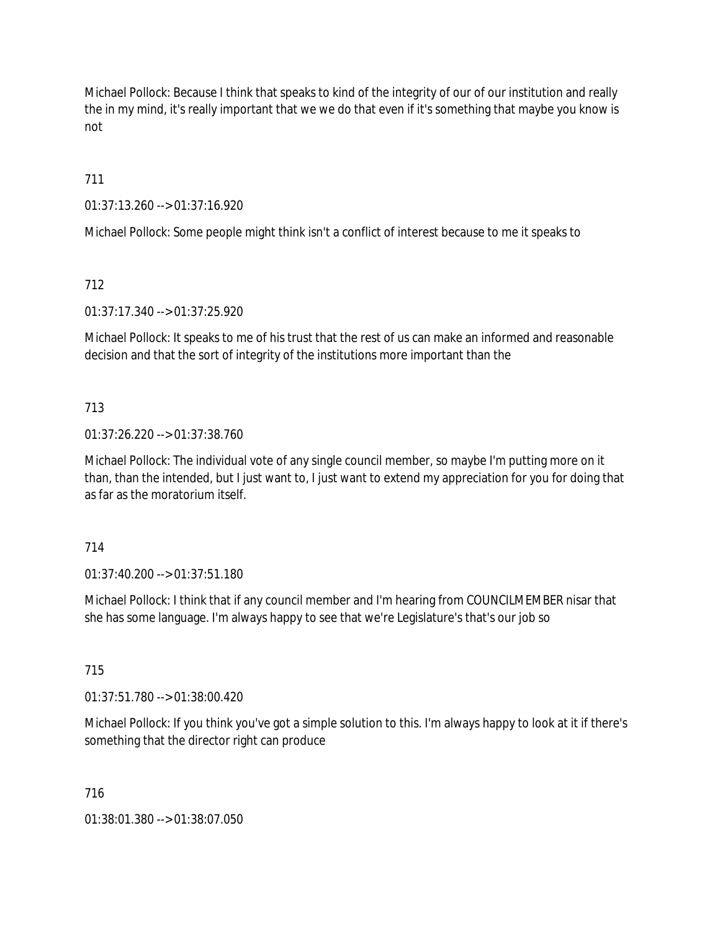Michael Pollock: Because I think that speaks to kind of the integrity of our of our institution and really the in my mind, it's really important that we we do that even if it's something that maybe you know is not

711

01:37:13.260 --> 01:37:16.920

Michael Pollock: Some people might think isn't a conflict of interest because to me it speaks to

712

01:37:17.340 --> 01:37:25.920

Michael Pollock: It speaks to me of his trust that the rest of us can make an informed and reasonable decision and that the sort of integrity of the institutions more important than the

### 713

01:37:26.220 --> 01:37:38.760

Michael Pollock: The individual vote of any single council member, so maybe I'm putting more on it than, than the intended, but I just want to, I just want to extend my appreciation for you for doing that as far as the moratorium itself.

714

01:37:40.200 --> 01:37:51.180

Michael Pollock: I think that if any council member and I'm hearing from COUNCILMEMBER nisar that she has some language. I'm always happy to see that we're Legislature's that's our job so

715

01:37:51.780 --> 01:38:00.420

Michael Pollock: If you think you've got a simple solution to this. I'm always happy to look at it if there's something that the director right can produce

716

01:38:01.380 --> 01:38:07.050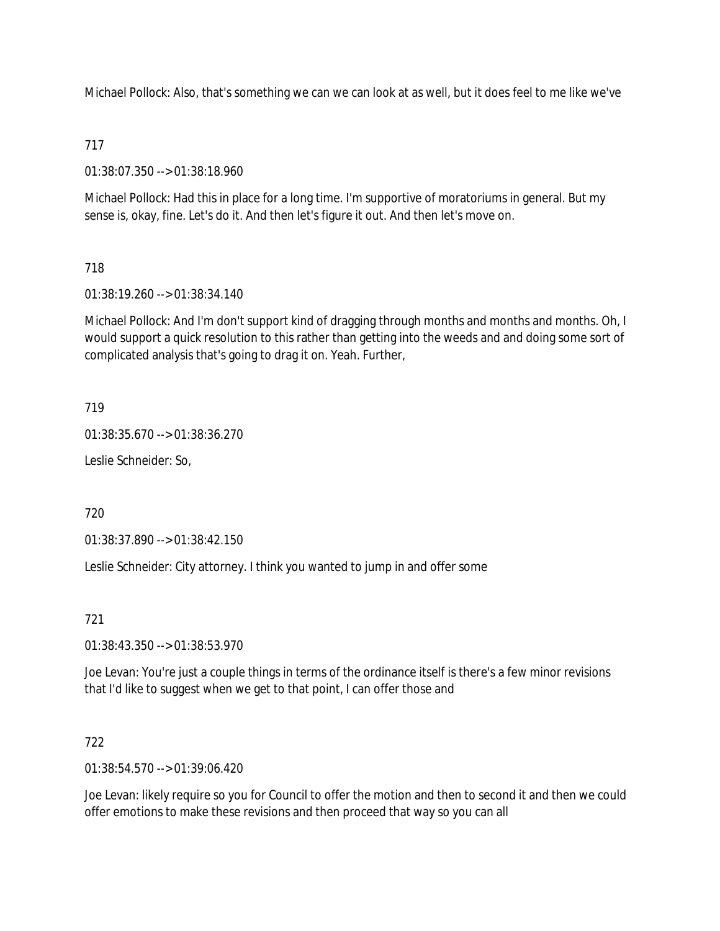Michael Pollock: Also, that's something we can we can look at as well, but it does feel to me like we've

### 717

01:38:07.350 --> 01:38:18.960

Michael Pollock: Had this in place for a long time. I'm supportive of moratoriums in general. But my sense is, okay, fine. Let's do it. And then let's figure it out. And then let's move on.

## 718

01:38:19.260 --> 01:38:34.140

Michael Pollock: And I'm don't support kind of dragging through months and months and months. Oh, I would support a quick resolution to this rather than getting into the weeds and and doing some sort of complicated analysis that's going to drag it on. Yeah. Further,

### 719

01:38:35.670 --> 01:38:36.270

Leslie Schneider: So,

720

01:38:37.890 --> 01:38:42.150

Leslie Schneider: City attorney. I think you wanted to jump in and offer some

721

01:38:43.350 --> 01:38:53.970

Joe Levan: You're just a couple things in terms of the ordinance itself is there's a few minor revisions that I'd like to suggest when we get to that point, I can offer those and

### 722

01:38:54.570 --> 01:39:06.420

Joe Levan: likely require so you for Council to offer the motion and then to second it and then we could offer emotions to make these revisions and then proceed that way so you can all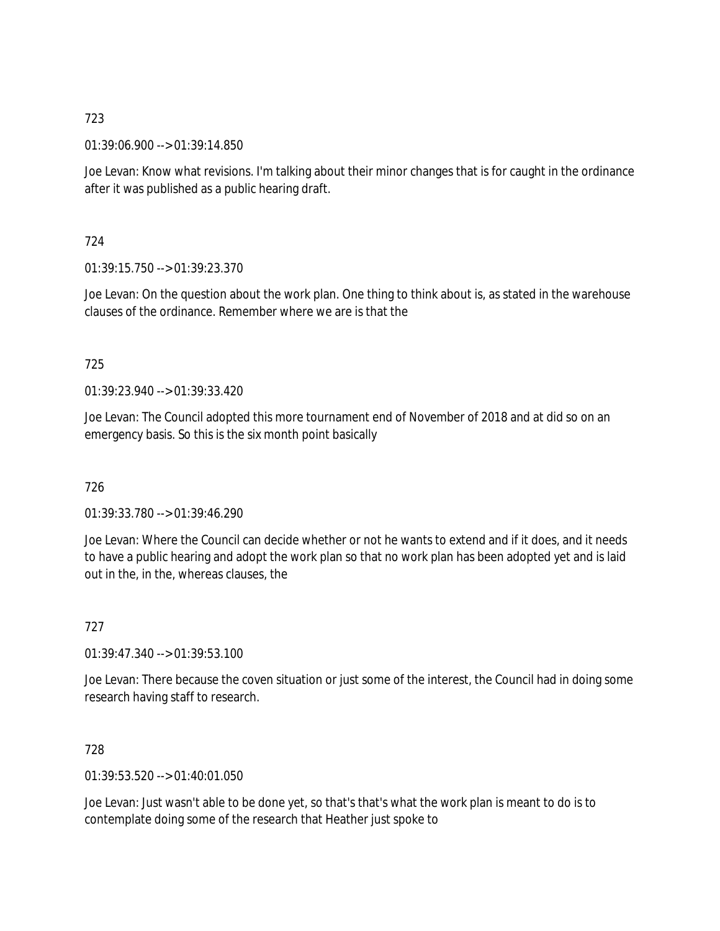01:39:06.900 --> 01:39:14.850

Joe Levan: Know what revisions. I'm talking about their minor changes that is for caught in the ordinance after it was published as a public hearing draft.

724

01:39:15.750 --> 01:39:23.370

Joe Levan: On the question about the work plan. One thing to think about is, as stated in the warehouse clauses of the ordinance. Remember where we are is that the

### 725

01:39:23.940 --> 01:39:33.420

Joe Levan: The Council adopted this more tournament end of November of 2018 and at did so on an emergency basis. So this is the six month point basically

726

01:39:33.780 --> 01:39:46.290

Joe Levan: Where the Council can decide whether or not he wants to extend and if it does, and it needs to have a public hearing and adopt the work plan so that no work plan has been adopted yet and is laid out in the, in the, whereas clauses, the

727

01:39:47.340 --> 01:39:53.100

Joe Levan: There because the coven situation or just some of the interest, the Council had in doing some research having staff to research.

728

01:39:53.520 --> 01:40:01.050

Joe Levan: Just wasn't able to be done yet, so that's that's what the work plan is meant to do is to contemplate doing some of the research that Heather just spoke to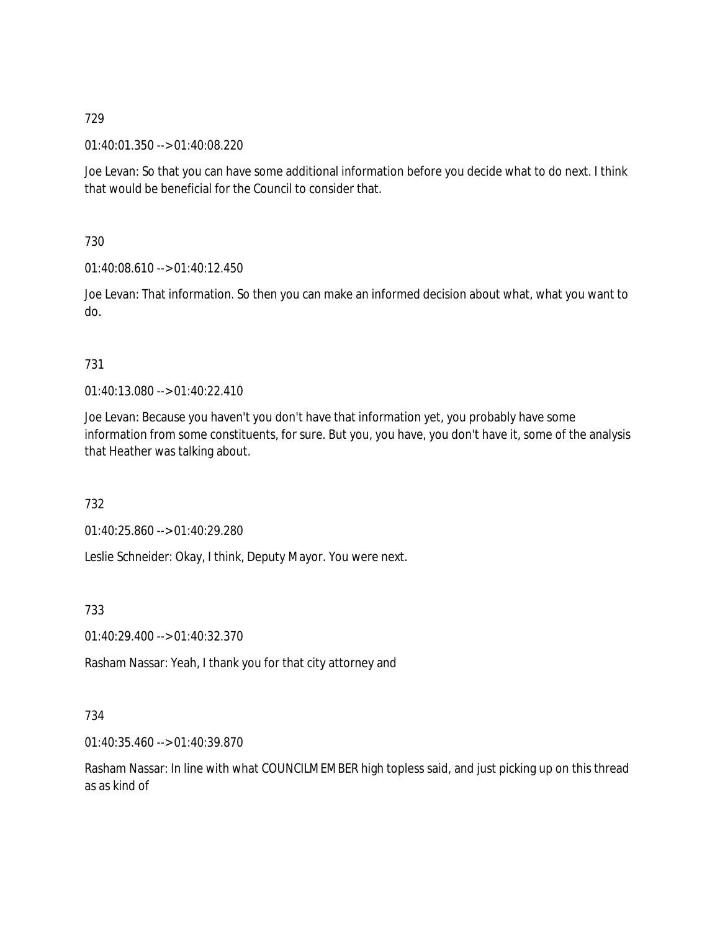01:40:01.350 --> 01:40:08.220

Joe Levan: So that you can have some additional information before you decide what to do next. I think that would be beneficial for the Council to consider that.

730

01:40:08.610 --> 01:40:12.450

Joe Levan: That information. So then you can make an informed decision about what, what you want to do.

### 731

01:40:13.080 --> 01:40:22.410

Joe Levan: Because you haven't you don't have that information yet, you probably have some information from some constituents, for sure. But you, you have, you don't have it, some of the analysis that Heather was talking about.

732

01:40:25.860 --> 01:40:29.280

Leslie Schneider: Okay, I think, Deputy Mayor. You were next.

733

01:40:29.400 --> 01:40:32.370

Rasham Nassar: Yeah, I thank you for that city attorney and

### 734

01:40:35.460 --> 01:40:39.870

Rasham Nassar: In line with what COUNCILMEMBER high topless said, and just picking up on this thread as as kind of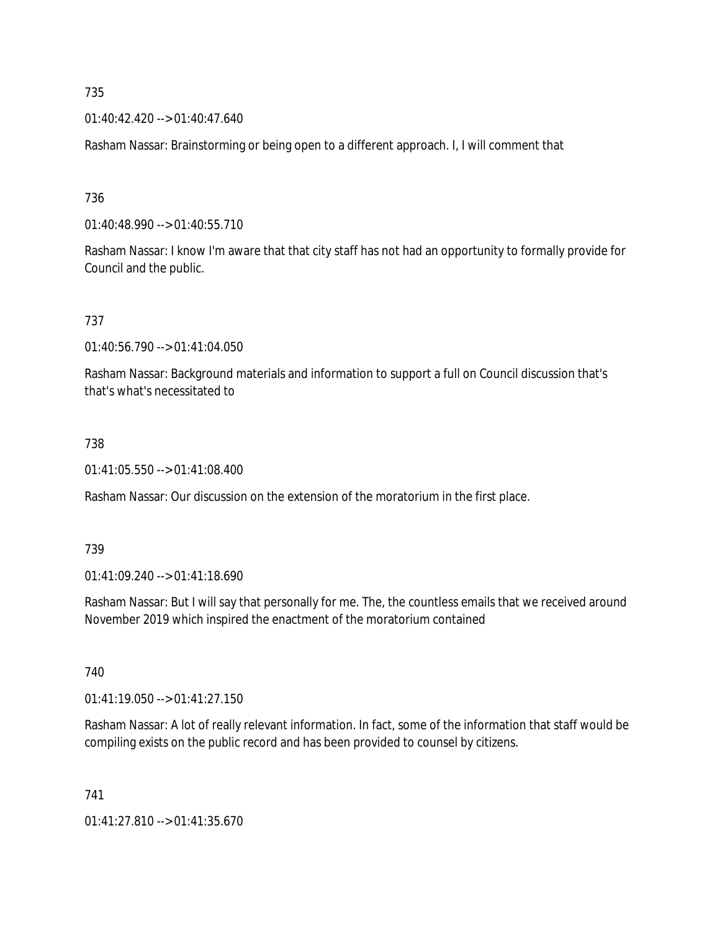01:40:42.420 --> 01:40:47.640

Rasham Nassar: Brainstorming or being open to a different approach. I, I will comment that

736

01:40:48.990 --> 01:40:55.710

Rasham Nassar: I know I'm aware that that city staff has not had an opportunity to formally provide for Council and the public.

737

01:40:56.790 --> 01:41:04.050

Rasham Nassar: Background materials and information to support a full on Council discussion that's that's what's necessitated to

#### 738

01:41:05.550 --> 01:41:08.400

Rasham Nassar: Our discussion on the extension of the moratorium in the first place.

### 739

01:41:09.240 --> 01:41:18.690

Rasham Nassar: But I will say that personally for me. The, the countless emails that we received around November 2019 which inspired the enactment of the moratorium contained

740

01:41:19.050 --> 01:41:27.150

Rasham Nassar: A lot of really relevant information. In fact, some of the information that staff would be compiling exists on the public record and has been provided to counsel by citizens.

741

01:41:27.810 --> 01:41:35.670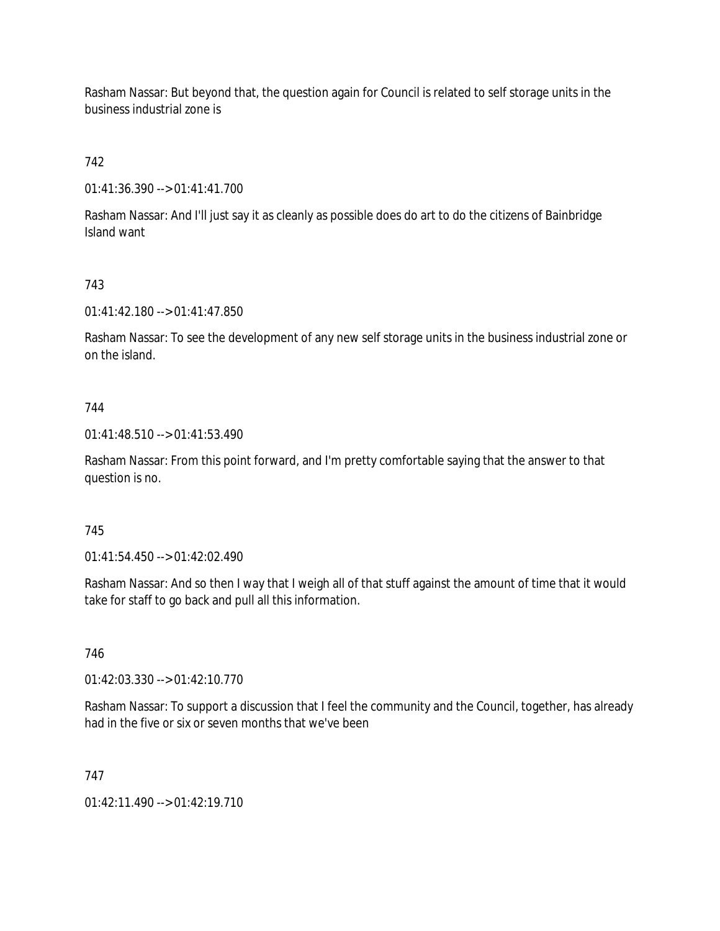Rasham Nassar: But beyond that, the question again for Council is related to self storage units in the business industrial zone is

742

01:41:36.390 --> 01:41:41.700

Rasham Nassar: And I'll just say it as cleanly as possible does do art to do the citizens of Bainbridge Island want

# 743

01:41:42.180 --> 01:41:47.850

Rasham Nassar: To see the development of any new self storage units in the business industrial zone or on the island.

## 744

01:41:48.510 --> 01:41:53.490

Rasham Nassar: From this point forward, and I'm pretty comfortable saying that the answer to that question is no.

## 745

01:41:54.450 --> 01:42:02.490

Rasham Nassar: And so then I way that I weigh all of that stuff against the amount of time that it would take for staff to go back and pull all this information.

## 746

01:42:03.330 --> 01:42:10.770

Rasham Nassar: To support a discussion that I feel the community and the Council, together, has already had in the five or six or seven months that we've been

## 747

01:42:11.490 --> 01:42:19.710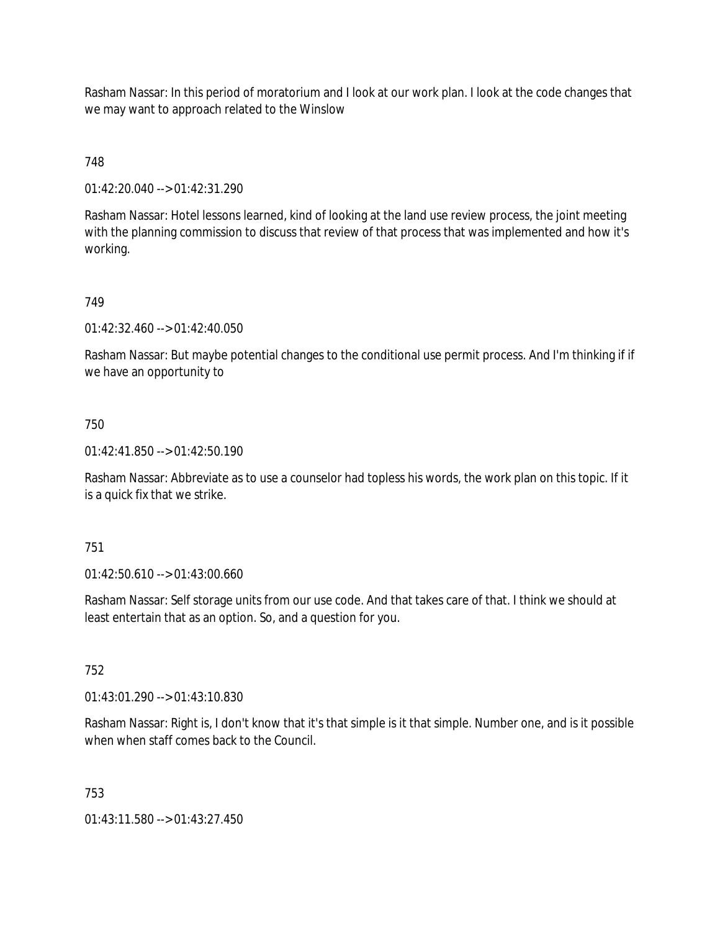Rasham Nassar: In this period of moratorium and I look at our work plan. I look at the code changes that we may want to approach related to the Winslow

## 748

01:42:20.040 --> 01:42:31.290

Rasham Nassar: Hotel lessons learned, kind of looking at the land use review process, the joint meeting with the planning commission to discuss that review of that process that was implemented and how it's working.

### 749

01:42:32.460 --> 01:42:40.050

Rasham Nassar: But maybe potential changes to the conditional use permit process. And I'm thinking if if we have an opportunity to

### 750

01:42:41.850 --> 01:42:50.190

Rasham Nassar: Abbreviate as to use a counselor had topless his words, the work plan on this topic. If it is a quick fix that we strike.

### 751

01:42:50.610 --> 01:43:00.660

Rasham Nassar: Self storage units from our use code. And that takes care of that. I think we should at least entertain that as an option. So, and a question for you.

### 752

01:43:01.290 --> 01:43:10.830

Rasham Nassar: Right is, I don't know that it's that simple is it that simple. Number one, and is it possible when when staff comes back to the Council.

### 753

01:43:11.580 --> 01:43:27.450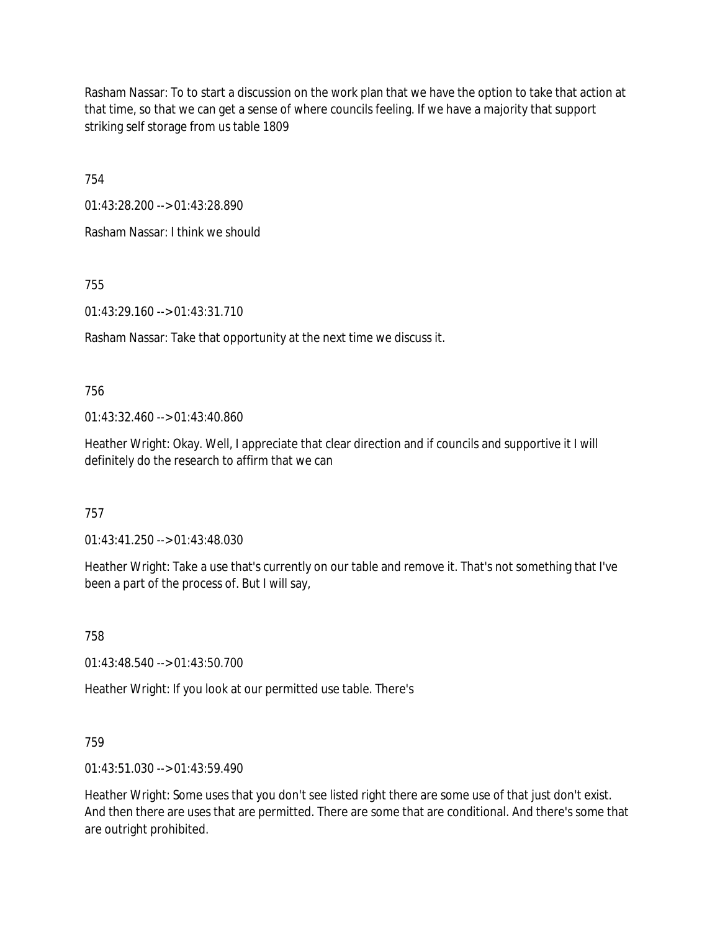Rasham Nassar: To to start a discussion on the work plan that we have the option to take that action at that time, so that we can get a sense of where councils feeling. If we have a majority that support striking self storage from us table 1809

754

01:43:28.200 --> 01:43:28.890

Rasham Nassar: I think we should

755

01:43:29.160 --> 01:43:31.710

Rasham Nassar: Take that opportunity at the next time we discuss it.

756

01:43:32.460 --> 01:43:40.860

Heather Wright: Okay. Well, I appreciate that clear direction and if councils and supportive it I will definitely do the research to affirm that we can

757

01:43:41.250 --> 01:43:48.030

Heather Wright: Take a use that's currently on our table and remove it. That's not something that I've been a part of the process of. But I will say,

758

01:43:48.540 --> 01:43:50.700

Heather Wright: If you look at our permitted use table. There's

759

01:43:51.030 --> 01:43:59.490

Heather Wright: Some uses that you don't see listed right there are some use of that just don't exist. And then there are uses that are permitted. There are some that are conditional. And there's some that are outright prohibited.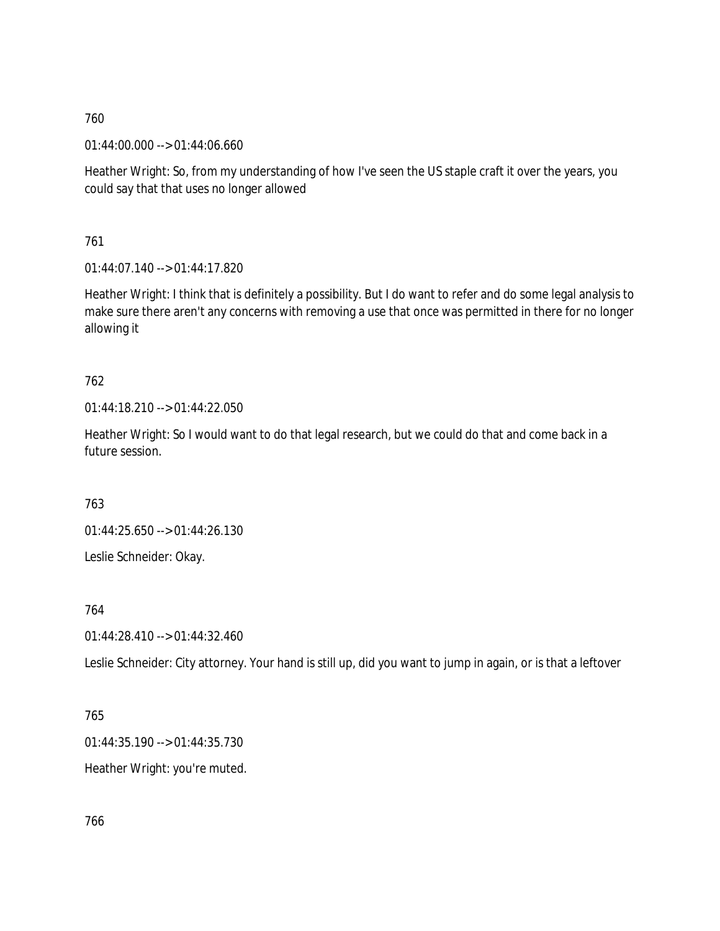01:44:00.000 --> 01:44:06.660

Heather Wright: So, from my understanding of how I've seen the US staple craft it over the years, you could say that that uses no longer allowed

761

01:44:07.140 --> 01:44:17.820

Heather Wright: I think that is definitely a possibility. But I do want to refer and do some legal analysis to make sure there aren't any concerns with removing a use that once was permitted in there for no longer allowing it

# 762

01:44:18.210 --> 01:44:22.050

Heather Wright: So I would want to do that legal research, but we could do that and come back in a future session.

763

01:44:25.650 --> 01:44:26.130 Leslie Schneider: Okay.

## 764

01:44:28.410 --> 01:44:32.460

Leslie Schneider: City attorney. Your hand is still up, did you want to jump in again, or is that a leftover

## 765

01:44:35.190 --> 01:44:35.730

Heather Wright: you're muted.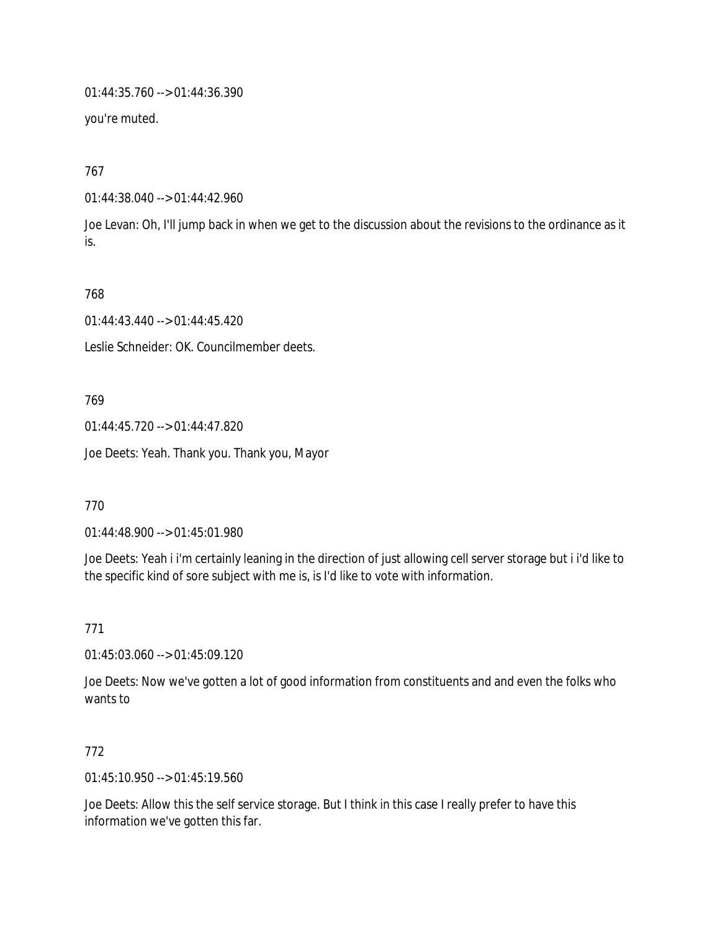01:44:35.760 --> 01:44:36.390

you're muted.

767

01:44:38.040 --> 01:44:42.960

Joe Levan: Oh, I'll jump back in when we get to the discussion about the revisions to the ordinance as it is.

768

01:44:43.440 --> 01:44:45.420

Leslie Schneider: OK. Councilmember deets.

769

01:44:45.720 --> 01:44:47.820

Joe Deets: Yeah. Thank you. Thank you, Mayor

770

01:44:48.900 --> 01:45:01.980

Joe Deets: Yeah i i'm certainly leaning in the direction of just allowing cell server storage but i i'd like to the specific kind of sore subject with me is, is I'd like to vote with information.

771

01:45:03.060 --> 01:45:09.120

Joe Deets: Now we've gotten a lot of good information from constituents and and even the folks who wants to

772

01:45:10.950 --> 01:45:19.560

Joe Deets: Allow this the self service storage. But I think in this case I really prefer to have this information we've gotten this far.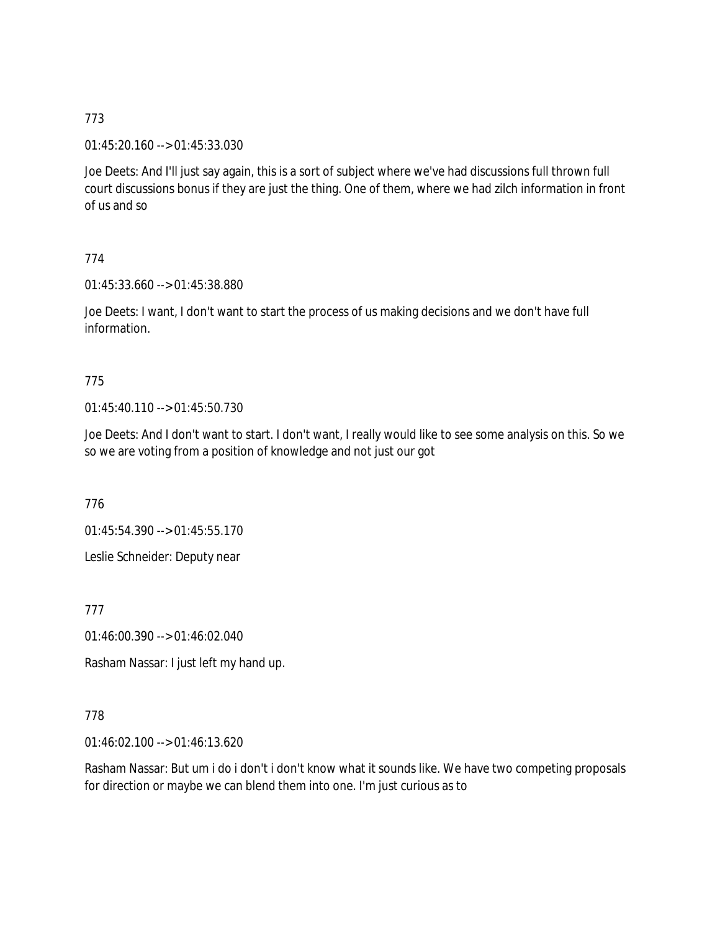01:45:20.160 --> 01:45:33.030

Joe Deets: And I'll just say again, this is a sort of subject where we've had discussions full thrown full court discussions bonus if they are just the thing. One of them, where we had zilch information in front of us and so

## 774

01:45:33.660 --> 01:45:38.880

Joe Deets: I want, I don't want to start the process of us making decisions and we don't have full information.

# 775

01:45:40.110 --> 01:45:50.730

Joe Deets: And I don't want to start. I don't want, I really would like to see some analysis on this. So we so we are voting from a position of knowledge and not just our got

776

01:45:54.390 --> 01:45:55.170

Leslie Schneider: Deputy near

777

01:46:00.390 --> 01:46:02.040

Rasham Nassar: I just left my hand up.

## 778

01:46:02.100 --> 01:46:13.620

Rasham Nassar: But um i do i don't i don't know what it sounds like. We have two competing proposals for direction or maybe we can blend them into one. I'm just curious as to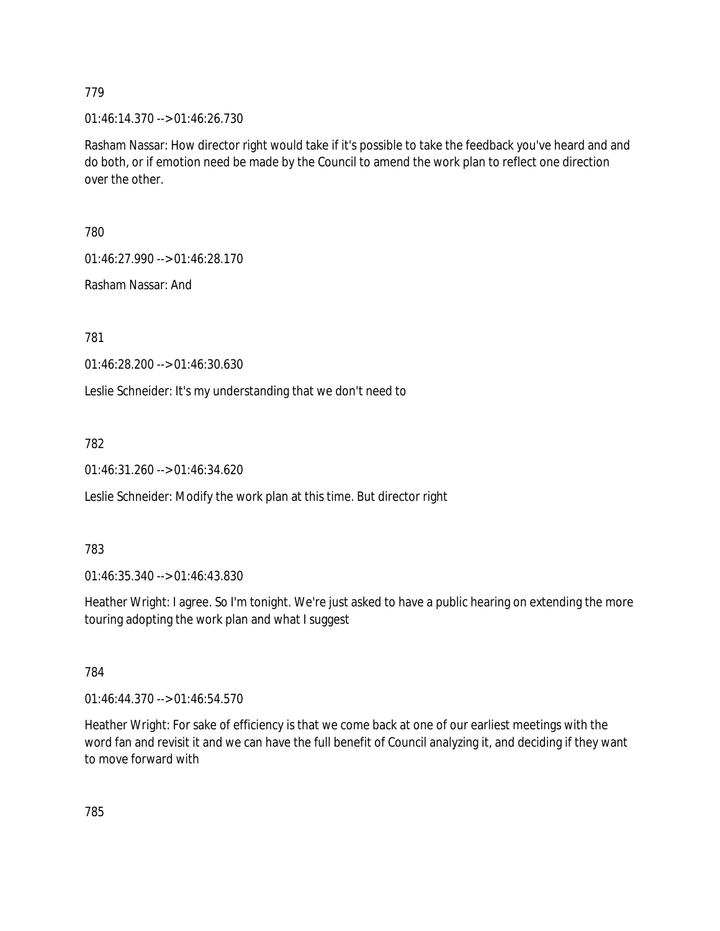01:46:14.370 --> 01:46:26.730

Rasham Nassar: How director right would take if it's possible to take the feedback you've heard and and do both, or if emotion need be made by the Council to amend the work plan to reflect one direction over the other.

780

01:46:27.990 --> 01:46:28.170

Rasham Nassar: And

781

01:46:28.200 --> 01:46:30.630

Leslie Schneider: It's my understanding that we don't need to

782

01:46:31.260 --> 01:46:34.620

Leslie Schneider: Modify the work plan at this time. But director right

783

01:46:35.340 --> 01:46:43.830

Heather Wright: I agree. So I'm tonight. We're just asked to have a public hearing on extending the more touring adopting the work plan and what I suggest

784

01:46:44.370 --> 01:46:54.570

Heather Wright: For sake of efficiency is that we come back at one of our earliest meetings with the word fan and revisit it and we can have the full benefit of Council analyzing it, and deciding if they want to move forward with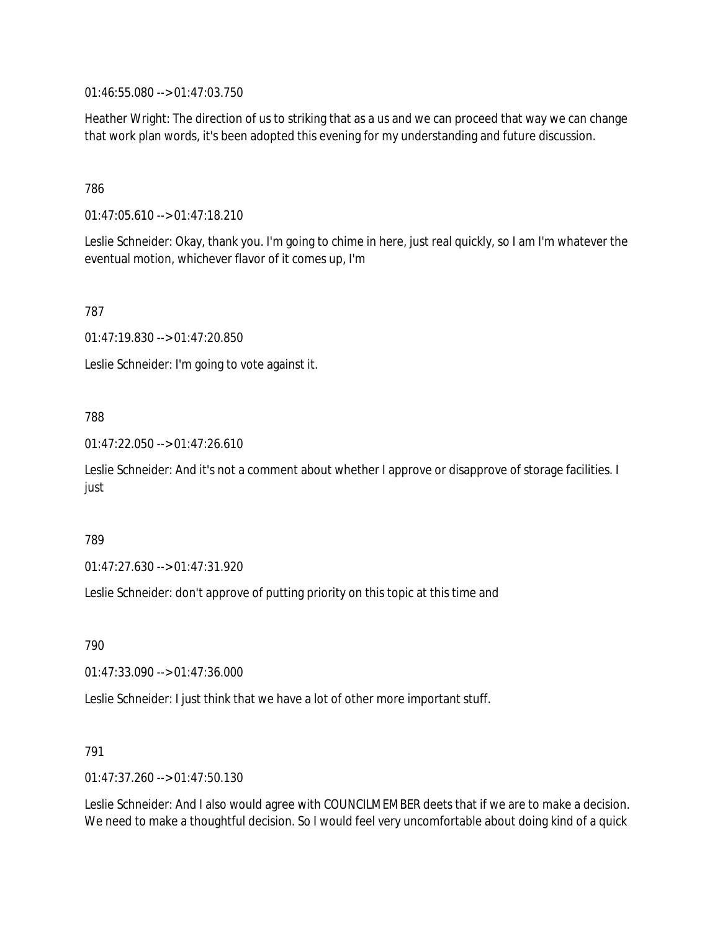01:46:55.080 --> 01:47:03.750

Heather Wright: The direction of us to striking that as a us and we can proceed that way we can change that work plan words, it's been adopted this evening for my understanding and future discussion.

### 786

01:47:05.610 --> 01:47:18.210

Leslie Schneider: Okay, thank you. I'm going to chime in here, just real quickly, so I am I'm whatever the eventual motion, whichever flavor of it comes up, I'm

787

01:47:19.830 --> 01:47:20.850

Leslie Schneider: I'm going to vote against it.

### 788

01:47:22.050 --> 01:47:26.610

Leslie Schneider: And it's not a comment about whether I approve or disapprove of storage facilities. I just

### 789

01:47:27.630 --> 01:47:31.920

Leslie Schneider: don't approve of putting priority on this topic at this time and

790

01:47:33.090 --> 01:47:36.000

Leslie Schneider: I just think that we have a lot of other more important stuff.

### 791

01:47:37.260 --> 01:47:50.130

Leslie Schneider: And I also would agree with COUNCILMEMBER deets that if we are to make a decision. We need to make a thoughtful decision. So I would feel very uncomfortable about doing kind of a quick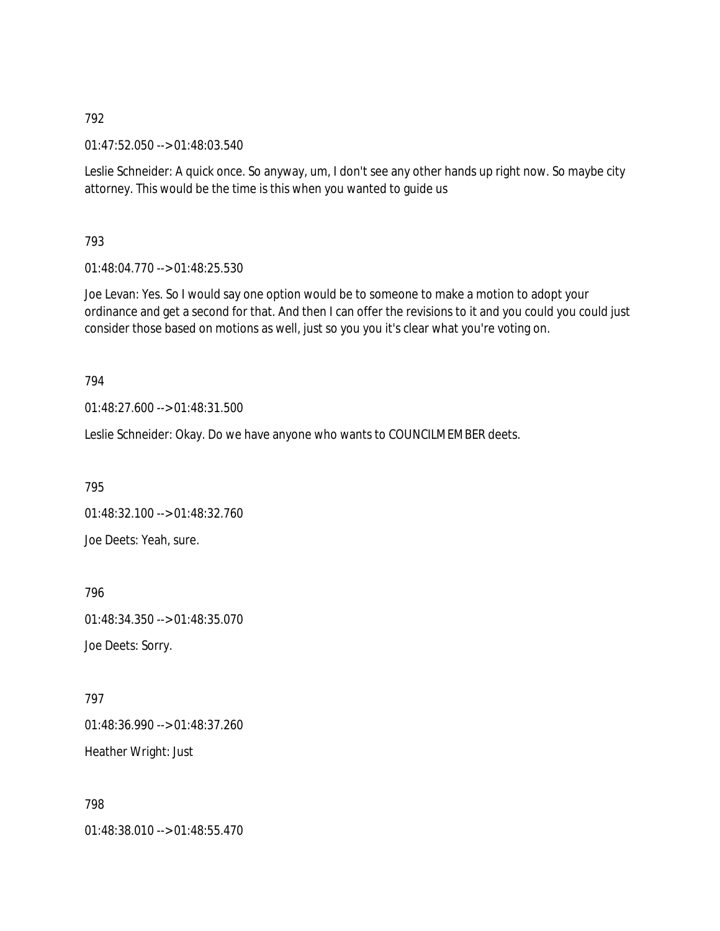01:47:52.050 --> 01:48:03.540

Leslie Schneider: A quick once. So anyway, um, I don't see any other hands up right now. So maybe city attorney. This would be the time is this when you wanted to guide us

793

01:48:04.770 --> 01:48:25.530

Joe Levan: Yes. So I would say one option would be to someone to make a motion to adopt your ordinance and get a second for that. And then I can offer the revisions to it and you could you could just consider those based on motions as well, just so you you it's clear what you're voting on.

794

01:48:27.600 --> 01:48:31.500

Leslie Schneider: Okay. Do we have anyone who wants to COUNCILMEMBER deets.

795

01:48:32.100 --> 01:48:32.760 Joe Deets: Yeah, sure.

796 01:48:34.350 --> 01:48:35.070

Joe Deets: Sorry.

797

01:48:36.990 --> 01:48:37.260 Heather Wright: Just

798 01:48:38.010 --> 01:48:55.470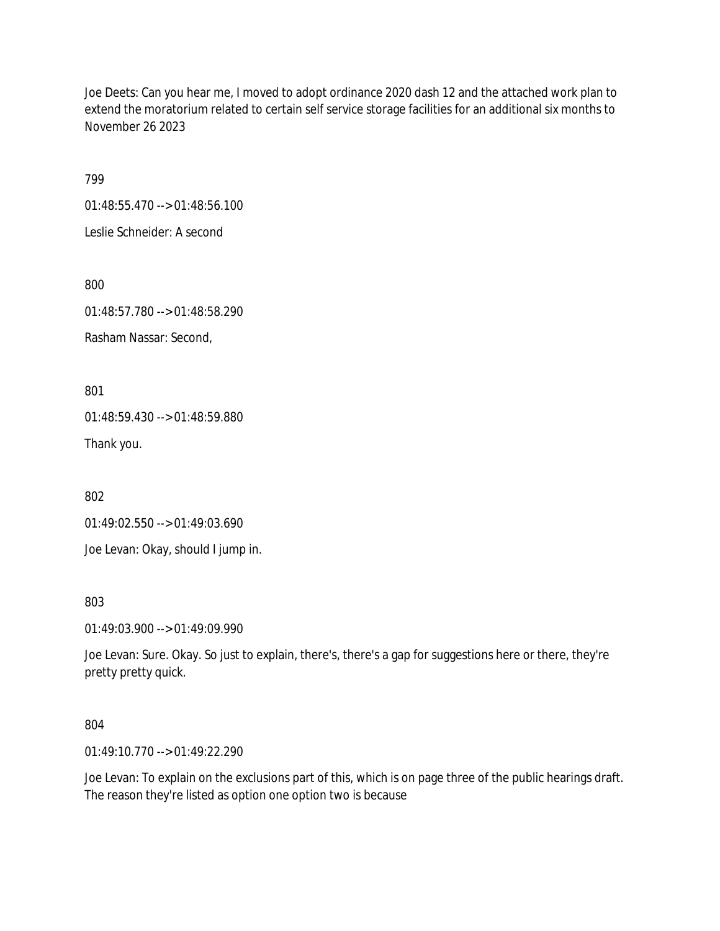Joe Deets: Can you hear me, I moved to adopt ordinance 2020 dash 12 and the attached work plan to extend the moratorium related to certain self service storage facilities for an additional six months to November 26 2023

799

01:48:55.470 --> 01:48:56.100

Leslie Schneider: A second

800

01:48:57.780 --> 01:48:58.290

Rasham Nassar: Second,

801

01:48:59.430 --> 01:48:59.880

Thank you.

802

01:49:02.550 --> 01:49:03.690

Joe Levan: Okay, should I jump in.

803

01:49:03.900 --> 01:49:09.990

Joe Levan: Sure. Okay. So just to explain, there's, there's a gap for suggestions here or there, they're pretty pretty quick.

### 804

01:49:10.770 --> 01:49:22.290

Joe Levan: To explain on the exclusions part of this, which is on page three of the public hearings draft. The reason they're listed as option one option two is because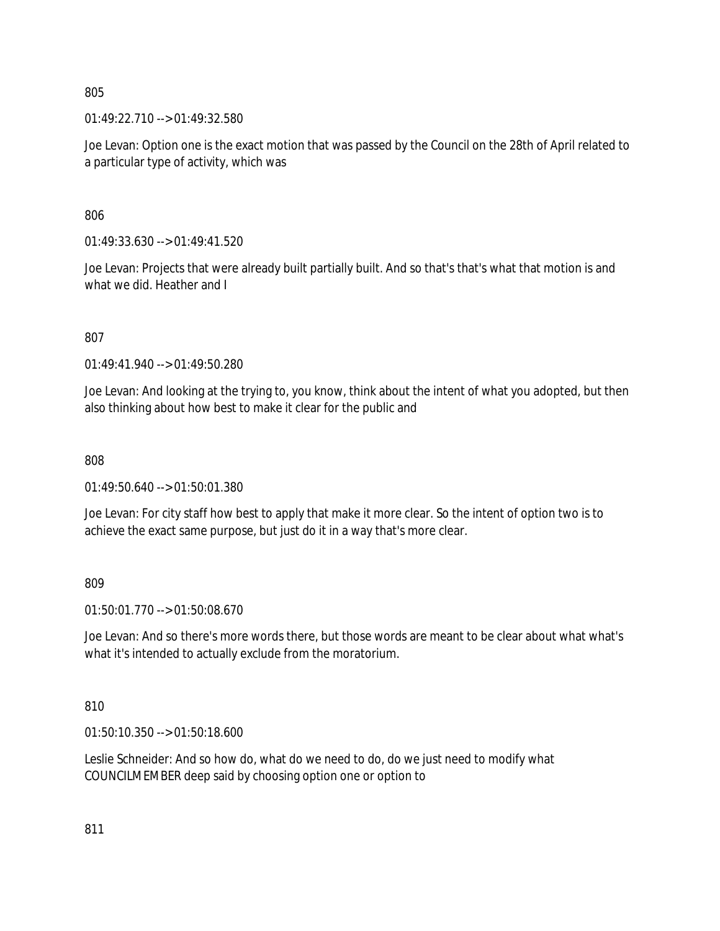01:49:22.710 --> 01:49:32.580

Joe Levan: Option one is the exact motion that was passed by the Council on the 28th of April related to a particular type of activity, which was

806

01:49:33.630 --> 01:49:41.520

Joe Levan: Projects that were already built partially built. And so that's that's what that motion is and what we did. Heather and I

807

01:49:41.940 --> 01:49:50.280

Joe Levan: And looking at the trying to, you know, think about the intent of what you adopted, but then also thinking about how best to make it clear for the public and

808

01:49:50.640 --> 01:50:01.380

Joe Levan: For city staff how best to apply that make it more clear. So the intent of option two is to achieve the exact same purpose, but just do it in a way that's more clear.

809

01:50:01.770 --> 01:50:08.670

Joe Levan: And so there's more words there, but those words are meant to be clear about what what's what it's intended to actually exclude from the moratorium.

810

01:50:10.350 --> 01:50:18.600

Leslie Schneider: And so how do, what do we need to do, do we just need to modify what COUNCILMEMBER deep said by choosing option one or option to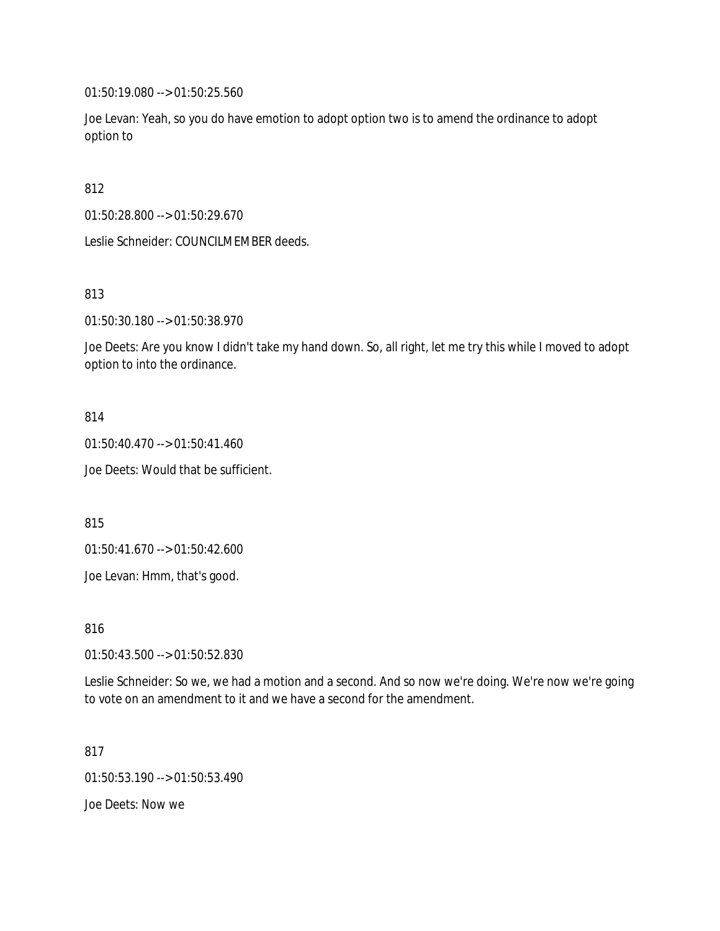01:50:19.080 --> 01:50:25.560

Joe Levan: Yeah, so you do have emotion to adopt option two is to amend the ordinance to adopt option to

812

01:50:28.800 --> 01:50:29.670

Leslie Schneider: COUNCILMEMBER deeds.

813

01:50:30.180 --> 01:50:38.970

Joe Deets: Are you know I didn't take my hand down. So, all right, let me try this while I moved to adopt option to into the ordinance.

814

01:50:40.470 --> 01:50:41.460

Joe Deets: Would that be sufficient.

815

01:50:41.670 --> 01:50:42.600

Joe Levan: Hmm, that's good.

816

01:50:43.500 --> 01:50:52.830

Leslie Schneider: So we, we had a motion and a second. And so now we're doing. We're now we're going to vote on an amendment to it and we have a second for the amendment.

817 01:50:53.190 --> 01:50:53.490 Joe Deets: Now we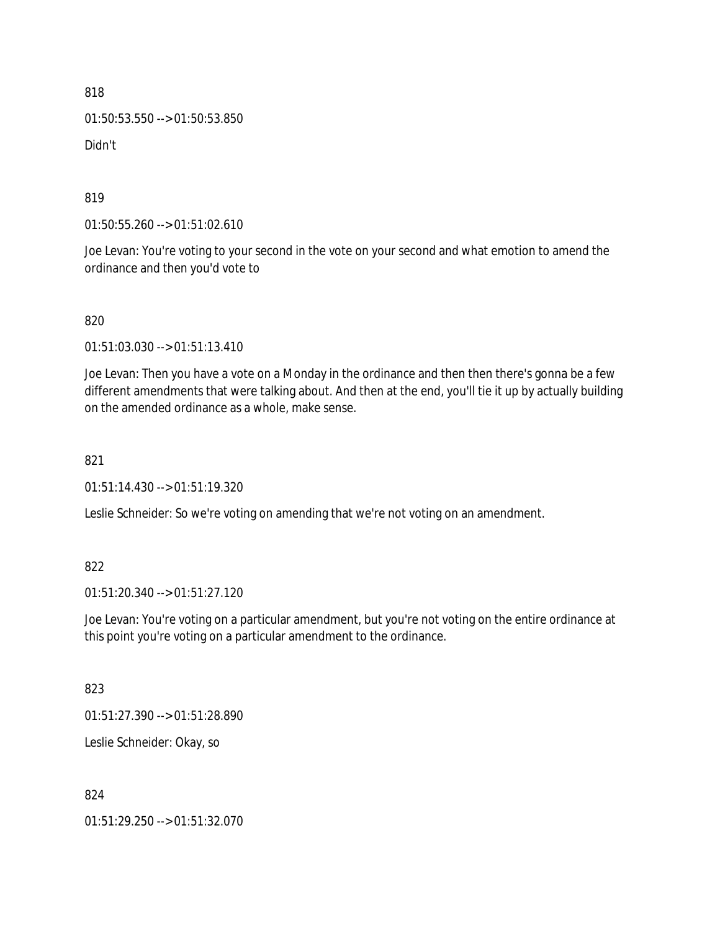01:50:53.550 --> 01:50:53.850

Didn't

819

01:50:55.260 --> 01:51:02.610

Joe Levan: You're voting to your second in the vote on your second and what emotion to amend the ordinance and then you'd vote to

820

01:51:03.030 --> 01:51:13.410

Joe Levan: Then you have a vote on a Monday in the ordinance and then then there's gonna be a few different amendments that were talking about. And then at the end, you'll tie it up by actually building on the amended ordinance as a whole, make sense.

### 821

01:51:14.430 --> 01:51:19.320

Leslie Schneider: So we're voting on amending that we're not voting on an amendment.

### 822

01:51:20.340 --> 01:51:27.120

Joe Levan: You're voting on a particular amendment, but you're not voting on the entire ordinance at this point you're voting on a particular amendment to the ordinance.

### 823

01:51:27.390 --> 01:51:28.890

Leslie Schneider: Okay, so

### 824

01:51:29.250 --> 01:51:32.070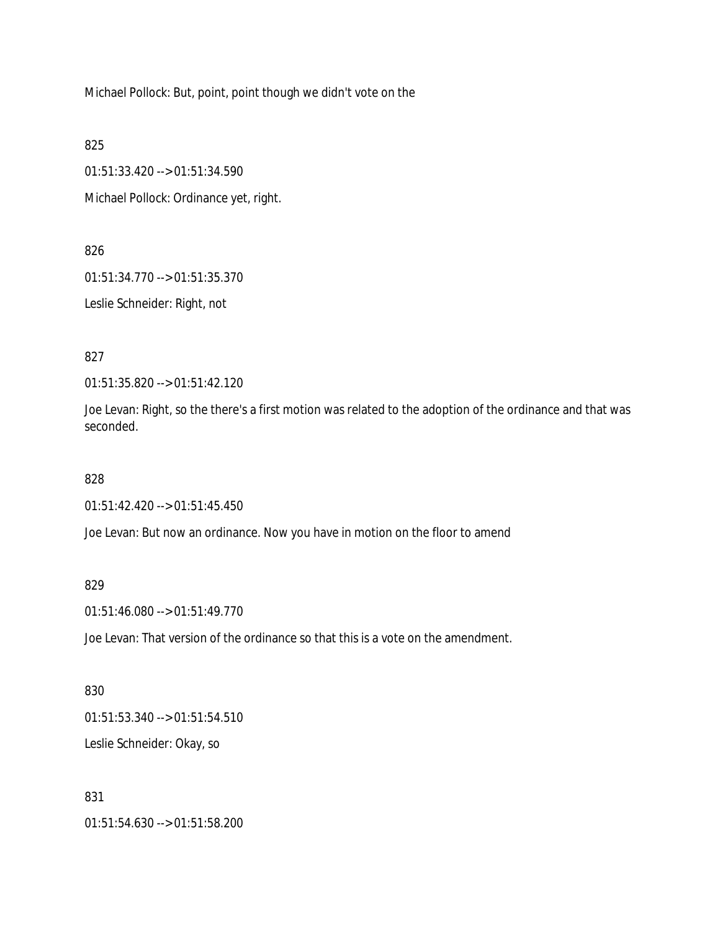Michael Pollock: But, point, point though we didn't vote on the

825

01:51:33.420 --> 01:51:34.590

Michael Pollock: Ordinance yet, right.

826

01:51:34.770 --> 01:51:35.370

Leslie Schneider: Right, not

827

01:51:35.820 --> 01:51:42.120

Joe Levan: Right, so the there's a first motion was related to the adoption of the ordinance and that was seconded.

828

01:51:42.420 --> 01:51:45.450

Joe Levan: But now an ordinance. Now you have in motion on the floor to amend

829

01:51:46.080 --> 01:51:49.770

Joe Levan: That version of the ordinance so that this is a vote on the amendment.

830 01:51:53.340 --> 01:51:54.510 Leslie Schneider: Okay, so

831

01:51:54.630 --> 01:51:58.200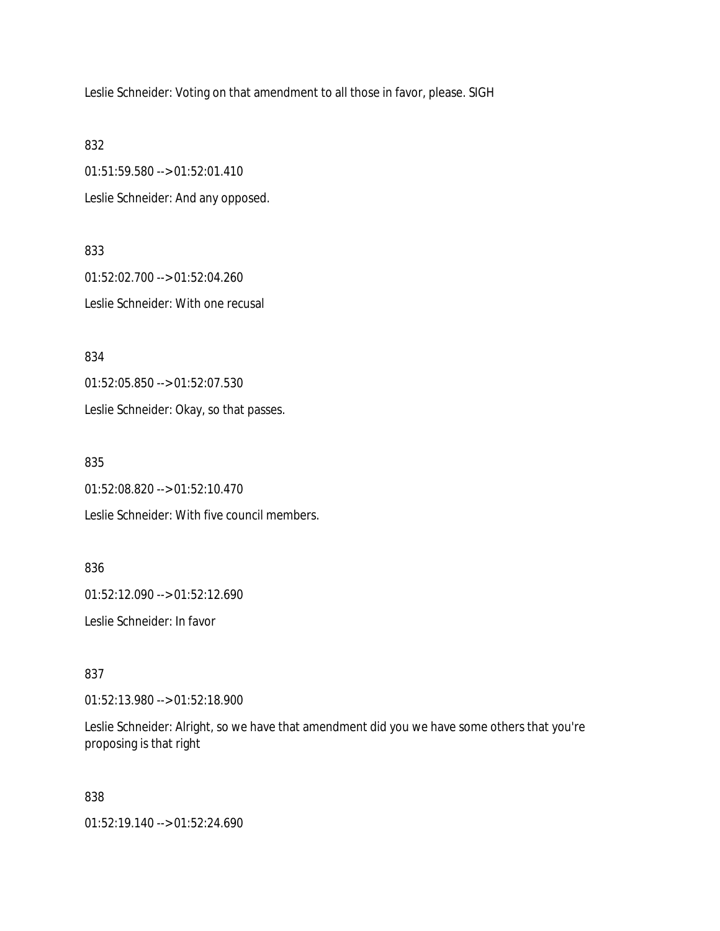Leslie Schneider: Voting on that amendment to all those in favor, please. SIGH

832

01:51:59.580 --> 01:52:01.410 Leslie Schneider: And any opposed.

833 01:52:02.700 --> 01:52:04.260 Leslie Schneider: With one recusal

834

01:52:05.850 --> 01:52:07.530

Leslie Schneider: Okay, so that passes.

835

01:52:08.820 --> 01:52:10.470

Leslie Schneider: With five council members.

836

01:52:12.090 --> 01:52:12.690

Leslie Schneider: In favor

837

01:52:13.980 --> 01:52:18.900

Leslie Schneider: Alright, so we have that amendment did you we have some others that you're proposing is that right

838

01:52:19.140 --> 01:52:24.690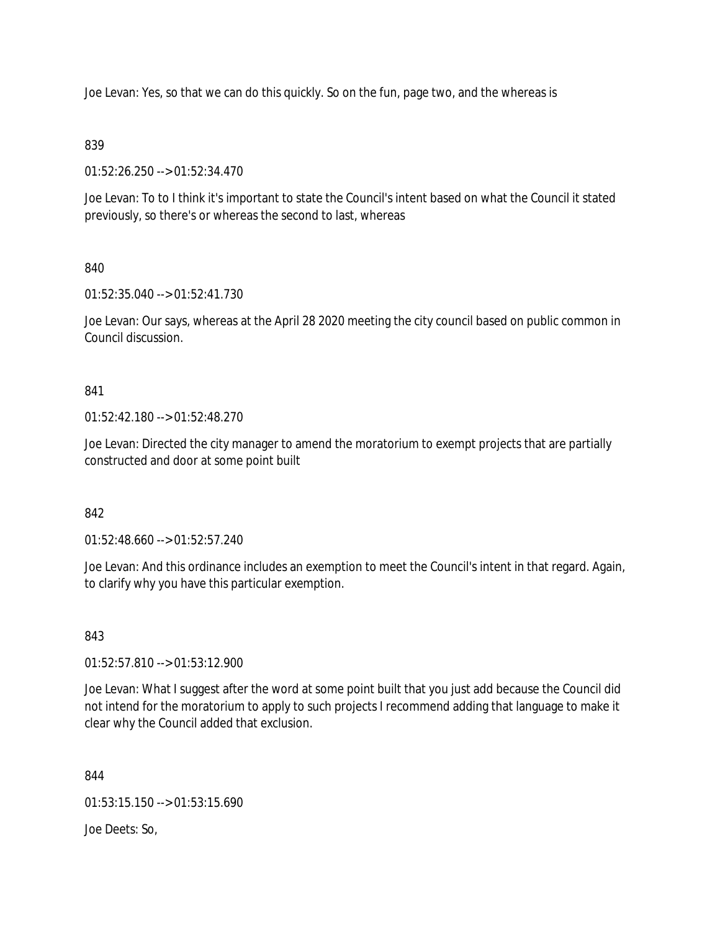Joe Levan: Yes, so that we can do this quickly. So on the fun, page two, and the whereas is

### 839

01:52:26.250 --> 01:52:34.470

Joe Levan: To to I think it's important to state the Council's intent based on what the Council it stated previously, so there's or whereas the second to last, whereas

## 840

01:52:35.040 --> 01:52:41.730

Joe Levan: Our says, whereas at the April 28 2020 meeting the city council based on public common in Council discussion.

### 841

01:52:42.180 --> 01:52:48.270

Joe Levan: Directed the city manager to amend the moratorium to exempt projects that are partially constructed and door at some point built

## 842

01:52:48.660 --> 01:52:57.240

Joe Levan: And this ordinance includes an exemption to meet the Council's intent in that regard. Again, to clarify why you have this particular exemption.

## 843

01:52:57.810 --> 01:53:12.900

Joe Levan: What I suggest after the word at some point built that you just add because the Council did not intend for the moratorium to apply to such projects I recommend adding that language to make it clear why the Council added that exclusion.

844

01:53:15.150 --> 01:53:15.690

Joe Deets: So,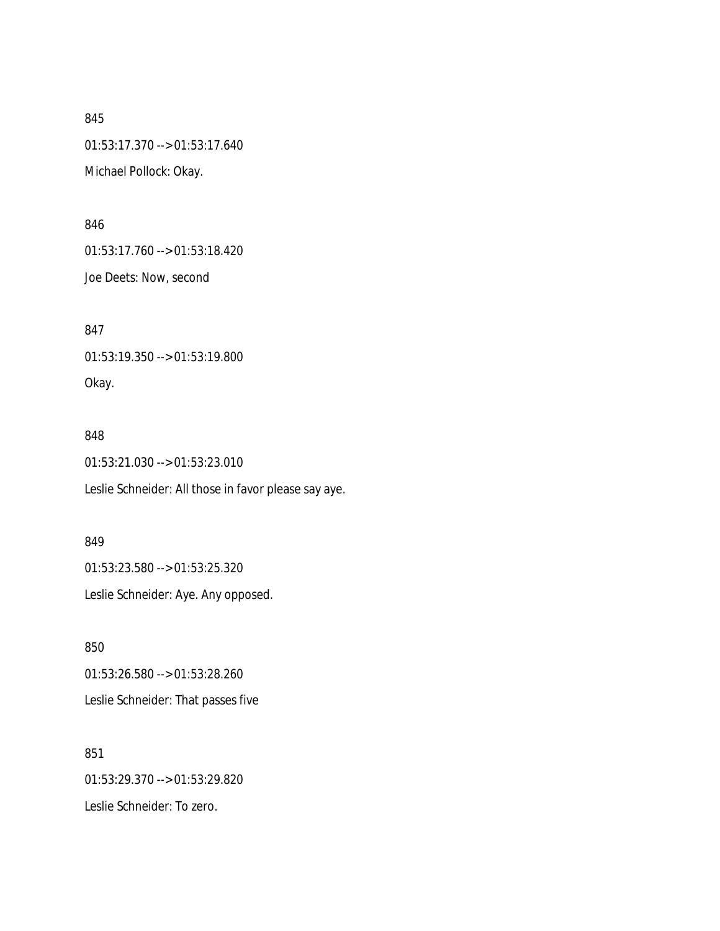845 01:53:17.370 --> 01:53:17.640 Michael Pollock: Okay.

846

01:53:17.760 --> 01:53:18.420

Joe Deets: Now, second

847 01:53:19.350 --> 01:53:19.800 Okay.

### 848

01:53:21.030 --> 01:53:23.010

Leslie Schneider: All those in favor please say aye.

### 849

01:53:23.580 --> 01:53:25.320

Leslie Schneider: Aye. Any opposed.

850 01:53:26.580 --> 01:53:28.260 Leslie Schneider: That passes five

851 01:53:29.370 --> 01:53:29.820 Leslie Schneider: To zero.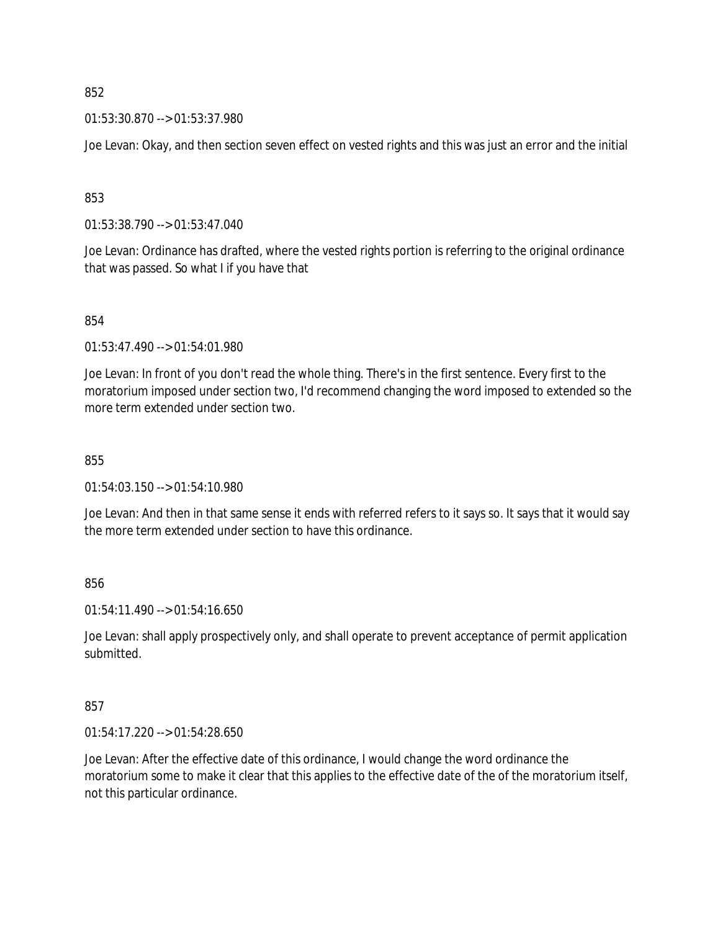01:53:30.870 --> 01:53:37.980

Joe Levan: Okay, and then section seven effect on vested rights and this was just an error and the initial

853

01:53:38.790 --> 01:53:47.040

Joe Levan: Ordinance has drafted, where the vested rights portion is referring to the original ordinance that was passed. So what I if you have that

854

01:53:47.490 --> 01:54:01.980

Joe Levan: In front of you don't read the whole thing. There's in the first sentence. Every first to the moratorium imposed under section two, I'd recommend changing the word imposed to extended so the more term extended under section two.

855

01:54:03.150 --> 01:54:10.980

Joe Levan: And then in that same sense it ends with referred refers to it says so. It says that it would say the more term extended under section to have this ordinance.

856

01:54:11.490 --> 01:54:16.650

Joe Levan: shall apply prospectively only, and shall operate to prevent acceptance of permit application submitted.

857

01:54:17.220 --> 01:54:28.650

Joe Levan: After the effective date of this ordinance, I would change the word ordinance the moratorium some to make it clear that this applies to the effective date of the of the moratorium itself, not this particular ordinance.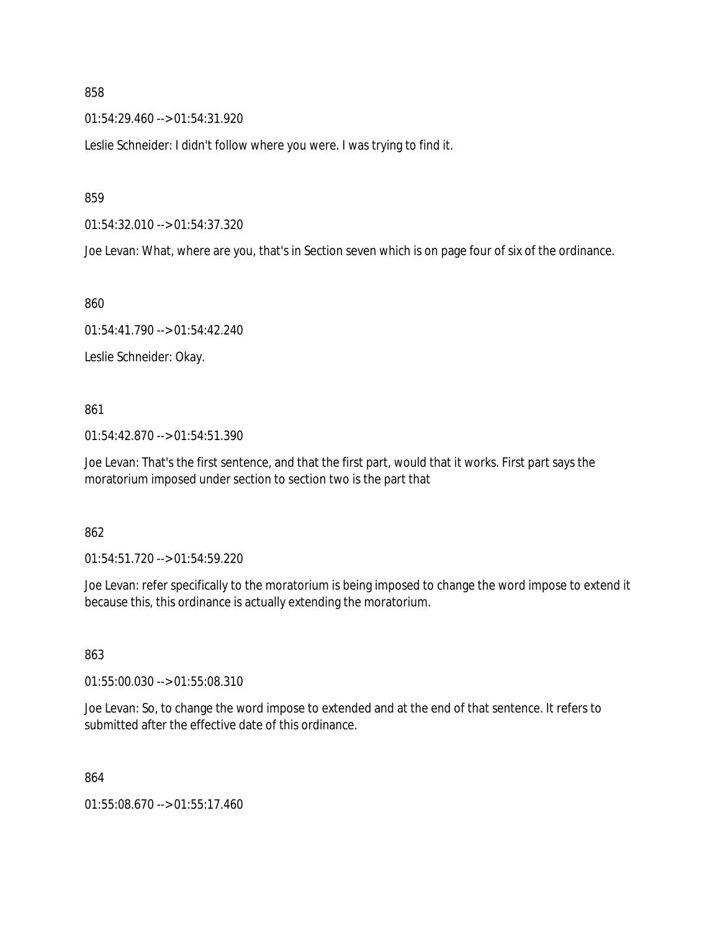01:54:29.460 --> 01:54:31.920

Leslie Schneider: I didn't follow where you were. I was trying to find it.

859

01:54:32.010 --> 01:54:37.320

Joe Levan: What, where are you, that's in Section seven which is on page four of six of the ordinance.

860

01:54:41.790 --> 01:54:42.240

Leslie Schneider: Okay.

861

01:54:42.870 --> 01:54:51.390

Joe Levan: That's the first sentence, and that the first part, would that it works. First part says the moratorium imposed under section to section two is the part that

### 862

01:54:51.720 --> 01:54:59.220

Joe Levan: refer specifically to the moratorium is being imposed to change the word impose to extend it because this, this ordinance is actually extending the moratorium.

### 863

01:55:00.030 --> 01:55:08.310

Joe Levan: So, to change the word impose to extended and at the end of that sentence. It refers to submitted after the effective date of this ordinance.

864

01:55:08.670 --> 01:55:17.460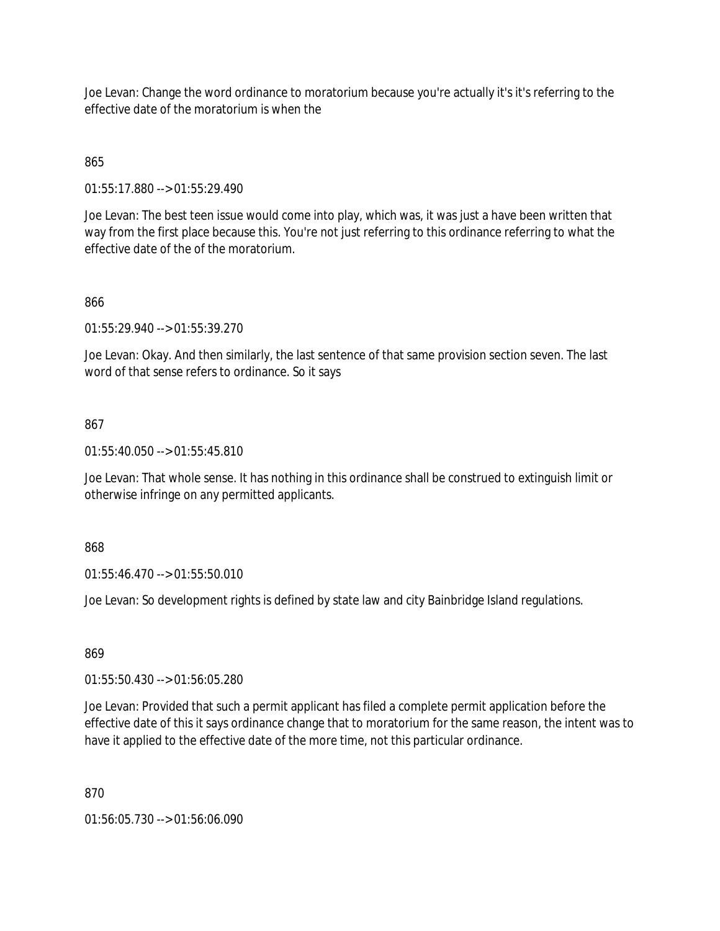Joe Levan: Change the word ordinance to moratorium because you're actually it's it's referring to the effective date of the moratorium is when the

## 865

01:55:17.880 --> 01:55:29.490

Joe Levan: The best teen issue would come into play, which was, it was just a have been written that way from the first place because this. You're not just referring to this ordinance referring to what the effective date of the of the moratorium.

### 866

01:55:29.940 --> 01:55:39.270

Joe Levan: Okay. And then similarly, the last sentence of that same provision section seven. The last word of that sense refers to ordinance. So it says

### 867

01:55:40.050 --> 01:55:45.810

Joe Levan: That whole sense. It has nothing in this ordinance shall be construed to extinguish limit or otherwise infringe on any permitted applicants.

### 868

01:55:46.470 --> 01:55:50.010

Joe Levan: So development rights is defined by state law and city Bainbridge Island regulations.

# 869

01:55:50.430 --> 01:56:05.280

Joe Levan: Provided that such a permit applicant has filed a complete permit application before the effective date of this it says ordinance change that to moratorium for the same reason, the intent was to have it applied to the effective date of the more time, not this particular ordinance.

870

01:56:05.730 --> 01:56:06.090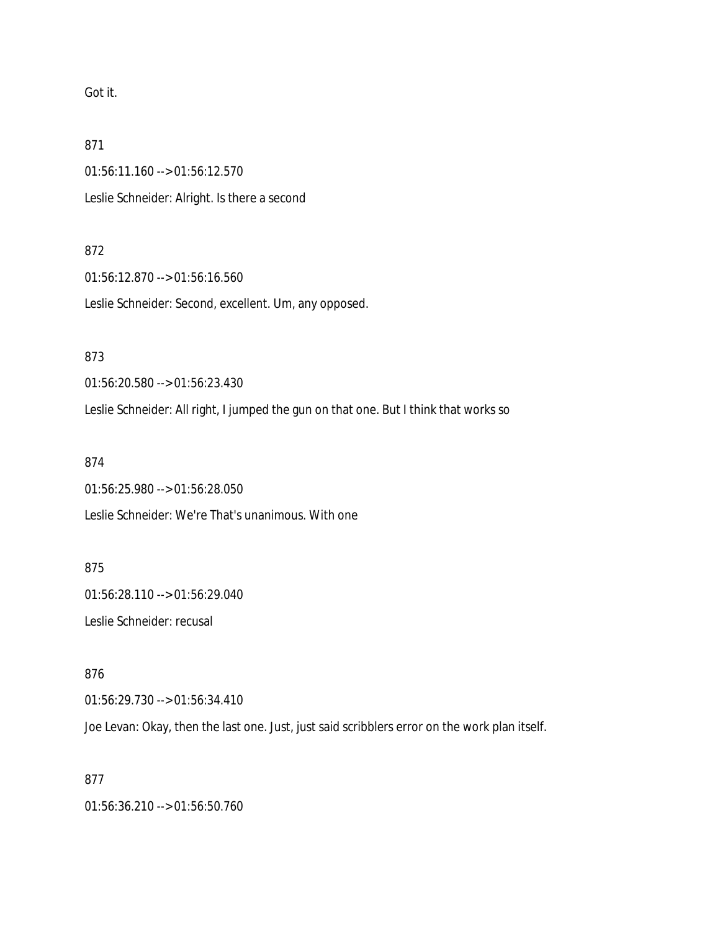Got it.

871

01:56:11.160 --> 01:56:12.570 Leslie Schneider: Alright. Is there a second

872

01:56:12.870 --> 01:56:16.560 Leslie Schneider: Second, excellent. Um, any opposed.

873

01:56:20.580 --> 01:56:23.430

Leslie Schneider: All right, I jumped the gun on that one. But I think that works so

874

01:56:25.980 --> 01:56:28.050 Leslie Schneider: We're That's unanimous. With one

875

01:56:28.110 --> 01:56:29.040 Leslie Schneider: recusal

876

01:56:29.730 --> 01:56:34.410

Joe Levan: Okay, then the last one. Just, just said scribblers error on the work plan itself.

877

01:56:36.210 --> 01:56:50.760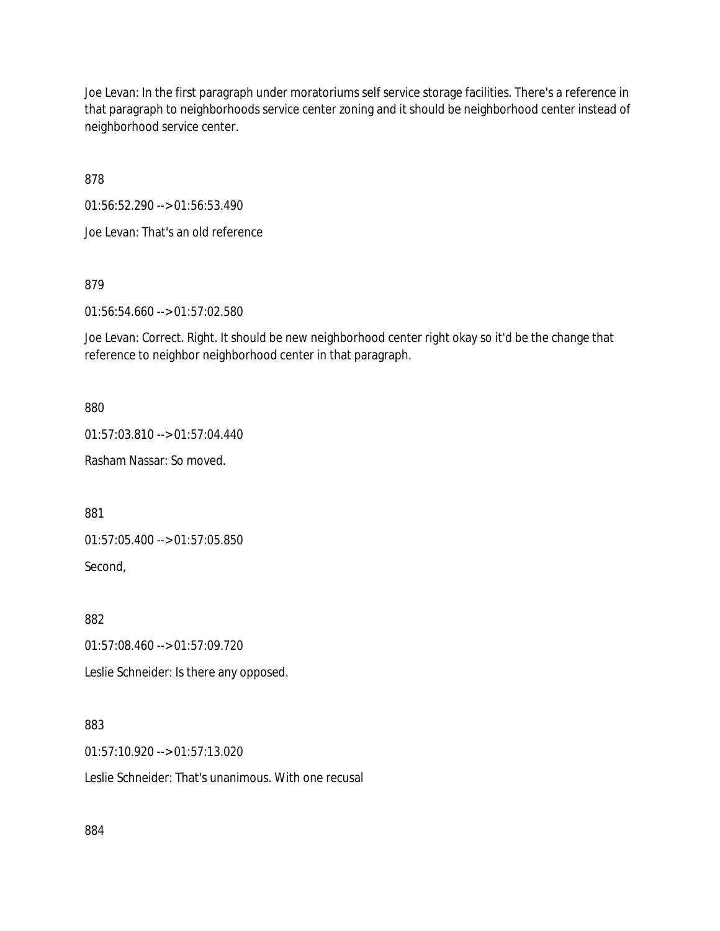Joe Levan: In the first paragraph under moratoriums self service storage facilities. There's a reference in that paragraph to neighborhoods service center zoning and it should be neighborhood center instead of neighborhood service center.

878

01:56:52.290 --> 01:56:53.490

Joe Levan: That's an old reference

879

01:56:54.660 --> 01:57:02.580

Joe Levan: Correct. Right. It should be new neighborhood center right okay so it'd be the change that reference to neighbor neighborhood center in that paragraph.

880

01:57:03.810 --> 01:57:04.440

Rasham Nassar: So moved.

881

01:57:05.400 --> 01:57:05.850

Second,

882

01:57:08.460 --> 01:57:09.720

Leslie Schneider: Is there any opposed.

883

01:57:10.920 --> 01:57:13.020

Leslie Schneider: That's unanimous. With one recusal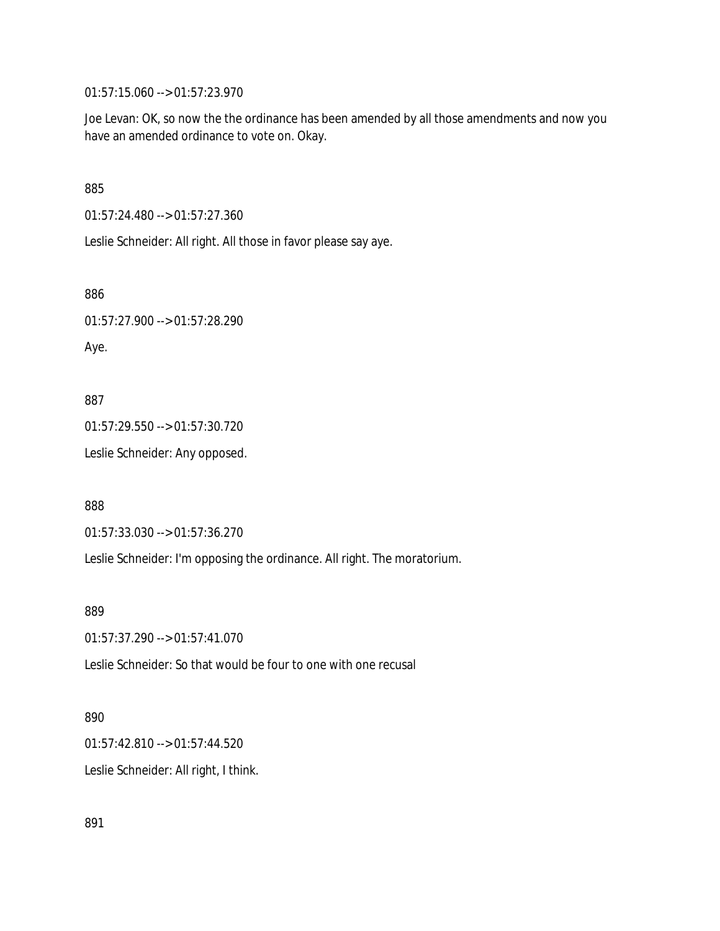01:57:15.060 --> 01:57:23.970

Joe Levan: OK, so now the the ordinance has been amended by all those amendments and now you have an amended ordinance to vote on. Okay.

885

01:57:24.480 --> 01:57:27.360

Leslie Schneider: All right. All those in favor please say aye.

886

01:57:27.900 --> 01:57:28.290

Aye.

887

01:57:29.550 --> 01:57:30.720

Leslie Schneider: Any opposed.

888

01:57:33.030 --> 01:57:36.270

Leslie Schneider: I'm opposing the ordinance. All right. The moratorium.

889

01:57:37.290 --> 01:57:41.070

Leslie Schneider: So that would be four to one with one recusal

#### 890

01:57:42.810 --> 01:57:44.520

Leslie Schneider: All right, I think.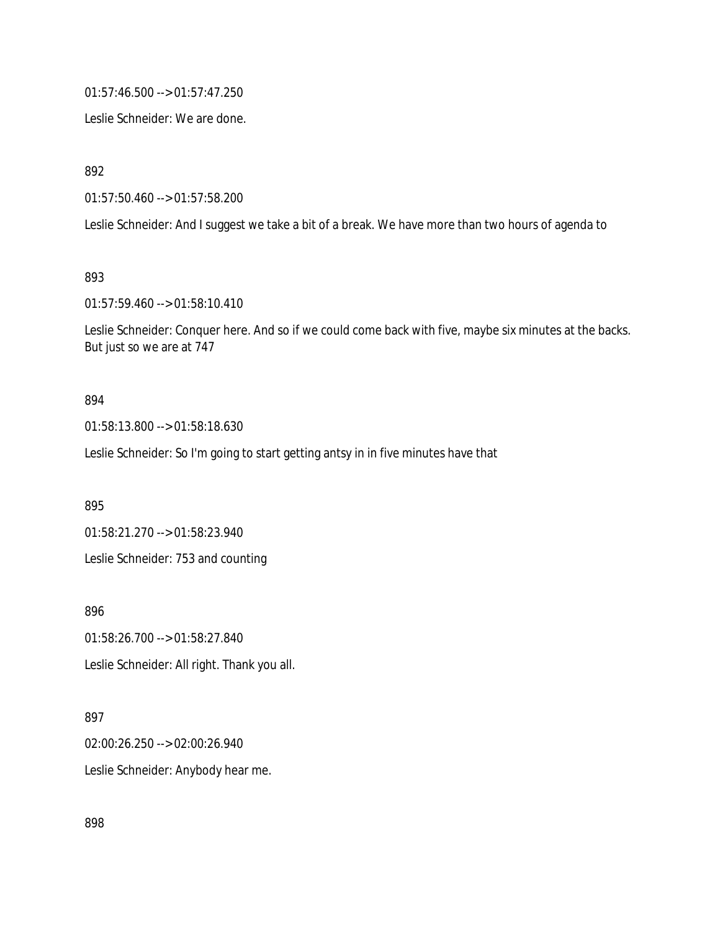01:57:46.500 --> 01:57:47.250

Leslie Schneider: We are done.

892

01:57:50.460 --> 01:57:58.200

Leslie Schneider: And I suggest we take a bit of a break. We have more than two hours of agenda to

893

01:57:59.460 --> 01:58:10.410

Leslie Schneider: Conquer here. And so if we could come back with five, maybe six minutes at the backs. But just so we are at 747

#### 894

01:58:13.800 --> 01:58:18.630

Leslie Schneider: So I'm going to start getting antsy in in five minutes have that

895

01:58:21.270 --> 01:58:23.940

Leslie Schneider: 753 and counting

896

01:58:26.700 --> 01:58:27.840 Leslie Schneider: All right. Thank you all.

### 897

02:00:26.250 --> 02:00:26.940 Leslie Schneider: Anybody hear me.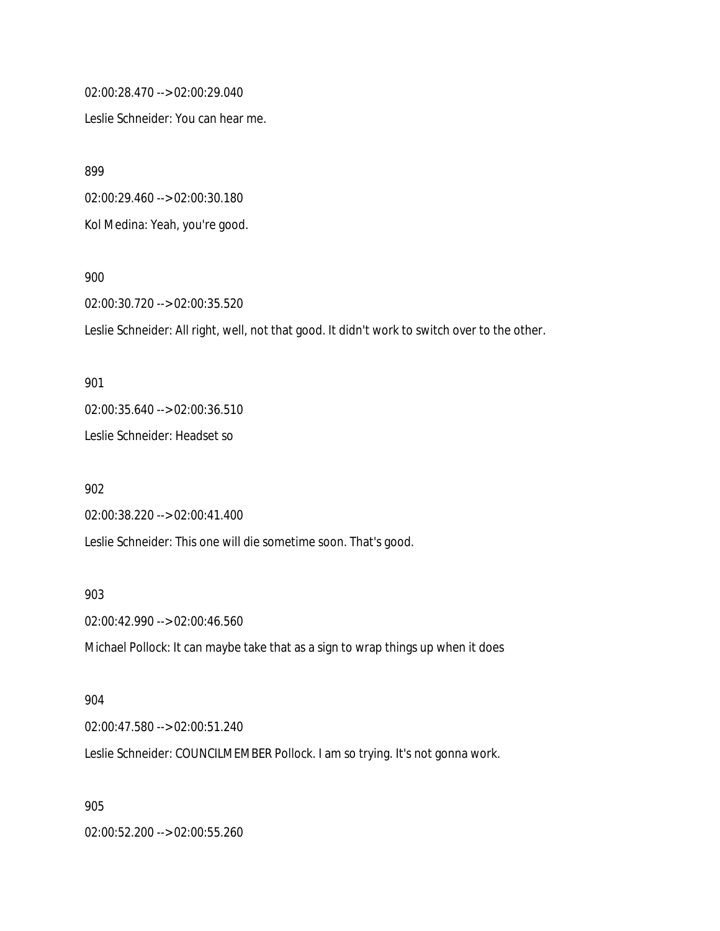02:00:28.470 --> 02:00:29.040

Leslie Schneider: You can hear me.

899

02:00:29.460 --> 02:00:30.180

Kol Medina: Yeah, you're good.

900

02:00:30.720 --> 02:00:35.520

Leslie Schneider: All right, well, not that good. It didn't work to switch over to the other.

901 02:00:35.640 --> 02:00:36.510 Leslie Schneider: Headset so

902 02:00:38.220 --> 02:00:41.400 Leslie Schneider: This one will die sometime soon. That's good.

903

02:00:42.990 --> 02:00:46.560

Michael Pollock: It can maybe take that as a sign to wrap things up when it does

904

02:00:47.580 --> 02:00:51.240

Leslie Schneider: COUNCILMEMBER Pollock. I am so trying. It's not gonna work.

905

02:00:52.200 --> 02:00:55.260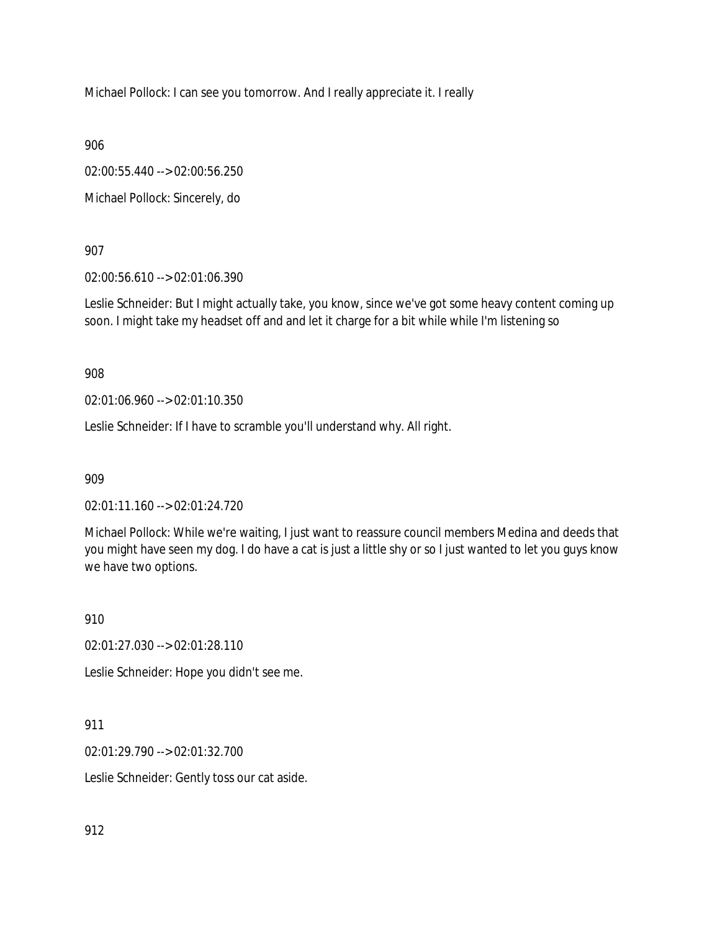Michael Pollock: I can see you tomorrow. And I really appreciate it. I really

906

02:00:55.440 --> 02:00:56.250

Michael Pollock: Sincerely, do

907

02:00:56.610 --> 02:01:06.390

Leslie Schneider: But I might actually take, you know, since we've got some heavy content coming up soon. I might take my headset off and and let it charge for a bit while while I'm listening so

908

02:01:06.960 --> 02:01:10.350

Leslie Schneider: If I have to scramble you'll understand why. All right.

909

02:01:11.160 --> 02:01:24.720

Michael Pollock: While we're waiting, I just want to reassure council members Medina and deeds that you might have seen my dog. I do have a cat is just a little shy or so I just wanted to let you guys know we have two options.

910

02:01:27.030 --> 02:01:28.110

Leslie Schneider: Hope you didn't see me.

911

02:01:29.790 --> 02:01:32.700

Leslie Schneider: Gently toss our cat aside.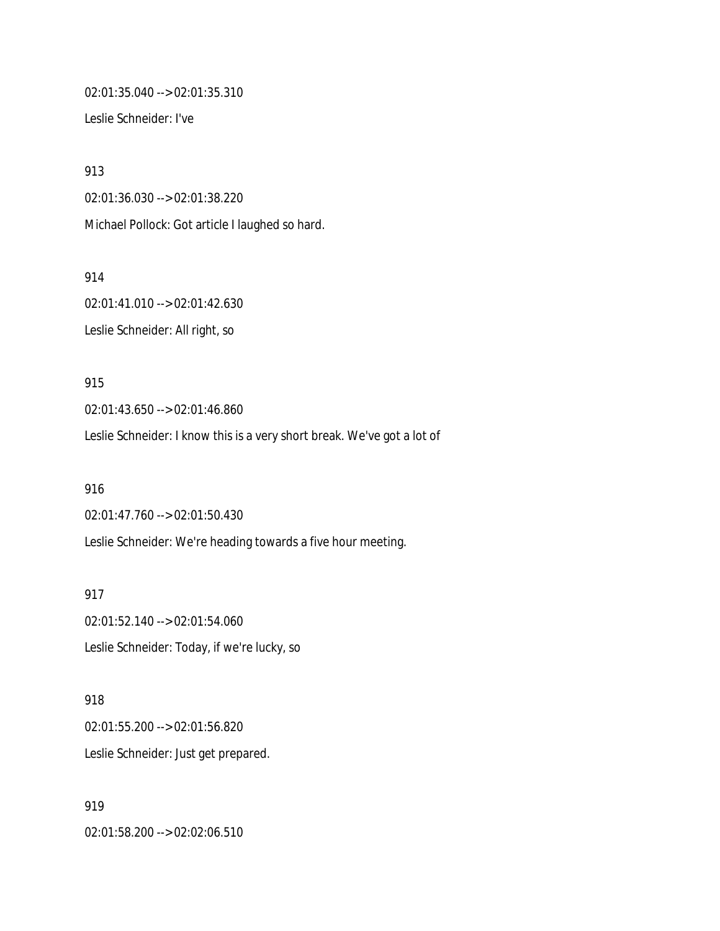02:01:35.040 --> 02:01:35.310

Leslie Schneider: I've

913 02:01:36.030 --> 02:01:38.220 Michael Pollock: Got article I laughed so hard.

914 02:01:41.010 --> 02:01:42.630 Leslie Schneider: All right, so

915 02:01:43.650 --> 02:01:46.860 Leslie Schneider: I know this is a very short break. We've got a lot of

916 02:01:47.760 --> 02:01:50.430 Leslie Schneider: We're heading towards a five hour meeting.

917 02:01:52.140 --> 02:01:54.060 Leslie Schneider: Today, if we're lucky, so

918 02:01:55.200 --> 02:01:56.820 Leslie Schneider: Just get prepared.

919 02:01:58.200 --> 02:02:06.510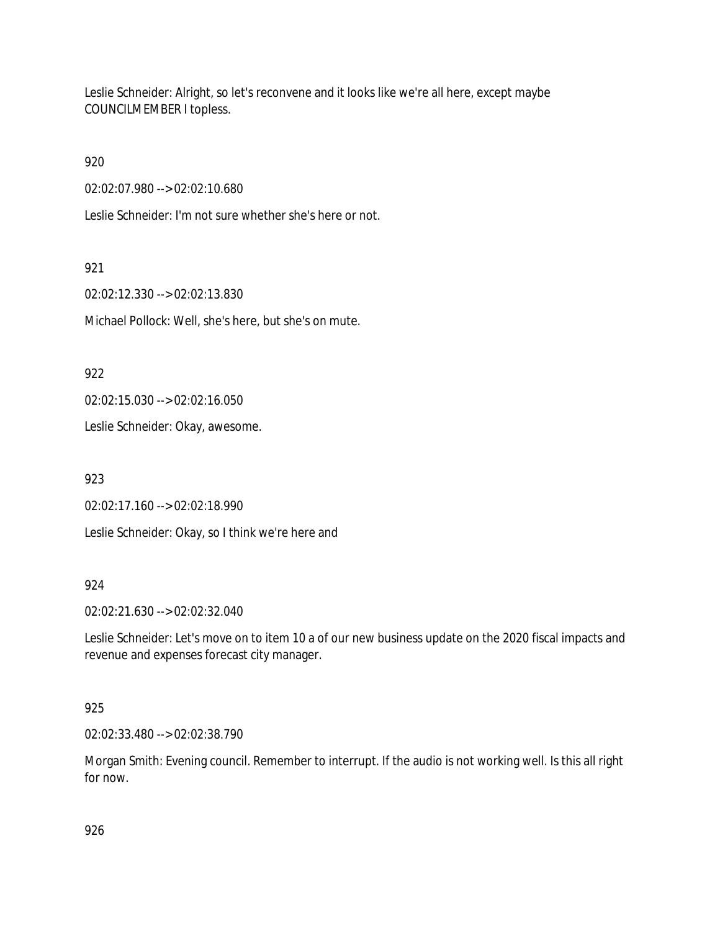Leslie Schneider: Alright, so let's reconvene and it looks like we're all here, except maybe COUNCILMEMBER I topless.

920

02:02:07.980 --> 02:02:10.680

Leslie Schneider: I'm not sure whether she's here or not.

921

02:02:12.330 --> 02:02:13.830

Michael Pollock: Well, she's here, but she's on mute.

922

02:02:15.030 --> 02:02:16.050

Leslie Schneider: Okay, awesome.

923

02:02:17.160 --> 02:02:18.990

Leslie Schneider: Okay, so I think we're here and

### 924

02:02:21.630 --> 02:02:32.040

Leslie Schneider: Let's move on to item 10 a of our new business update on the 2020 fiscal impacts and revenue and expenses forecast city manager.

## 925

02:02:33.480 --> 02:02:38.790

Morgan Smith: Evening council. Remember to interrupt. If the audio is not working well. Is this all right for now.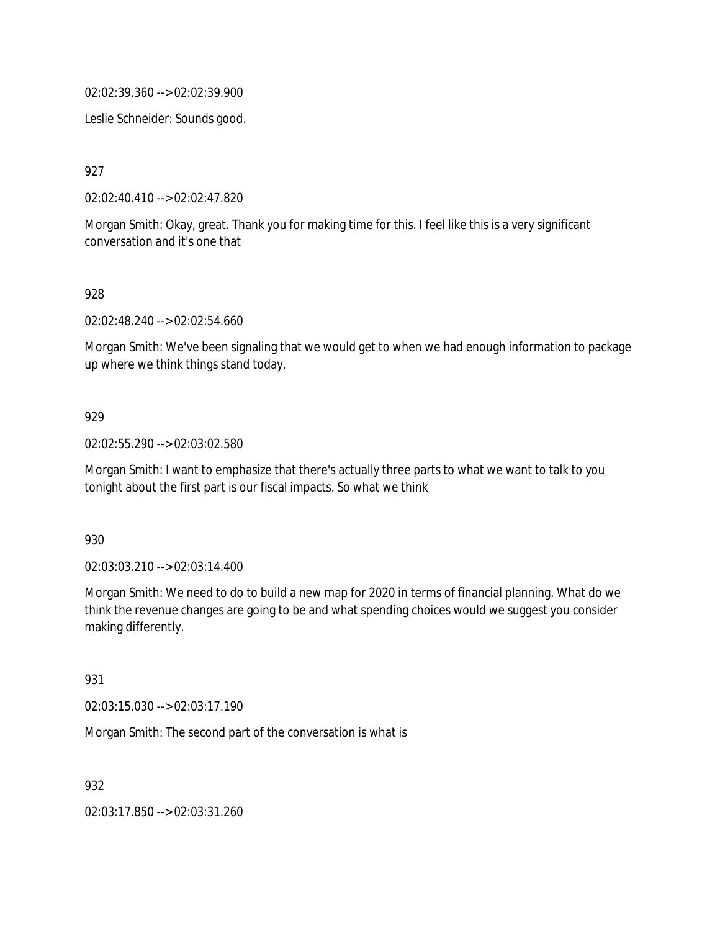02:02:39.360 --> 02:02:39.900

Leslie Schneider: Sounds good.

927

02:02:40.410 --> 02:02:47.820

Morgan Smith: Okay, great. Thank you for making time for this. I feel like this is a very significant conversation and it's one that

### 928

02:02:48.240 --> 02:02:54.660

Morgan Smith: We've been signaling that we would get to when we had enough information to package up where we think things stand today.

### 929

02:02:55.290 --> 02:03:02.580

Morgan Smith: I want to emphasize that there's actually three parts to what we want to talk to you tonight about the first part is our fiscal impacts. So what we think

930

02:03:03.210 --> 02:03:14.400

Morgan Smith: We need to do to build a new map for 2020 in terms of financial planning. What do we think the revenue changes are going to be and what spending choices would we suggest you consider making differently.

### 931

02:03:15.030 --> 02:03:17.190

Morgan Smith: The second part of the conversation is what is

932

02:03:17.850 --> 02:03:31.260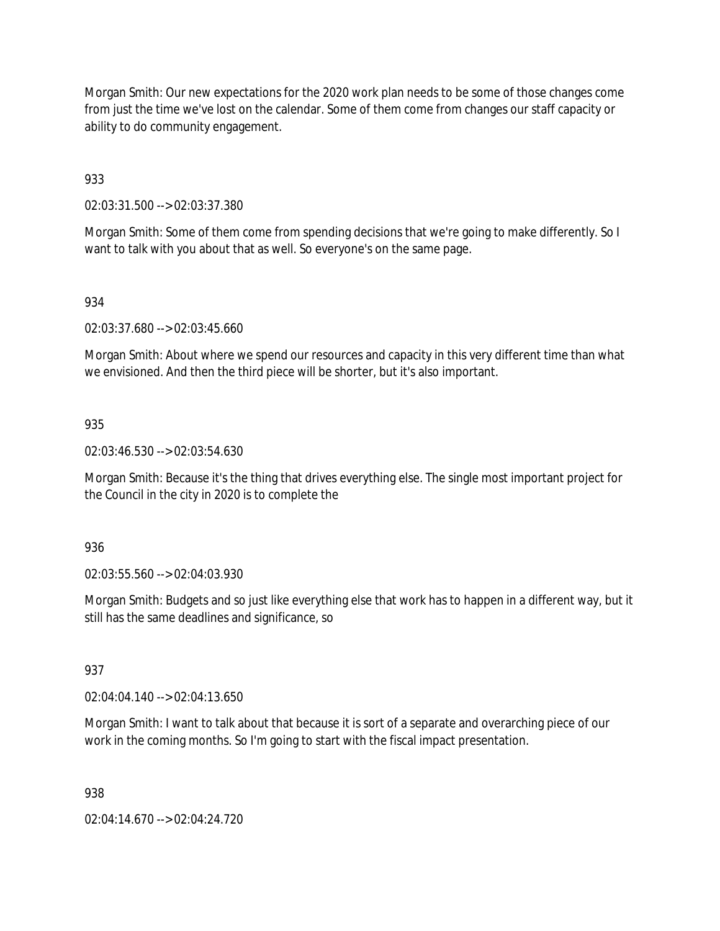Morgan Smith: Our new expectations for the 2020 work plan needs to be some of those changes come from just the time we've lost on the calendar. Some of them come from changes our staff capacity or ability to do community engagement.

933

02:03:31.500 --> 02:03:37.380

Morgan Smith: Some of them come from spending decisions that we're going to make differently. So I want to talk with you about that as well. So everyone's on the same page.

### 934

02:03:37.680 --> 02:03:45.660

Morgan Smith: About where we spend our resources and capacity in this very different time than what we envisioned. And then the third piece will be shorter, but it's also important.

### 935

02:03:46.530 --> 02:03:54.630

Morgan Smith: Because it's the thing that drives everything else. The single most important project for the Council in the city in 2020 is to complete the

### 936

02:03:55.560 --> 02:04:03.930

Morgan Smith: Budgets and so just like everything else that work has to happen in a different way, but it still has the same deadlines and significance, so

### 937

02:04:04.140 --> 02:04:13.650

Morgan Smith: I want to talk about that because it is sort of a separate and overarching piece of our work in the coming months. So I'm going to start with the fiscal impact presentation.

### 938

02:04:14.670 --> 02:04:24.720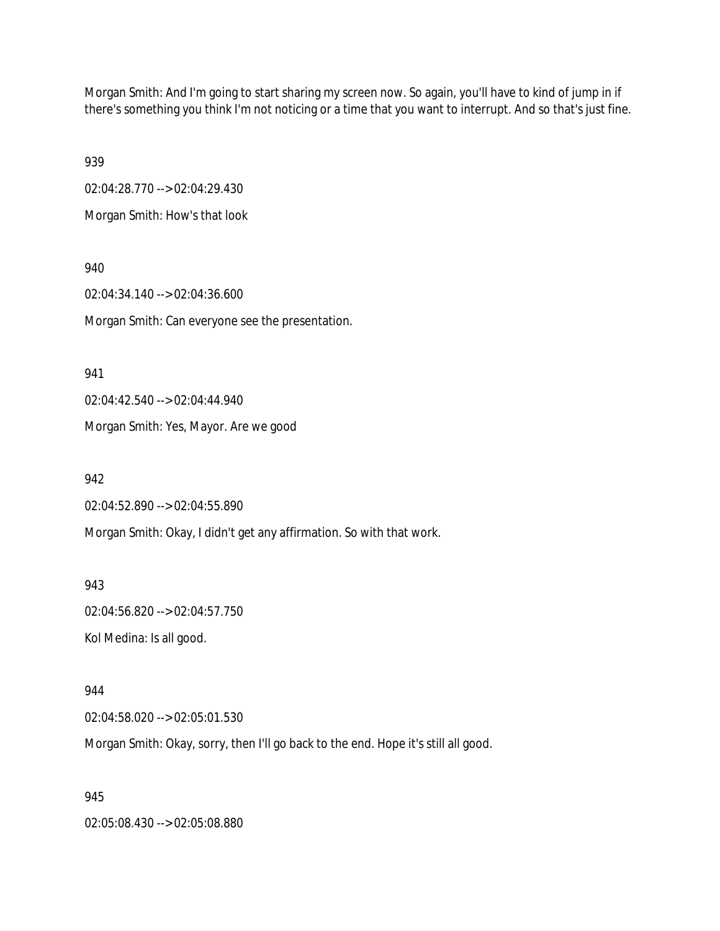Morgan Smith: And I'm going to start sharing my screen now. So again, you'll have to kind of jump in if there's something you think I'm not noticing or a time that you want to interrupt. And so that's just fine.

939

02:04:28.770 --> 02:04:29.430

Morgan Smith: How's that look

940 02:04:34.140 --> 02:04:36.600 Morgan Smith: Can everyone see the presentation.

941

02:04:42.540 --> 02:04:44.940

Morgan Smith: Yes, Mayor. Are we good

942

02:04:52.890 --> 02:04:55.890

Morgan Smith: Okay, I didn't get any affirmation. So with that work.

943 02:04:56.820 --> 02:04:57.750 Kol Medina: Is all good.

944 02:04:58.020 --> 02:05:01.530

Morgan Smith: Okay, sorry, then I'll go back to the end. Hope it's still all good.

945

02:05:08.430 --> 02:05:08.880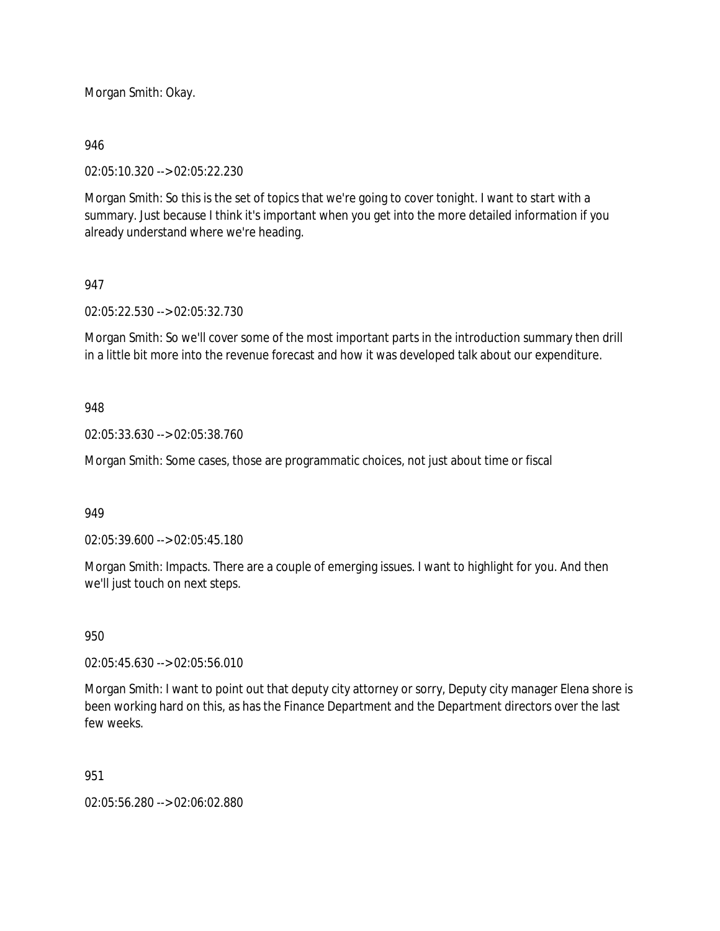Morgan Smith: Okay.

### 946

02:05:10.320 --> 02:05:22.230

Morgan Smith: So this is the set of topics that we're going to cover tonight. I want to start with a summary. Just because I think it's important when you get into the more detailed information if you already understand where we're heading.

## 947

02:05:22.530 --> 02:05:32.730

Morgan Smith: So we'll cover some of the most important parts in the introduction summary then drill in a little bit more into the revenue forecast and how it was developed talk about our expenditure.

### 948

02:05:33.630 --> 02:05:38.760

Morgan Smith: Some cases, those are programmatic choices, not just about time or fiscal

### 949

02:05:39.600 --> 02:05:45.180

Morgan Smith: Impacts. There are a couple of emerging issues. I want to highlight for you. And then we'll just touch on next steps.

### 950

02:05:45.630 --> 02:05:56.010

Morgan Smith: I want to point out that deputy city attorney or sorry, Deputy city manager Elena shore is been working hard on this, as has the Finance Department and the Department directors over the last few weeks.

### 951

02:05:56.280 --> 02:06:02.880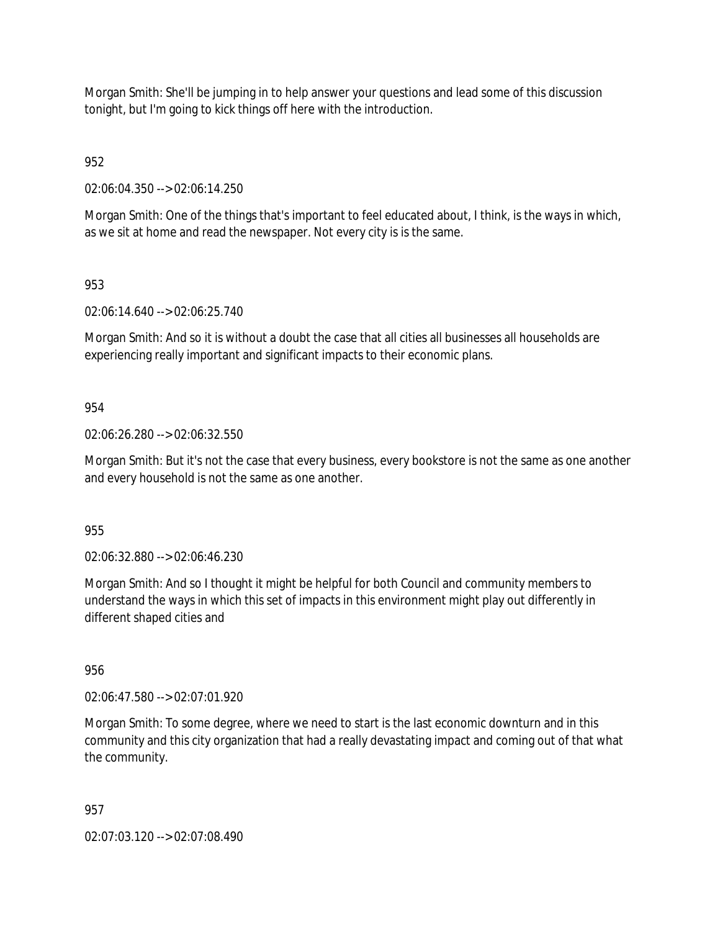Morgan Smith: She'll be jumping in to help answer your questions and lead some of this discussion tonight, but I'm going to kick things off here with the introduction.

952

02:06:04.350 --> 02:06:14.250

Morgan Smith: One of the things that's important to feel educated about, I think, is the ways in which, as we sit at home and read the newspaper. Not every city is is the same.

953

02:06:14.640 --> 02:06:25.740

Morgan Smith: And so it is without a doubt the case that all cities all businesses all households are experiencing really important and significant impacts to their economic plans.

954

02:06:26.280 --> 02:06:32.550

Morgan Smith: But it's not the case that every business, every bookstore is not the same as one another and every household is not the same as one another.

955

02:06:32.880 --> 02:06:46.230

Morgan Smith: And so I thought it might be helpful for both Council and community members to understand the ways in which this set of impacts in this environment might play out differently in different shaped cities and

956

02:06:47.580 --> 02:07:01.920

Morgan Smith: To some degree, where we need to start is the last economic downturn and in this community and this city organization that had a really devastating impact and coming out of that what the community.

957

02:07:03.120 --> 02:07:08.490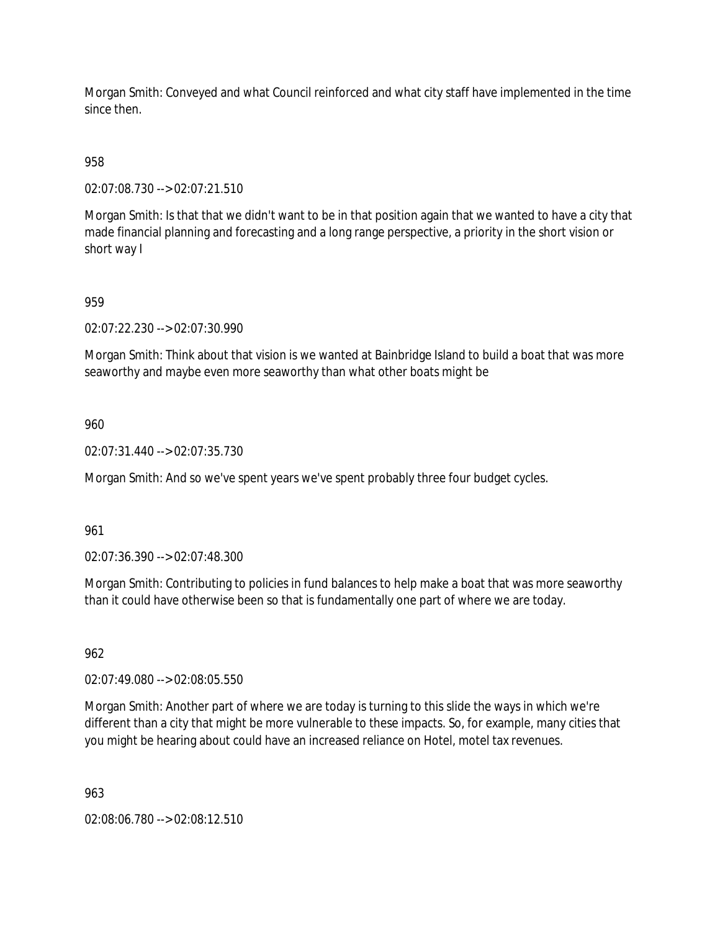Morgan Smith: Conveyed and what Council reinforced and what city staff have implemented in the time since then.

958

02:07:08.730 --> 02:07:21.510

Morgan Smith: Is that that we didn't want to be in that position again that we wanted to have a city that made financial planning and forecasting and a long range perspective, a priority in the short vision or short way I

## 959

02:07:22.230 --> 02:07:30.990

Morgan Smith: Think about that vision is we wanted at Bainbridge Island to build a boat that was more seaworthy and maybe even more seaworthy than what other boats might be

### 960

02:07:31.440 --> 02:07:35.730

Morgan Smith: And so we've spent years we've spent probably three four budget cycles.

#### 961

02:07:36.390 --> 02:07:48.300

Morgan Smith: Contributing to policies in fund balances to help make a boat that was more seaworthy than it could have otherwise been so that is fundamentally one part of where we are today.

### 962

02:07:49.080 --> 02:08:05.550

Morgan Smith: Another part of where we are today is turning to this slide the ways in which we're different than a city that might be more vulnerable to these impacts. So, for example, many cities that you might be hearing about could have an increased reliance on Hotel, motel tax revenues.

963

02:08:06.780 --> 02:08:12.510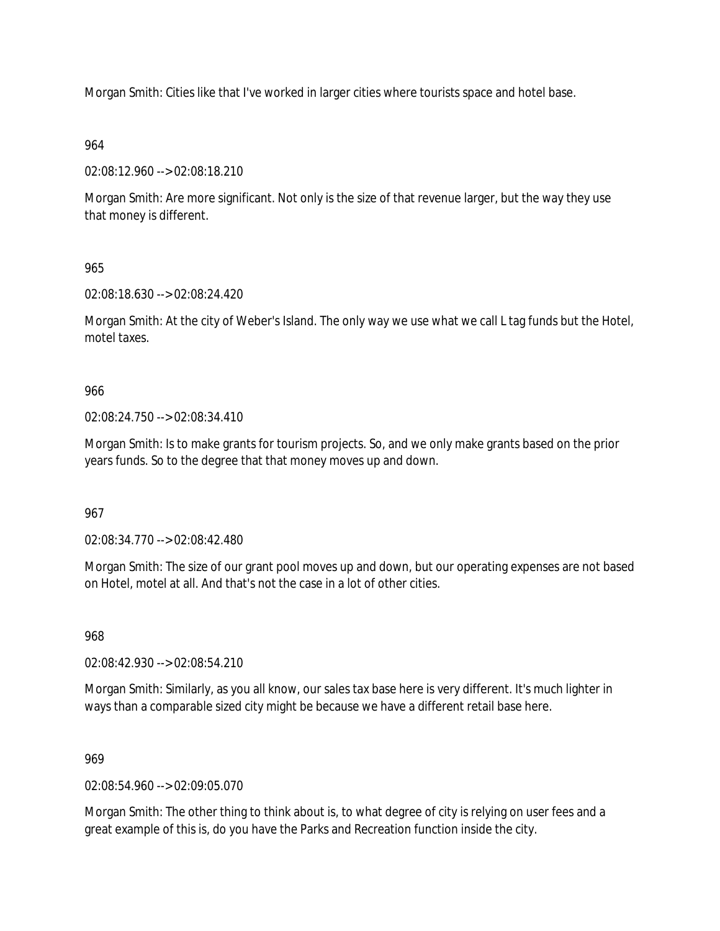Morgan Smith: Cities like that I've worked in larger cities where tourists space and hotel base.

## 964

02:08:12.960 --> 02:08:18.210

Morgan Smith: Are more significant. Not only is the size of that revenue larger, but the way they use that money is different.

## 965

02:08:18.630 --> 02:08:24.420

Morgan Smith: At the city of Weber's Island. The only way we use what we call L tag funds but the Hotel, motel taxes.

## 966

02:08:24.750 --> 02:08:34.410

Morgan Smith: Is to make grants for tourism projects. So, and we only make grants based on the prior years funds. So to the degree that that money moves up and down.

### 967

02:08:34.770 --> 02:08:42.480

Morgan Smith: The size of our grant pool moves up and down, but our operating expenses are not based on Hotel, motel at all. And that's not the case in a lot of other cities.

968

02:08:42.930 --> 02:08:54.210

Morgan Smith: Similarly, as you all know, our sales tax base here is very different. It's much lighter in ways than a comparable sized city might be because we have a different retail base here.

### 969

02:08:54.960 --> 02:09:05.070

Morgan Smith: The other thing to think about is, to what degree of city is relying on user fees and a great example of this is, do you have the Parks and Recreation function inside the city.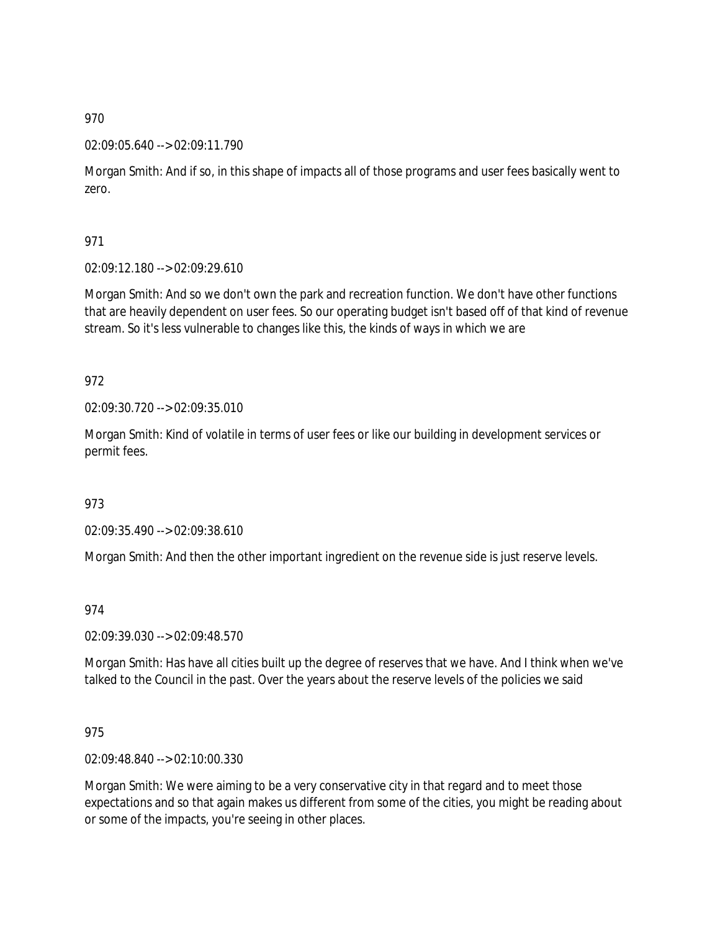### 02:09:05.640 --> 02:09:11.790

Morgan Smith: And if so, in this shape of impacts all of those programs and user fees basically went to zero.

971

02:09:12.180 --> 02:09:29.610

Morgan Smith: And so we don't own the park and recreation function. We don't have other functions that are heavily dependent on user fees. So our operating budget isn't based off of that kind of revenue stream. So it's less vulnerable to changes like this, the kinds of ways in which we are

972

02:09:30.720 --> 02:09:35.010

Morgan Smith: Kind of volatile in terms of user fees or like our building in development services or permit fees.

973

02:09:35.490 --> 02:09:38.610

Morgan Smith: And then the other important ingredient on the revenue side is just reserve levels.

974

02:09:39.030 --> 02:09:48.570

Morgan Smith: Has have all cities built up the degree of reserves that we have. And I think when we've talked to the Council in the past. Over the years about the reserve levels of the policies we said

975

02:09:48.840 --> 02:10:00.330

Morgan Smith: We were aiming to be a very conservative city in that regard and to meet those expectations and so that again makes us different from some of the cities, you might be reading about or some of the impacts, you're seeing in other places.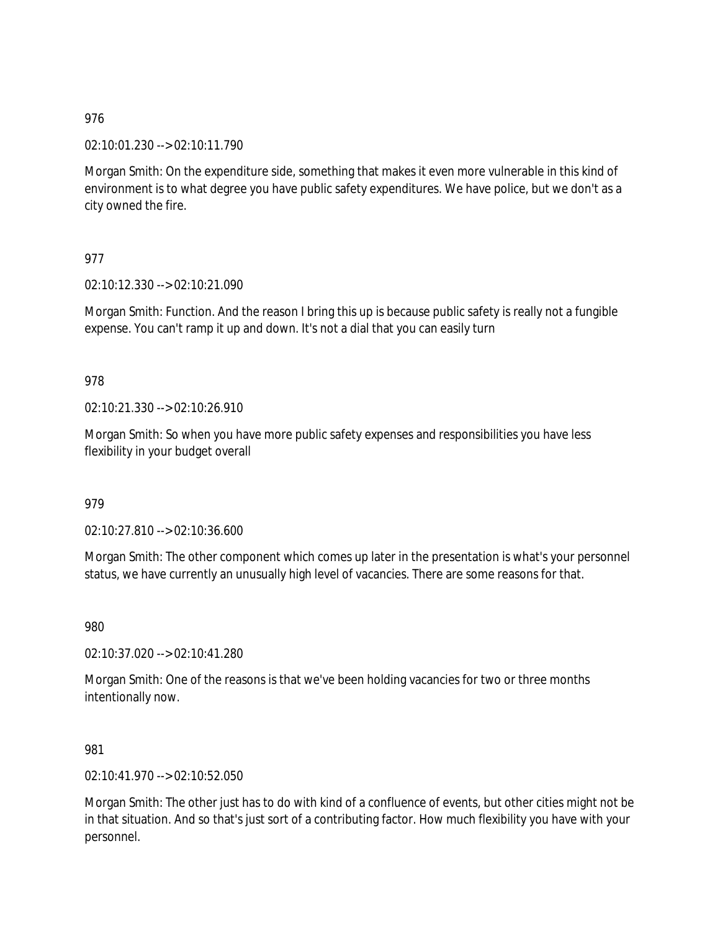02:10:01.230 --> 02:10:11.790

Morgan Smith: On the expenditure side, something that makes it even more vulnerable in this kind of environment is to what degree you have public safety expenditures. We have police, but we don't as a city owned the fire.

## 977

02:10:12.330 --> 02:10:21.090

Morgan Smith: Function. And the reason I bring this up is because public safety is really not a fungible expense. You can't ramp it up and down. It's not a dial that you can easily turn

## 978

02:10:21.330 --> 02:10:26.910

Morgan Smith: So when you have more public safety expenses and responsibilities you have less flexibility in your budget overall

### 979

02:10:27.810 --> 02:10:36.600

Morgan Smith: The other component which comes up later in the presentation is what's your personnel status, we have currently an unusually high level of vacancies. There are some reasons for that.

980

02:10:37.020 --> 02:10:41.280

Morgan Smith: One of the reasons is that we've been holding vacancies for two or three months intentionally now.

### 981

02:10:41.970 --> 02:10:52.050

Morgan Smith: The other just has to do with kind of a confluence of events, but other cities might not be in that situation. And so that's just sort of a contributing factor. How much flexibility you have with your personnel.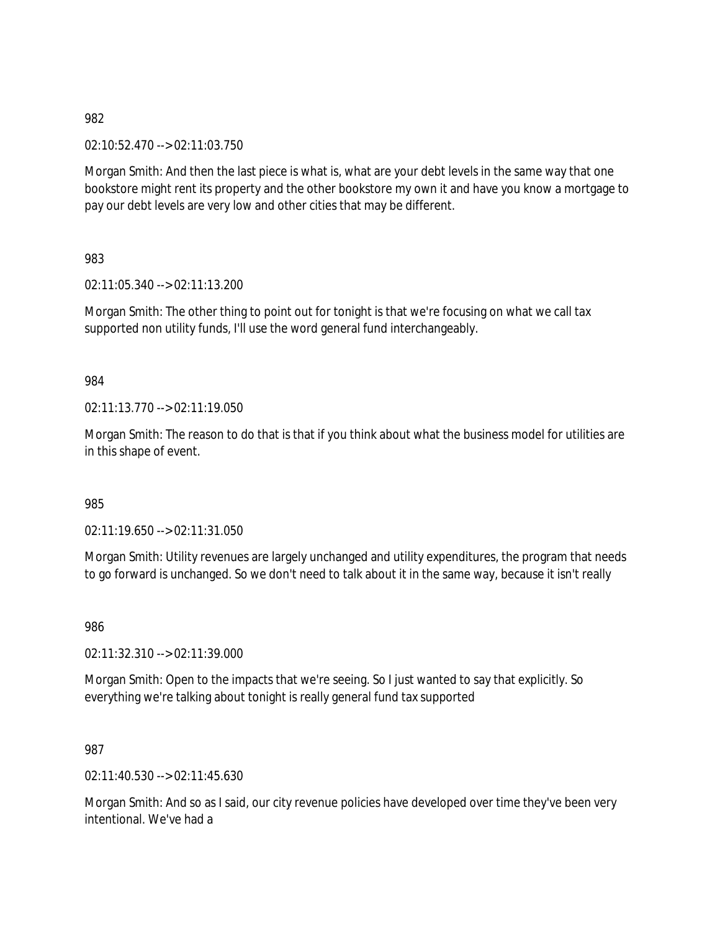02:10:52.470 --> 02:11:03.750

Morgan Smith: And then the last piece is what is, what are your debt levels in the same way that one bookstore might rent its property and the other bookstore my own it and have you know a mortgage to pay our debt levels are very low and other cities that may be different.

983

02:11:05.340 --> 02:11:13.200

Morgan Smith: The other thing to point out for tonight is that we're focusing on what we call tax supported non utility funds, I'll use the word general fund interchangeably.

984

02:11:13.770 --> 02:11:19.050

Morgan Smith: The reason to do that is that if you think about what the business model for utilities are in this shape of event.

985

02:11:19.650 --> 02:11:31.050

Morgan Smith: Utility revenues are largely unchanged and utility expenditures, the program that needs to go forward is unchanged. So we don't need to talk about it in the same way, because it isn't really

986

02:11:32.310 --> 02:11:39.000

Morgan Smith: Open to the impacts that we're seeing. So I just wanted to say that explicitly. So everything we're talking about tonight is really general fund tax supported

987

02:11:40.530 --> 02:11:45.630

Morgan Smith: And so as I said, our city revenue policies have developed over time they've been very intentional. We've had a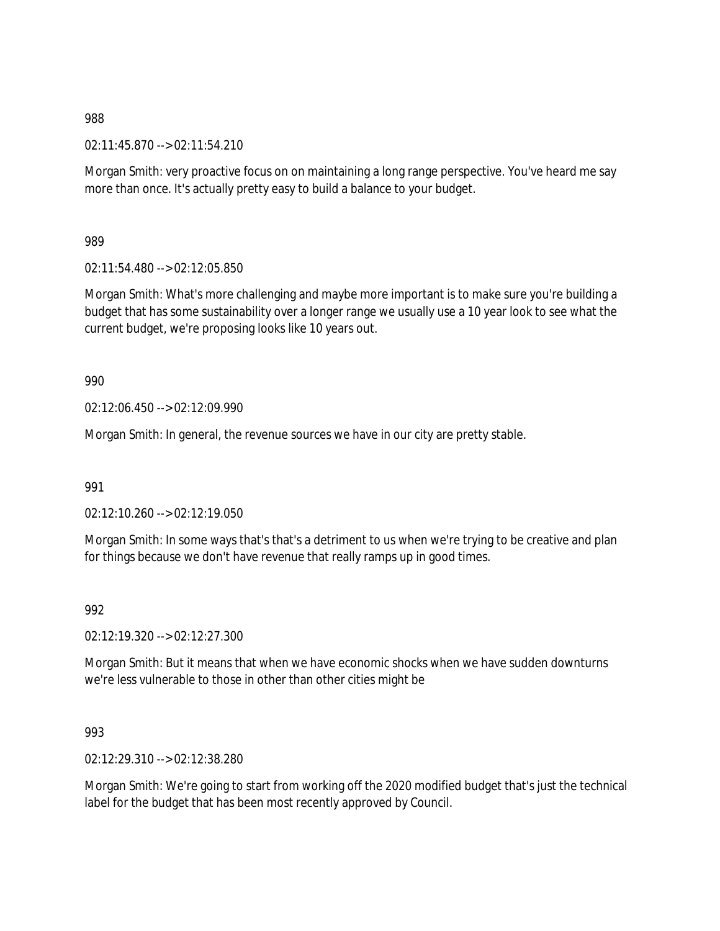02:11:45.870 --> 02:11:54.210

Morgan Smith: very proactive focus on on maintaining a long range perspective. You've heard me say more than once. It's actually pretty easy to build a balance to your budget.

989

02:11:54.480 --> 02:12:05.850

Morgan Smith: What's more challenging and maybe more important is to make sure you're building a budget that has some sustainability over a longer range we usually use a 10 year look to see what the current budget, we're proposing looks like 10 years out.

990

02:12:06.450 --> 02:12:09.990

Morgan Smith: In general, the revenue sources we have in our city are pretty stable.

991

02:12:10.260 --> 02:12:19.050

Morgan Smith: In some ways that's that's a detriment to us when we're trying to be creative and plan for things because we don't have revenue that really ramps up in good times.

992

02:12:19.320 --> 02:12:27.300

Morgan Smith: But it means that when we have economic shocks when we have sudden downturns we're less vulnerable to those in other than other cities might be

993

02:12:29.310 --> 02:12:38.280

Morgan Smith: We're going to start from working off the 2020 modified budget that's just the technical label for the budget that has been most recently approved by Council.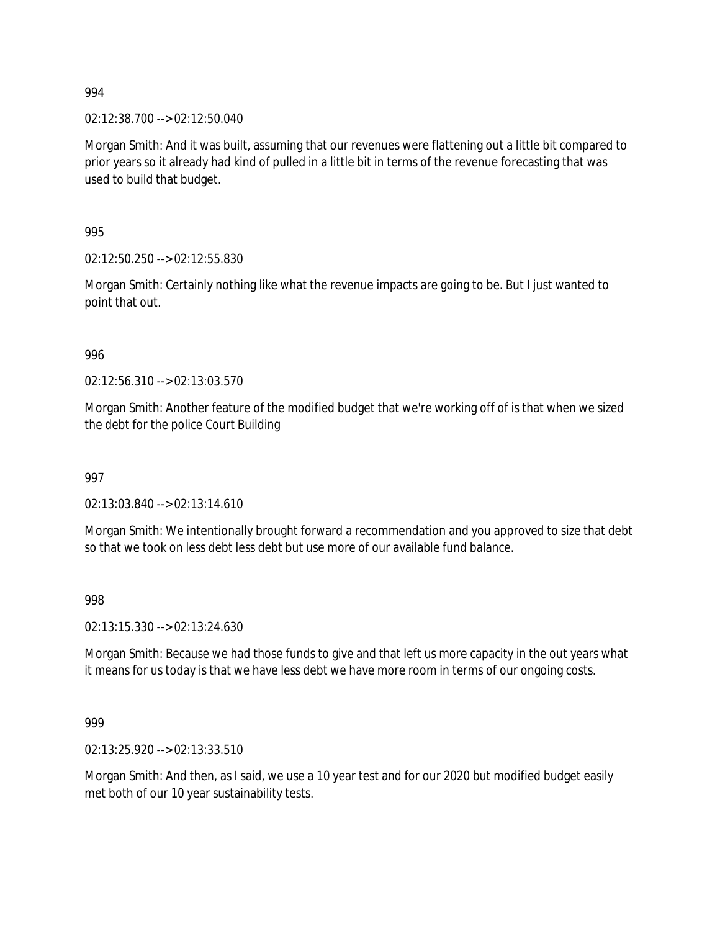02:12:38.700 --> 02:12:50.040

Morgan Smith: And it was built, assuming that our revenues were flattening out a little bit compared to prior years so it already had kind of pulled in a little bit in terms of the revenue forecasting that was used to build that budget.

995

02:12:50.250 --> 02:12:55.830

Morgan Smith: Certainly nothing like what the revenue impacts are going to be. But I just wanted to point that out.

996

02:12:56.310 --> 02:13:03.570

Morgan Smith: Another feature of the modified budget that we're working off of is that when we sized the debt for the police Court Building

997

02:13:03.840 --> 02:13:14.610

Morgan Smith: We intentionally brought forward a recommendation and you approved to size that debt so that we took on less debt less debt but use more of our available fund balance.

998

02:13:15.330 --> 02:13:24.630

Morgan Smith: Because we had those funds to give and that left us more capacity in the out years what it means for us today is that we have less debt we have more room in terms of our ongoing costs.

999

02:13:25.920 --> 02:13:33.510

Morgan Smith: And then, as I said, we use a 10 year test and for our 2020 but modified budget easily met both of our 10 year sustainability tests.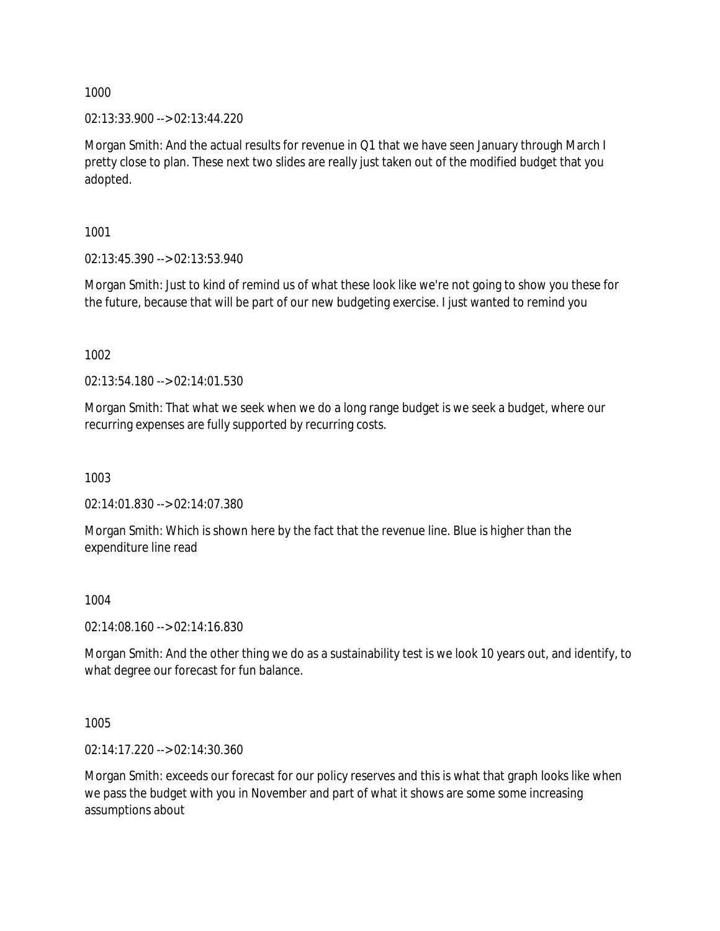02:13:33.900 --> 02:13:44.220

Morgan Smith: And the actual results for revenue in Q1 that we have seen January through March I pretty close to plan. These next two slides are really just taken out of the modified budget that you adopted.

1001

02:13:45.390 --> 02:13:53.940

Morgan Smith: Just to kind of remind us of what these look like we're not going to show you these for the future, because that will be part of our new budgeting exercise. I just wanted to remind you

1002

02:13:54.180 --> 02:14:01.530

Morgan Smith: That what we seek when we do a long range budget is we seek a budget, where our recurring expenses are fully supported by recurring costs.

1003

02:14:01.830 --> 02:14:07.380

Morgan Smith: Which is shown here by the fact that the revenue line. Blue is higher than the expenditure line read

1004

02:14:08.160 --> 02:14:16.830

Morgan Smith: And the other thing we do as a sustainability test is we look 10 years out, and identify, to what degree our forecast for fun balance.

1005

02:14:17.220 --> 02:14:30.360

Morgan Smith: exceeds our forecast for our policy reserves and this is what that graph looks like when we pass the budget with you in November and part of what it shows are some some increasing assumptions about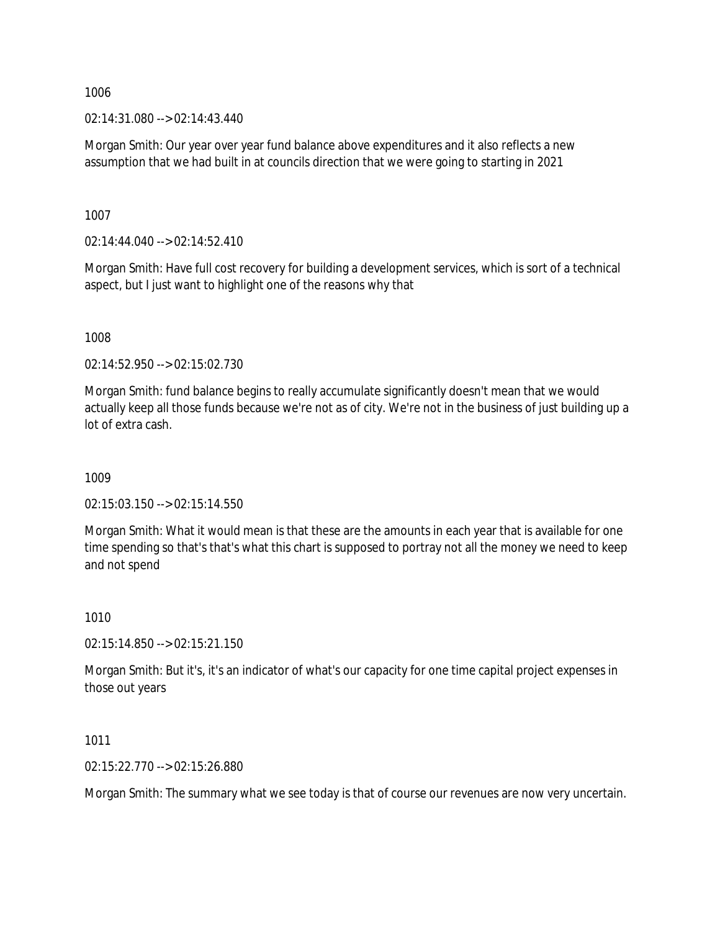02:14:31.080 --> 02:14:43.440

Morgan Smith: Our year over year fund balance above expenditures and it also reflects a new assumption that we had built in at councils direction that we were going to starting in 2021

1007

02:14:44.040 --> 02:14:52.410

Morgan Smith: Have full cost recovery for building a development services, which is sort of a technical aspect, but I just want to highlight one of the reasons why that

1008

02:14:52.950 --> 02:15:02.730

Morgan Smith: fund balance begins to really accumulate significantly doesn't mean that we would actually keep all those funds because we're not as of city. We're not in the business of just building up a lot of extra cash.

1009

02:15:03.150 --> 02:15:14.550

Morgan Smith: What it would mean is that these are the amounts in each year that is available for one time spending so that's that's what this chart is supposed to portray not all the money we need to keep and not spend

1010

02:15:14.850 --> 02:15:21.150

Morgan Smith: But it's, it's an indicator of what's our capacity for one time capital project expenses in those out years

1011

02:15:22.770 --> 02:15:26.880

Morgan Smith: The summary what we see today is that of course our revenues are now very uncertain.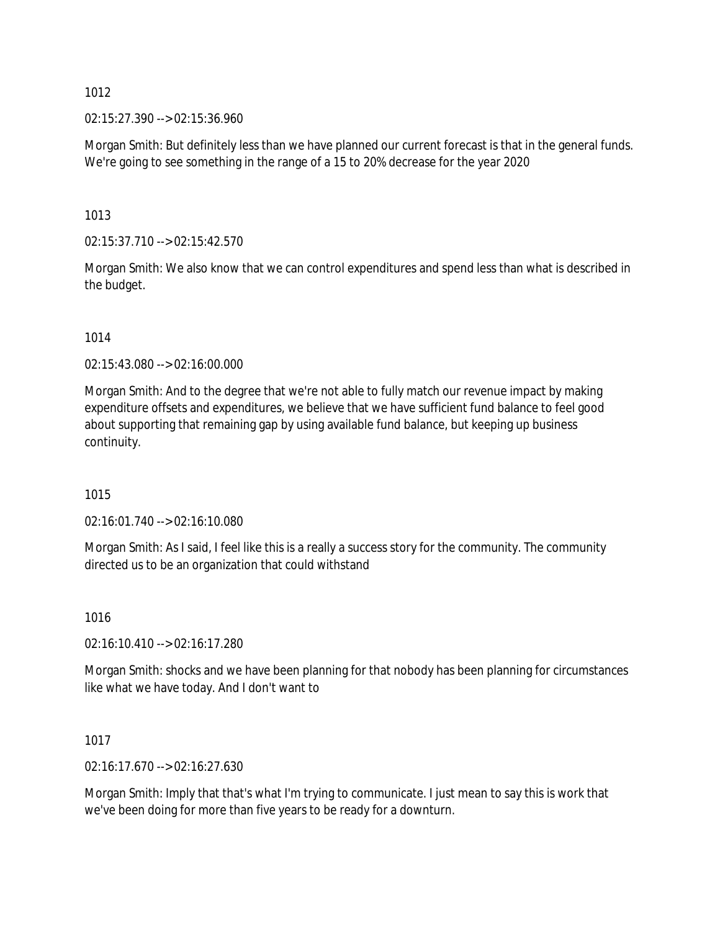02:15:27.390 --> 02:15:36.960

Morgan Smith: But definitely less than we have planned our current forecast is that in the general funds. We're going to see something in the range of a 15 to 20% decrease for the year 2020

1013

02:15:37.710 --> 02:15:42.570

Morgan Smith: We also know that we can control expenditures and spend less than what is described in the budget.

1014

02:15:43.080 --> 02:16:00.000

Morgan Smith: And to the degree that we're not able to fully match our revenue impact by making expenditure offsets and expenditures, we believe that we have sufficient fund balance to feel good about supporting that remaining gap by using available fund balance, but keeping up business continuity.

1015

02:16:01.740 --> 02:16:10.080

Morgan Smith: As I said, I feel like this is a really a success story for the community. The community directed us to be an organization that could withstand

1016

02:16:10.410 --> 02:16:17.280

Morgan Smith: shocks and we have been planning for that nobody has been planning for circumstances like what we have today. And I don't want to

1017

02:16:17.670 --> 02:16:27.630

Morgan Smith: Imply that that's what I'm trying to communicate. I just mean to say this is work that we've been doing for more than five years to be ready for a downturn.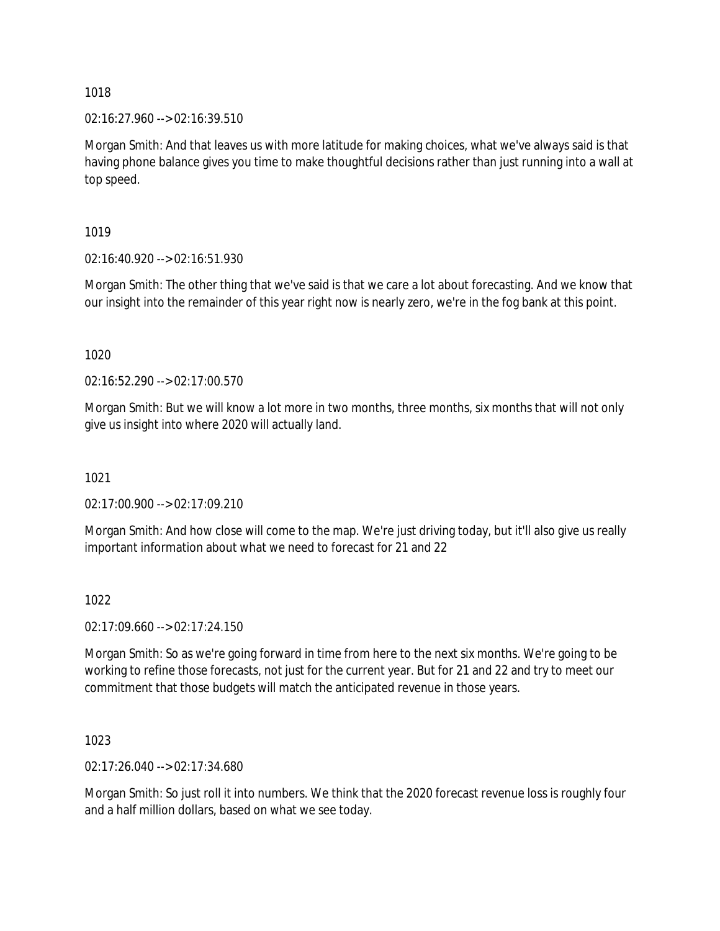02:16:27.960 --> 02:16:39.510

Morgan Smith: And that leaves us with more latitude for making choices, what we've always said is that having phone balance gives you time to make thoughtful decisions rather than just running into a wall at top speed.

1019

02:16:40.920 --> 02:16:51.930

Morgan Smith: The other thing that we've said is that we care a lot about forecasting. And we know that our insight into the remainder of this year right now is nearly zero, we're in the fog bank at this point.

1020

02:16:52.290 --> 02:17:00.570

Morgan Smith: But we will know a lot more in two months, three months, six months that will not only give us insight into where 2020 will actually land.

1021

02:17:00.900 --> 02:17:09.210

Morgan Smith: And how close will come to the map. We're just driving today, but it'll also give us really important information about what we need to forecast for 21 and 22

1022

02:17:09.660 --> 02:17:24.150

Morgan Smith: So as we're going forward in time from here to the next six months. We're going to be working to refine those forecasts, not just for the current year. But for 21 and 22 and try to meet our commitment that those budgets will match the anticipated revenue in those years.

1023

02:17:26.040 --> 02:17:34.680

Morgan Smith: So just roll it into numbers. We think that the 2020 forecast revenue loss is roughly four and a half million dollars, based on what we see today.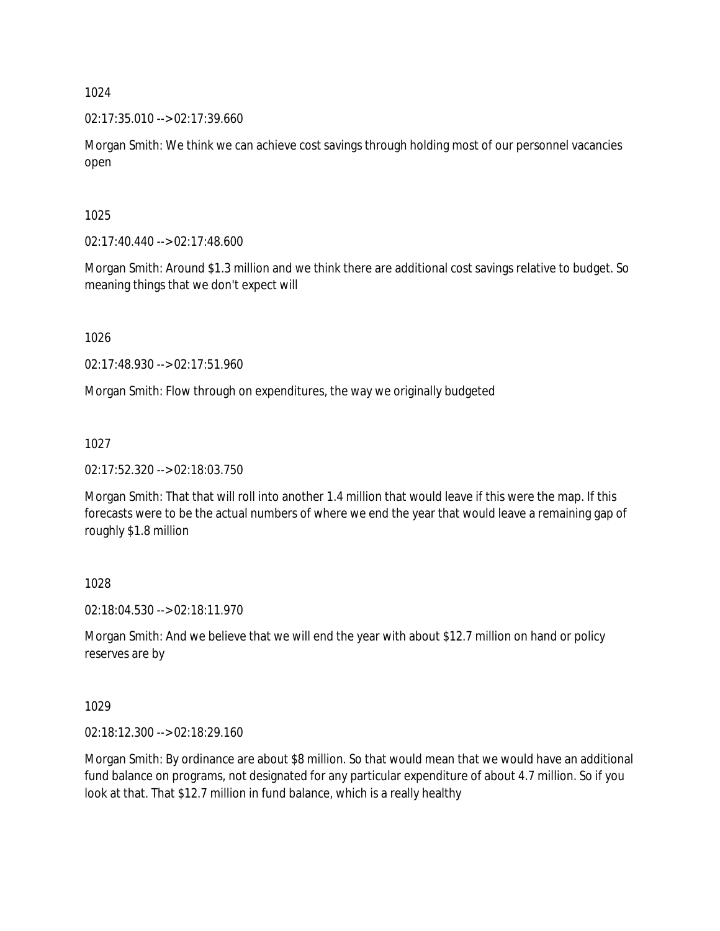02:17:35.010 --> 02:17:39.660

Morgan Smith: We think we can achieve cost savings through holding most of our personnel vacancies open

### 1025

 $02:17:40.440 \rightarrow 02:17:48.600$ 

Morgan Smith: Around \$1.3 million and we think there are additional cost savings relative to budget. So meaning things that we don't expect will

1026

02:17:48.930 --> 02:17:51.960

Morgan Smith: Flow through on expenditures, the way we originally budgeted

1027

02:17:52.320 --> 02:18:03.750

Morgan Smith: That that will roll into another 1.4 million that would leave if this were the map. If this forecasts were to be the actual numbers of where we end the year that would leave a remaining gap of roughly \$1.8 million

1028

02:18:04.530 --> 02:18:11.970

Morgan Smith: And we believe that we will end the year with about \$12.7 million on hand or policy reserves are by

1029

02:18:12.300 --> 02:18:29.160

Morgan Smith: By ordinance are about \$8 million. So that would mean that we would have an additional fund balance on programs, not designated for any particular expenditure of about 4.7 million. So if you look at that. That \$12.7 million in fund balance, which is a really healthy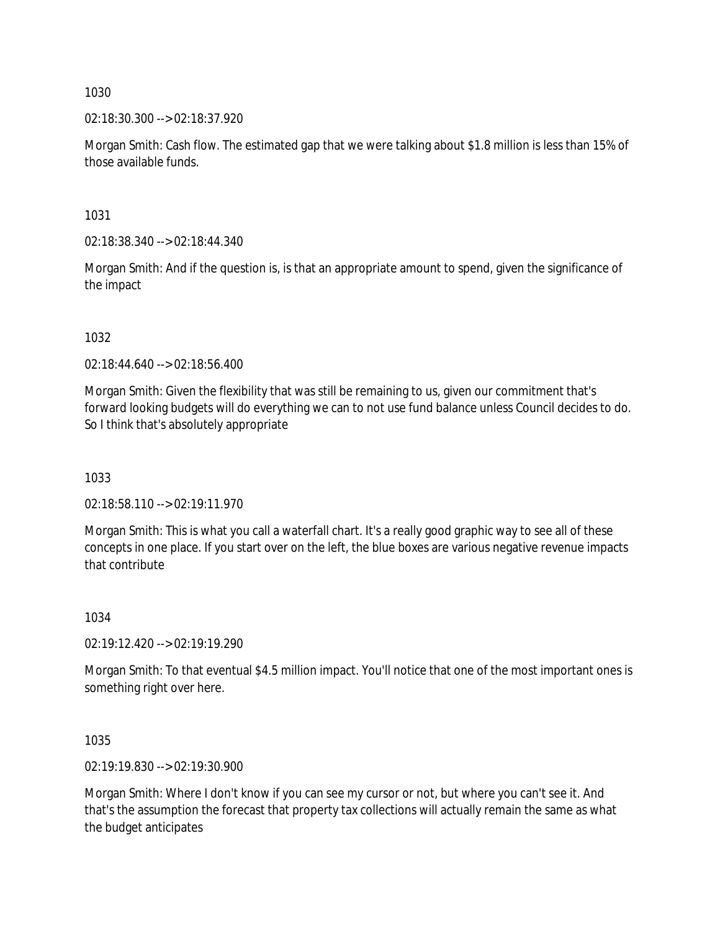02:18:30.300 --> 02:18:37.920

Morgan Smith: Cash flow. The estimated gap that we were talking about \$1.8 million is less than 15% of those available funds.

1031

02:18:38.340 --> 02:18:44.340

Morgan Smith: And if the question is, is that an appropriate amount to spend, given the significance of the impact

1032

02:18:44.640 --> 02:18:56.400

Morgan Smith: Given the flexibility that was still be remaining to us, given our commitment that's forward looking budgets will do everything we can to not use fund balance unless Council decides to do. So I think that's absolutely appropriate

1033

02:18:58.110 --> 02:19:11.970

Morgan Smith: This is what you call a waterfall chart. It's a really good graphic way to see all of these concepts in one place. If you start over on the left, the blue boxes are various negative revenue impacts that contribute

1034

02:19:12.420 --> 02:19:19.290

Morgan Smith: To that eventual \$4.5 million impact. You'll notice that one of the most important ones is something right over here.

1035

02:19:19.830 --> 02:19:30.900

Morgan Smith: Where I don't know if you can see my cursor or not, but where you can't see it. And that's the assumption the forecast that property tax collections will actually remain the same as what the budget anticipates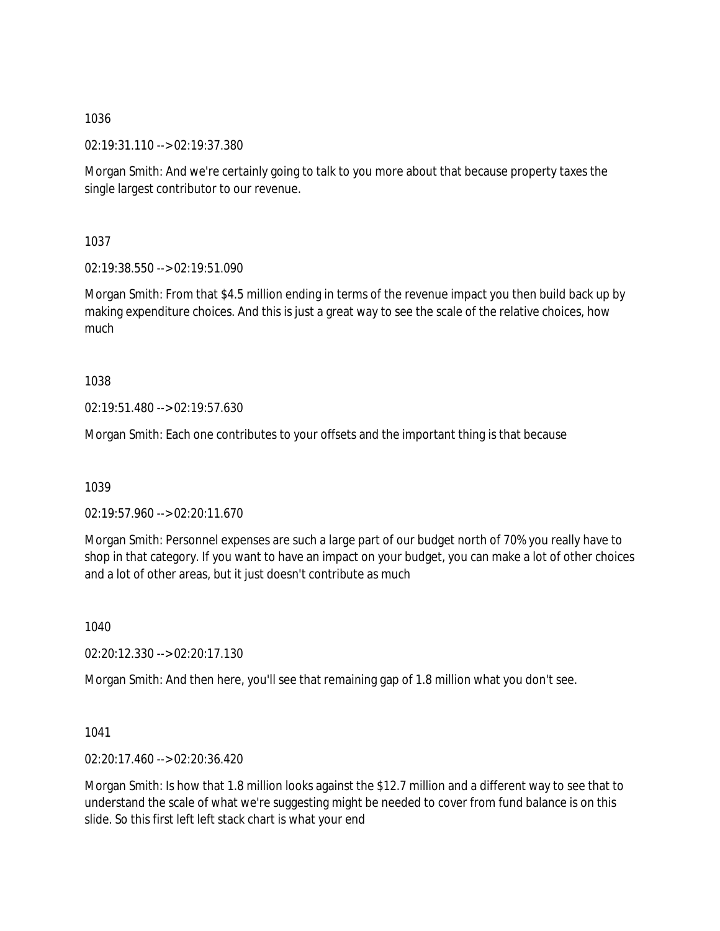02:19:31.110 --> 02:19:37.380

Morgan Smith: And we're certainly going to talk to you more about that because property taxes the single largest contributor to our revenue.

1037

02:19:38.550 --> 02:19:51.090

Morgan Smith: From that \$4.5 million ending in terms of the revenue impact you then build back up by making expenditure choices. And this is just a great way to see the scale of the relative choices, how much

1038

02:19:51.480 --> 02:19:57.630

Morgan Smith: Each one contributes to your offsets and the important thing is that because

1039

02:19:57.960 --> 02:20:11.670

Morgan Smith: Personnel expenses are such a large part of our budget north of 70% you really have to shop in that category. If you want to have an impact on your budget, you can make a lot of other choices and a lot of other areas, but it just doesn't contribute as much

1040

02:20:12.330 --> 02:20:17.130

Morgan Smith: And then here, you'll see that remaining gap of 1.8 million what you don't see.

1041

02:20:17.460 --> 02:20:36.420

Morgan Smith: Is how that 1.8 million looks against the \$12.7 million and a different way to see that to understand the scale of what we're suggesting might be needed to cover from fund balance is on this slide. So this first left left stack chart is what your end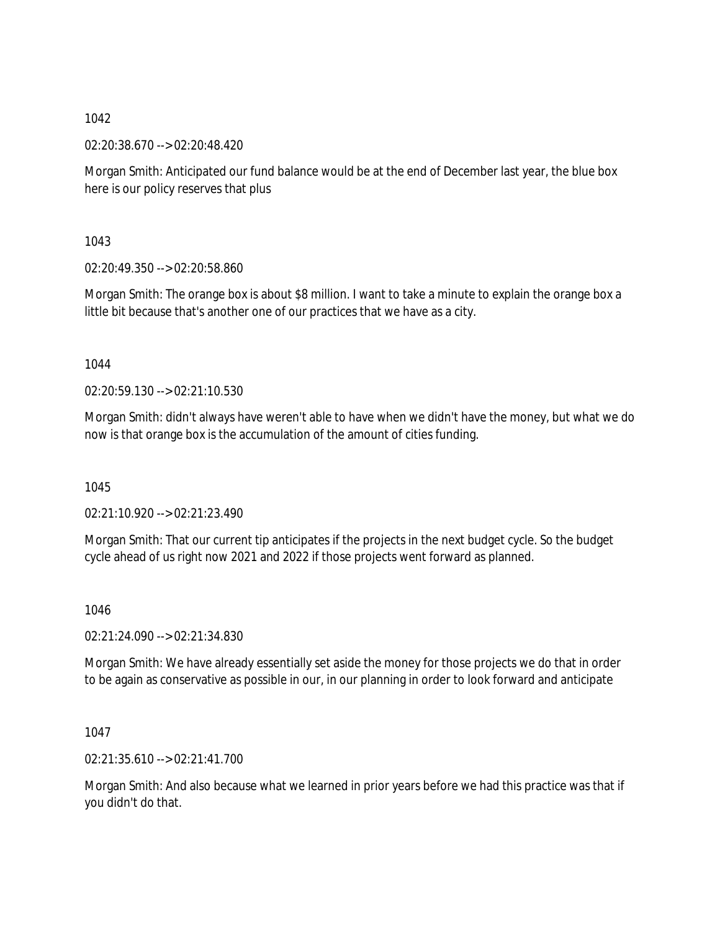02:20:38.670 --> 02:20:48.420

Morgan Smith: Anticipated our fund balance would be at the end of December last year, the blue box here is our policy reserves that plus

1043

02:20:49.350 --> 02:20:58.860

Morgan Smith: The orange box is about \$8 million. I want to take a minute to explain the orange box a little bit because that's another one of our practices that we have as a city.

1044

02:20:59.130 --> 02:21:10.530

Morgan Smith: didn't always have weren't able to have when we didn't have the money, but what we do now is that orange box is the accumulation of the amount of cities funding.

1045

02:21:10.920 --> 02:21:23.490

Morgan Smith: That our current tip anticipates if the projects in the next budget cycle. So the budget cycle ahead of us right now 2021 and 2022 if those projects went forward as planned.

1046

02:21:24.090 --> 02:21:34.830

Morgan Smith: We have already essentially set aside the money for those projects we do that in order to be again as conservative as possible in our, in our planning in order to look forward and anticipate

1047

02:21:35.610 --> 02:21:41.700

Morgan Smith: And also because what we learned in prior years before we had this practice was that if you didn't do that.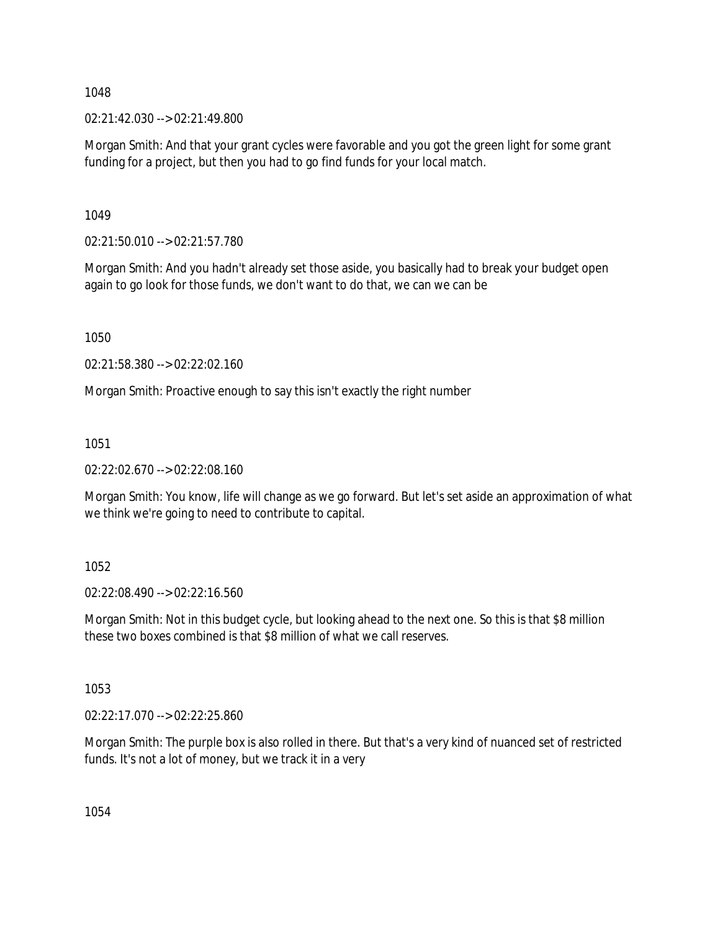02:21:42.030 --> 02:21:49.800

Morgan Smith: And that your grant cycles were favorable and you got the green light for some grant funding for a project, but then you had to go find funds for your local match.

1049

02:21:50.010 --> 02:21:57.780

Morgan Smith: And you hadn't already set those aside, you basically had to break your budget open again to go look for those funds, we don't want to do that, we can we can be

1050

02:21:58.380 --> 02:22:02.160

Morgan Smith: Proactive enough to say this isn't exactly the right number

1051

02:22:02.670 --> 02:22:08.160

Morgan Smith: You know, life will change as we go forward. But let's set aside an approximation of what we think we're going to need to contribute to capital.

1052

02:22:08.490 --> 02:22:16.560

Morgan Smith: Not in this budget cycle, but looking ahead to the next one. So this is that \$8 million these two boxes combined is that \$8 million of what we call reserves.

1053

02:22:17.070 --> 02:22:25.860

Morgan Smith: The purple box is also rolled in there. But that's a very kind of nuanced set of restricted funds. It's not a lot of money, but we track it in a very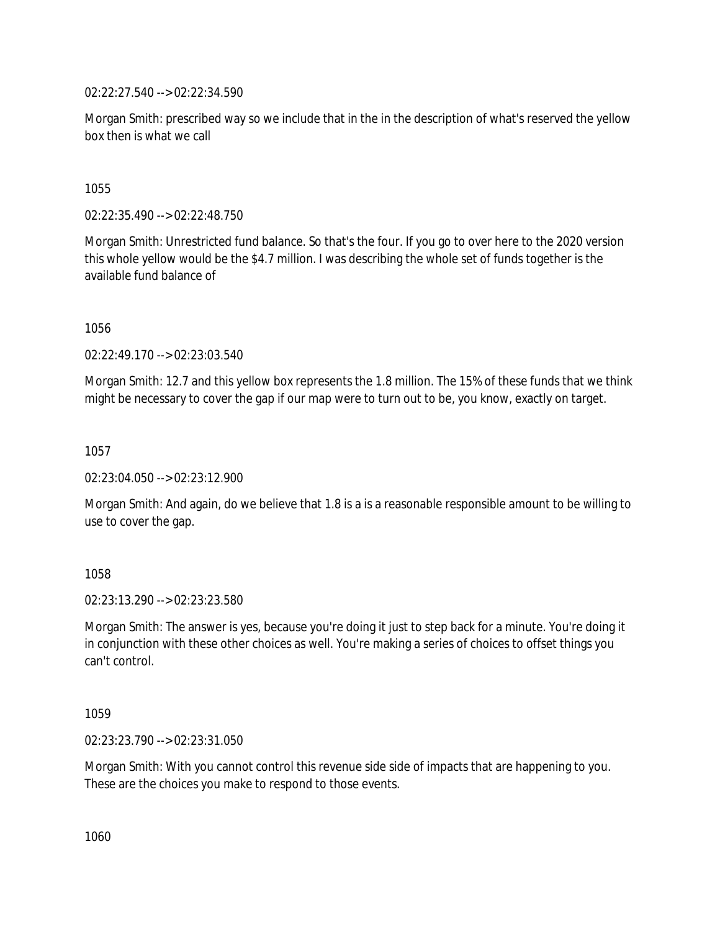02:22:27.540 --> 02:22:34.590

Morgan Smith: prescribed way so we include that in the in the description of what's reserved the yellow box then is what we call

1055

02:22:35.490 --> 02:22:48.750

Morgan Smith: Unrestricted fund balance. So that's the four. If you go to over here to the 2020 version this whole yellow would be the \$4.7 million. I was describing the whole set of funds together is the available fund balance of

1056

02:22:49.170 --> 02:23:03.540

Morgan Smith: 12.7 and this yellow box represents the 1.8 million. The 15% of these funds that we think might be necessary to cover the gap if our map were to turn out to be, you know, exactly on target.

1057

02:23:04.050 --> 02:23:12.900

Morgan Smith: And again, do we believe that 1.8 is a is a reasonable responsible amount to be willing to use to cover the gap.

1058

02:23:13.290 --> 02:23:23.580

Morgan Smith: The answer is yes, because you're doing it just to step back for a minute. You're doing it in conjunction with these other choices as well. You're making a series of choices to offset things you can't control.

1059

02:23:23.790 --> 02:23:31.050

Morgan Smith: With you cannot control this revenue side side of impacts that are happening to you. These are the choices you make to respond to those events.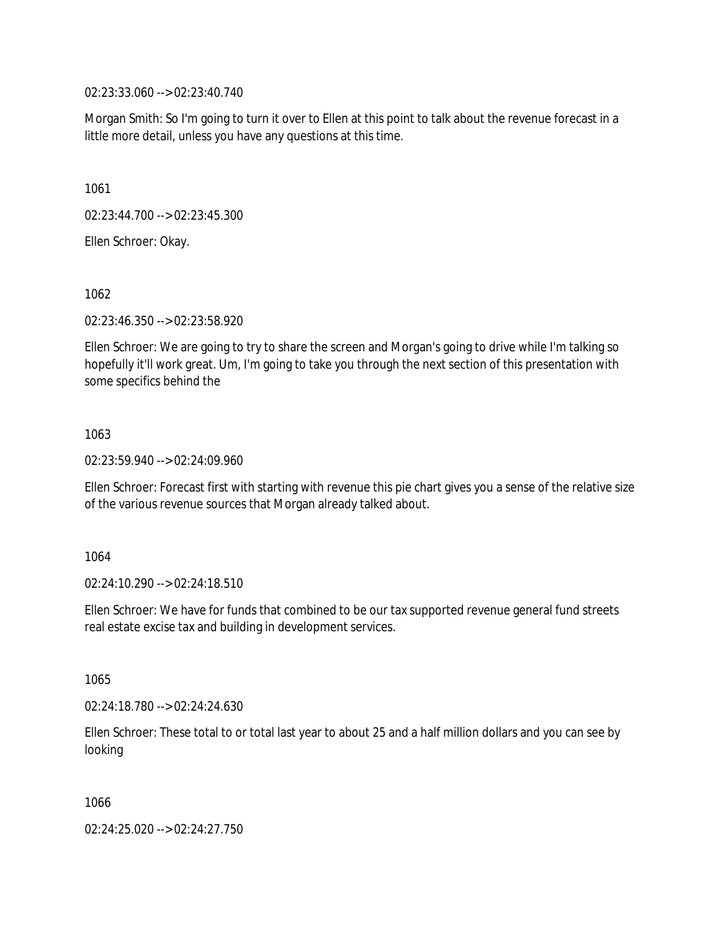02:23:33.060 --> 02:23:40.740

Morgan Smith: So I'm going to turn it over to Ellen at this point to talk about the revenue forecast in a little more detail, unless you have any questions at this time.

1061

02:23:44.700 --> 02:23:45.300

Ellen Schroer: Okay.

1062

02:23:46.350 --> 02:23:58.920

Ellen Schroer: We are going to try to share the screen and Morgan's going to drive while I'm talking so hopefully it'll work great. Um, I'm going to take you through the next section of this presentation with some specifics behind the

1063

02:23:59.940 --> 02:24:09.960

Ellen Schroer: Forecast first with starting with revenue this pie chart gives you a sense of the relative size of the various revenue sources that Morgan already talked about.

1064

02:24:10.290 --> 02:24:18.510

Ellen Schroer: We have for funds that combined to be our tax supported revenue general fund streets real estate excise tax and building in development services.

1065

02:24:18.780 --> 02:24:24.630

Ellen Schroer: These total to or total last year to about 25 and a half million dollars and you can see by looking

1066

02:24:25.020 --> 02:24:27.750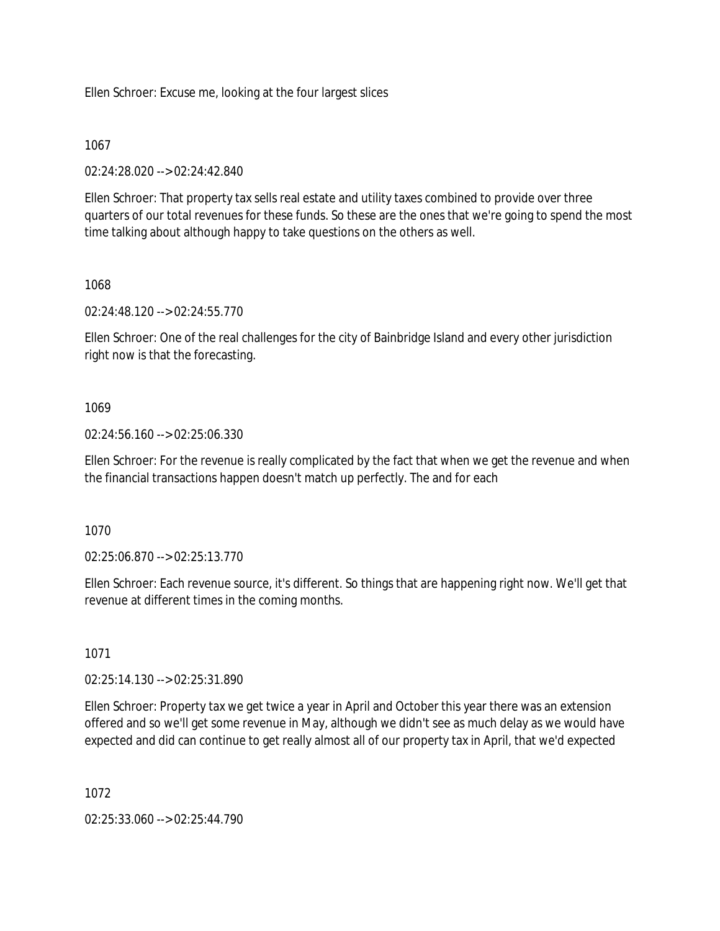Ellen Schroer: Excuse me, looking at the four largest slices

### 1067

02:24:28.020 --> 02:24:42.840

Ellen Schroer: That property tax sells real estate and utility taxes combined to provide over three quarters of our total revenues for these funds. So these are the ones that we're going to spend the most time talking about although happy to take questions on the others as well.

## 1068

02:24:48.120 --> 02:24:55.770

Ellen Schroer: One of the real challenges for the city of Bainbridge Island and every other jurisdiction right now is that the forecasting.

## 1069

02:24:56.160 --> 02:25:06.330

Ellen Schroer: For the revenue is really complicated by the fact that when we get the revenue and when the financial transactions happen doesn't match up perfectly. The and for each

1070

02:25:06.870 --> 02:25:13.770

Ellen Schroer: Each revenue source, it's different. So things that are happening right now. We'll get that revenue at different times in the coming months.

## 1071

02:25:14.130 --> 02:25:31.890

Ellen Schroer: Property tax we get twice a year in April and October this year there was an extension offered and so we'll get some revenue in May, although we didn't see as much delay as we would have expected and did can continue to get really almost all of our property tax in April, that we'd expected

1072

02:25:33.060 --> 02:25:44.790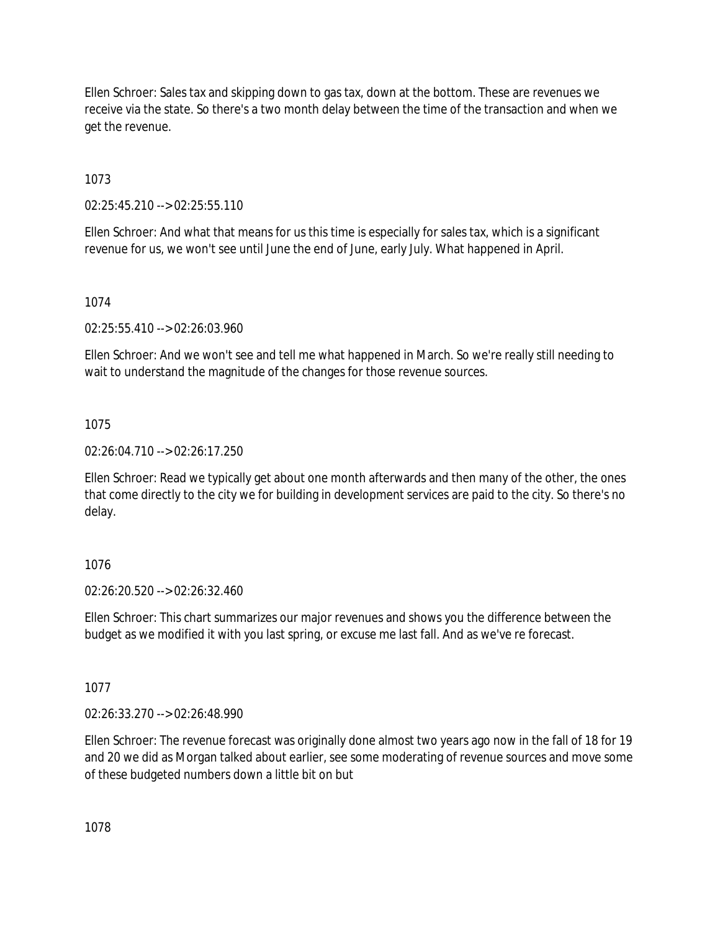Ellen Schroer: Sales tax and skipping down to gas tax, down at the bottom. These are revenues we receive via the state. So there's a two month delay between the time of the transaction and when we get the revenue.

1073

02:25:45.210 --> 02:25:55.110

Ellen Schroer: And what that means for us this time is especially for sales tax, which is a significant revenue for us, we won't see until June the end of June, early July. What happened in April.

1074

02:25:55.410 --> 02:26:03.960

Ellen Schroer: And we won't see and tell me what happened in March. So we're really still needing to wait to understand the magnitude of the changes for those revenue sources.

1075

02:26:04.710 --> 02:26:17.250

Ellen Schroer: Read we typically get about one month afterwards and then many of the other, the ones that come directly to the city we for building in development services are paid to the city. So there's no delay.

## 1076

02:26:20.520 --> 02:26:32.460

Ellen Schroer: This chart summarizes our major revenues and shows you the difference between the budget as we modified it with you last spring, or excuse me last fall. And as we've re forecast.

1077

02:26:33.270 --> 02:26:48.990

Ellen Schroer: The revenue forecast was originally done almost two years ago now in the fall of 18 for 19 and 20 we did as Morgan talked about earlier, see some moderating of revenue sources and move some of these budgeted numbers down a little bit on but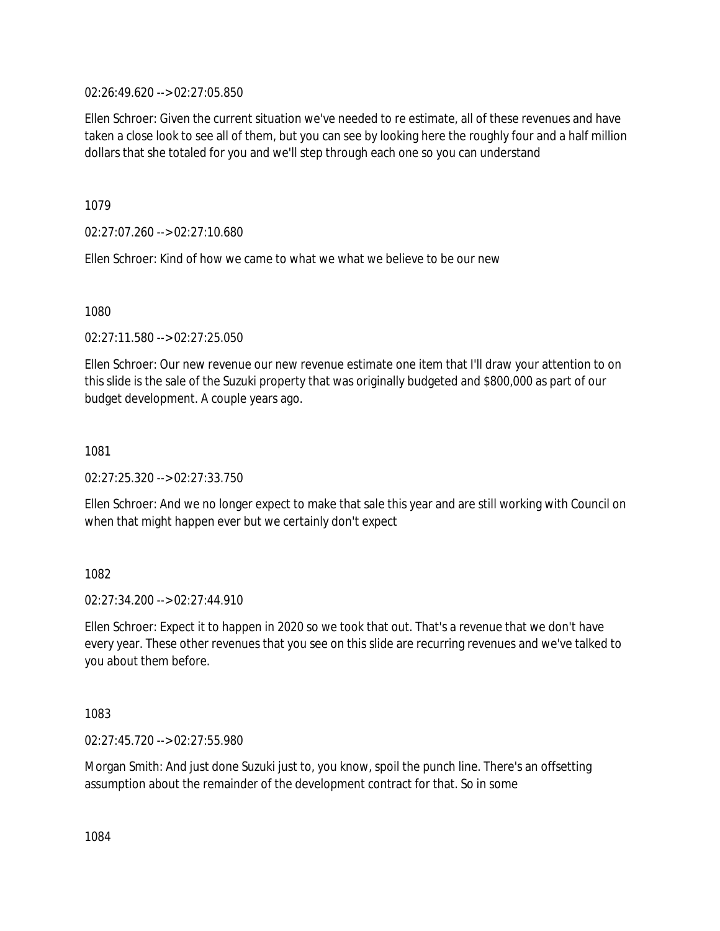02:26:49.620 --> 02:27:05.850

Ellen Schroer: Given the current situation we've needed to re estimate, all of these revenues and have taken a close look to see all of them, but you can see by looking here the roughly four and a half million dollars that she totaled for you and we'll step through each one so you can understand

1079

02:27:07.260 --> 02:27:10.680

Ellen Schroer: Kind of how we came to what we what we believe to be our new

1080

02:27:11.580 --> 02:27:25.050

Ellen Schroer: Our new revenue our new revenue estimate one item that I'll draw your attention to on this slide is the sale of the Suzuki property that was originally budgeted and \$800,000 as part of our budget development. A couple years ago.

1081

02:27:25.320 --> 02:27:33.750

Ellen Schroer: And we no longer expect to make that sale this year and are still working with Council on when that might happen ever but we certainly don't expect

1082

 $02.27:34.200 -5.02:27:44.910$ 

Ellen Schroer: Expect it to happen in 2020 so we took that out. That's a revenue that we don't have every year. These other revenues that you see on this slide are recurring revenues and we've talked to you about them before.

1083

02:27:45.720 --> 02:27:55.980

Morgan Smith: And just done Suzuki just to, you know, spoil the punch line. There's an offsetting assumption about the remainder of the development contract for that. So in some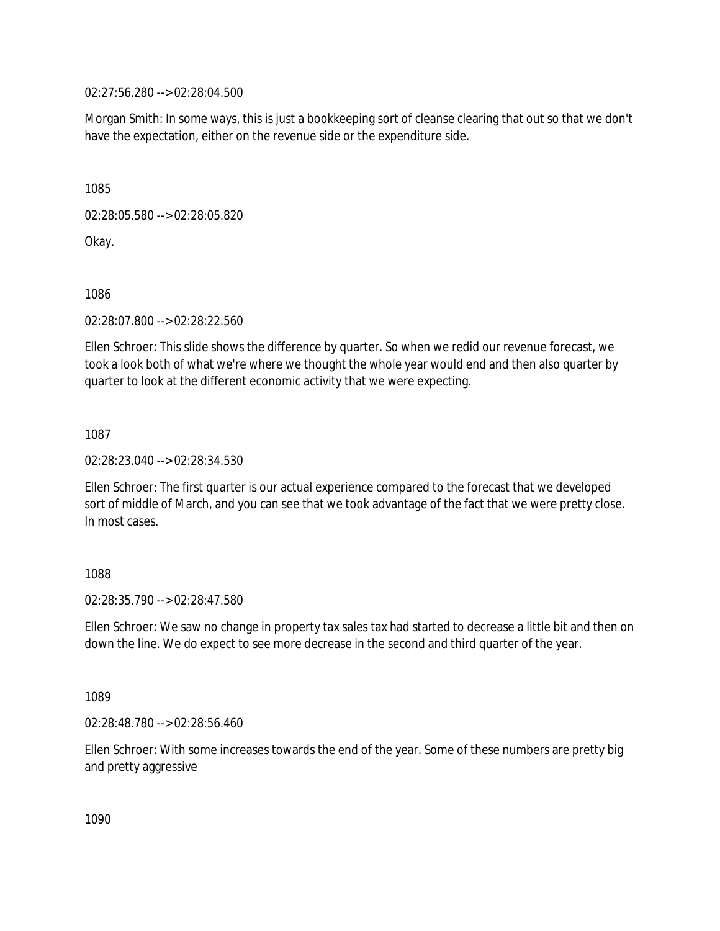02:27:56.280 --> 02:28:04.500

Morgan Smith: In some ways, this is just a bookkeeping sort of cleanse clearing that out so that we don't have the expectation, either on the revenue side or the expenditure side.

1085

02:28:05.580 --> 02:28:05.820

Okay.

1086

02:28:07.800 --> 02:28:22.560

Ellen Schroer: This slide shows the difference by quarter. So when we redid our revenue forecast, we took a look both of what we're where we thought the whole year would end and then also quarter by quarter to look at the different economic activity that we were expecting.

1087

02:28:23.040 --> 02:28:34.530

Ellen Schroer: The first quarter is our actual experience compared to the forecast that we developed sort of middle of March, and you can see that we took advantage of the fact that we were pretty close. In most cases.

1088

02:28:35.790 --> 02:28:47.580

Ellen Schroer: We saw no change in property tax sales tax had started to decrease a little bit and then on down the line. We do expect to see more decrease in the second and third quarter of the year.

1089

02:28:48.780 --> 02:28:56.460

Ellen Schroer: With some increases towards the end of the year. Some of these numbers are pretty big and pretty aggressive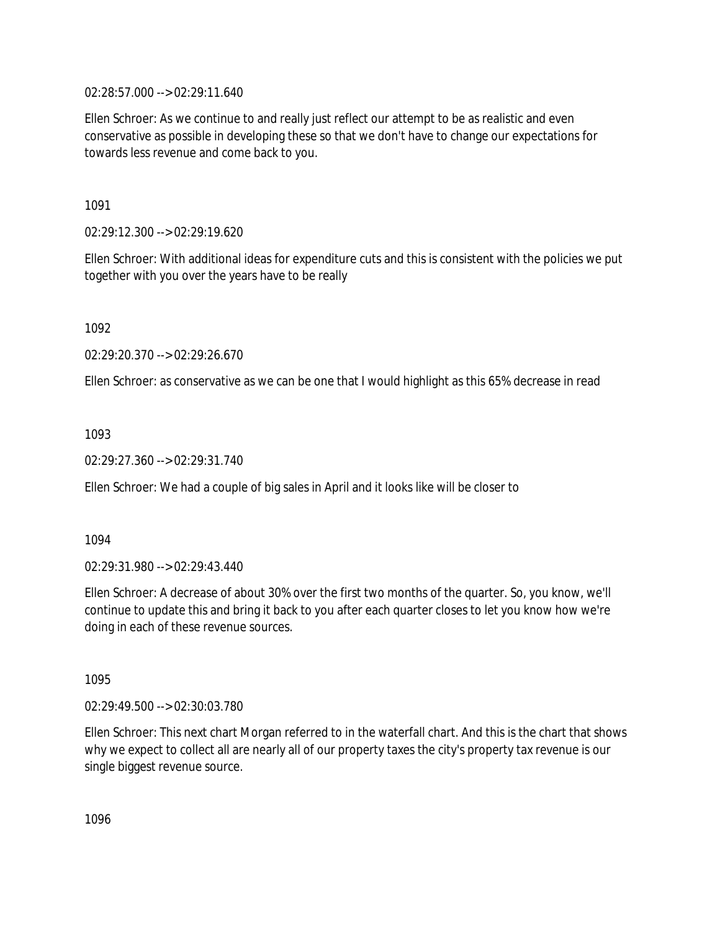02:28:57.000 --> 02:29:11.640

Ellen Schroer: As we continue to and really just reflect our attempt to be as realistic and even conservative as possible in developing these so that we don't have to change our expectations for towards less revenue and come back to you.

1091

02:29:12.300 --> 02:29:19.620

Ellen Schroer: With additional ideas for expenditure cuts and this is consistent with the policies we put together with you over the years have to be really

1092

02:29:20.370 --> 02:29:26.670

Ellen Schroer: as conservative as we can be one that I would highlight as this 65% decrease in read

1093

02:29:27.360 --> 02:29:31.740

Ellen Schroer: We had a couple of big sales in April and it looks like will be closer to

1094

02:29:31.980 --> 02:29:43.440

Ellen Schroer: A decrease of about 30% over the first two months of the quarter. So, you know, we'll continue to update this and bring it back to you after each quarter closes to let you know how we're doing in each of these revenue sources.

1095

02:29:49.500 --> 02:30:03.780

Ellen Schroer: This next chart Morgan referred to in the waterfall chart. And this is the chart that shows why we expect to collect all are nearly all of our property taxes the city's property tax revenue is our single biggest revenue source.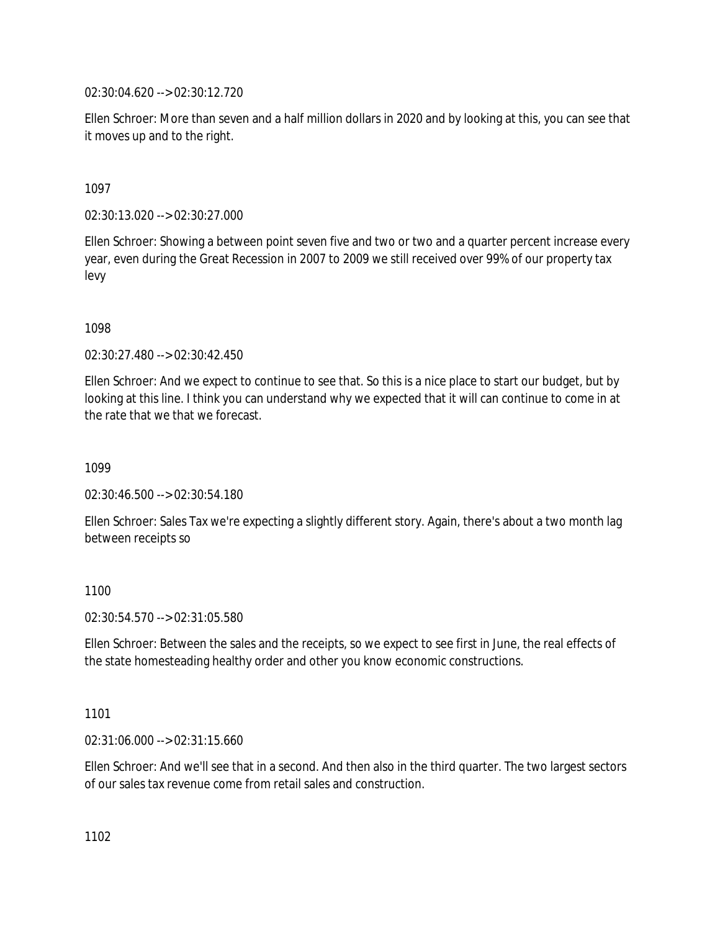02:30:04.620 --> 02:30:12.720

Ellen Schroer: More than seven and a half million dollars in 2020 and by looking at this, you can see that it moves up and to the right.

1097

02:30:13.020 --> 02:30:27.000

Ellen Schroer: Showing a between point seven five and two or two and a quarter percent increase every year, even during the Great Recession in 2007 to 2009 we still received over 99% of our property tax levy

1098

02:30:27.480 --> 02:30:42.450

Ellen Schroer: And we expect to continue to see that. So this is a nice place to start our budget, but by looking at this line. I think you can understand why we expected that it will can continue to come in at the rate that we that we forecast.

1099

02:30:46.500 --> 02:30:54.180

Ellen Schroer: Sales Tax we're expecting a slightly different story. Again, there's about a two month lag between receipts so

1100

02:30:54.570 --> 02:31:05.580

Ellen Schroer: Between the sales and the receipts, so we expect to see first in June, the real effects of the state homesteading healthy order and other you know economic constructions.

1101

02:31:06.000 --> 02:31:15.660

Ellen Schroer: And we'll see that in a second. And then also in the third quarter. The two largest sectors of our sales tax revenue come from retail sales and construction.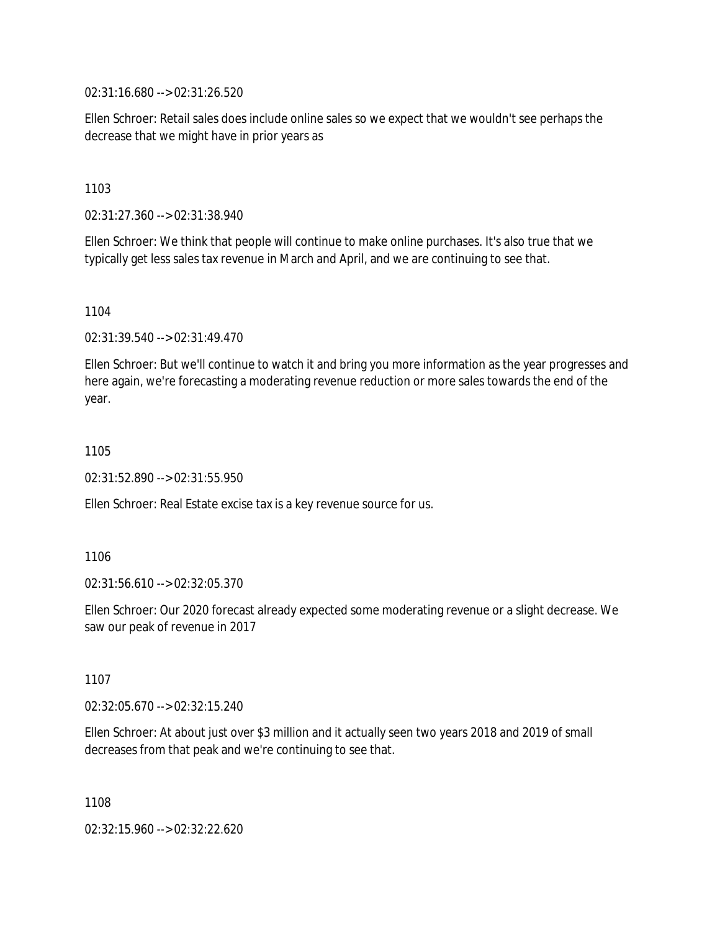02:31:16.680 --> 02:31:26.520

Ellen Schroer: Retail sales does include online sales so we expect that we wouldn't see perhaps the decrease that we might have in prior years as

1103

02:31:27.360 --> 02:31:38.940

Ellen Schroer: We think that people will continue to make online purchases. It's also true that we typically get less sales tax revenue in March and April, and we are continuing to see that.

1104

02:31:39.540 --> 02:31:49.470

Ellen Schroer: But we'll continue to watch it and bring you more information as the year progresses and here again, we're forecasting a moderating revenue reduction or more sales towards the end of the year.

1105

02:31:52.890 --> 02:31:55.950

Ellen Schroer: Real Estate excise tax is a key revenue source for us.

1106

02:31:56.610 --> 02:32:05.370

Ellen Schroer: Our 2020 forecast already expected some moderating revenue or a slight decrease. We saw our peak of revenue in 2017

1107

02:32:05.670 --> 02:32:15.240

Ellen Schroer: At about just over \$3 million and it actually seen two years 2018 and 2019 of small decreases from that peak and we're continuing to see that.

1108

02:32:15.960 --> 02:32:22.620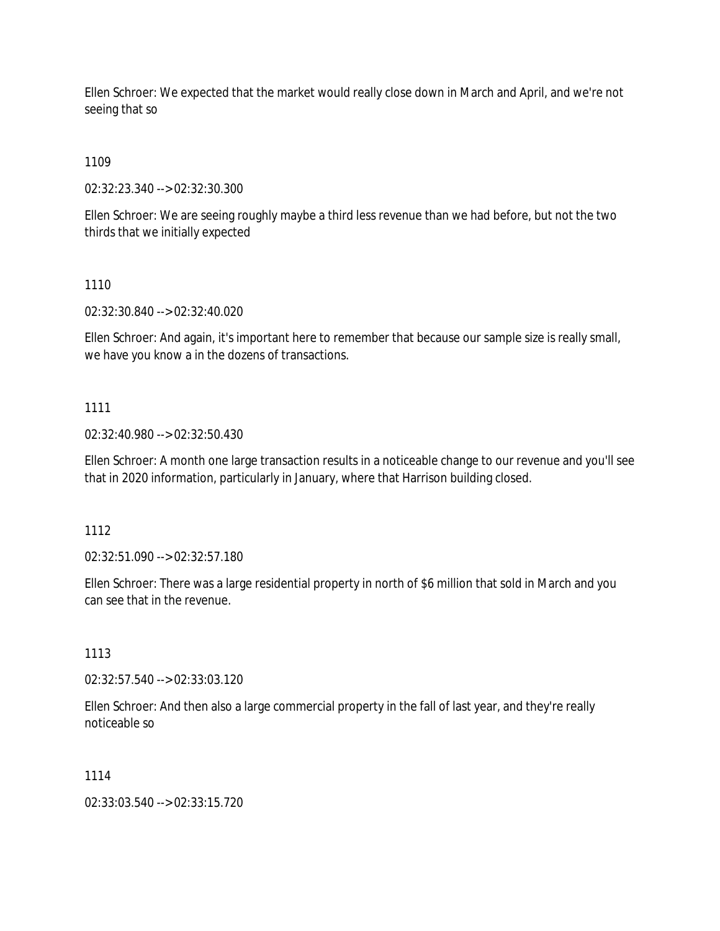Ellen Schroer: We expected that the market would really close down in March and April, and we're not seeing that so

1109

02:32:23.340 --> 02:32:30.300

Ellen Schroer: We are seeing roughly maybe a third less revenue than we had before, but not the two thirds that we initially expected

1110

02:32:30.840 --> 02:32:40.020

Ellen Schroer: And again, it's important here to remember that because our sample size is really small, we have you know a in the dozens of transactions.

## 1111

02:32:40.980 --> 02:32:50.430

Ellen Schroer: A month one large transaction results in a noticeable change to our revenue and you'll see that in 2020 information, particularly in January, where that Harrison building closed.

1112

02:32:51.090 --> 02:32:57.180

Ellen Schroer: There was a large residential property in north of \$6 million that sold in March and you can see that in the revenue.

1113

02:32:57.540 --> 02:33:03.120

Ellen Schroer: And then also a large commercial property in the fall of last year, and they're really noticeable so

### 1114

02:33:03.540 --> 02:33:15.720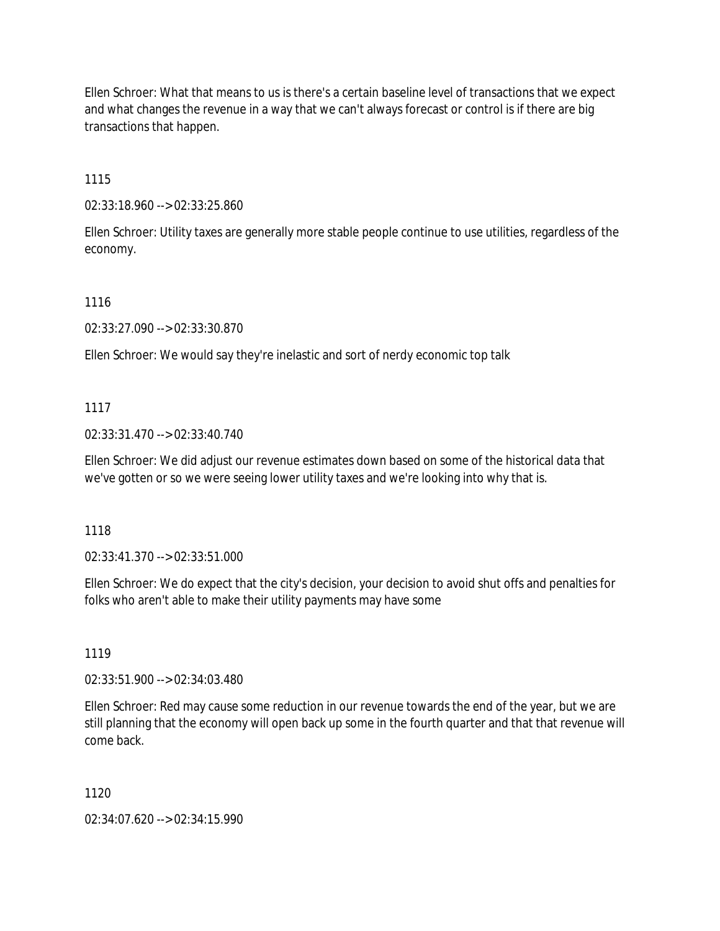Ellen Schroer: What that means to us is there's a certain baseline level of transactions that we expect and what changes the revenue in a way that we can't always forecast or control is if there are big transactions that happen.

1115

02:33:18.960 --> 02:33:25.860

Ellen Schroer: Utility taxes are generally more stable people continue to use utilities, regardless of the economy.

1116

02:33:27.090 --> 02:33:30.870

Ellen Schroer: We would say they're inelastic and sort of nerdy economic top talk

1117

02:33:31.470 --> 02:33:40.740

Ellen Schroer: We did adjust our revenue estimates down based on some of the historical data that we've gotten or so we were seeing lower utility taxes and we're looking into why that is.

1118

02:33:41.370 --> 02:33:51.000

Ellen Schroer: We do expect that the city's decision, your decision to avoid shut offs and penalties for folks who aren't able to make their utility payments may have some

1119

02:33:51.900 --> 02:34:03.480

Ellen Schroer: Red may cause some reduction in our revenue towards the end of the year, but we are still planning that the economy will open back up some in the fourth quarter and that that revenue will come back.

1120

02:34:07.620 --> 02:34:15.990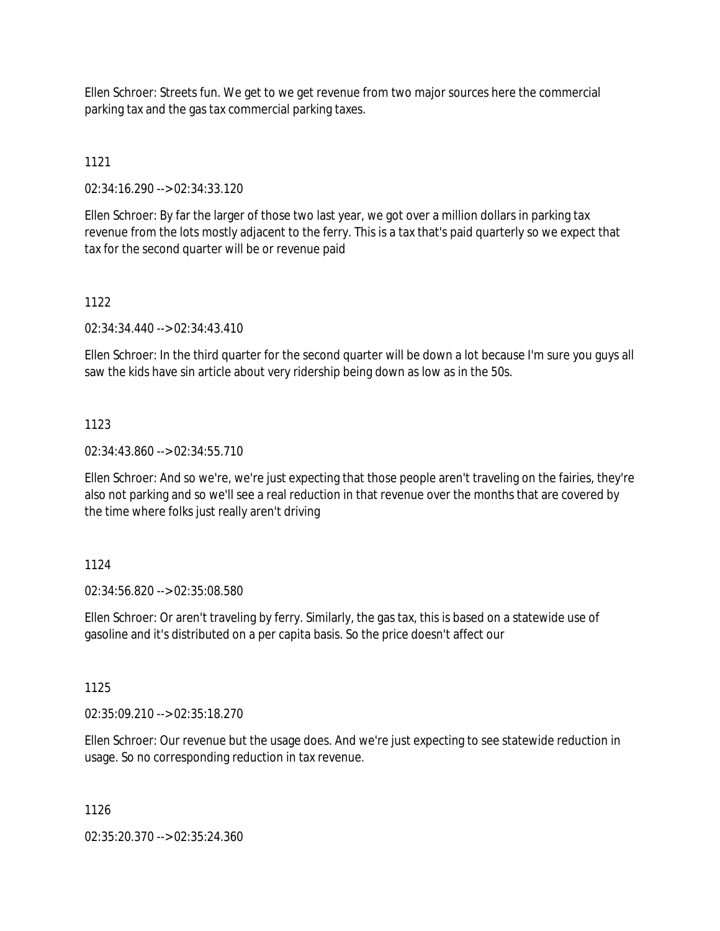Ellen Schroer: Streets fun. We get to we get revenue from two major sources here the commercial parking tax and the gas tax commercial parking taxes.

# 1121

02:34:16.290 --> 02:34:33.120

Ellen Schroer: By far the larger of those two last year, we got over a million dollars in parking tax revenue from the lots mostly adjacent to the ferry. This is a tax that's paid quarterly so we expect that tax for the second quarter will be or revenue paid

## 1122

02:34:34.440 --> 02:34:43.410

Ellen Schroer: In the third quarter for the second quarter will be down a lot because I'm sure you guys all saw the kids have sin article about very ridership being down as low as in the 50s.

## 1123

02:34:43.860 --> 02:34:55.710

Ellen Schroer: And so we're, we're just expecting that those people aren't traveling on the fairies, they're also not parking and so we'll see a real reduction in that revenue over the months that are covered by the time where folks just really aren't driving

## 1124

02:34:56.820 --> 02:35:08.580

Ellen Schroer: Or aren't traveling by ferry. Similarly, the gas tax, this is based on a statewide use of gasoline and it's distributed on a per capita basis. So the price doesn't affect our

## 1125

02:35:09.210 --> 02:35:18.270

Ellen Schroer: Our revenue but the usage does. And we're just expecting to see statewide reduction in usage. So no corresponding reduction in tax revenue.

### 1126

02:35:20.370 --> 02:35:24.360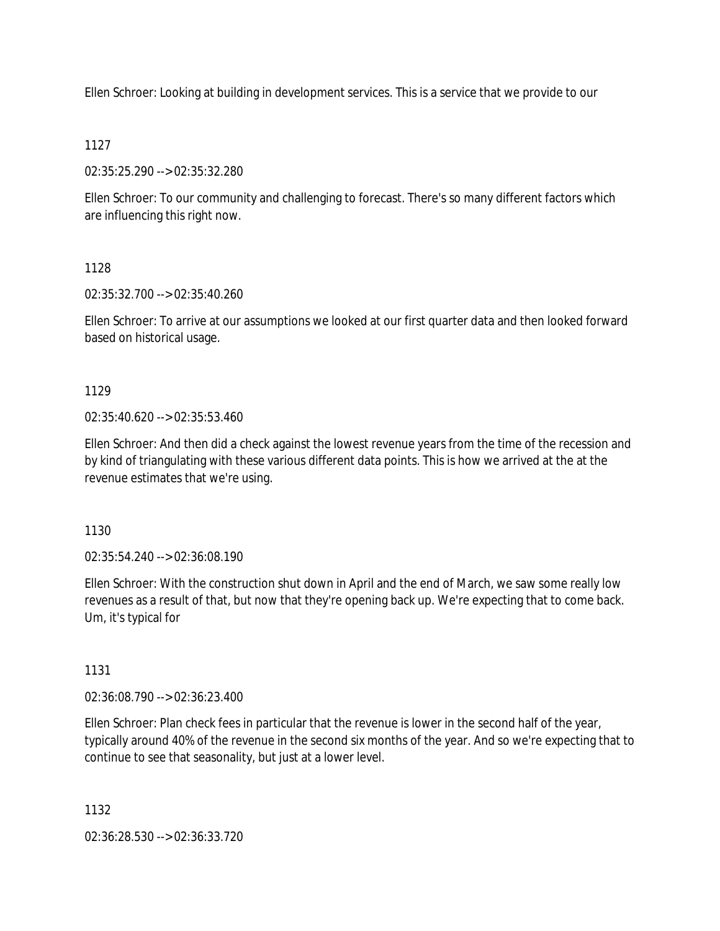Ellen Schroer: Looking at building in development services. This is a service that we provide to our

## 1127

02:35:25.290 --> 02:35:32.280

Ellen Schroer: To our community and challenging to forecast. There's so many different factors which are influencing this right now.

## 1128

02:35:32.700 --> 02:35:40.260

Ellen Schroer: To arrive at our assumptions we looked at our first quarter data and then looked forward based on historical usage.

## 1129

 $02:35:40.620 \rightarrow 02:35:53.460$ 

Ellen Schroer: And then did a check against the lowest revenue years from the time of the recession and by kind of triangulating with these various different data points. This is how we arrived at the at the revenue estimates that we're using.

1130

02:35:54.240 --> 02:36:08.190

Ellen Schroer: With the construction shut down in April and the end of March, we saw some really low revenues as a result of that, but now that they're opening back up. We're expecting that to come back. Um, it's typical for

## 1131

02:36:08.790 --> 02:36:23.400

Ellen Schroer: Plan check fees in particular that the revenue is lower in the second half of the year, typically around 40% of the revenue in the second six months of the year. And so we're expecting that to continue to see that seasonality, but just at a lower level.

1132

02:36:28.530 --> 02:36:33.720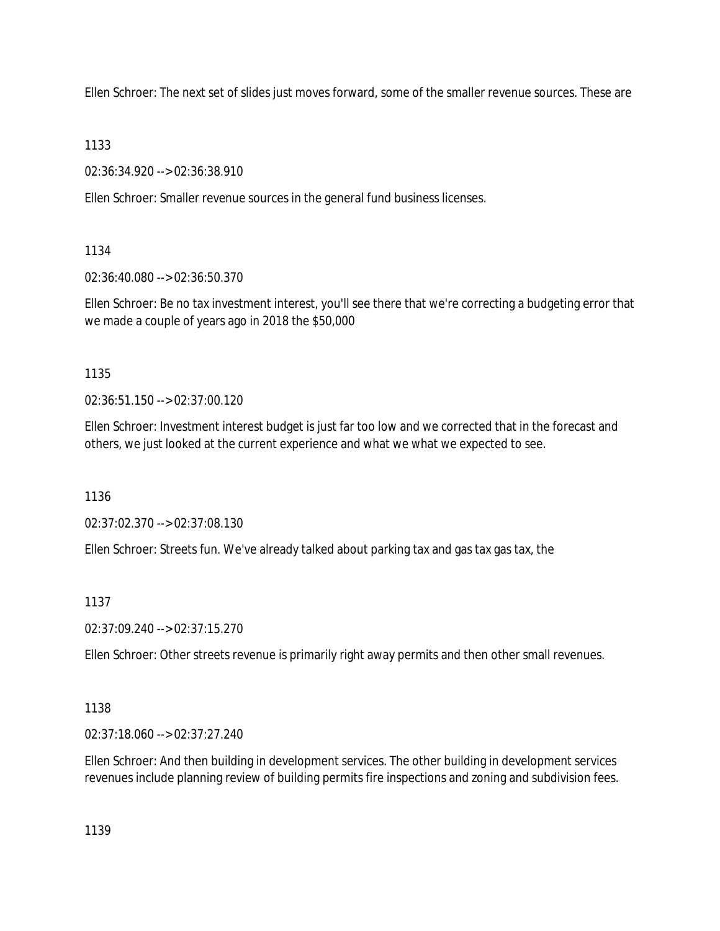Ellen Schroer: The next set of slides just moves forward, some of the smaller revenue sources. These are

1133

02:36:34.920 --> 02:36:38.910

Ellen Schroer: Smaller revenue sources in the general fund business licenses.

1134

02:36:40.080 --> 02:36:50.370

Ellen Schroer: Be no tax investment interest, you'll see there that we're correcting a budgeting error that we made a couple of years ago in 2018 the \$50,000

1135

02:36:51.150 --> 02:37:00.120

Ellen Schroer: Investment interest budget is just far too low and we corrected that in the forecast and others, we just looked at the current experience and what we what we expected to see.

1136

02:37:02.370 --> 02:37:08.130

Ellen Schroer: Streets fun. We've already talked about parking tax and gas tax gas tax, the

1137

02:37:09.240 --> 02:37:15.270

Ellen Schroer: Other streets revenue is primarily right away permits and then other small revenues.

1138

02:37:18.060 --> 02:37:27.240

Ellen Schroer: And then building in development services. The other building in development services revenues include planning review of building permits fire inspections and zoning and subdivision fees.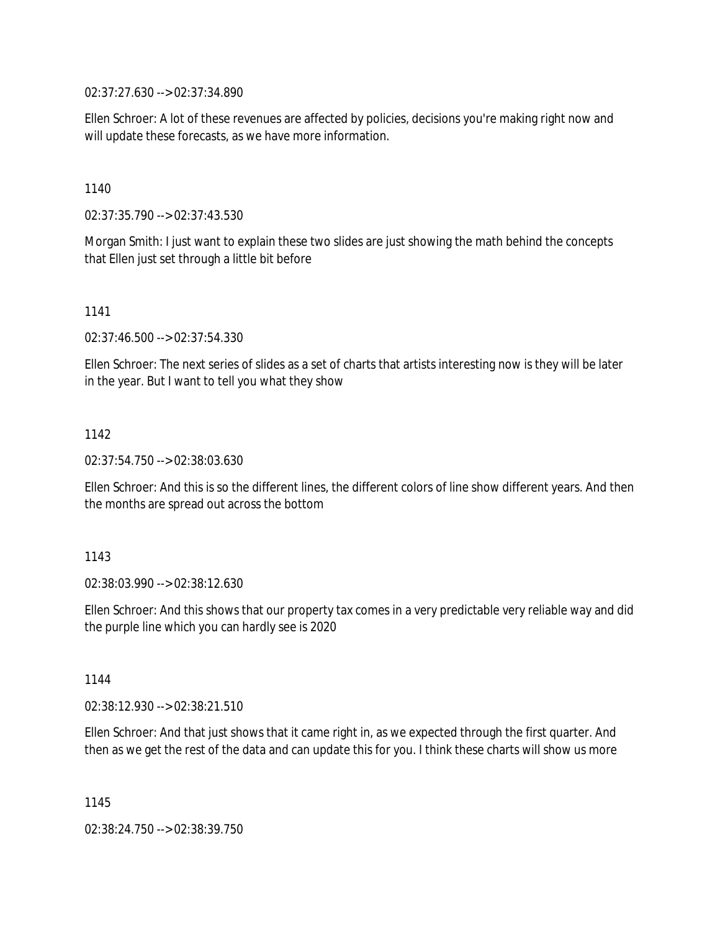02:37:27.630 --> 02:37:34.890

Ellen Schroer: A lot of these revenues are affected by policies, decisions you're making right now and will update these forecasts, as we have more information.

1140

02:37:35.790 --> 02:37:43.530

Morgan Smith: I just want to explain these two slides are just showing the math behind the concepts that Ellen just set through a little bit before

1141

02:37:46.500 --> 02:37:54.330

Ellen Schroer: The next series of slides as a set of charts that artists interesting now is they will be later in the year. But I want to tell you what they show

1142

02:37:54.750 --> 02:38:03.630

Ellen Schroer: And this is so the different lines, the different colors of line show different years. And then the months are spread out across the bottom

1143

02:38:03.990 --> 02:38:12.630

Ellen Schroer: And this shows that our property tax comes in a very predictable very reliable way and did the purple line which you can hardly see is 2020

1144

02:38:12.930 --> 02:38:21.510

Ellen Schroer: And that just shows that it came right in, as we expected through the first quarter. And then as we get the rest of the data and can update this for you. I think these charts will show us more

1145

02:38:24.750 --> 02:38:39.750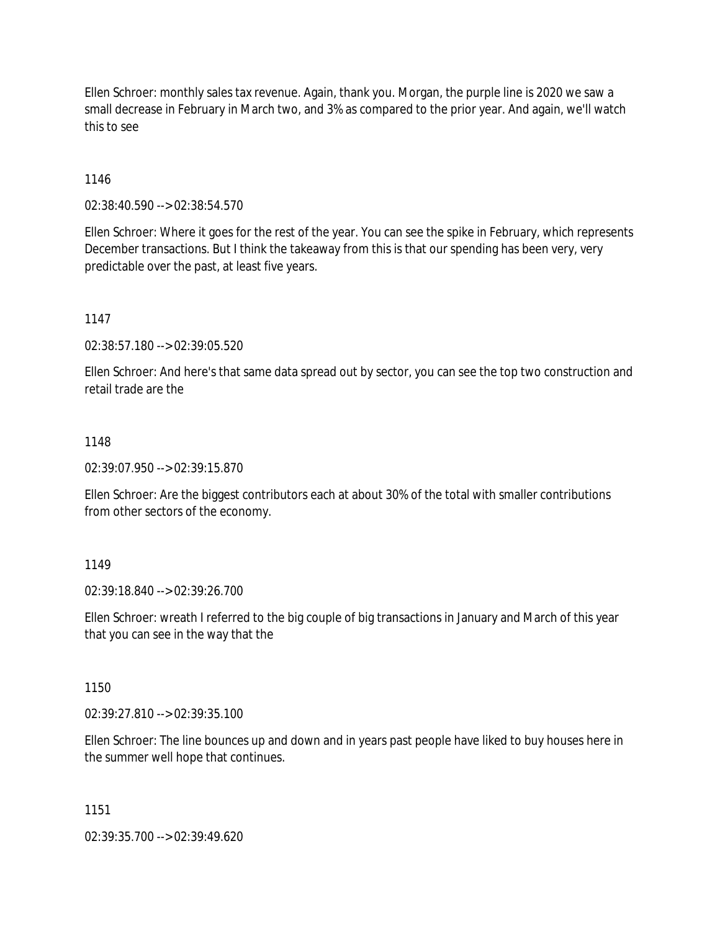Ellen Schroer: monthly sales tax revenue. Again, thank you. Morgan, the purple line is 2020 we saw a small decrease in February in March two, and 3% as compared to the prior year. And again, we'll watch this to see

1146

02:38:40.590 --> 02:38:54.570

Ellen Schroer: Where it goes for the rest of the year. You can see the spike in February, which represents December transactions. But I think the takeaway from this is that our spending has been very, very predictable over the past, at least five years.

1147

02:38:57.180 --> 02:39:05.520

Ellen Schroer: And here's that same data spread out by sector, you can see the top two construction and retail trade are the

## 1148

02:39:07.950 --> 02:39:15.870

Ellen Schroer: Are the biggest contributors each at about 30% of the total with smaller contributions from other sectors of the economy.

## 1149

02:39:18.840 --> 02:39:26.700

Ellen Schroer: wreath I referred to the big couple of big transactions in January and March of this year that you can see in the way that the

## 1150

02:39:27.810 --> 02:39:35.100

Ellen Schroer: The line bounces up and down and in years past people have liked to buy houses here in the summer well hope that continues.

#### 1151

02:39:35.700 --> 02:39:49.620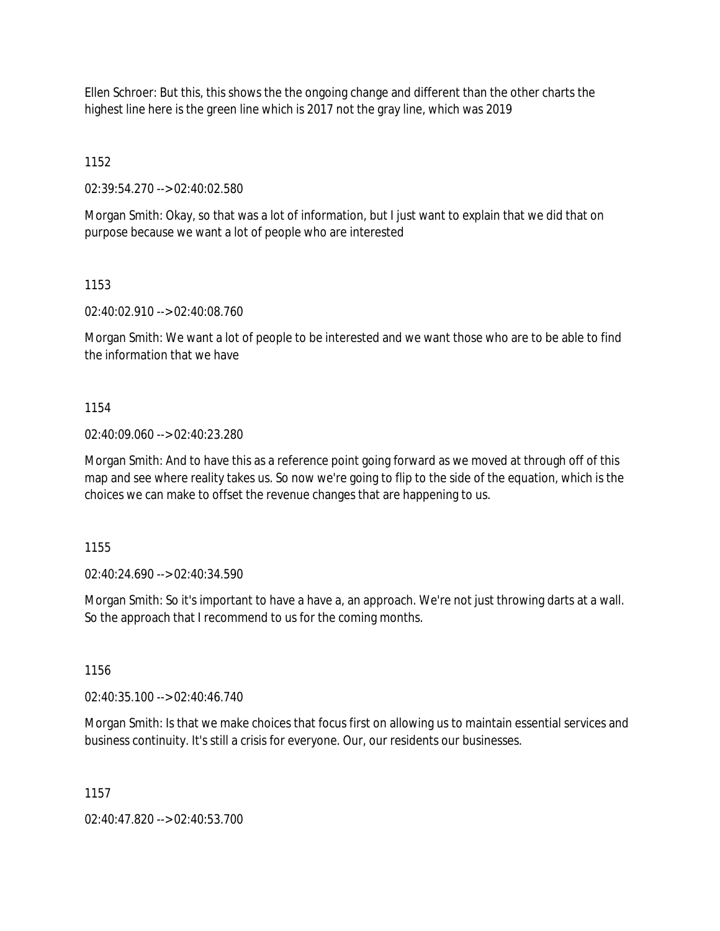Ellen Schroer: But this, this shows the the ongoing change and different than the other charts the highest line here is the green line which is 2017 not the gray line, which was 2019

1152

02:39:54.270 --> 02:40:02.580

Morgan Smith: Okay, so that was a lot of information, but I just want to explain that we did that on purpose because we want a lot of people who are interested

1153

02:40:02.910 --> 02:40:08.760

Morgan Smith: We want a lot of people to be interested and we want those who are to be able to find the information that we have

1154

02:40:09.060 --> 02:40:23.280

Morgan Smith: And to have this as a reference point going forward as we moved at through off of this map and see where reality takes us. So now we're going to flip to the side of the equation, which is the choices we can make to offset the revenue changes that are happening to us.

1155

02:40:24.690 --> 02:40:34.590

Morgan Smith: So it's important to have a have a, an approach. We're not just throwing darts at a wall. So the approach that I recommend to us for the coming months.

1156

02:40:35.100 --> 02:40:46.740

Morgan Smith: Is that we make choices that focus first on allowing us to maintain essential services and business continuity. It's still a crisis for everyone. Our, our residents our businesses.

1157

02:40:47.820 --> 02:40:53.700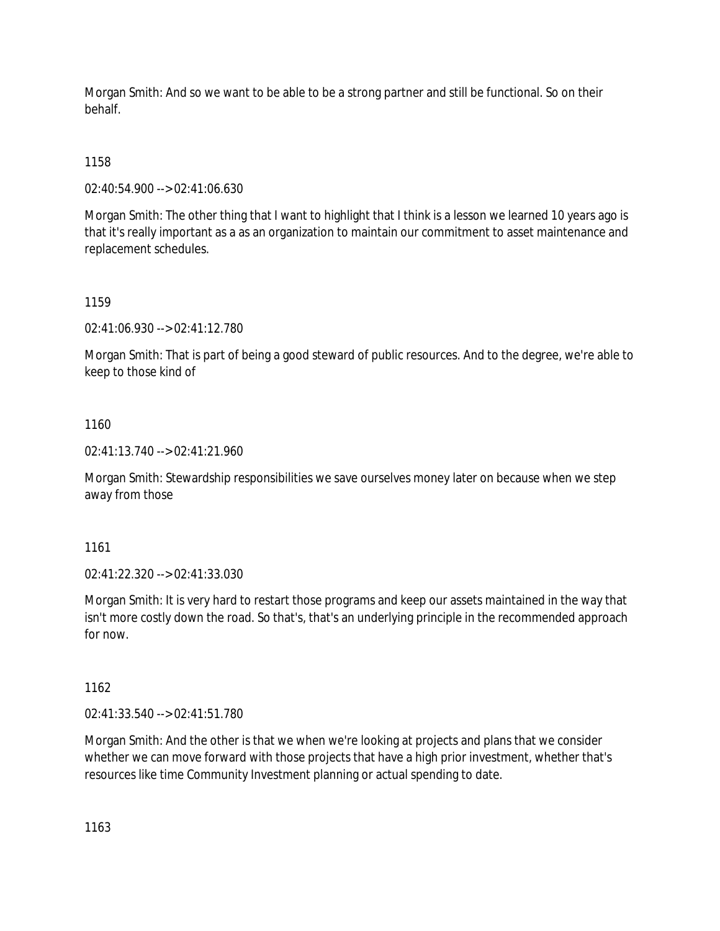Morgan Smith: And so we want to be able to be a strong partner and still be functional. So on their behalf.

# 1158

02:40:54.900 --> 02:41:06.630

Morgan Smith: The other thing that I want to highlight that I think is a lesson we learned 10 years ago is that it's really important as a as an organization to maintain our commitment to asset maintenance and replacement schedules.

# 1159

02:41:06.930 --> 02:41:12.780

Morgan Smith: That is part of being a good steward of public resources. And to the degree, we're able to keep to those kind of

# 1160

02:41:13.740 --> 02:41:21.960

Morgan Smith: Stewardship responsibilities we save ourselves money later on because when we step away from those

# 1161

02:41:22.320 --> 02:41:33.030

Morgan Smith: It is very hard to restart those programs and keep our assets maintained in the way that isn't more costly down the road. So that's, that's an underlying principle in the recommended approach for now.

# 1162

02:41:33.540 --> 02:41:51.780

Morgan Smith: And the other is that we when we're looking at projects and plans that we consider whether we can move forward with those projects that have a high prior investment, whether that's resources like time Community Investment planning or actual spending to date.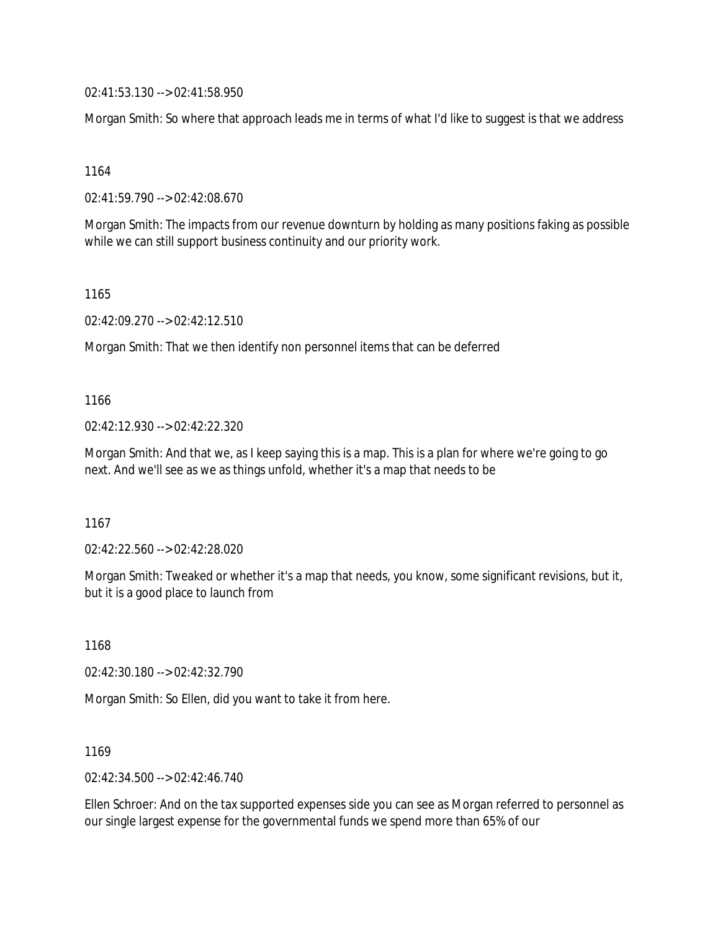02:41:53.130 --> 02:41:58.950

Morgan Smith: So where that approach leads me in terms of what I'd like to suggest is that we address

1164

02:41:59.790 --> 02:42:08.670

Morgan Smith: The impacts from our revenue downturn by holding as many positions faking as possible while we can still support business continuity and our priority work.

1165

02:42:09.270 --> 02:42:12.510

Morgan Smith: That we then identify non personnel items that can be deferred

1166

02:42:12.930 --> 02:42:22.320

Morgan Smith: And that we, as I keep saying this is a map. This is a plan for where we're going to go next. And we'll see as we as things unfold, whether it's a map that needs to be

1167

02:42:22.560 --> 02:42:28.020

Morgan Smith: Tweaked or whether it's a map that needs, you know, some significant revisions, but it, but it is a good place to launch from

1168

02:42:30.180 --> 02:42:32.790

Morgan Smith: So Ellen, did you want to take it from here.

1169

02:42:34.500 --> 02:42:46.740

Ellen Schroer: And on the tax supported expenses side you can see as Morgan referred to personnel as our single largest expense for the governmental funds we spend more than 65% of our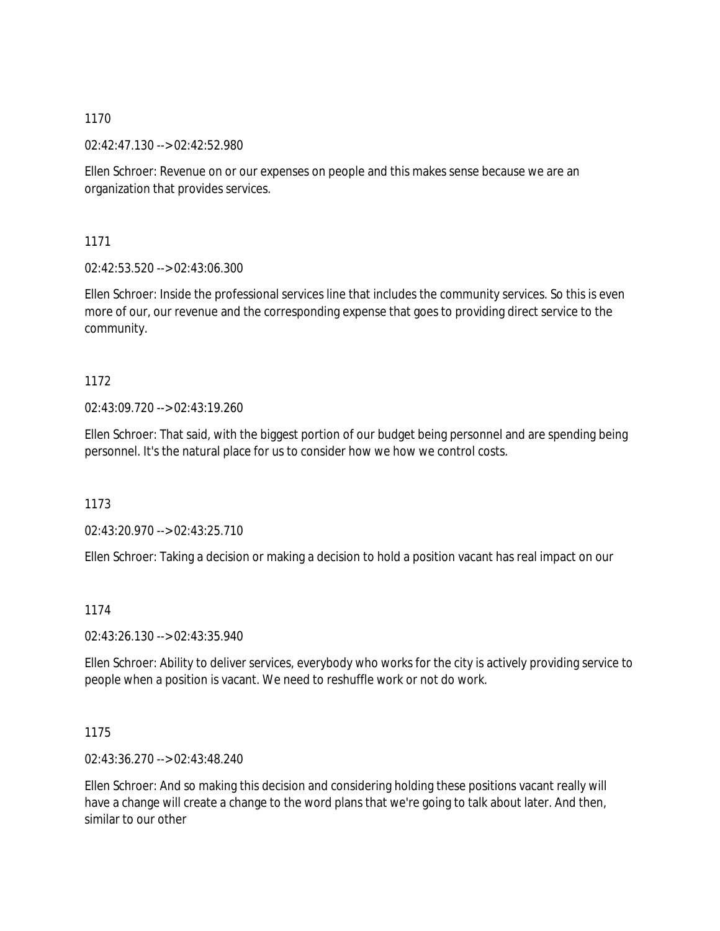02:42:47.130 --> 02:42:52.980

Ellen Schroer: Revenue on or our expenses on people and this makes sense because we are an organization that provides services.

1171

02:42:53.520 --> 02:43:06.300

Ellen Schroer: Inside the professional services line that includes the community services. So this is even more of our, our revenue and the corresponding expense that goes to providing direct service to the community.

# 1172

02:43:09.720 --> 02:43:19.260

Ellen Schroer: That said, with the biggest portion of our budget being personnel and are spending being personnel. It's the natural place for us to consider how we how we control costs.

1173

02:43:20.970 --> 02:43:25.710

Ellen Schroer: Taking a decision or making a decision to hold a position vacant has real impact on our

# 1174

02:43:26.130 --> 02:43:35.940

Ellen Schroer: Ability to deliver services, everybody who works for the city is actively providing service to people when a position is vacant. We need to reshuffle work or not do work.

# 1175

02:43:36.270 --> 02:43:48.240

Ellen Schroer: And so making this decision and considering holding these positions vacant really will have a change will create a change to the word plans that we're going to talk about later. And then, similar to our other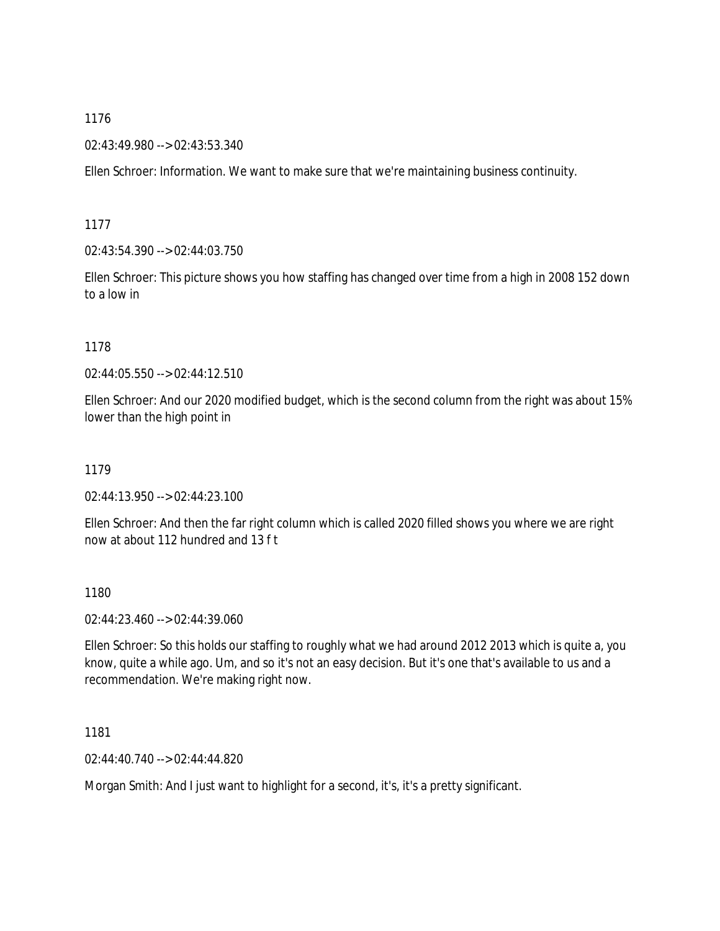02:43:49.980 --> 02:43:53.340

Ellen Schroer: Information. We want to make sure that we're maintaining business continuity.

1177

02:43:54.390 --> 02:44:03.750

Ellen Schroer: This picture shows you how staffing has changed over time from a high in 2008 152 down to a low in

## 1178

02:44:05.550 --> 02:44:12.510

Ellen Schroer: And our 2020 modified budget, which is the second column from the right was about 15% lower than the high point in

1179

02:44:13.950 --> 02:44:23.100

Ellen Schroer: And then the far right column which is called 2020 filled shows you where we are right now at about 112 hundred and 13 f t

1180

02:44:23.460 --> 02:44:39.060

Ellen Schroer: So this holds our staffing to roughly what we had around 2012 2013 which is quite a, you know, quite a while ago. Um, and so it's not an easy decision. But it's one that's available to us and a recommendation. We're making right now.

1181

02:44:40.740 --> 02:44:44.820

Morgan Smith: And I just want to highlight for a second, it's, it's a pretty significant.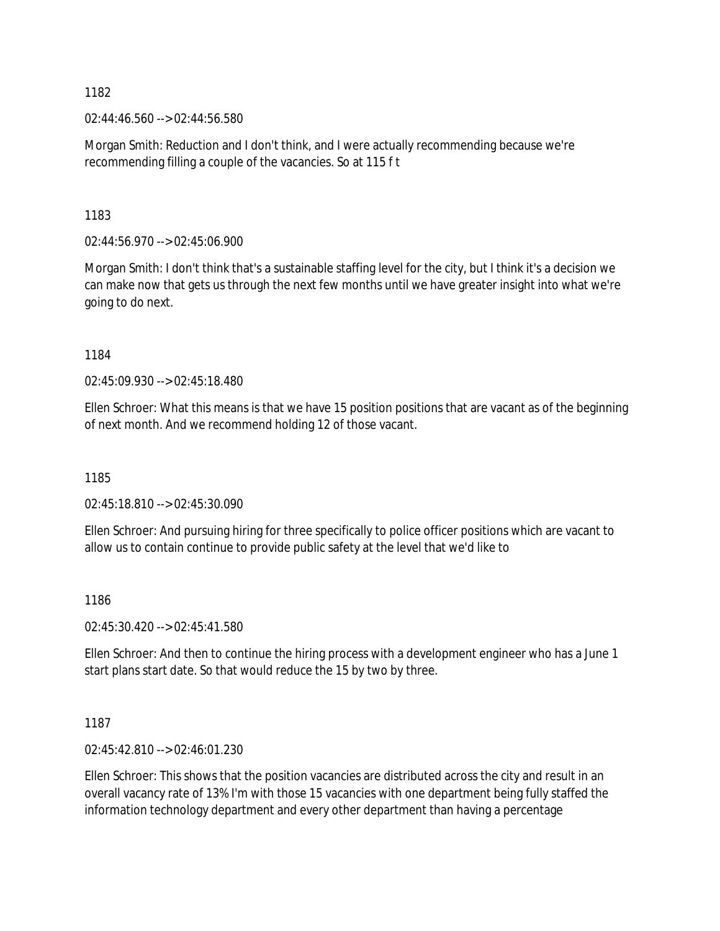02:44:46.560 --> 02:44:56.580

Morgan Smith: Reduction and I don't think, and I were actually recommending because we're recommending filling a couple of the vacancies. So at 115 f t

1183

02:44:56.970 --> 02:45:06.900

Morgan Smith: I don't think that's a sustainable staffing level for the city, but I think it's a decision we can make now that gets us through the next few months until we have greater insight into what we're going to do next.

1184

02:45:09.930 --> 02:45:18.480

Ellen Schroer: What this means is that we have 15 position positions that are vacant as of the beginning of next month. And we recommend holding 12 of those vacant.

1185

02:45:18.810 --> 02:45:30.090

Ellen Schroer: And pursuing hiring for three specifically to police officer positions which are vacant to allow us to contain continue to provide public safety at the level that we'd like to

1186

02:45:30.420 --> 02:45:41.580

Ellen Schroer: And then to continue the hiring process with a development engineer who has a June 1 start plans start date. So that would reduce the 15 by two by three.

1187

02:45:42.810 --> 02:46:01.230

Ellen Schroer: This shows that the position vacancies are distributed across the city and result in an overall vacancy rate of 13% I'm with those 15 vacancies with one department being fully staffed the information technology department and every other department than having a percentage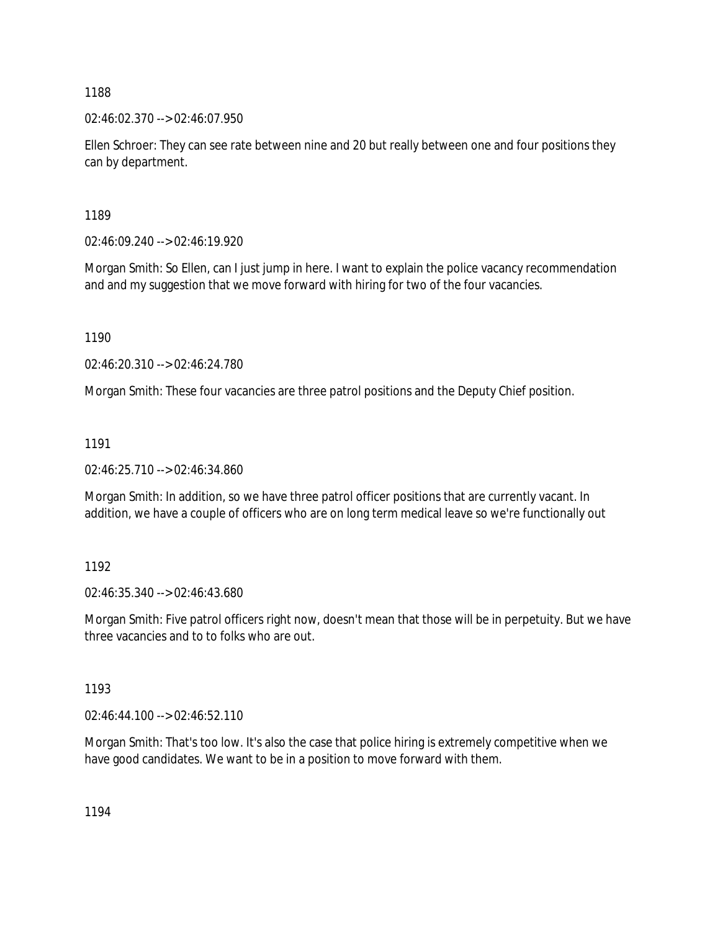02:46:02.370 --> 02:46:07.950

Ellen Schroer: They can see rate between nine and 20 but really between one and four positions they can by department.

1189

02:46:09.240 --> 02:46:19.920

Morgan Smith: So Ellen, can I just jump in here. I want to explain the police vacancy recommendation and and my suggestion that we move forward with hiring for two of the four vacancies.

1190

02:46:20.310 --> 02:46:24.780

Morgan Smith: These four vacancies are three patrol positions and the Deputy Chief position.

1191

02:46:25.710 --> 02:46:34.860

Morgan Smith: In addition, so we have three patrol officer positions that are currently vacant. In addition, we have a couple of officers who are on long term medical leave so we're functionally out

1192

02:46:35.340 --> 02:46:43.680

Morgan Smith: Five patrol officers right now, doesn't mean that those will be in perpetuity. But we have three vacancies and to to folks who are out.

1193

02:46:44.100 --> 02:46:52.110

Morgan Smith: That's too low. It's also the case that police hiring is extremely competitive when we have good candidates. We want to be in a position to move forward with them.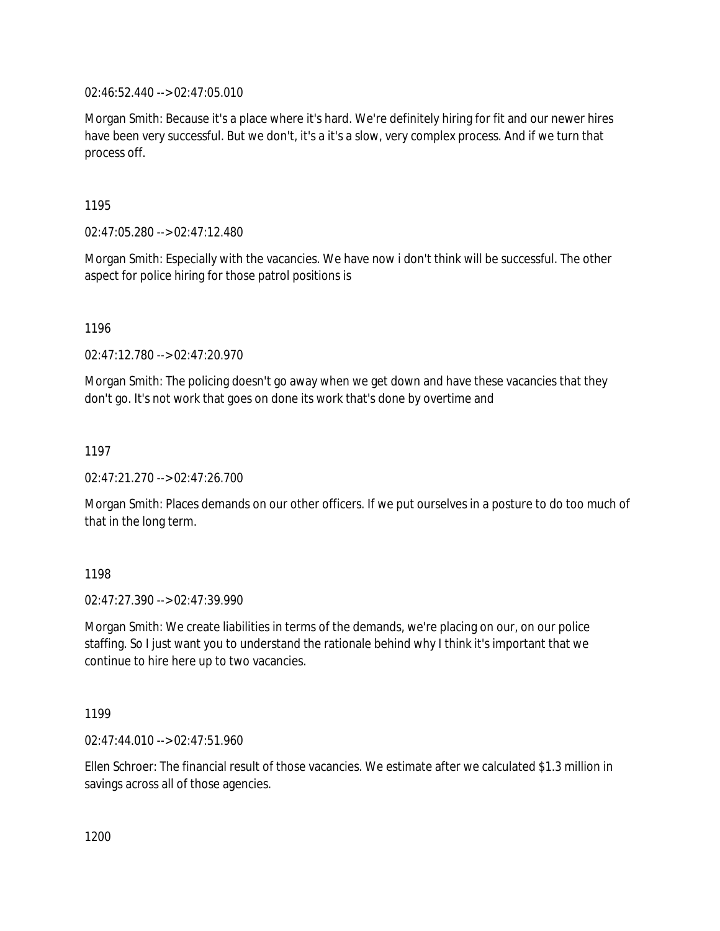02:46:52.440 --> 02:47:05.010

Morgan Smith: Because it's a place where it's hard. We're definitely hiring for fit and our newer hires have been very successful. But we don't, it's a it's a slow, very complex process. And if we turn that process off.

1195

02:47:05.280 --> 02:47:12.480

Morgan Smith: Especially with the vacancies. We have now i don't think will be successful. The other aspect for police hiring for those patrol positions is

1196

02:47:12.780 --> 02:47:20.970

Morgan Smith: The policing doesn't go away when we get down and have these vacancies that they don't go. It's not work that goes on done its work that's done by overtime and

1197

02:47:21.270 --> 02:47:26.700

Morgan Smith: Places demands on our other officers. If we put ourselves in a posture to do too much of that in the long term.

1198

02:47:27.390 --> 02:47:39.990

Morgan Smith: We create liabilities in terms of the demands, we're placing on our, on our police staffing. So I just want you to understand the rationale behind why I think it's important that we continue to hire here up to two vacancies.

1199

02:47:44.010 --> 02:47:51.960

Ellen Schroer: The financial result of those vacancies. We estimate after we calculated \$1.3 million in savings across all of those agencies.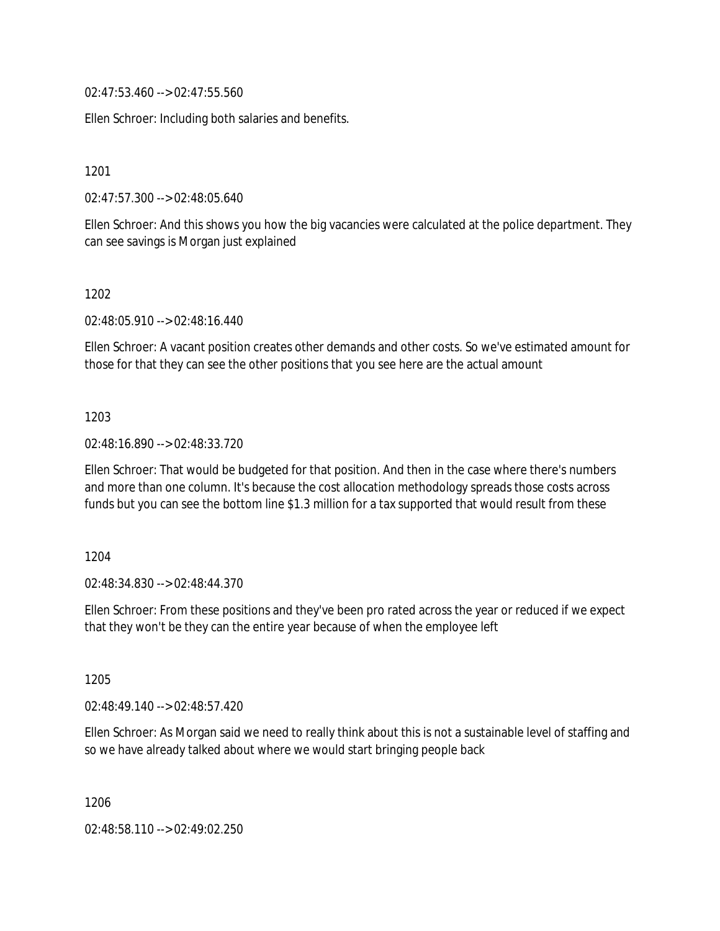02:47:53.460 --> 02:47:55.560

Ellen Schroer: Including both salaries and benefits.

1201

02:47:57.300 --> 02:48:05.640

Ellen Schroer: And this shows you how the big vacancies were calculated at the police department. They can see savings is Morgan just explained

1202

02:48:05.910 --> 02:48:16.440

Ellen Schroer: A vacant position creates other demands and other costs. So we've estimated amount for those for that they can see the other positions that you see here are the actual amount

1203

02:48:16.890 --> 02:48:33.720

Ellen Schroer: That would be budgeted for that position. And then in the case where there's numbers and more than one column. It's because the cost allocation methodology spreads those costs across funds but you can see the bottom line \$1.3 million for a tax supported that would result from these

1204

02:48:34.830 --> 02:48:44.370

Ellen Schroer: From these positions and they've been pro rated across the year or reduced if we expect that they won't be they can the entire year because of when the employee left

1205

02:48:49.140 --> 02:48:57.420

Ellen Schroer: As Morgan said we need to really think about this is not a sustainable level of staffing and so we have already talked about where we would start bringing people back

1206

02:48:58.110 --> 02:49:02.250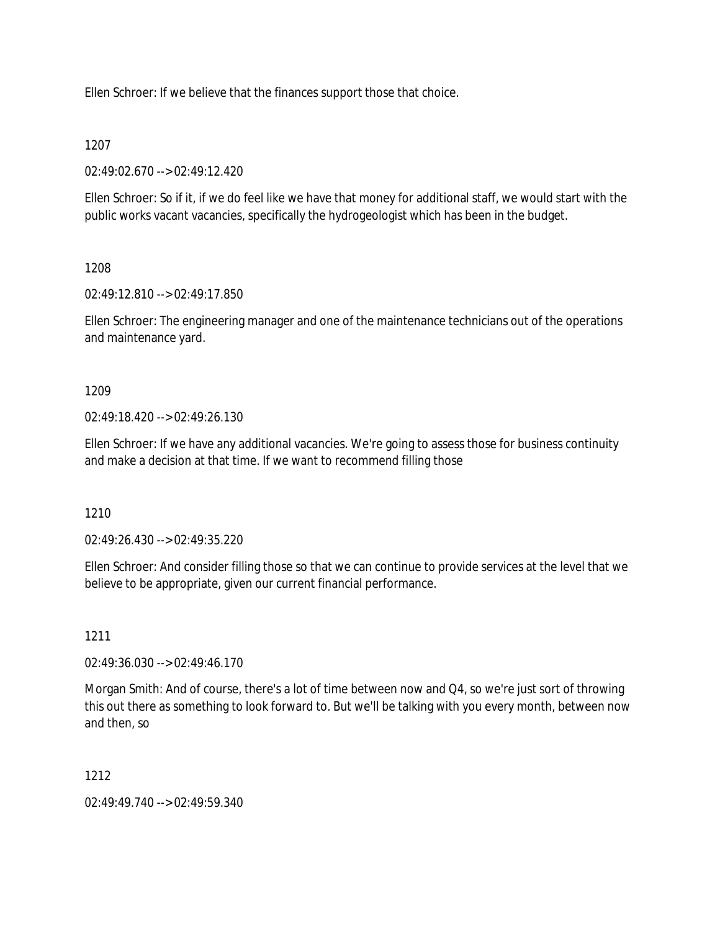Ellen Schroer: If we believe that the finances support those that choice.

## 1207

02:49:02.670 --> 02:49:12.420

Ellen Schroer: So if it, if we do feel like we have that money for additional staff, we would start with the public works vacant vacancies, specifically the hydrogeologist which has been in the budget.

## 1208

02:49:12.810 --> 02:49:17.850

Ellen Schroer: The engineering manager and one of the maintenance technicians out of the operations and maintenance yard.

## 1209

 $02.49.18$  420 -->  $02.49.26$  130

Ellen Schroer: If we have any additional vacancies. We're going to assess those for business continuity and make a decision at that time. If we want to recommend filling those

# 1210

02:49:26.430 --> 02:49:35.220

Ellen Schroer: And consider filling those so that we can continue to provide services at the level that we believe to be appropriate, given our current financial performance.

# 1211

02:49:36.030 --> 02:49:46.170

Morgan Smith: And of course, there's a lot of time between now and Q4, so we're just sort of throwing this out there as something to look forward to. But we'll be talking with you every month, between now and then, so

# 1212

02:49:49.740 --> 02:49:59.340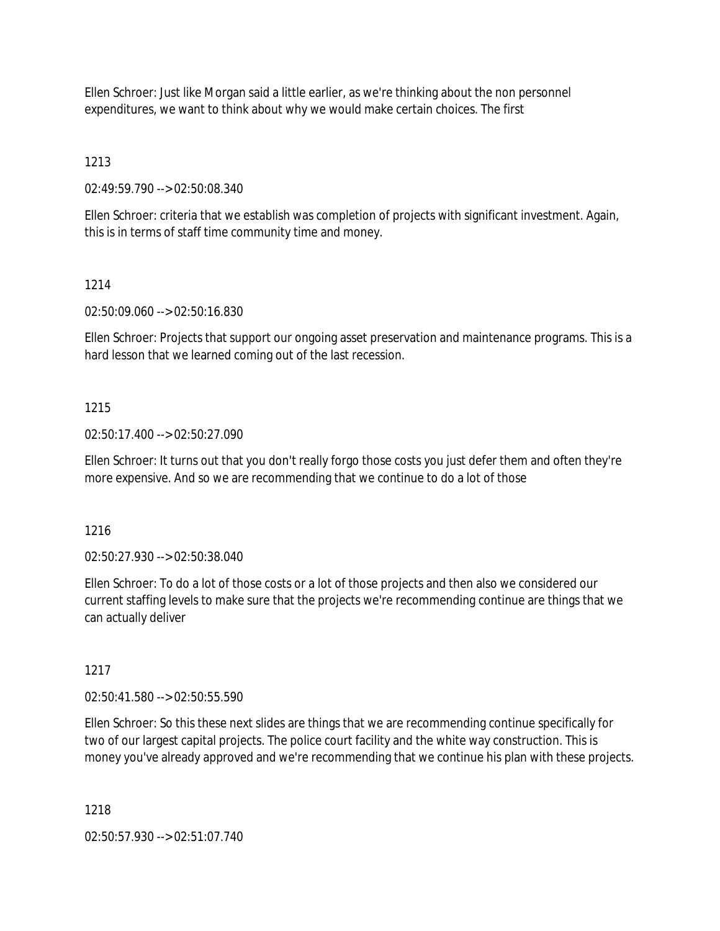Ellen Schroer: Just like Morgan said a little earlier, as we're thinking about the non personnel expenditures, we want to think about why we would make certain choices. The first

1213

02:49:59.790 --> 02:50:08.340

Ellen Schroer: criteria that we establish was completion of projects with significant investment. Again, this is in terms of staff time community time and money.

## 1214

02:50:09.060 --> 02:50:16.830

Ellen Schroer: Projects that support our ongoing asset preservation and maintenance programs. This is a hard lesson that we learned coming out of the last recession.

## 1215

02:50:17.400 --> 02:50:27.090

Ellen Schroer: It turns out that you don't really forgo those costs you just defer them and often they're more expensive. And so we are recommending that we continue to do a lot of those

1216

02:50:27.930 --> 02:50:38.040

Ellen Schroer: To do a lot of those costs or a lot of those projects and then also we considered our current staffing levels to make sure that the projects we're recommending continue are things that we can actually deliver

## 1217

02:50:41.580 --> 02:50:55.590

Ellen Schroer: So this these next slides are things that we are recommending continue specifically for two of our largest capital projects. The police court facility and the white way construction. This is money you've already approved and we're recommending that we continue his plan with these projects.

1218

02:50:57.930 --> 02:51:07.740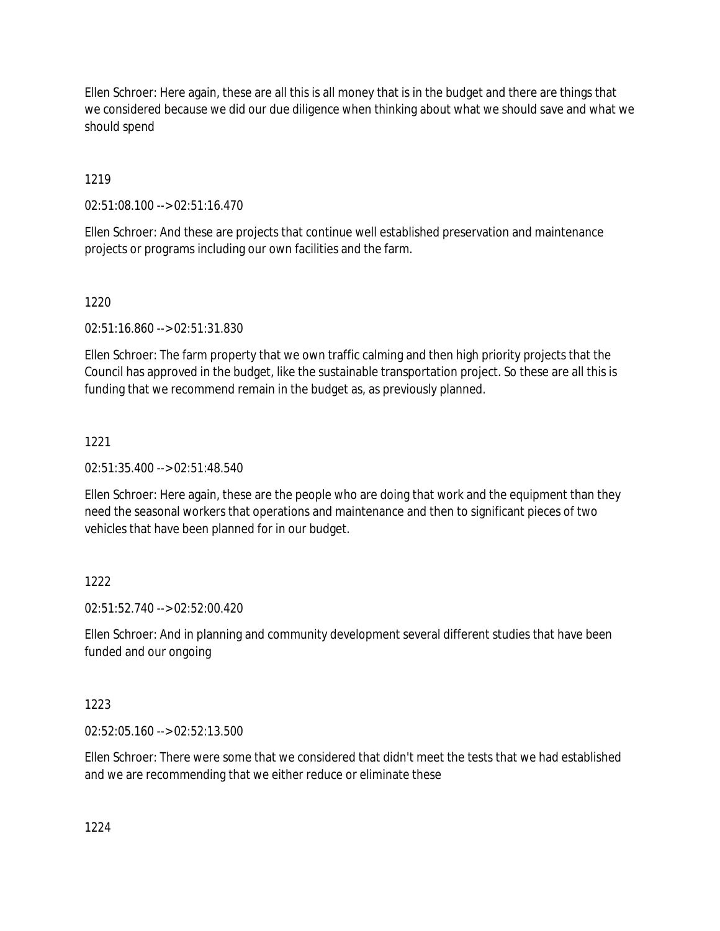Ellen Schroer: Here again, these are all this is all money that is in the budget and there are things that we considered because we did our due diligence when thinking about what we should save and what we should spend

# 1219

02:51:08.100 --> 02:51:16.470

Ellen Schroer: And these are projects that continue well established preservation and maintenance projects or programs including our own facilities and the farm.

# 1220

02:51:16.860 --> 02:51:31.830

Ellen Schroer: The farm property that we own traffic calming and then high priority projects that the Council has approved in the budget, like the sustainable transportation project. So these are all this is funding that we recommend remain in the budget as, as previously planned.

# 1221

02:51:35.400 --> 02:51:48.540

Ellen Schroer: Here again, these are the people who are doing that work and the equipment than they need the seasonal workers that operations and maintenance and then to significant pieces of two vehicles that have been planned for in our budget.

# 1222

02:51:52.740 --> 02:52:00.420

Ellen Schroer: And in planning and community development several different studies that have been funded and our ongoing

# 1223

02:52:05.160 --> 02:52:13.500

Ellen Schroer: There were some that we considered that didn't meet the tests that we had established and we are recommending that we either reduce or eliminate these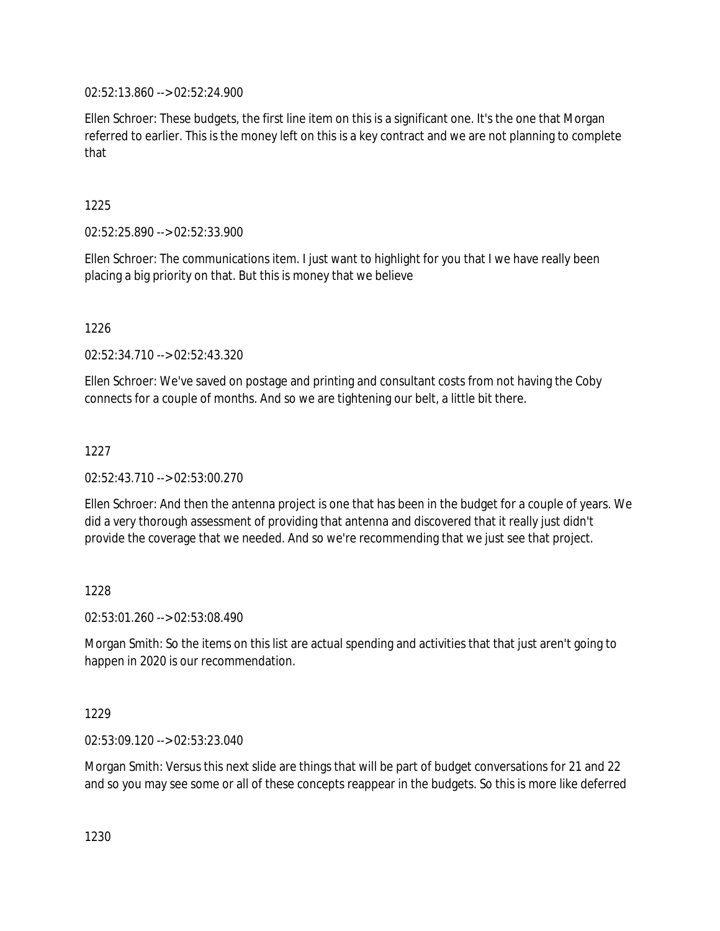02:52:13.860 --> 02:52:24.900

Ellen Schroer: These budgets, the first line item on this is a significant one. It's the one that Morgan referred to earlier. This is the money left on this is a key contract and we are not planning to complete that

## 1225

02:52:25.890 --> 02:52:33.900

Ellen Schroer: The communications item. I just want to highlight for you that I we have really been placing a big priority on that. But this is money that we believe

1226

02:52:34.710 --> 02:52:43.320

Ellen Schroer: We've saved on postage and printing and consultant costs from not having the Coby connects for a couple of months. And so we are tightening our belt, a little bit there.

## 1227

02:52:43.710 --> 02:53:00.270

Ellen Schroer: And then the antenna project is one that has been in the budget for a couple of years. We did a very thorough assessment of providing that antenna and discovered that it really just didn't provide the coverage that we needed. And so we're recommending that we just see that project.

## 1228

02:53:01.260 --> 02:53:08.490

Morgan Smith: So the items on this list are actual spending and activities that that just aren't going to happen in 2020 is our recommendation.

## 1229

02:53:09.120 --> 02:53:23.040

Morgan Smith: Versus this next slide are things that will be part of budget conversations for 21 and 22 and so you may see some or all of these concepts reappear in the budgets. So this is more like deferred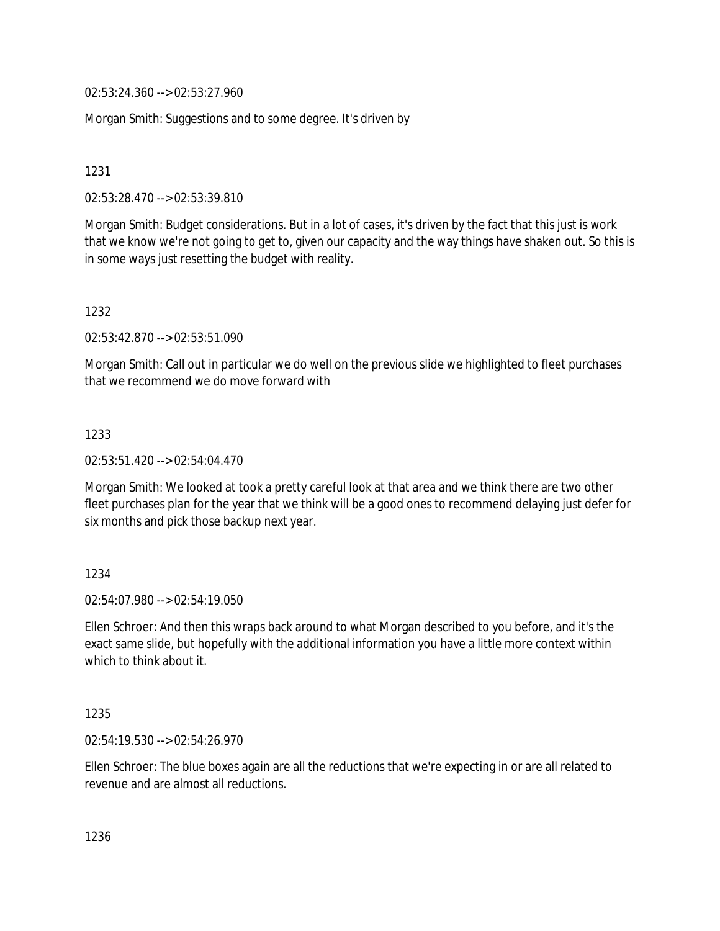02:53:24.360 --> 02:53:27.960

Morgan Smith: Suggestions and to some degree. It's driven by

1231

02:53:28.470 --> 02:53:39.810

Morgan Smith: Budget considerations. But in a lot of cases, it's driven by the fact that this just is work that we know we're not going to get to, given our capacity and the way things have shaken out. So this is in some ways just resetting the budget with reality.

## 1232

02:53:42.870 --> 02:53:51.090

Morgan Smith: Call out in particular we do well on the previous slide we highlighted to fleet purchases that we recommend we do move forward with

## 1233

02:53:51.420 --> 02:54:04.470

Morgan Smith: We looked at took a pretty careful look at that area and we think there are two other fleet purchases plan for the year that we think will be a good ones to recommend delaying just defer for six months and pick those backup next year.

# 1234

02:54:07.980 --> 02:54:19.050

Ellen Schroer: And then this wraps back around to what Morgan described to you before, and it's the exact same slide, but hopefully with the additional information you have a little more context within which to think about it.

## 1235

02:54:19.530 --> 02:54:26.970

Ellen Schroer: The blue boxes again are all the reductions that we're expecting in or are all related to revenue and are almost all reductions.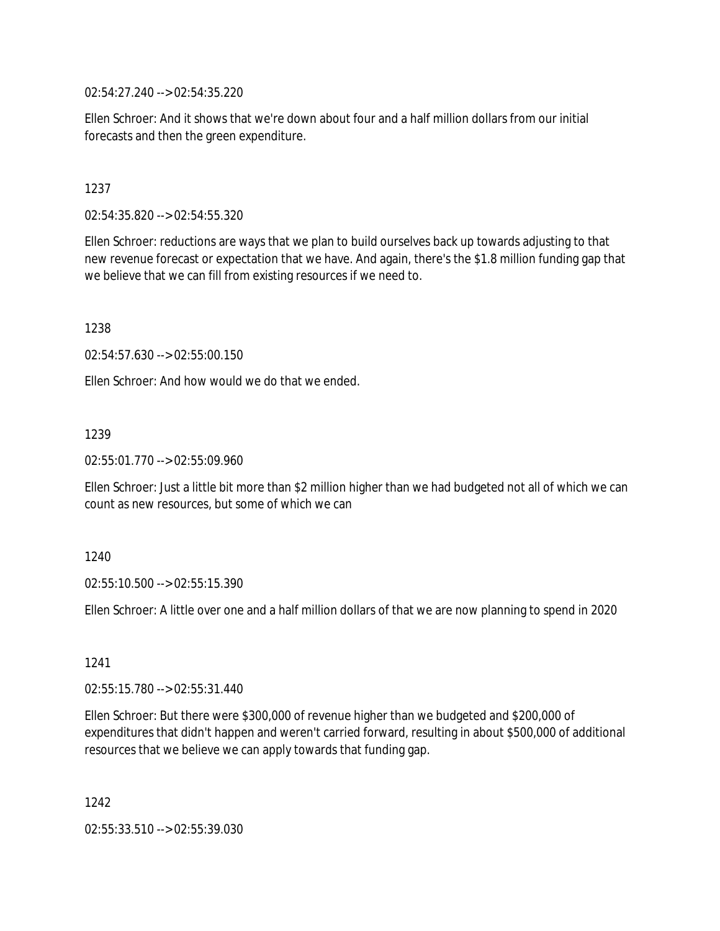02:54:27.240 --> 02:54:35.220

Ellen Schroer: And it shows that we're down about four and a half million dollars from our initial forecasts and then the green expenditure.

1237

02:54:35.820 --> 02:54:55.320

Ellen Schroer: reductions are ways that we plan to build ourselves back up towards adjusting to that new revenue forecast or expectation that we have. And again, there's the \$1.8 million funding gap that we believe that we can fill from existing resources if we need to.

1238

02:54:57.630 --> 02:55:00.150

Ellen Schroer: And how would we do that we ended.

1239

02:55:01.770 --> 02:55:09.960

Ellen Schroer: Just a little bit more than \$2 million higher than we had budgeted not all of which we can count as new resources, but some of which we can

1240

02:55:10.500 --> 02:55:15.390

Ellen Schroer: A little over one and a half million dollars of that we are now planning to spend in 2020

1241

02:55:15.780 --> 02:55:31.440

Ellen Schroer: But there were \$300,000 of revenue higher than we budgeted and \$200,000 of expenditures that didn't happen and weren't carried forward, resulting in about \$500,000 of additional resources that we believe we can apply towards that funding gap.

1242

02:55:33.510 --> 02:55:39.030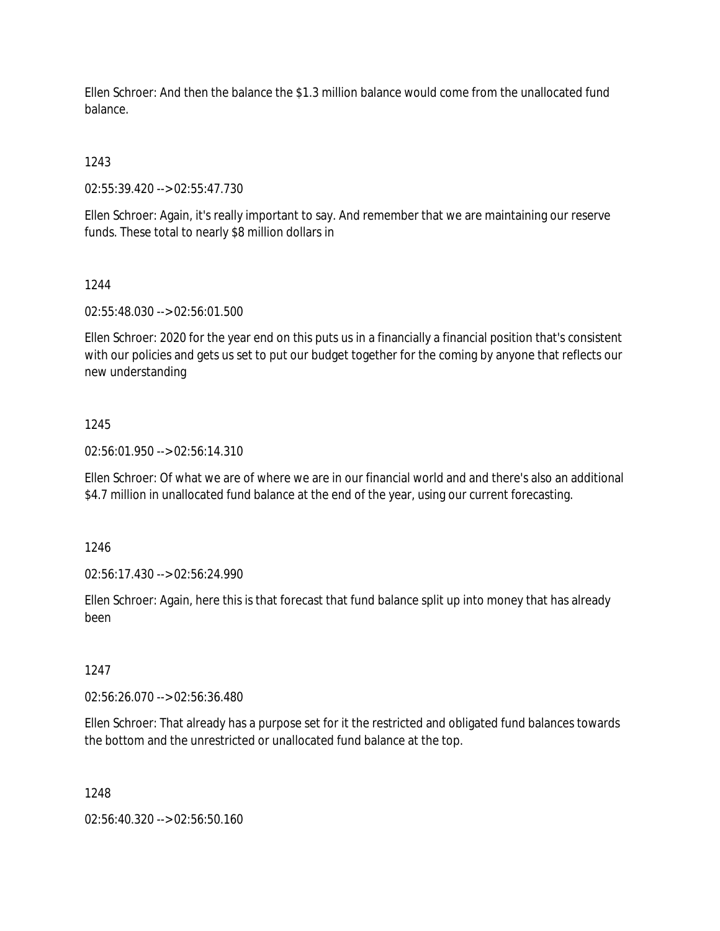Ellen Schroer: And then the balance the \$1.3 million balance would come from the unallocated fund balance.

1243

02:55:39.420 --> 02:55:47.730

Ellen Schroer: Again, it's really important to say. And remember that we are maintaining our reserve funds. These total to nearly \$8 million dollars in

#### 1244

02:55:48.030 --> 02:56:01.500

Ellen Schroer: 2020 for the year end on this puts us in a financially a financial position that's consistent with our policies and gets us set to put our budget together for the coming by anyone that reflects our new understanding

## 1245

02:56:01.950 --> 02:56:14.310

Ellen Schroer: Of what we are of where we are in our financial world and and there's also an additional \$4.7 million in unallocated fund balance at the end of the year, using our current forecasting.

1246

02:56:17.430 --> 02:56:24.990

Ellen Schroer: Again, here this is that forecast that fund balance split up into money that has already been

## 1247

02:56:26.070 --> 02:56:36.480

Ellen Schroer: That already has a purpose set for it the restricted and obligated fund balances towards the bottom and the unrestricted or unallocated fund balance at the top.

#### 1248

02:56:40.320 --> 02:56:50.160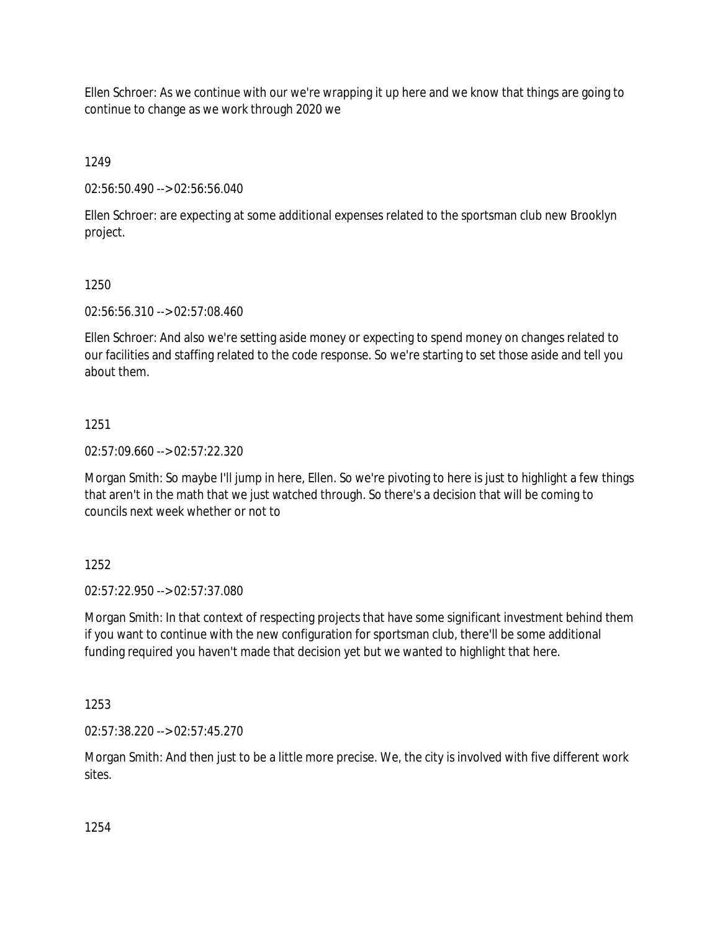Ellen Schroer: As we continue with our we're wrapping it up here and we know that things are going to continue to change as we work through 2020 we

1249

02:56:50.490 --> 02:56:56.040

Ellen Schroer: are expecting at some additional expenses related to the sportsman club new Brooklyn project.

# 1250

02:56:56.310 --> 02:57:08.460

Ellen Schroer: And also we're setting aside money or expecting to spend money on changes related to our facilities and staffing related to the code response. So we're starting to set those aside and tell you about them.

# 1251

02:57:09.660 --> 02:57:22.320

Morgan Smith: So maybe I'll jump in here, Ellen. So we're pivoting to here is just to highlight a few things that aren't in the math that we just watched through. So there's a decision that will be coming to councils next week whether or not to

# 1252

02:57:22.950 --> 02:57:37.080

Morgan Smith: In that context of respecting projects that have some significant investment behind them if you want to continue with the new configuration for sportsman club, there'll be some additional funding required you haven't made that decision yet but we wanted to highlight that here.

1253

02:57:38.220 --> 02:57:45.270

Morgan Smith: And then just to be a little more precise. We, the city is involved with five different work sites.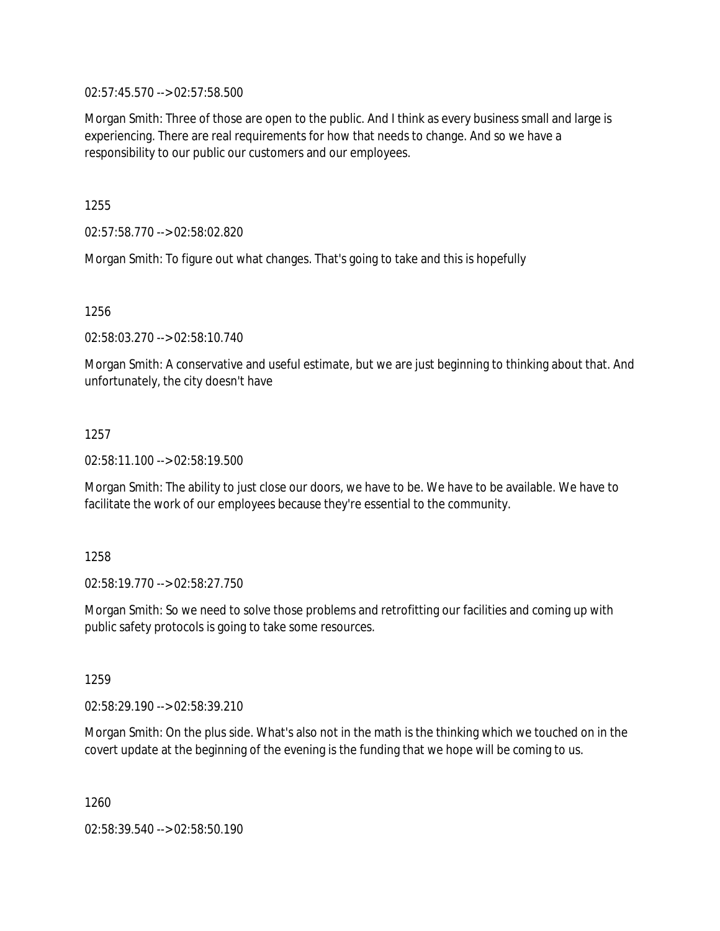02:57:45.570 --> 02:57:58.500

Morgan Smith: Three of those are open to the public. And I think as every business small and large is experiencing. There are real requirements for how that needs to change. And so we have a responsibility to our public our customers and our employees.

1255

02:57:58.770 --> 02:58:02.820

Morgan Smith: To figure out what changes. That's going to take and this is hopefully

1256

02:58:03.270 --> 02:58:10.740

Morgan Smith: A conservative and useful estimate, but we are just beginning to thinking about that. And unfortunately, the city doesn't have

1257

02:58:11.100 --> 02:58:19.500

Morgan Smith: The ability to just close our doors, we have to be. We have to be available. We have to facilitate the work of our employees because they're essential to the community.

1258

02:58:19.770 --> 02:58:27.750

Morgan Smith: So we need to solve those problems and retrofitting our facilities and coming up with public safety protocols is going to take some resources.

1259

02:58:29.190 --> 02:58:39.210

Morgan Smith: On the plus side. What's also not in the math is the thinking which we touched on in the covert update at the beginning of the evening is the funding that we hope will be coming to us.

1260

02:58:39.540 --> 02:58:50.190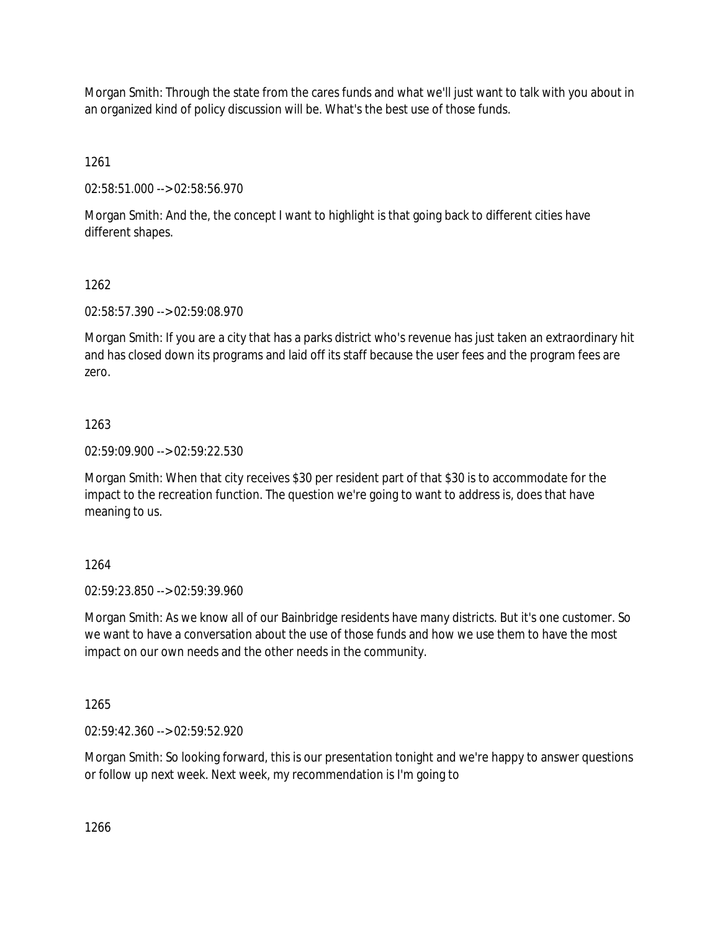Morgan Smith: Through the state from the cares funds and what we'll just want to talk with you about in an organized kind of policy discussion will be. What's the best use of those funds.

1261

02:58:51.000 --> 02:58:56.970

Morgan Smith: And the, the concept I want to highlight is that going back to different cities have different shapes.

# 1262

02:58:57.390 --> 02:59:08.970

Morgan Smith: If you are a city that has a parks district who's revenue has just taken an extraordinary hit and has closed down its programs and laid off its staff because the user fees and the program fees are zero.

# 1263

02:59:09.900 --> 02:59:22.530

Morgan Smith: When that city receives \$30 per resident part of that \$30 is to accommodate for the impact to the recreation function. The question we're going to want to address is, does that have meaning to us.

# 1264

02:59:23.850 --> 02:59:39.960

Morgan Smith: As we know all of our Bainbridge residents have many districts. But it's one customer. So we want to have a conversation about the use of those funds and how we use them to have the most impact on our own needs and the other needs in the community.

1265

02:59:42.360 --> 02:59:52.920

Morgan Smith: So looking forward, this is our presentation tonight and we're happy to answer questions or follow up next week. Next week, my recommendation is I'm going to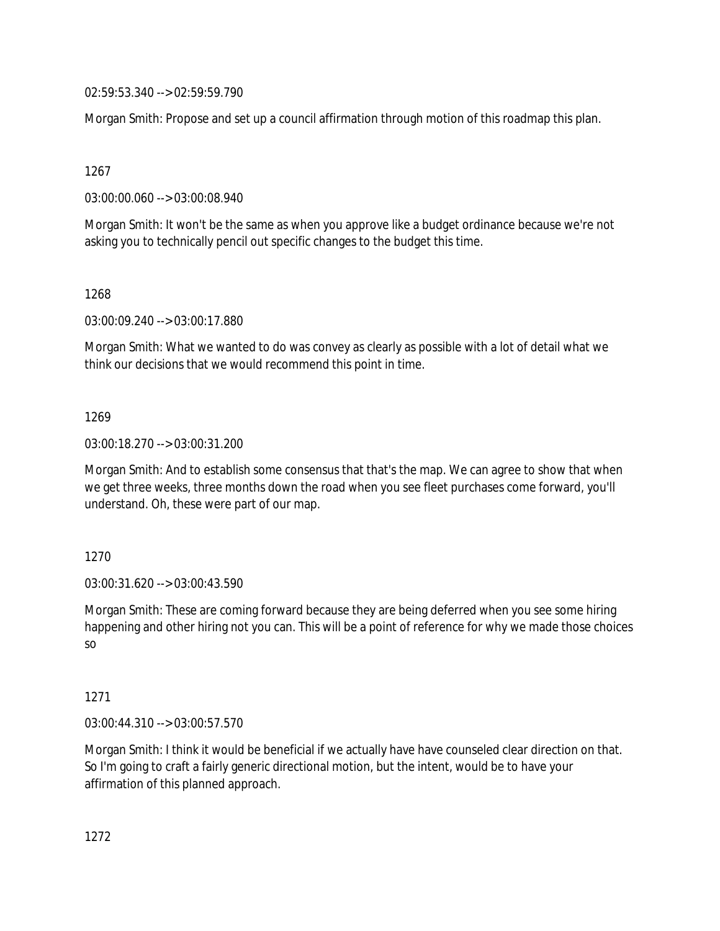02:59:53.340 --> 02:59:59.790

Morgan Smith: Propose and set up a council affirmation through motion of this roadmap this plan.

1267

03:00:00.060 --> 03:00:08.940

Morgan Smith: It won't be the same as when you approve like a budget ordinance because we're not asking you to technically pencil out specific changes to the budget this time.

1268

03:00:09.240 --> 03:00:17.880

Morgan Smith: What we wanted to do was convey as clearly as possible with a lot of detail what we think our decisions that we would recommend this point in time.

1269

03:00:18.270 --> 03:00:31.200

Morgan Smith: And to establish some consensus that that's the map. We can agree to show that when we get three weeks, three months down the road when you see fleet purchases come forward, you'll understand. Oh, these were part of our map.

1270

03:00:31.620 --> 03:00:43.590

Morgan Smith: These are coming forward because they are being deferred when you see some hiring happening and other hiring not you can. This will be a point of reference for why we made those choices so

1271

03:00:44.310 --> 03:00:57.570

Morgan Smith: I think it would be beneficial if we actually have have counseled clear direction on that. So I'm going to craft a fairly generic directional motion, but the intent, would be to have your affirmation of this planned approach.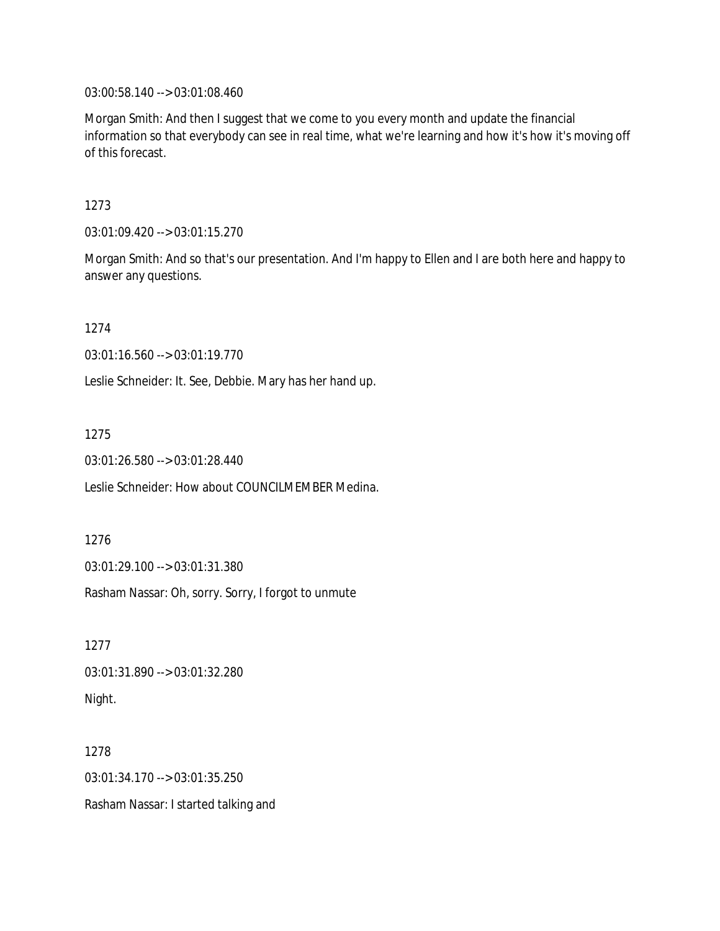03:00:58.140 --> 03:01:08.460

Morgan Smith: And then I suggest that we come to you every month and update the financial information so that everybody can see in real time, what we're learning and how it's how it's moving off of this forecast.

1273

03:01:09.420 --> 03:01:15.270

Morgan Smith: And so that's our presentation. And I'm happy to Ellen and I are both here and happy to answer any questions.

1274

03:01:16.560 --> 03:01:19.770

Leslie Schneider: It. See, Debbie. Mary has her hand up.

1275

03:01:26.580 --> 03:01:28.440

Leslie Schneider: How about COUNCILMEMBER Medina.

1276

03:01:29.100 --> 03:01:31.380

Rasham Nassar: Oh, sorry. Sorry, I forgot to unmute

1277 03:01:31.890 --> 03:01:32.280 Night.

1278 03:01:34.170 --> 03:01:35.250 Rasham Nassar: I started talking and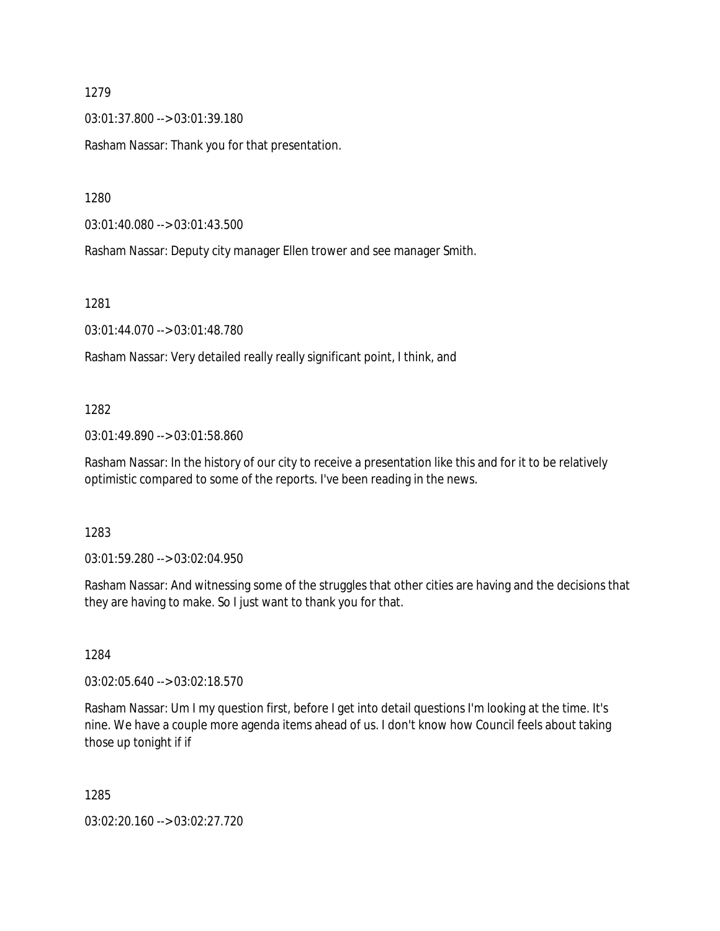03:01:37.800 --> 03:01:39.180

Rasham Nassar: Thank you for that presentation.

1280

03:01:40.080 --> 03:01:43.500

Rasham Nassar: Deputy city manager Ellen trower and see manager Smith.

1281

03:01:44.070 --> 03:01:48.780

Rasham Nassar: Very detailed really really significant point, I think, and

## 1282

03:01:49.890 --> 03:01:58.860

Rasham Nassar: In the history of our city to receive a presentation like this and for it to be relatively optimistic compared to some of the reports. I've been reading in the news.

1283

03:01:59.280 --> 03:02:04.950

Rasham Nassar: And witnessing some of the struggles that other cities are having and the decisions that they are having to make. So I just want to thank you for that.

1284

03:02:05.640 --> 03:02:18.570

Rasham Nassar: Um I my question first, before I get into detail questions I'm looking at the time. It's nine. We have a couple more agenda items ahead of us. I don't know how Council feels about taking those up tonight if if

1285

03:02:20.160 --> 03:02:27.720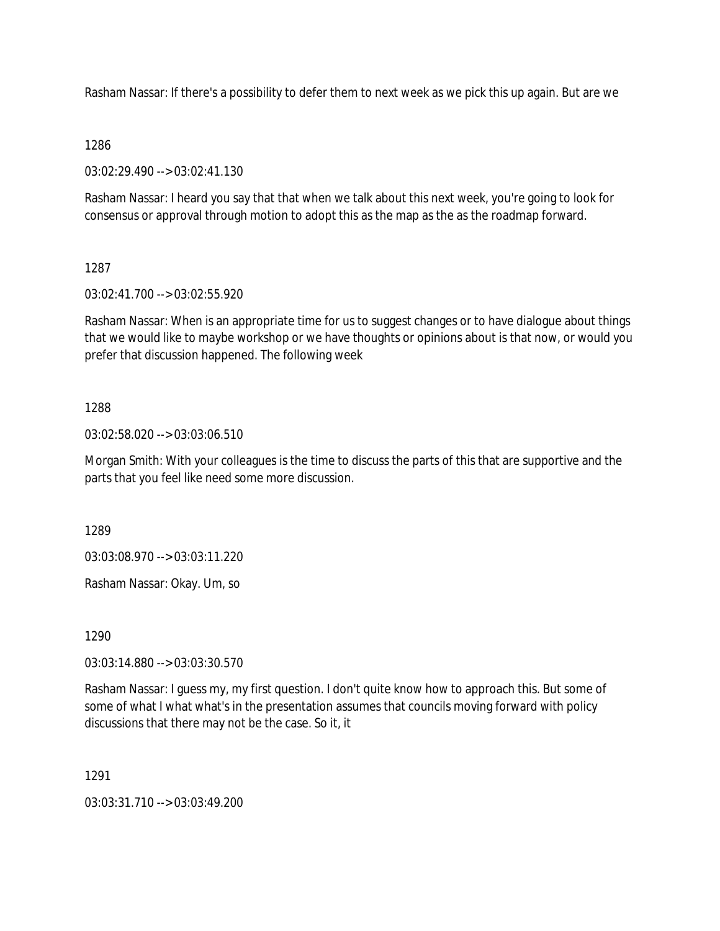Rasham Nassar: If there's a possibility to defer them to next week as we pick this up again. But are we

## 1286

03:02:29.490 --> 03:02:41.130

Rasham Nassar: I heard you say that that when we talk about this next week, you're going to look for consensus or approval through motion to adopt this as the map as the as the roadmap forward.

## 1287

03:02:41.700 --> 03:02:55.920

Rasham Nassar: When is an appropriate time for us to suggest changes or to have dialogue about things that we would like to maybe workshop or we have thoughts or opinions about is that now, or would you prefer that discussion happened. The following week

## 1288

03:02:58.020 --> 03:03:06.510

Morgan Smith: With your colleagues is the time to discuss the parts of this that are supportive and the parts that you feel like need some more discussion.

1289

03:03:08.970 --> 03:03:11.220

Rasham Nassar: Okay. Um, so

1290

03:03:14.880 --> 03:03:30.570

Rasham Nassar: I guess my, my first question. I don't quite know how to approach this. But some of some of what I what what's in the presentation assumes that councils moving forward with policy discussions that there may not be the case. So it, it

1291

03:03:31.710 --> 03:03:49.200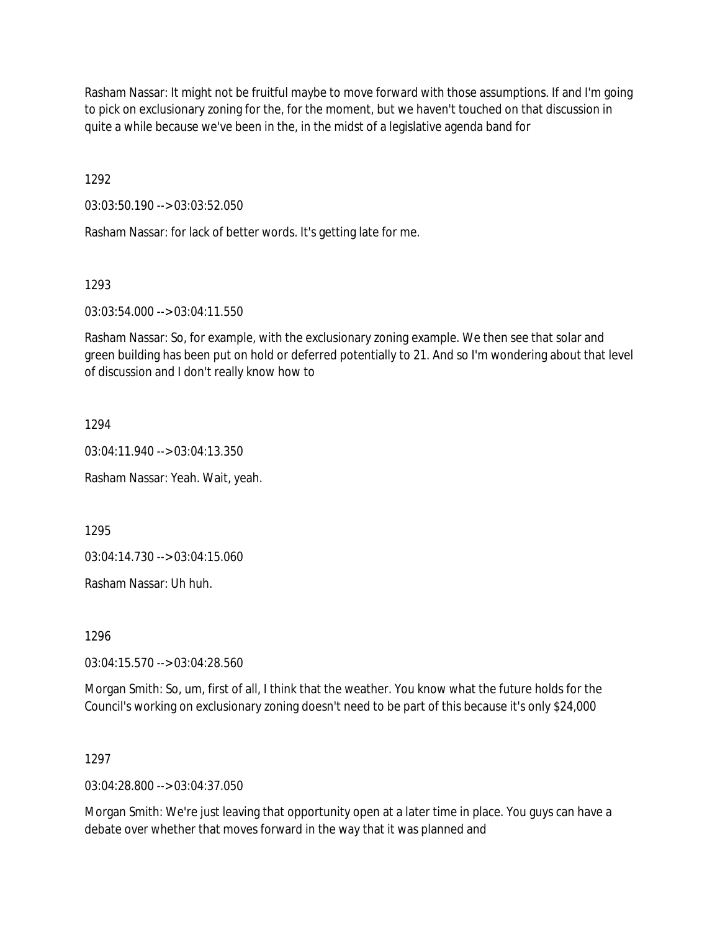Rasham Nassar: It might not be fruitful maybe to move forward with those assumptions. If and I'm going to pick on exclusionary zoning for the, for the moment, but we haven't touched on that discussion in quite a while because we've been in the, in the midst of a legislative agenda band for

1292

03:03:50.190 --> 03:03:52.050

Rasham Nassar: for lack of better words. It's getting late for me.

1293

03:03:54.000 --> 03:04:11.550

Rasham Nassar: So, for example, with the exclusionary zoning example. We then see that solar and green building has been put on hold or deferred potentially to 21. And so I'm wondering about that level of discussion and I don't really know how to

1294

03:04:11.940 --> 03:04:13.350

Rasham Nassar: Yeah. Wait, yeah.

1295

03:04:14.730 --> 03:04:15.060

Rasham Nassar: Uh huh.

1296

03:04:15.570 --> 03:04:28.560

Morgan Smith: So, um, first of all, I think that the weather. You know what the future holds for the Council's working on exclusionary zoning doesn't need to be part of this because it's only \$24,000

1297

03:04:28.800 --> 03:04:37.050

Morgan Smith: We're just leaving that opportunity open at a later time in place. You guys can have a debate over whether that moves forward in the way that it was planned and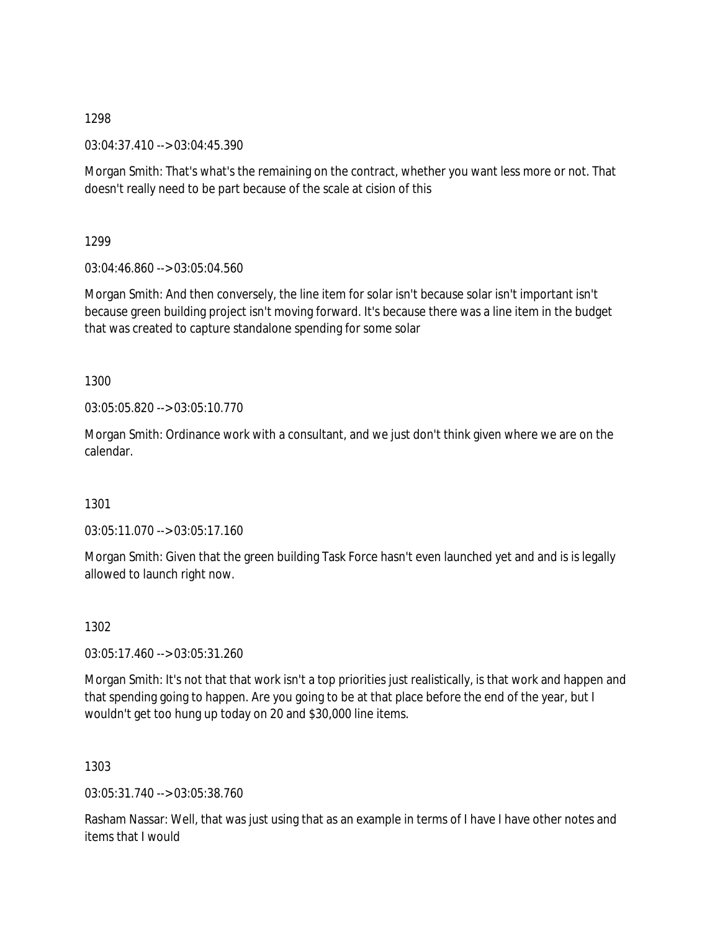03:04:37.410 --> 03:04:45.390

Morgan Smith: That's what's the remaining on the contract, whether you want less more or not. That doesn't really need to be part because of the scale at cision of this

1299

03:04:46.860 --> 03:05:04.560

Morgan Smith: And then conversely, the line item for solar isn't because solar isn't important isn't because green building project isn't moving forward. It's because there was a line item in the budget that was created to capture standalone spending for some solar

1300

03:05:05.820 --> 03:05:10.770

Morgan Smith: Ordinance work with a consultant, and we just don't think given where we are on the calendar.

1301

03:05:11.070 --> 03:05:17.160

Morgan Smith: Given that the green building Task Force hasn't even launched yet and and is is legally allowed to launch right now.

1302

03:05:17.460 --> 03:05:31.260

Morgan Smith: It's not that that work isn't a top priorities just realistically, is that work and happen and that spending going to happen. Are you going to be at that place before the end of the year, but I wouldn't get too hung up today on 20 and \$30,000 line items.

1303

03:05:31.740 --> 03:05:38.760

Rasham Nassar: Well, that was just using that as an example in terms of I have I have other notes and items that I would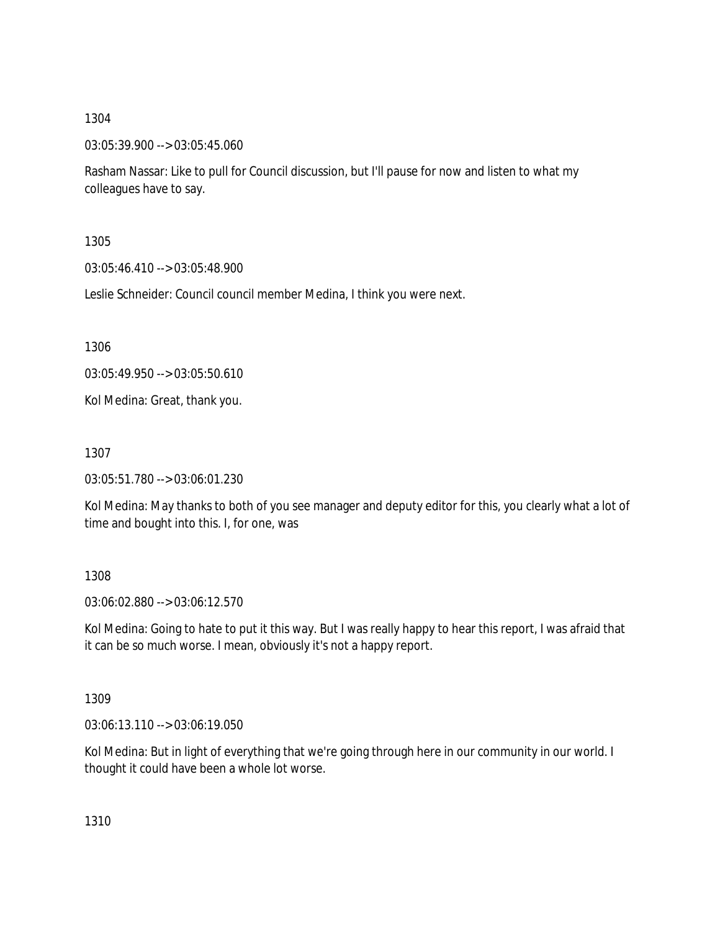03:05:39.900 --> 03:05:45.060

Rasham Nassar: Like to pull for Council discussion, but I'll pause for now and listen to what my colleagues have to say.

1305

03:05:46.410 --> 03:05:48.900

Leslie Schneider: Council council member Medina, I think you were next.

1306

03:05:49.950 --> 03:05:50.610

Kol Medina: Great, thank you.

1307

03:05:51.780 --> 03:06:01.230

Kol Medina: May thanks to both of you see manager and deputy editor for this, you clearly what a lot of time and bought into this. I, for one, was

## 1308

03:06:02.880 --> 03:06:12.570

Kol Medina: Going to hate to put it this way. But I was really happy to hear this report, I was afraid that it can be so much worse. I mean, obviously it's not a happy report.

1309

03:06:13.110 --> 03:06:19.050

Kol Medina: But in light of everything that we're going through here in our community in our world. I thought it could have been a whole lot worse.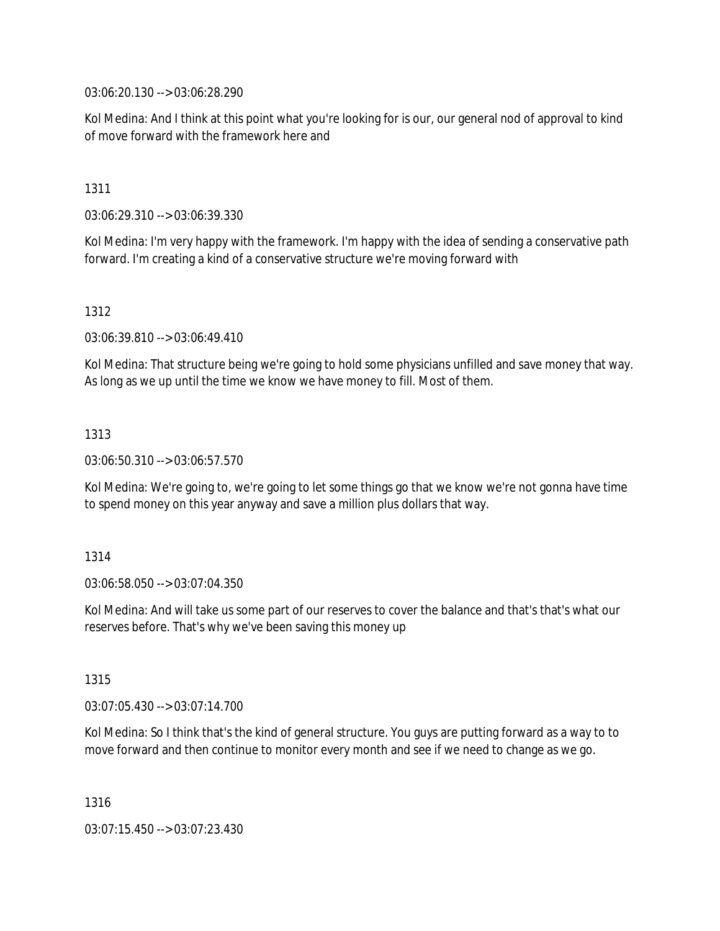03:06:20.130 --> 03:06:28.290

Kol Medina: And I think at this point what you're looking for is our, our general nod of approval to kind of move forward with the framework here and

1311

03:06:29.310 --> 03:06:39.330

Kol Medina: I'm very happy with the framework. I'm happy with the idea of sending a conservative path forward. I'm creating a kind of a conservative structure we're moving forward with

1312

03:06:39.810 --> 03:06:49.410

Kol Medina: That structure being we're going to hold some physicians unfilled and save money that way. As long as we up until the time we know we have money to fill. Most of them.

1313

03:06:50.310 --> 03:06:57.570

Kol Medina: We're going to, we're going to let some things go that we know we're not gonna have time to spend money on this year anyway and save a million plus dollars that way.

1314

03:06:58.050 --> 03:07:04.350

Kol Medina: And will take us some part of our reserves to cover the balance and that's that's what our reserves before. That's why we've been saving this money up

1315

03:07:05.430 --> 03:07:14.700

Kol Medina: So I think that's the kind of general structure. You guys are putting forward as a way to to move forward and then continue to monitor every month and see if we need to change as we go.

1316

03:07:15.450 --> 03:07:23.430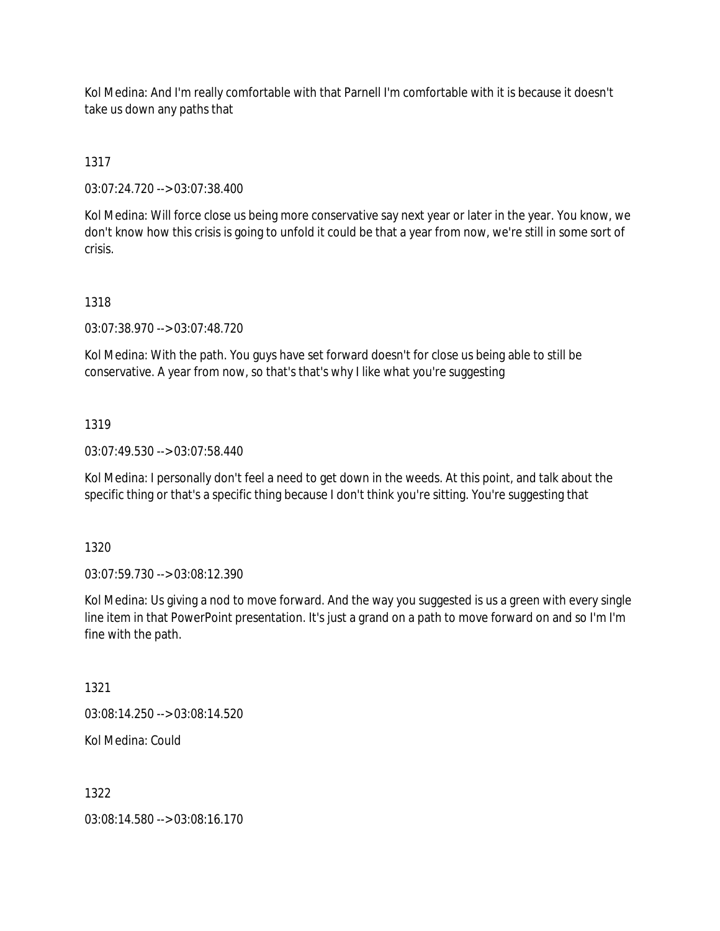Kol Medina: And I'm really comfortable with that Parnell I'm comfortable with it is because it doesn't take us down any paths that

1317

03:07:24.720 --> 03:07:38.400

Kol Medina: Will force close us being more conservative say next year or later in the year. You know, we don't know how this crisis is going to unfold it could be that a year from now, we're still in some sort of crisis.

## 1318

03:07:38.970 --> 03:07:48.720

Kol Medina: With the path. You guys have set forward doesn't for close us being able to still be conservative. A year from now, so that's that's why I like what you're suggesting

## 1319

03:07:49.530 --> 03:07:58.440

Kol Medina: I personally don't feel a need to get down in the weeds. At this point, and talk about the specific thing or that's a specific thing because I don't think you're sitting. You're suggesting that

1320

03:07:59.730 --> 03:08:12.390

Kol Medina: Us giving a nod to move forward. And the way you suggested is us a green with every single line item in that PowerPoint presentation. It's just a grand on a path to move forward on and so I'm I'm fine with the path.

1321

03:08:14.250 --> 03:08:14.520

Kol Medina: Could

1322

03:08:14.580 --> 03:08:16.170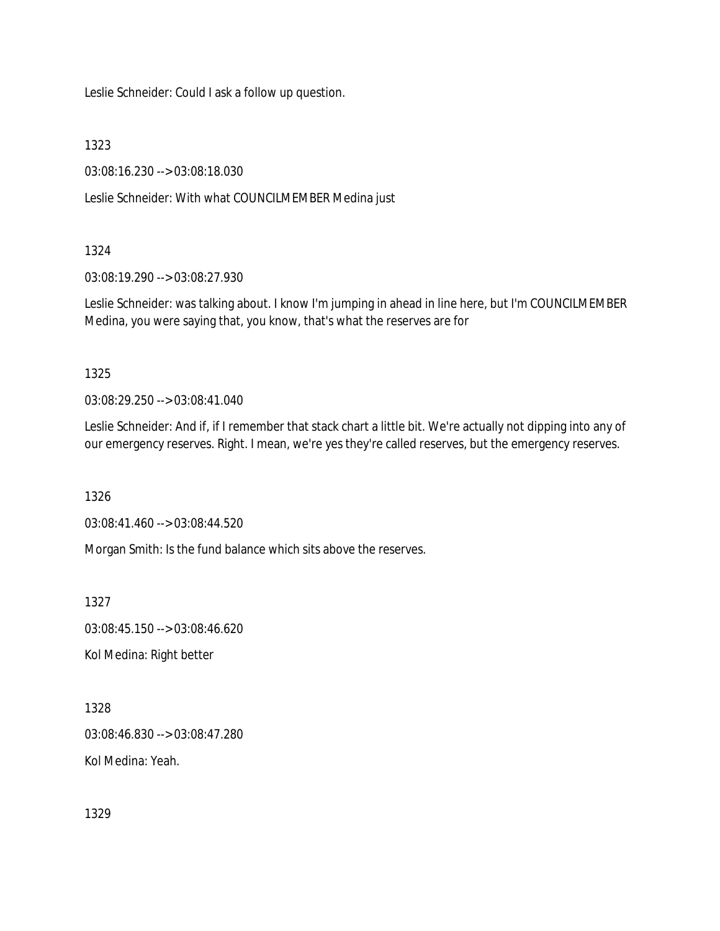Leslie Schneider: Could I ask a follow up question.

1323

03:08:16.230 --> 03:08:18.030

Leslie Schneider: With what COUNCILMEMBER Medina just

## 1324

03:08:19.290 --> 03:08:27.930

Leslie Schneider: was talking about. I know I'm jumping in ahead in line here, but I'm COUNCILMEMBER Medina, you were saying that, you know, that's what the reserves are for

1325

03:08:29.250 --> 03:08:41.040

Leslie Schneider: And if, if I remember that stack chart a little bit. We're actually not dipping into any of our emergency reserves. Right. I mean, we're yes they're called reserves, but the emergency reserves.

1326

03:08:41.460 --> 03:08:44.520

Morgan Smith: Is the fund balance which sits above the reserves.

1327

03:08:45.150 --> 03:08:46.620

Kol Medina: Right better

1328

03:08:46.830 --> 03:08:47.280

Kol Medina: Yeah.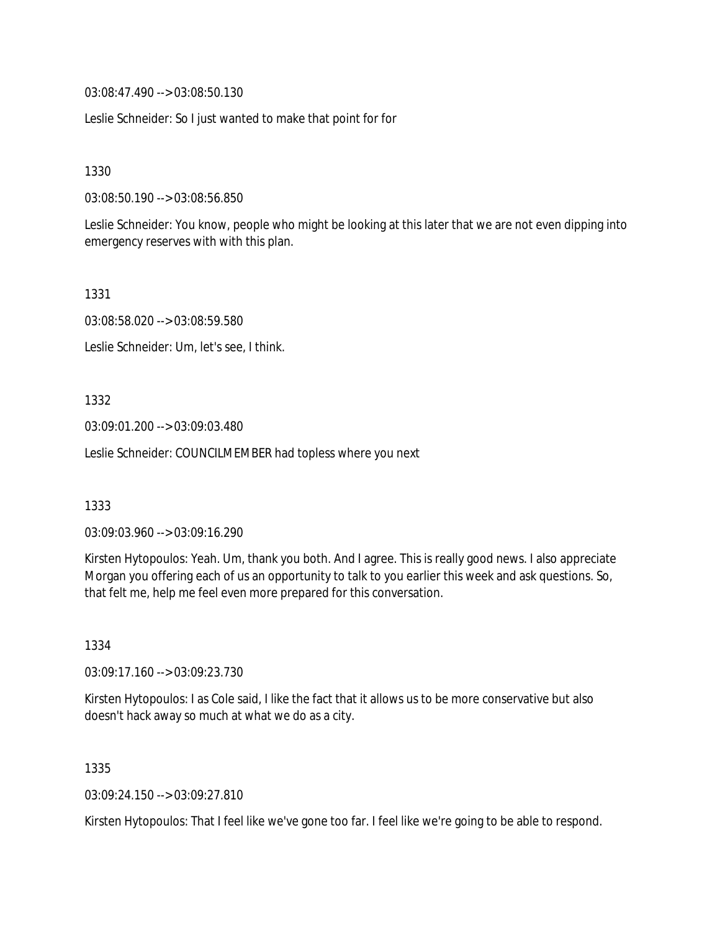03:08:47.490 --> 03:08:50.130

Leslie Schneider: So I just wanted to make that point for for

1330

03:08:50.190 --> 03:08:56.850

Leslie Schneider: You know, people who might be looking at this later that we are not even dipping into emergency reserves with with this plan.

1331

03:08:58.020 --> 03:08:59.580

Leslie Schneider: Um, let's see, I think.

1332

03:09:01.200 --> 03:09:03.480

Leslie Schneider: COUNCILMEMBER had topless where you next

1333

03:09:03.960 --> 03:09:16.290

Kirsten Hytopoulos: Yeah. Um, thank you both. And I agree. This is really good news. I also appreciate Morgan you offering each of us an opportunity to talk to you earlier this week and ask questions. So, that felt me, help me feel even more prepared for this conversation.

1334

03:09:17.160 --> 03:09:23.730

Kirsten Hytopoulos: I as Cole said, I like the fact that it allows us to be more conservative but also doesn't hack away so much at what we do as a city.

1335

03:09:24.150 --> 03:09:27.810

Kirsten Hytopoulos: That I feel like we've gone too far. I feel like we're going to be able to respond.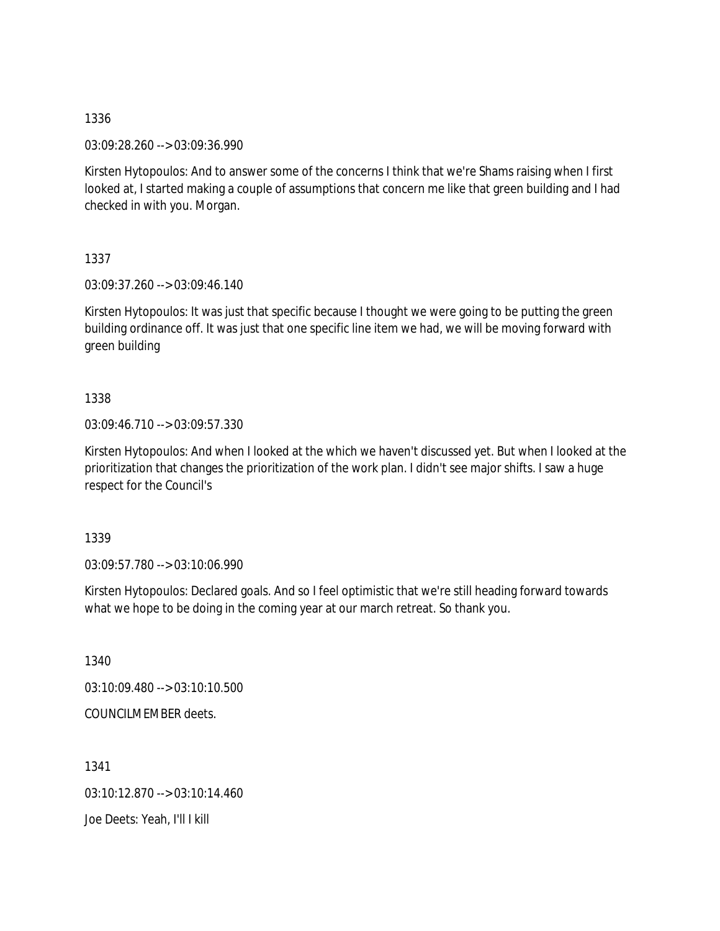03:09:28.260 --> 03:09:36.990

Kirsten Hytopoulos: And to answer some of the concerns I think that we're Shams raising when I first looked at, I started making a couple of assumptions that concern me like that green building and I had checked in with you. Morgan.

1337

03:09:37.260 --> 03:09:46.140

Kirsten Hytopoulos: It was just that specific because I thought we were going to be putting the green building ordinance off. It was just that one specific line item we had, we will be moving forward with green building

1338

03:09:46.710 --> 03:09:57.330

Kirsten Hytopoulos: And when I looked at the which we haven't discussed yet. But when I looked at the prioritization that changes the prioritization of the work plan. I didn't see major shifts. I saw a huge respect for the Council's

1339

03:09:57.780 --> 03:10:06.990

Kirsten Hytopoulos: Declared goals. And so I feel optimistic that we're still heading forward towards what we hope to be doing in the coming year at our march retreat. So thank you.

1340

03:10:09.480 --> 03:10:10.500

COUNCILMEMBER deets.

1341

03:10:12.870 --> 03:10:14.460

Joe Deets: Yeah, I'll I kill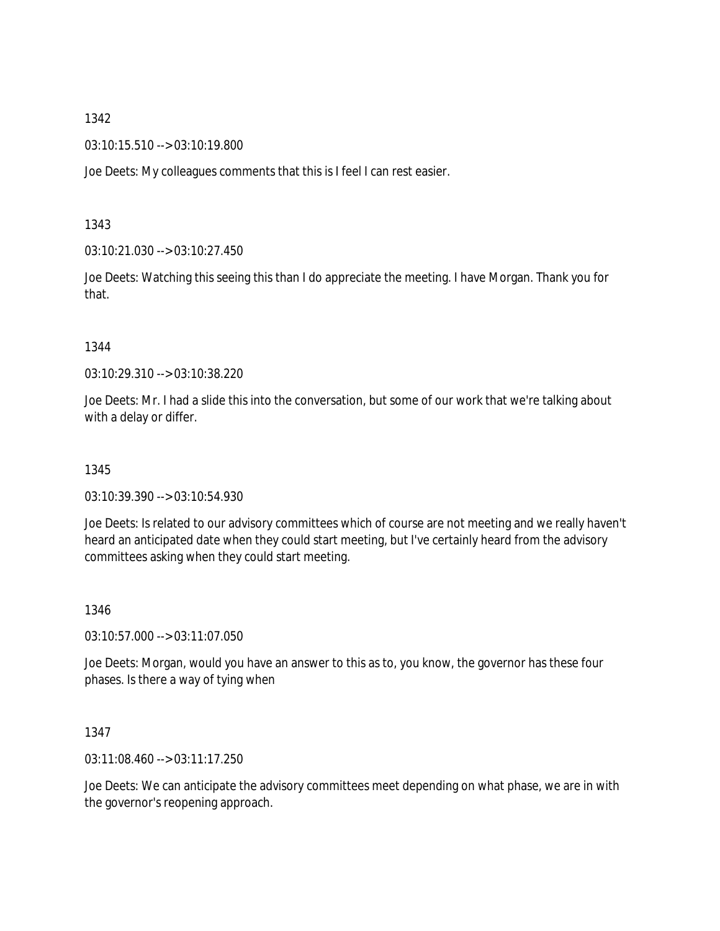03:10:15.510 --> 03:10:19.800

Joe Deets: My colleagues comments that this is I feel I can rest easier.

1343

03:10:21.030 --> 03:10:27.450

Joe Deets: Watching this seeing this than I do appreciate the meeting. I have Morgan. Thank you for that.

#### 1344

03:10:29.310 --> 03:10:38.220

Joe Deets: Mr. I had a slide this into the conversation, but some of our work that we're talking about with a delay or differ.

## 1345

03:10:39.390 --> 03:10:54.930

Joe Deets: Is related to our advisory committees which of course are not meeting and we really haven't heard an anticipated date when they could start meeting, but I've certainly heard from the advisory committees asking when they could start meeting.

#### 1346

03:10:57.000 --> 03:11:07.050

Joe Deets: Morgan, would you have an answer to this as to, you know, the governor has these four phases. Is there a way of tying when

## 1347

03:11:08.460 --> 03:11:17.250

Joe Deets: We can anticipate the advisory committees meet depending on what phase, we are in with the governor's reopening approach.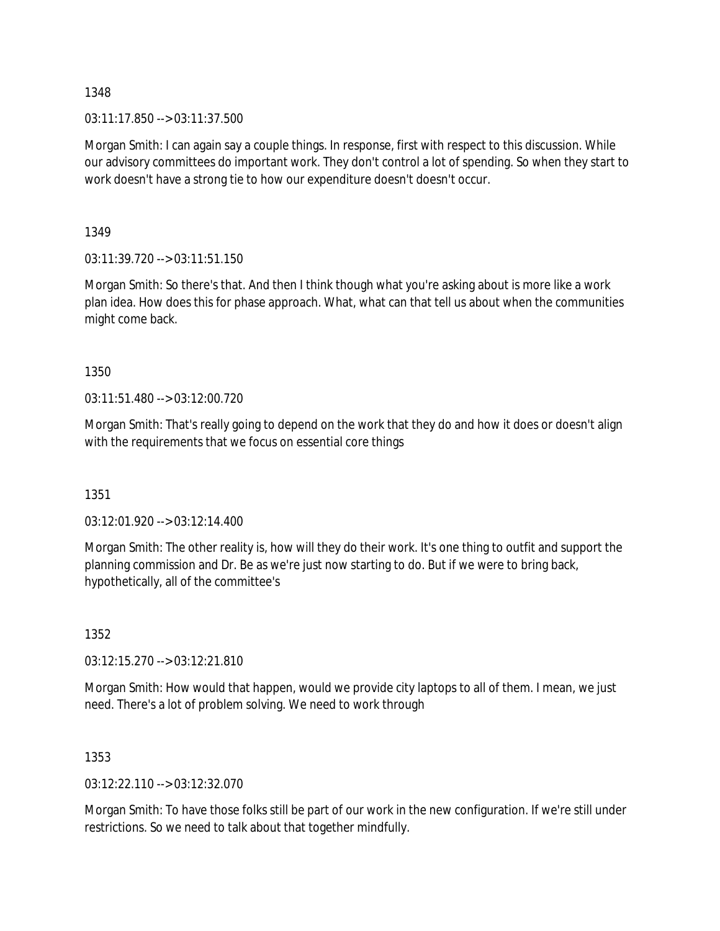03:11:17.850 --> 03:11:37.500

Morgan Smith: I can again say a couple things. In response, first with respect to this discussion. While our advisory committees do important work. They don't control a lot of spending. So when they start to work doesn't have a strong tie to how our expenditure doesn't doesn't occur.

1349

03:11:39.720 --> 03:11:51.150

Morgan Smith: So there's that. And then I think though what you're asking about is more like a work plan idea. How does this for phase approach. What, what can that tell us about when the communities might come back.

1350

03:11:51.480 --> 03:12:00.720

Morgan Smith: That's really going to depend on the work that they do and how it does or doesn't align with the requirements that we focus on essential core things

1351

03:12:01.920 --> 03:12:14.400

Morgan Smith: The other reality is, how will they do their work. It's one thing to outfit and support the planning commission and Dr. Be as we're just now starting to do. But if we were to bring back, hypothetically, all of the committee's

1352

03:12:15.270 --> 03:12:21.810

Morgan Smith: How would that happen, would we provide city laptops to all of them. I mean, we just need. There's a lot of problem solving. We need to work through

1353

03:12:22.110 --> 03:12:32.070

Morgan Smith: To have those folks still be part of our work in the new configuration. If we're still under restrictions. So we need to talk about that together mindfully.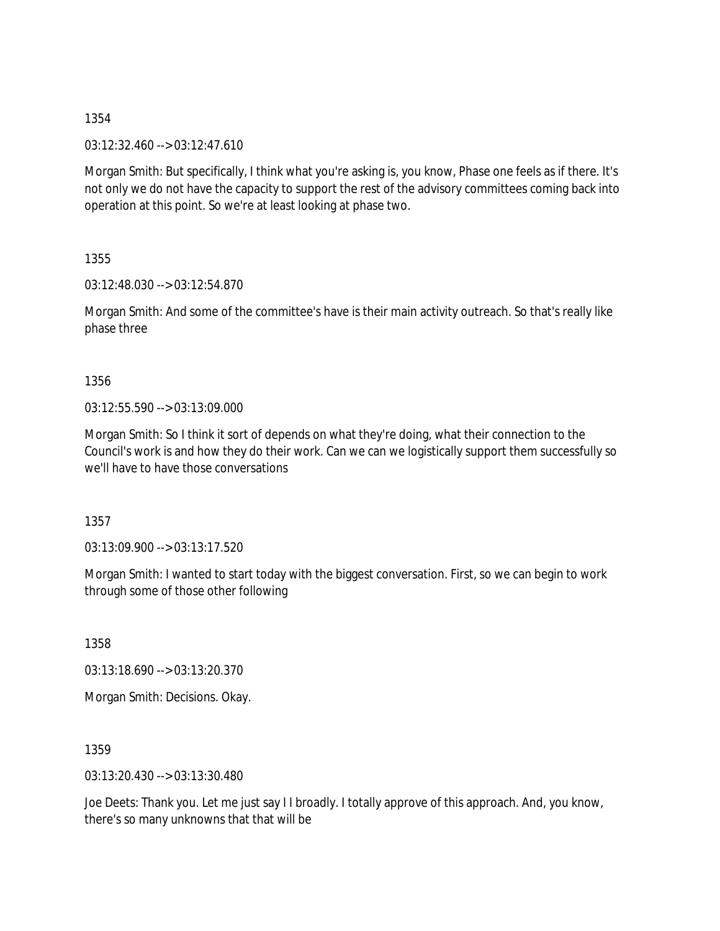03:12:32.460 --> 03:12:47.610

Morgan Smith: But specifically, I think what you're asking is, you know, Phase one feels as if there. It's not only we do not have the capacity to support the rest of the advisory committees coming back into operation at this point. So we're at least looking at phase two.

1355

03:12:48.030 --> 03:12:54.870

Morgan Smith: And some of the committee's have is their main activity outreach. So that's really like phase three

1356

03:12:55.590 --> 03:13:09.000

Morgan Smith: So I think it sort of depends on what they're doing, what their connection to the Council's work is and how they do their work. Can we can we logistically support them successfully so we'll have to have those conversations

1357

03:13:09.900 --> 03:13:17.520

Morgan Smith: I wanted to start today with the biggest conversation. First, so we can begin to work through some of those other following

1358

03:13:18.690 --> 03:13:20.370

Morgan Smith: Decisions. Okay.

1359

03:13:20.430 --> 03:13:30.480

Joe Deets: Thank you. Let me just say I I broadly. I totally approve of this approach. And, you know, there's so many unknowns that that will be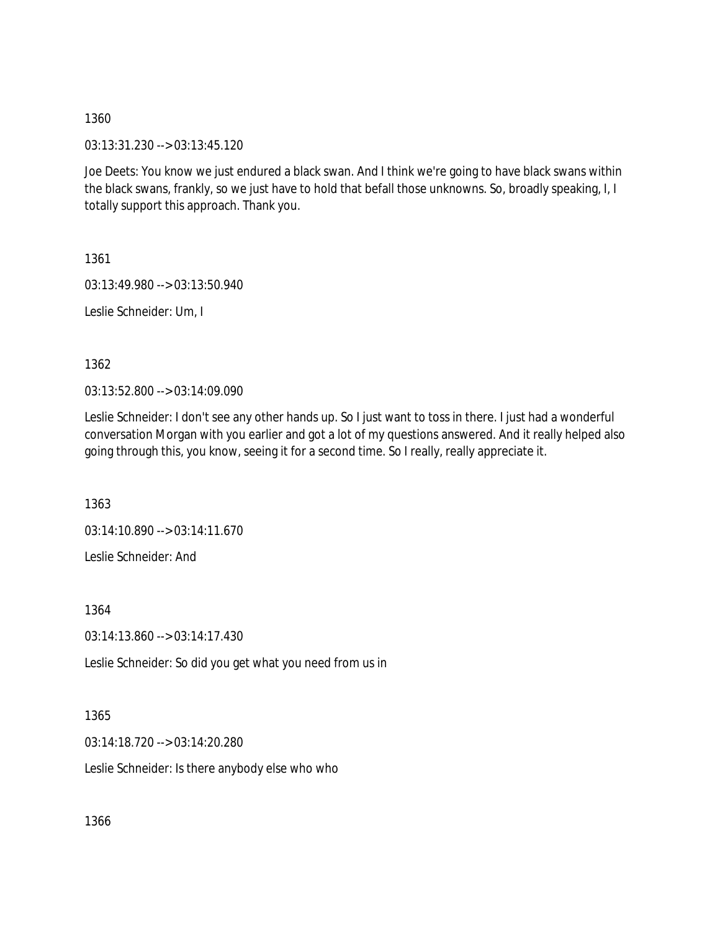03:13:31.230 --> 03:13:45.120

Joe Deets: You know we just endured a black swan. And I think we're going to have black swans within the black swans, frankly, so we just have to hold that befall those unknowns. So, broadly speaking, I, I totally support this approach. Thank you.

1361

03:13:49.980 --> 03:13:50.940

Leslie Schneider: Um, I

1362

03:13:52.800 --> 03:14:09.090

Leslie Schneider: I don't see any other hands up. So I just want to toss in there. I just had a wonderful conversation Morgan with you earlier and got a lot of my questions answered. And it really helped also going through this, you know, seeing it for a second time. So I really, really appreciate it.

1363

03:14:10.890 --> 03:14:11.670 Leslie Schneider: And

1364

03:14:13.860 --> 03:14:17.430

Leslie Schneider: So did you get what you need from us in

1365

03:14:18.720 --> 03:14:20.280

Leslie Schneider: Is there anybody else who who

1366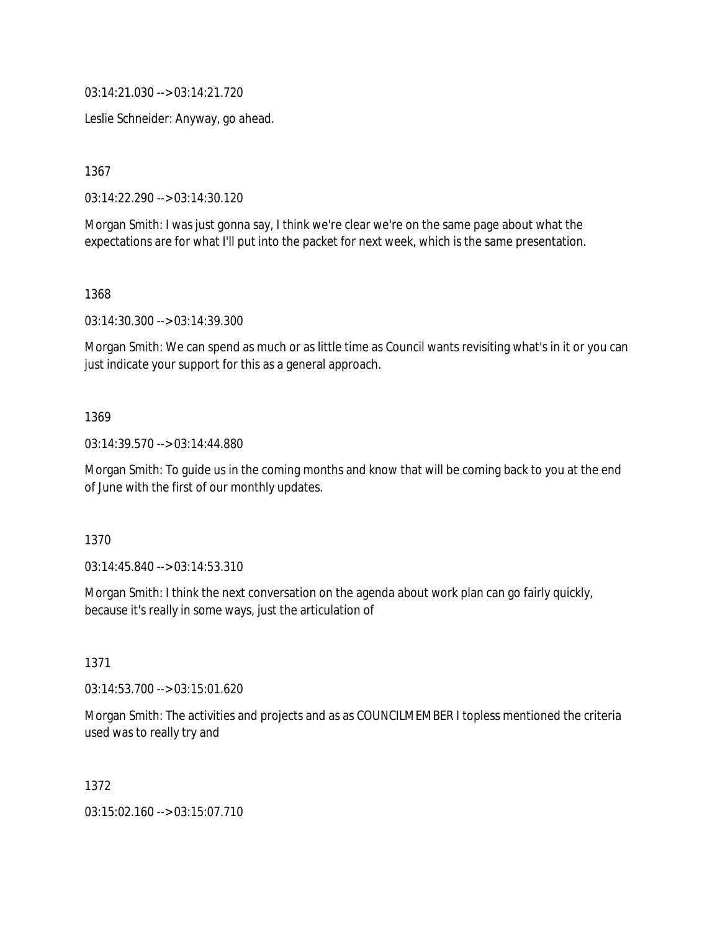03:14:21.030 --> 03:14:21.720

Leslie Schneider: Anyway, go ahead.

1367

03:14:22.290 --> 03:14:30.120

Morgan Smith: I was just gonna say, I think we're clear we're on the same page about what the expectations are for what I'll put into the packet for next week, which is the same presentation.

1368

03:14:30.300 --> 03:14:39.300

Morgan Smith: We can spend as much or as little time as Council wants revisiting what's in it or you can just indicate your support for this as a general approach.

#### 1369

03:14:39.570 --> 03:14:44.880

Morgan Smith: To guide us in the coming months and know that will be coming back to you at the end of June with the first of our monthly updates.

1370

03:14:45.840 --> 03:14:53.310

Morgan Smith: I think the next conversation on the agenda about work plan can go fairly quickly, because it's really in some ways, just the articulation of

1371

03:14:53.700 --> 03:15:01.620

Morgan Smith: The activities and projects and as as COUNCILMEMBER I topless mentioned the criteria used was to really try and

1372

03:15:02.160 --> 03:15:07.710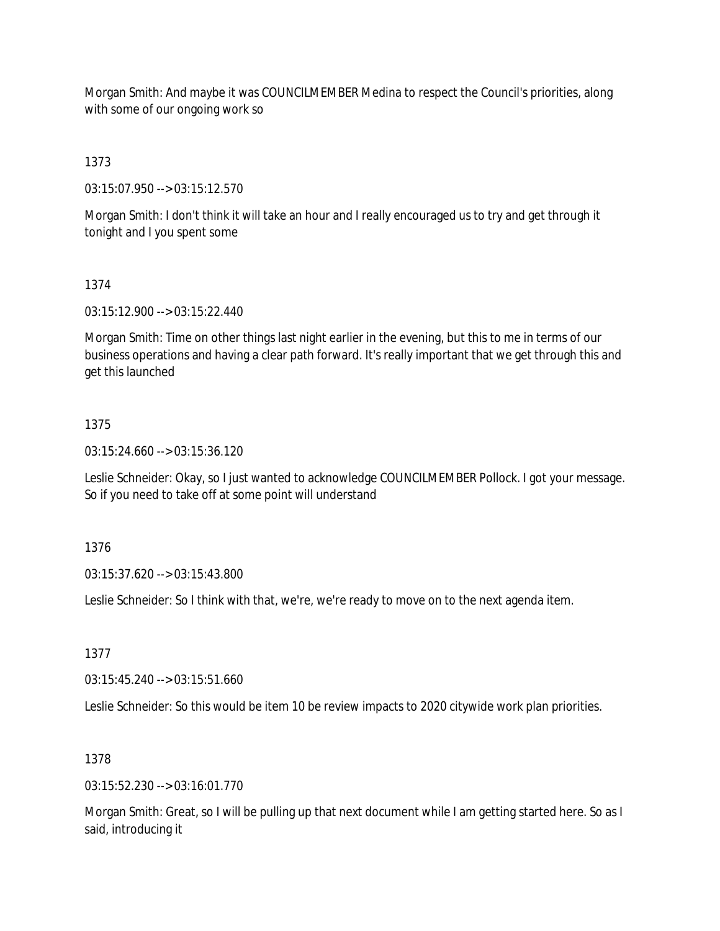Morgan Smith: And maybe it was COUNCILMEMBER Medina to respect the Council's priorities, along with some of our ongoing work so

1373

03:15:07.950 --> 03:15:12.570

Morgan Smith: I don't think it will take an hour and I really encouraged us to try and get through it tonight and I you spent some

# 1374

03:15:12.900 --> 03:15:22.440

Morgan Smith: Time on other things last night earlier in the evening, but this to me in terms of our business operations and having a clear path forward. It's really important that we get through this and get this launched

# 1375

03:15:24.660 --> 03:15:36.120

Leslie Schneider: Okay, so I just wanted to acknowledge COUNCILMEMBER Pollock. I got your message. So if you need to take off at some point will understand

1376

03:15:37.620 --> 03:15:43.800

Leslie Schneider: So I think with that, we're, we're ready to move on to the next agenda item.

1377

03:15:45.240 --> 03:15:51.660

Leslie Schneider: So this would be item 10 be review impacts to 2020 citywide work plan priorities.

# 1378

 $03:15:52.230 \rightarrow 03:16:01.770$ 

Morgan Smith: Great, so I will be pulling up that next document while I am getting started here. So as I said, introducing it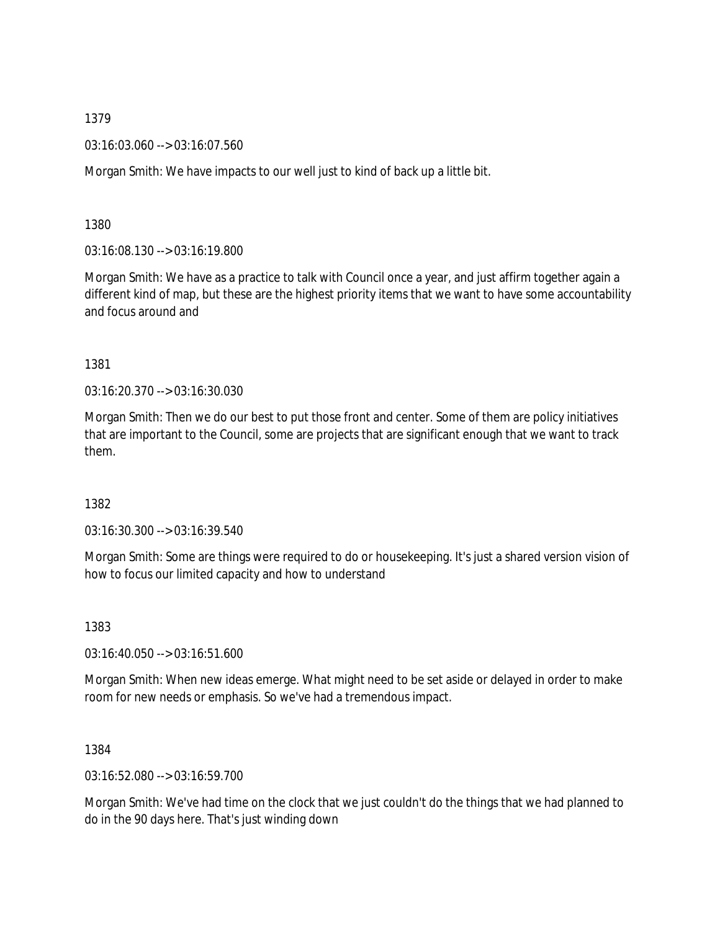03:16:03.060 --> 03:16:07.560

Morgan Smith: We have impacts to our well just to kind of back up a little bit.

1380

03:16:08.130 --> 03:16:19.800

Morgan Smith: We have as a practice to talk with Council once a year, and just affirm together again a different kind of map, but these are the highest priority items that we want to have some accountability and focus around and

1381

03:16:20.370 --> 03:16:30.030

Morgan Smith: Then we do our best to put those front and center. Some of them are policy initiatives that are important to the Council, some are projects that are significant enough that we want to track them.

1382

03:16:30.300 --> 03:16:39.540

Morgan Smith: Some are things were required to do or housekeeping. It's just a shared version vision of how to focus our limited capacity and how to understand

1383

03:16:40.050 --> 03:16:51.600

Morgan Smith: When new ideas emerge. What might need to be set aside or delayed in order to make room for new needs or emphasis. So we've had a tremendous impact.

1384

03:16:52.080 --> 03:16:59.700

Morgan Smith: We've had time on the clock that we just couldn't do the things that we had planned to do in the 90 days here. That's just winding down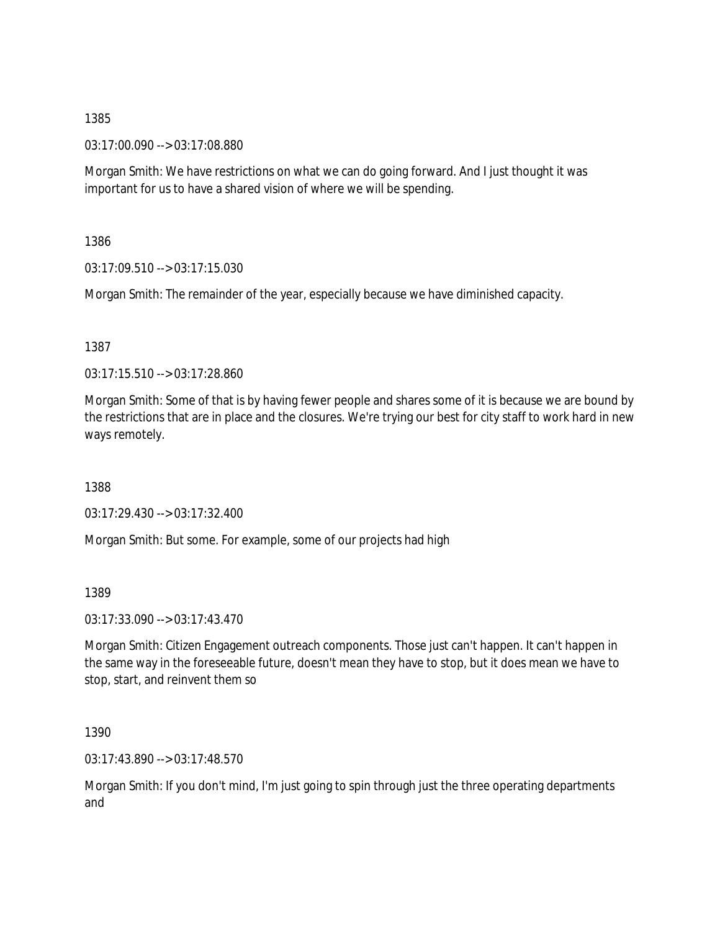03:17:00.090 --> 03:17:08.880

Morgan Smith: We have restrictions on what we can do going forward. And I just thought it was important for us to have a shared vision of where we will be spending.

1386

03:17:09.510 --> 03:17:15.030

Morgan Smith: The remainder of the year, especially because we have diminished capacity.

1387

03:17:15.510 --> 03:17:28.860

Morgan Smith: Some of that is by having fewer people and shares some of it is because we are bound by the restrictions that are in place and the closures. We're trying our best for city staff to work hard in new ways remotely.

1388

03:17:29.430 --> 03:17:32.400

Morgan Smith: But some. For example, some of our projects had high

1389

03:17:33.090 --> 03:17:43.470

Morgan Smith: Citizen Engagement outreach components. Those just can't happen. It can't happen in the same way in the foreseeable future, doesn't mean they have to stop, but it does mean we have to stop, start, and reinvent them so

1390

03:17:43.890 --> 03:17:48.570

Morgan Smith: If you don't mind, I'm just going to spin through just the three operating departments and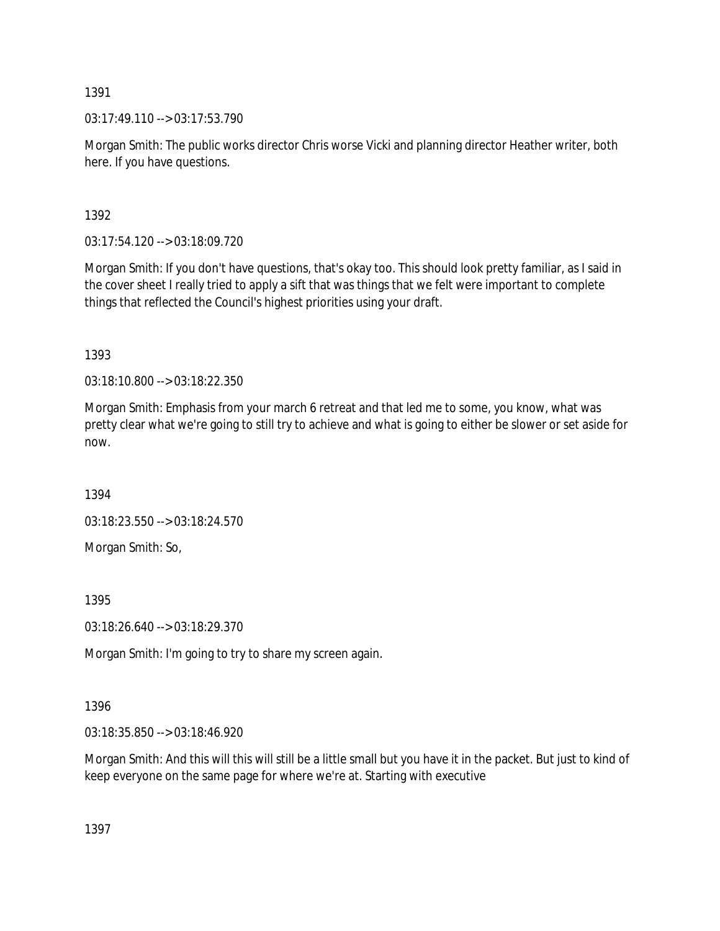$03:17:49.110 \rightarrow 03:17:53.790$ 

Morgan Smith: The public works director Chris worse Vicki and planning director Heather writer, both here. If you have questions.

1392

03:17:54.120 --> 03:18:09.720

Morgan Smith: If you don't have questions, that's okay too. This should look pretty familiar, as I said in the cover sheet I really tried to apply a sift that was things that we felt were important to complete things that reflected the Council's highest priorities using your draft.

1393

03:18:10.800 --> 03:18:22.350

Morgan Smith: Emphasis from your march 6 retreat and that led me to some, you know, what was pretty clear what we're going to still try to achieve and what is going to either be slower or set aside for now.

1394

03:18:23.550 --> 03:18:24.570

Morgan Smith: So,

1395

03:18:26.640 --> 03:18:29.370

Morgan Smith: I'm going to try to share my screen again.

1396

03:18:35.850 --> 03:18:46.920

Morgan Smith: And this will this will still be a little small but you have it in the packet. But just to kind of keep everyone on the same page for where we're at. Starting with executive

1397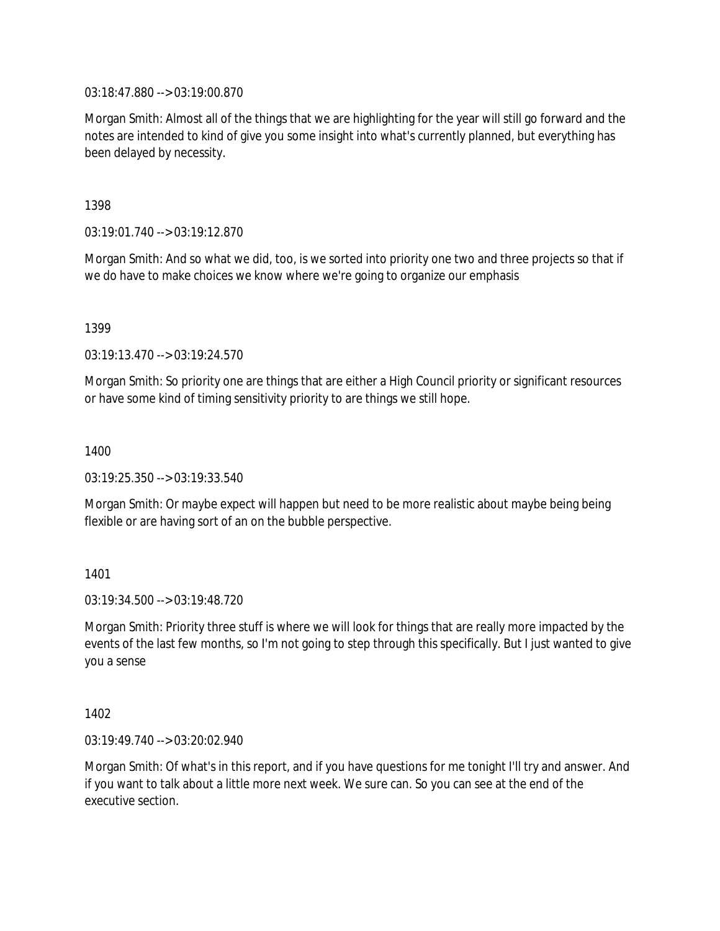03:18:47.880 --> 03:19:00.870

Morgan Smith: Almost all of the things that we are highlighting for the year will still go forward and the notes are intended to kind of give you some insight into what's currently planned, but everything has been delayed by necessity.

1398

03:19:01.740 --> 03:19:12.870

Morgan Smith: And so what we did, too, is we sorted into priority one two and three projects so that if we do have to make choices we know where we're going to organize our emphasis

1399

03:19:13.470 --> 03:19:24.570

Morgan Smith: So priority one are things that are either a High Council priority or significant resources or have some kind of timing sensitivity priority to are things we still hope.

1400

03:19:25.350 --> 03:19:33.540

Morgan Smith: Or maybe expect will happen but need to be more realistic about maybe being being flexible or are having sort of an on the bubble perspective.

1401

03:19:34.500 --> 03:19:48.720

Morgan Smith: Priority three stuff is where we will look for things that are really more impacted by the events of the last few months, so I'm not going to step through this specifically. But I just wanted to give you a sense

1402

03:19:49.740 --> 03:20:02.940

Morgan Smith: Of what's in this report, and if you have questions for me tonight I'll try and answer. And if you want to talk about a little more next week. We sure can. So you can see at the end of the executive section.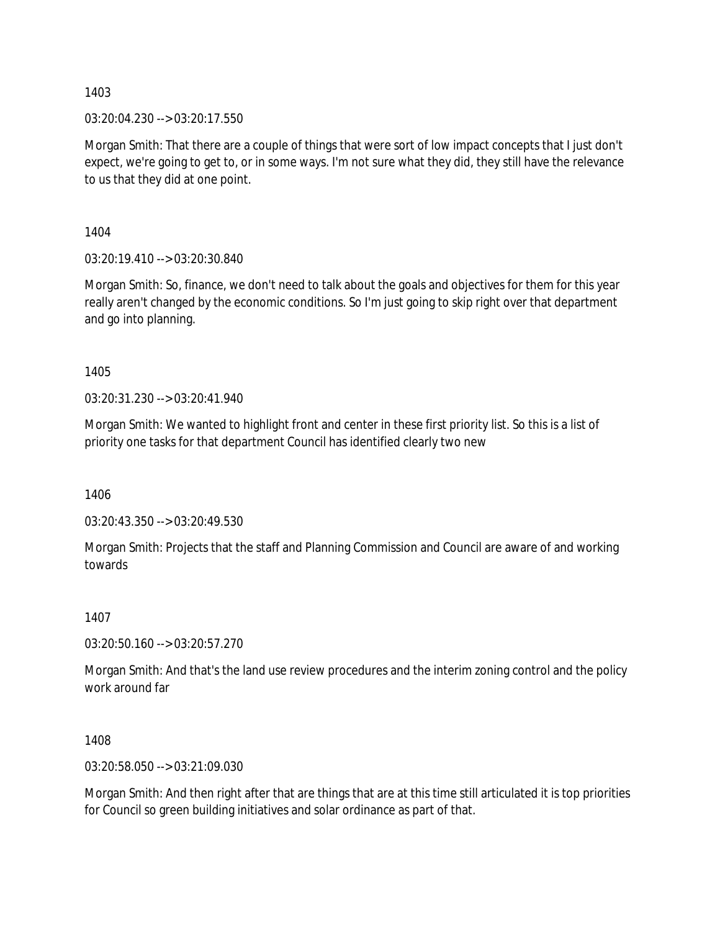03:20:04.230 --> 03:20:17.550

Morgan Smith: That there are a couple of things that were sort of low impact concepts that I just don't expect, we're going to get to, or in some ways. I'm not sure what they did, they still have the relevance to us that they did at one point.

1404

03:20:19.410 --> 03:20:30.840

Morgan Smith: So, finance, we don't need to talk about the goals and objectives for them for this year really aren't changed by the economic conditions. So I'm just going to skip right over that department and go into planning.

1405

03:20:31.230 --> 03:20:41.940

Morgan Smith: We wanted to highlight front and center in these first priority list. So this is a list of priority one tasks for that department Council has identified clearly two new

1406

03:20:43.350 --> 03:20:49.530

Morgan Smith: Projects that the staff and Planning Commission and Council are aware of and working towards

1407

03:20:50.160 --> 03:20:57.270

Morgan Smith: And that's the land use review procedures and the interim zoning control and the policy work around far

1408

03:20:58.050 --> 03:21:09.030

Morgan Smith: And then right after that are things that are at this time still articulated it is top priorities for Council so green building initiatives and solar ordinance as part of that.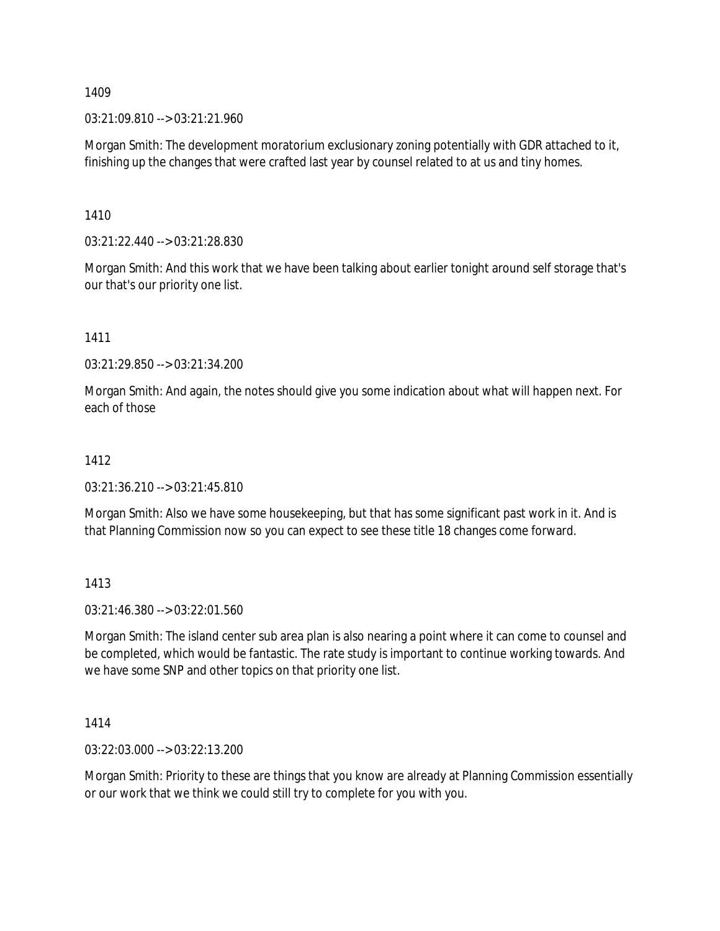03:21:09.810 --> 03:21:21.960

Morgan Smith: The development moratorium exclusionary zoning potentially with GDR attached to it, finishing up the changes that were crafted last year by counsel related to at us and tiny homes.

1410

03:21:22.440 --> 03:21:28.830

Morgan Smith: And this work that we have been talking about earlier tonight around self storage that's our that's our priority one list.

1411

03:21:29.850 --> 03:21:34.200

Morgan Smith: And again, the notes should give you some indication about what will happen next. For each of those

### 1412

03:21:36.210 --> 03:21:45.810

Morgan Smith: Also we have some housekeeping, but that has some significant past work in it. And is that Planning Commission now so you can expect to see these title 18 changes come forward.

1413

03:21:46.380 --> 03:22:01.560

Morgan Smith: The island center sub area plan is also nearing a point where it can come to counsel and be completed, which would be fantastic. The rate study is important to continue working towards. And we have some SNP and other topics on that priority one list.

1414

03:22:03.000 --> 03:22:13.200

Morgan Smith: Priority to these are things that you know are already at Planning Commission essentially or our work that we think we could still try to complete for you with you.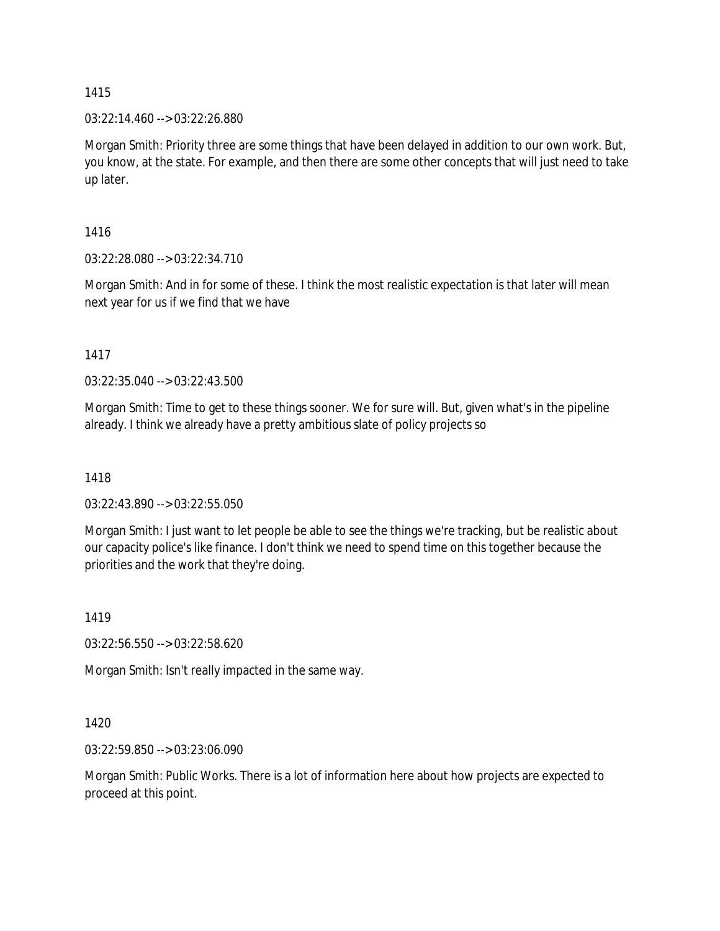03:22:14.460 --> 03:22:26.880

Morgan Smith: Priority three are some things that have been delayed in addition to our own work. But, you know, at the state. For example, and then there are some other concepts that will just need to take up later.

1416

03:22:28.080 --> 03:22:34.710

Morgan Smith: And in for some of these. I think the most realistic expectation is that later will mean next year for us if we find that we have

1417

03:22:35.040 --> 03:22:43.500

Morgan Smith: Time to get to these things sooner. We for sure will. But, given what's in the pipeline already. I think we already have a pretty ambitious slate of policy projects so

1418

03:22:43.890 --> 03:22:55.050

Morgan Smith: I just want to let people be able to see the things we're tracking, but be realistic about our capacity police's like finance. I don't think we need to spend time on this together because the priorities and the work that they're doing.

1419

03:22:56.550 --> 03:22:58.620

Morgan Smith: Isn't really impacted in the same way.

1420

03:22:59.850 --> 03:23:06.090

Morgan Smith: Public Works. There is a lot of information here about how projects are expected to proceed at this point.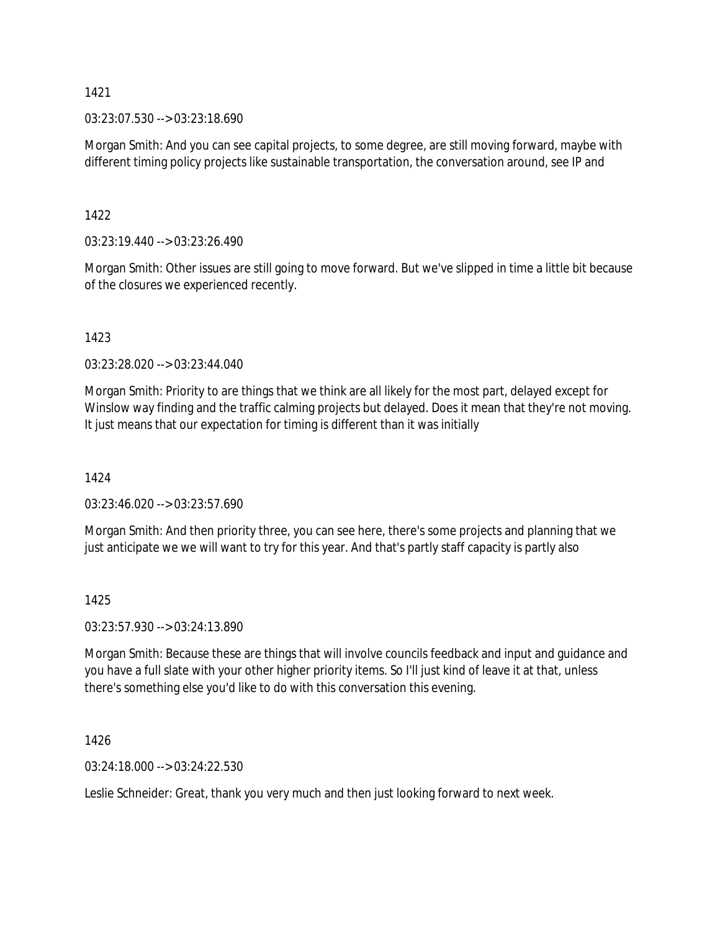03:23:07.530 --> 03:23:18.690

Morgan Smith: And you can see capital projects, to some degree, are still moving forward, maybe with different timing policy projects like sustainable transportation, the conversation around, see IP and

1422

03:23:19.440 --> 03:23:26.490

Morgan Smith: Other issues are still going to move forward. But we've slipped in time a little bit because of the closures we experienced recently.

1423

03:23:28.020 --> 03:23:44.040

Morgan Smith: Priority to are things that we think are all likely for the most part, delayed except for Winslow way finding and the traffic calming projects but delayed. Does it mean that they're not moving. It just means that our expectation for timing is different than it was initially

1424

03:23:46.020 --> 03:23:57.690

Morgan Smith: And then priority three, you can see here, there's some projects and planning that we just anticipate we we will want to try for this year. And that's partly staff capacity is partly also

1425

03:23:57.930 --> 03:24:13.890

Morgan Smith: Because these are things that will involve councils feedback and input and guidance and you have a full slate with your other higher priority items. So I'll just kind of leave it at that, unless there's something else you'd like to do with this conversation this evening.

1426

03:24:18.000 --> 03:24:22.530

Leslie Schneider: Great, thank you very much and then just looking forward to next week.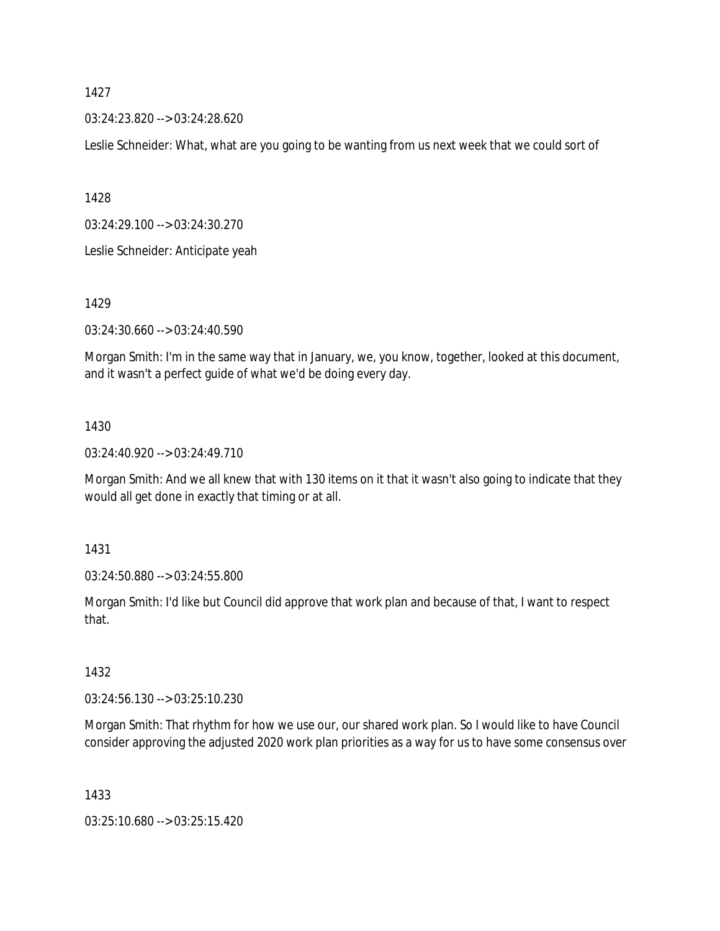03:24:23.820 --> 03:24:28.620

Leslie Schneider: What, what are you going to be wanting from us next week that we could sort of

1428

03:24:29.100 --> 03:24:30.270

Leslie Schneider: Anticipate yeah

1429

03:24:30.660 --> 03:24:40.590

Morgan Smith: I'm in the same way that in January, we, you know, together, looked at this document, and it wasn't a perfect guide of what we'd be doing every day.

#### 1430

03:24:40.920 --> 03:24:49.710

Morgan Smith: And we all knew that with 130 items on it that it wasn't also going to indicate that they would all get done in exactly that timing or at all.

1431

03:24:50.880 --> 03:24:55.800

Morgan Smith: I'd like but Council did approve that work plan and because of that, I want to respect that.

1432

03:24:56.130 --> 03:25:10.230

Morgan Smith: That rhythm for how we use our, our shared work plan. So I would like to have Council consider approving the adjusted 2020 work plan priorities as a way for us to have some consensus over

1433

03:25:10.680 --> 03:25:15.420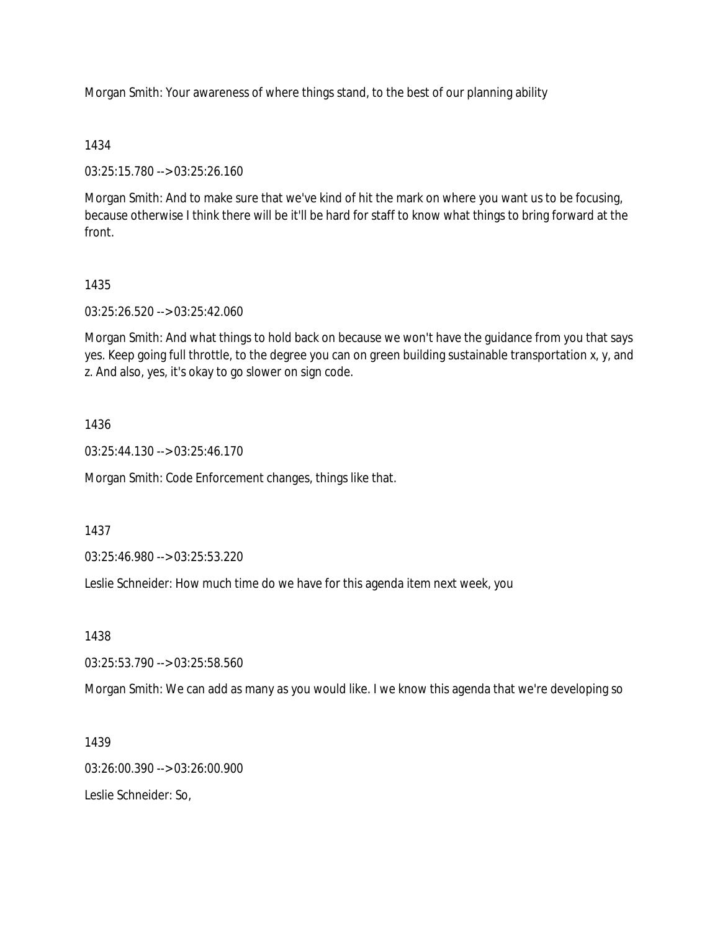Morgan Smith: Your awareness of where things stand, to the best of our planning ability

### 1434

03:25:15.780 --> 03:25:26.160

Morgan Smith: And to make sure that we've kind of hit the mark on where you want us to be focusing, because otherwise I think there will be it'll be hard for staff to know what things to bring forward at the front.

# 1435

03:25:26.520 --> 03:25:42.060

Morgan Smith: And what things to hold back on because we won't have the guidance from you that says yes. Keep going full throttle, to the degree you can on green building sustainable transportation x, y, and z. And also, yes, it's okay to go slower on sign code.

## 1436

03:25:44.130 --> 03:25:46.170

Morgan Smith: Code Enforcement changes, things like that.

### 1437

03:25:46.980 --> 03:25:53.220

Leslie Schneider: How much time do we have for this agenda item next week, you

### 1438

03:25:53.790 --> 03:25:58.560

Morgan Smith: We can add as many as you would like. I we know this agenda that we're developing so

1439

03:26:00.390 --> 03:26:00.900

Leslie Schneider: So,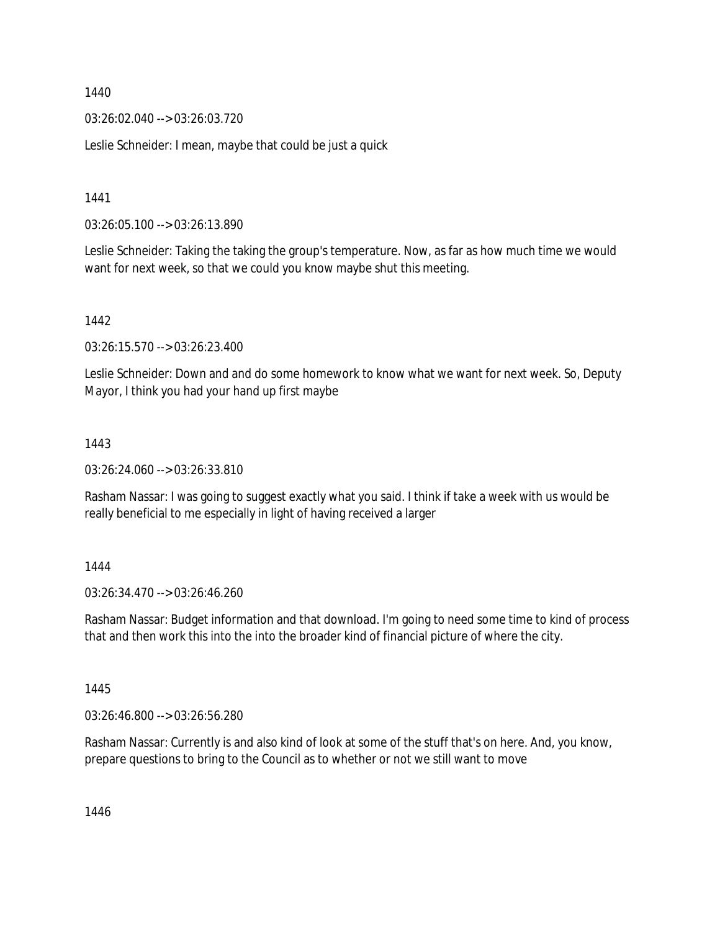03:26:02.040 --> 03:26:03.720

Leslie Schneider: I mean, maybe that could be just a quick

1441

03:26:05.100 --> 03:26:13.890

Leslie Schneider: Taking the taking the group's temperature. Now, as far as how much time we would want for next week, so that we could you know maybe shut this meeting.

1442

03:26:15.570 --> 03:26:23.400

Leslie Schneider: Down and and do some homework to know what we want for next week. So, Deputy Mayor, I think you had your hand up first maybe

### 1443

03:26:24.060 --> 03:26:33.810

Rasham Nassar: I was going to suggest exactly what you said. I think if take a week with us would be really beneficial to me especially in light of having received a larger

### 1444

03:26:34.470 --> 03:26:46.260

Rasham Nassar: Budget information and that download. I'm going to need some time to kind of process that and then work this into the into the broader kind of financial picture of where the city.

1445

03:26:46.800 --> 03:26:56.280

Rasham Nassar: Currently is and also kind of look at some of the stuff that's on here. And, you know, prepare questions to bring to the Council as to whether or not we still want to move

1446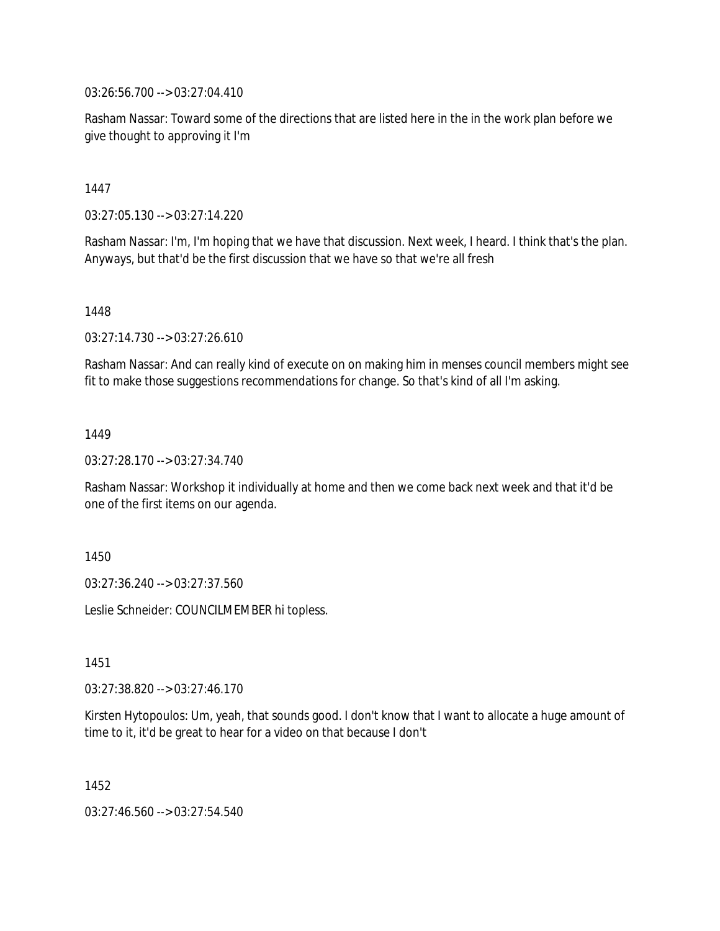03:26:56.700 --> 03:27:04.410

Rasham Nassar: Toward some of the directions that are listed here in the in the work plan before we give thought to approving it I'm

1447

03:27:05.130 --> 03:27:14.220

Rasham Nassar: I'm, I'm hoping that we have that discussion. Next week, I heard. I think that's the plan. Anyways, but that'd be the first discussion that we have so that we're all fresh

1448

03:27:14.730 --> 03:27:26.610

Rasham Nassar: And can really kind of execute on on making him in menses council members might see fit to make those suggestions recommendations for change. So that's kind of all I'm asking.

1449

03:27:28.170 --> 03:27:34.740

Rasham Nassar: Workshop it individually at home and then we come back next week and that it'd be one of the first items on our agenda.

1450

03:27:36.240 --> 03:27:37.560

Leslie Schneider: COUNCILMEMBER hi topless.

1451

03:27:38.820 --> 03:27:46.170

Kirsten Hytopoulos: Um, yeah, that sounds good. I don't know that I want to allocate a huge amount of time to it, it'd be great to hear for a video on that because I don't

1452

03:27:46.560 --> 03:27:54.540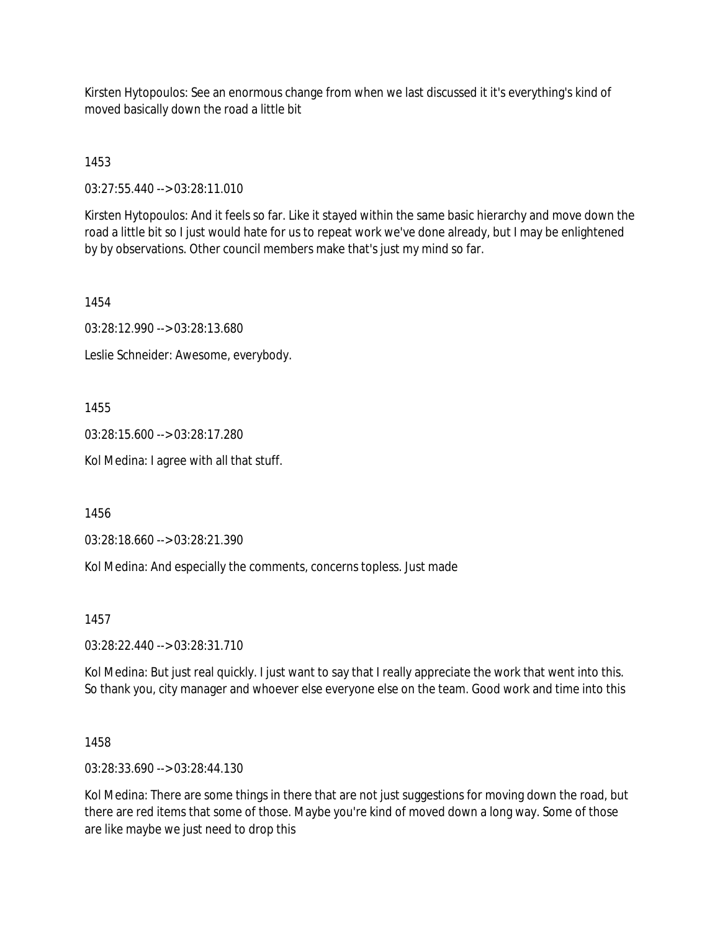Kirsten Hytopoulos: See an enormous change from when we last discussed it it's everything's kind of moved basically down the road a little bit

1453

03:27:55.440 --> 03:28:11.010

Kirsten Hytopoulos: And it feels so far. Like it stayed within the same basic hierarchy and move down the road a little bit so I just would hate for us to repeat work we've done already, but I may be enlightened by by observations. Other council members make that's just my mind so far.

1454

03:28:12.990 --> 03:28:13.680

Leslie Schneider: Awesome, everybody.

1455

03:28:15.600 --> 03:28:17.280

Kol Medina: I agree with all that stuff.

1456

03:28:18.660 --> 03:28:21.390

Kol Medina: And especially the comments, concerns topless. Just made

1457

03:28:22.440 --> 03:28:31.710

Kol Medina: But just real quickly. I just want to say that I really appreciate the work that went into this. So thank you, city manager and whoever else everyone else on the team. Good work and time into this

1458

03:28:33.690 --> 03:28:44.130

Kol Medina: There are some things in there that are not just suggestions for moving down the road, but there are red items that some of those. Maybe you're kind of moved down a long way. Some of those are like maybe we just need to drop this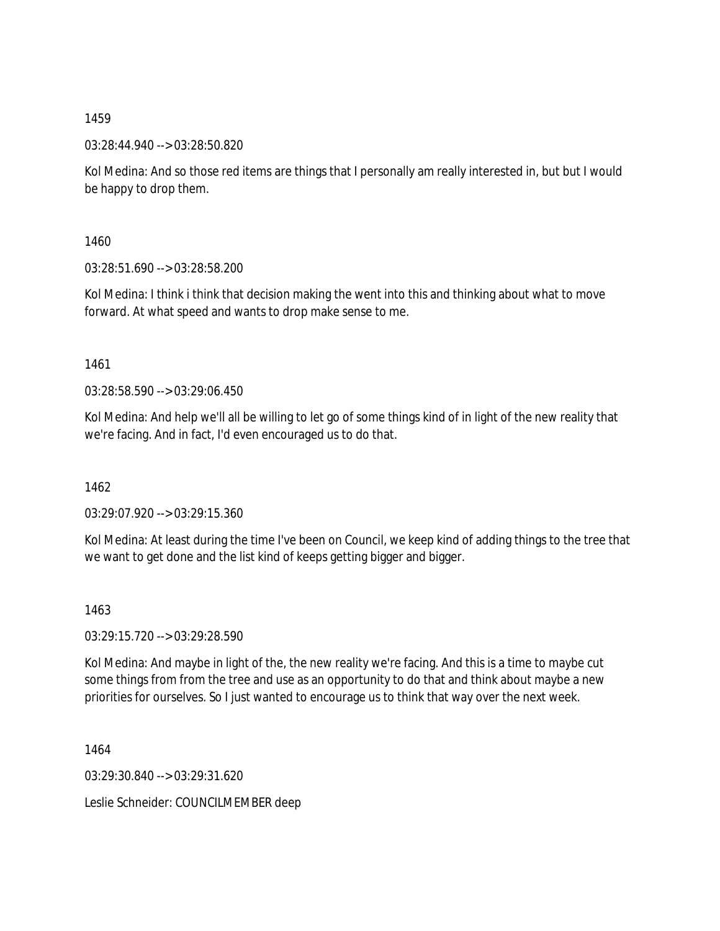03:28:44.940 --> 03:28:50.820

Kol Medina: And so those red items are things that I personally am really interested in, but but I would be happy to drop them.

1460

03:28:51.690 --> 03:28:58.200

Kol Medina: I think i think that decision making the went into this and thinking about what to move forward. At what speed and wants to drop make sense to me.

1461

03:28:58.590 --> 03:29:06.450

Kol Medina: And help we'll all be willing to let go of some things kind of in light of the new reality that we're facing. And in fact, I'd even encouraged us to do that.

1462

03:29:07.920 --> 03:29:15.360

Kol Medina: At least during the time I've been on Council, we keep kind of adding things to the tree that we want to get done and the list kind of keeps getting bigger and bigger.

1463

03:29:15.720 --> 03:29:28.590

Kol Medina: And maybe in light of the, the new reality we're facing. And this is a time to maybe cut some things from from the tree and use as an opportunity to do that and think about maybe a new priorities for ourselves. So I just wanted to encourage us to think that way over the next week.

1464

03:29:30.840 --> 03:29:31.620

Leslie Schneider: COUNCILMEMBER deep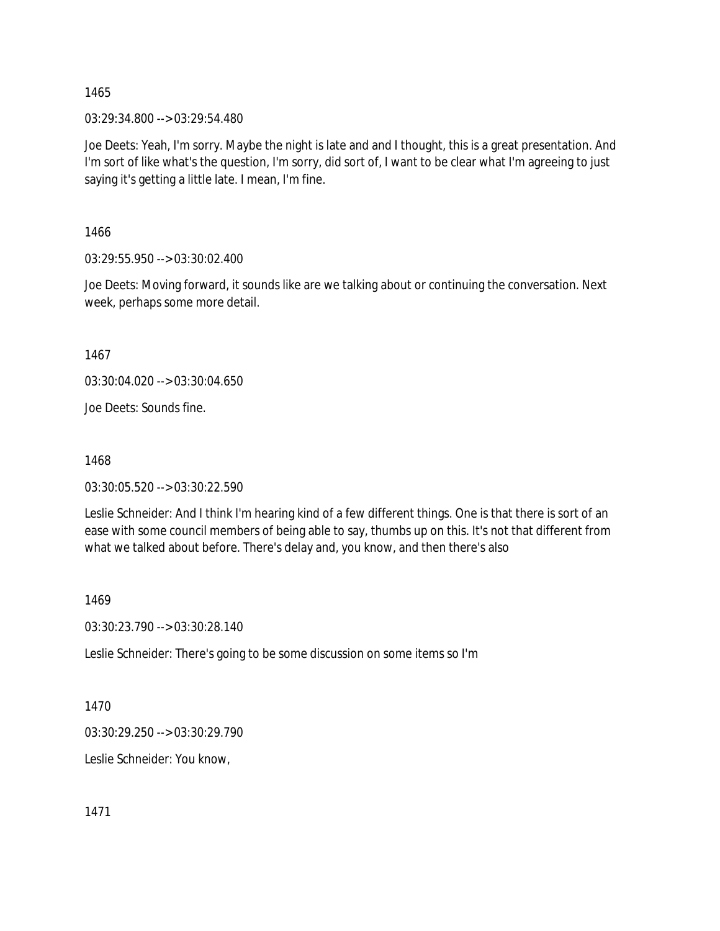03:29:34.800 --> 03:29:54.480

Joe Deets: Yeah, I'm sorry. Maybe the night is late and and I thought, this is a great presentation. And I'm sort of like what's the question, I'm sorry, did sort of, I want to be clear what I'm agreeing to just saying it's getting a little late. I mean, I'm fine.

1466

03:29:55.950 --> 03:30:02.400

Joe Deets: Moving forward, it sounds like are we talking about or continuing the conversation. Next week, perhaps some more detail.

1467

03:30:04.020 --> 03:30:04.650

Joe Deets: Sounds fine.

1468

03:30:05.520 --> 03:30:22.590

Leslie Schneider: And I think I'm hearing kind of a few different things. One is that there is sort of an ease with some council members of being able to say, thumbs up on this. It's not that different from what we talked about before. There's delay and, you know, and then there's also

1469

03:30:23.790 --> 03:30:28.140

Leslie Schneider: There's going to be some discussion on some items so I'm

1470

03:30:29.250 --> 03:30:29.790

Leslie Schneider: You know,

1471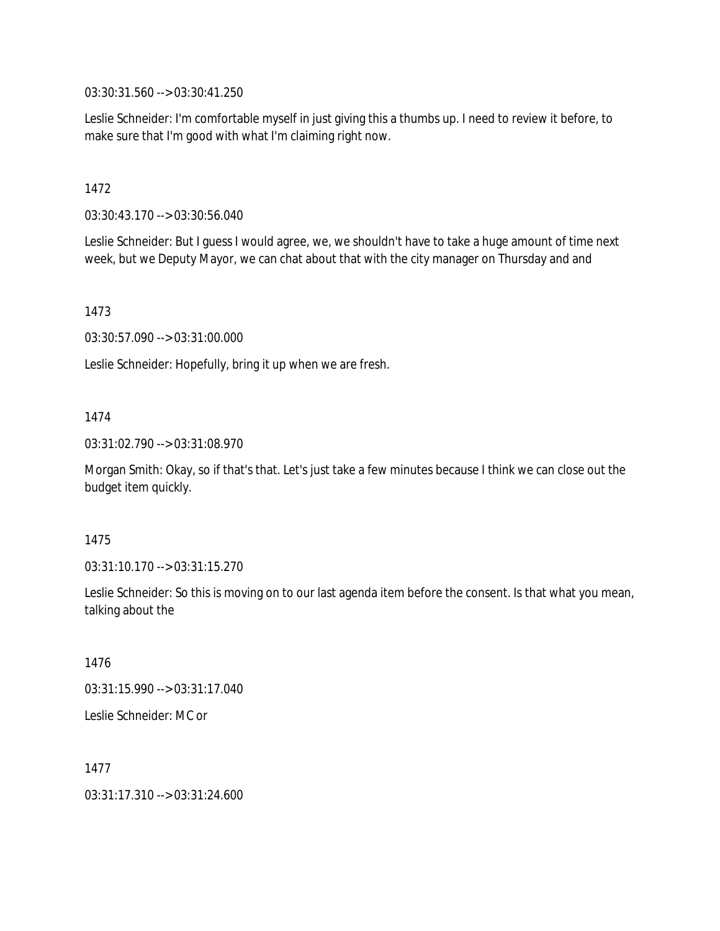03:30:31.560 --> 03:30:41.250

Leslie Schneider: I'm comfortable myself in just giving this a thumbs up. I need to review it before, to make sure that I'm good with what I'm claiming right now.

## 1472

03:30:43.170 --> 03:30:56.040

Leslie Schneider: But I guess I would agree, we, we shouldn't have to take a huge amount of time next week, but we Deputy Mayor, we can chat about that with the city manager on Thursday and and

## 1473

03:30:57.090 --> 03:31:00.000

Leslie Schneider: Hopefully, bring it up when we are fresh.

## 1474

03:31:02.790 --> 03:31:08.970

Morgan Smith: Okay, so if that's that. Let's just take a few minutes because I think we can close out the budget item quickly.

### 1475

03:31:10.170 --> 03:31:15.270

Leslie Schneider: So this is moving on to our last agenda item before the consent. Is that what you mean, talking about the

### 1476

03:31:15.990 --> 03:31:17.040

Leslie Schneider: MC or

1477

03:31:17.310 --> 03:31:24.600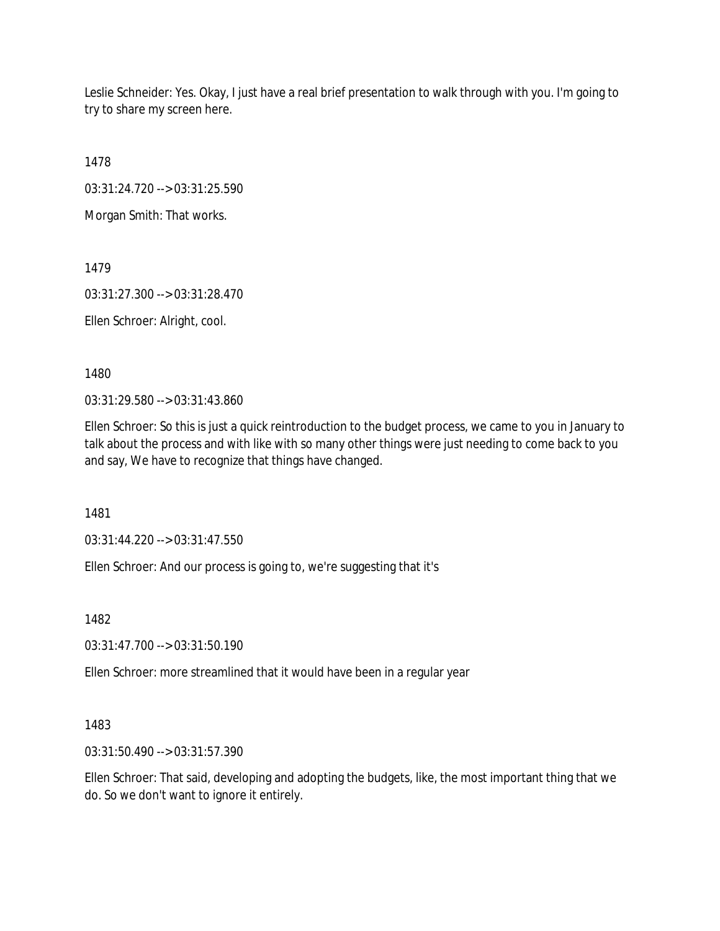Leslie Schneider: Yes. Okay, I just have a real brief presentation to walk through with you. I'm going to try to share my screen here.

1478

03:31:24.720 --> 03:31:25.590

Morgan Smith: That works.

1479

03:31:27.300 --> 03:31:28.470

Ellen Schroer: Alright, cool.

1480

03:31:29.580 --> 03:31:43.860

Ellen Schroer: So this is just a quick reintroduction to the budget process, we came to you in January to talk about the process and with like with so many other things were just needing to come back to you and say, We have to recognize that things have changed.

1481

03:31:44.220 --> 03:31:47.550

Ellen Schroer: And our process is going to, we're suggesting that it's

1482

03:31:47.700 --> 03:31:50.190

Ellen Schroer: more streamlined that it would have been in a regular year

# 1483

03:31:50.490 --> 03:31:57.390

Ellen Schroer: That said, developing and adopting the budgets, like, the most important thing that we do. So we don't want to ignore it entirely.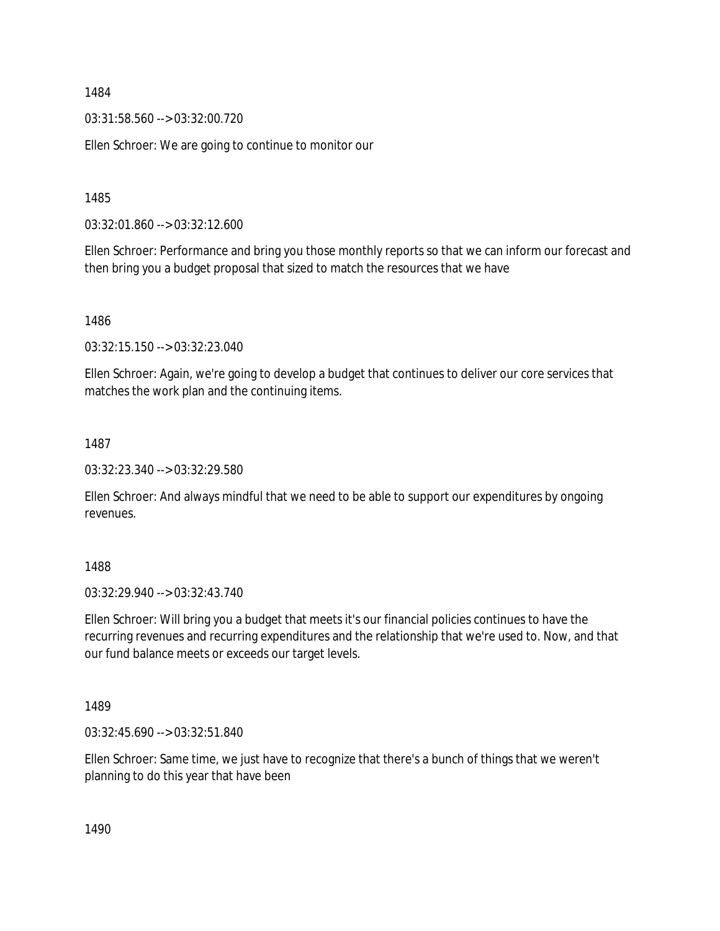03:31:58.560 --> 03:32:00.720

Ellen Schroer: We are going to continue to monitor our

1485

03:32:01.860 --> 03:32:12.600

Ellen Schroer: Performance and bring you those monthly reports so that we can inform our forecast and then bring you a budget proposal that sized to match the resources that we have

1486

03:32:15.150 --> 03:32:23.040

Ellen Schroer: Again, we're going to develop a budget that continues to deliver our core services that matches the work plan and the continuing items.

1487

03:32:23.340 --> 03:32:29.580

Ellen Schroer: And always mindful that we need to be able to support our expenditures by ongoing revenues.

1488

03:32:29.940 --> 03:32:43.740

Ellen Schroer: Will bring you a budget that meets it's our financial policies continues to have the recurring revenues and recurring expenditures and the relationship that we're used to. Now, and that our fund balance meets or exceeds our target levels.

1489

03:32:45.690 --> 03:32:51.840

Ellen Schroer: Same time, we just have to recognize that there's a bunch of things that we weren't planning to do this year that have been

1490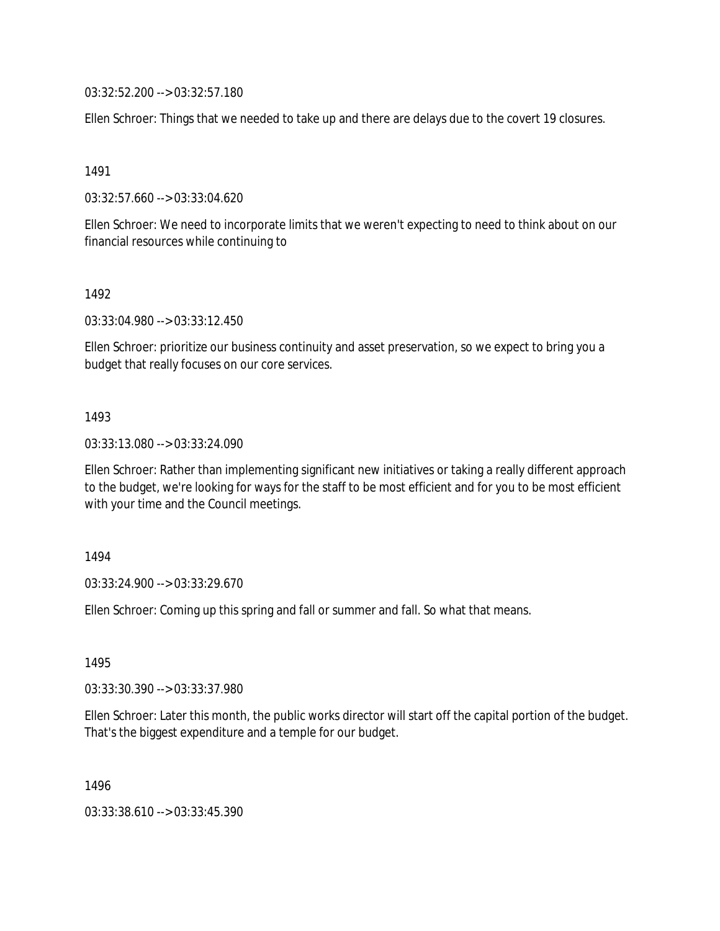03:32:52.200 --> 03:32:57.180

Ellen Schroer: Things that we needed to take up and there are delays due to the covert 19 closures.

1491

03:32:57.660 --> 03:33:04.620

Ellen Schroer: We need to incorporate limits that we weren't expecting to need to think about on our financial resources while continuing to

1492

03:33:04.980 --> 03:33:12.450

Ellen Schroer: prioritize our business continuity and asset preservation, so we expect to bring you a budget that really focuses on our core services.

1493

03:33:13.080 --> 03:33:24.090

Ellen Schroer: Rather than implementing significant new initiatives or taking a really different approach to the budget, we're looking for ways for the staff to be most efficient and for you to be most efficient with your time and the Council meetings.

1494

03:33:24.900 --> 03:33:29.670

Ellen Schroer: Coming up this spring and fall or summer and fall. So what that means.

1495

03:33:30.390 --> 03:33:37.980

Ellen Schroer: Later this month, the public works director will start off the capital portion of the budget. That's the biggest expenditure and a temple for our budget.

1496

03:33:38.610 --> 03:33:45.390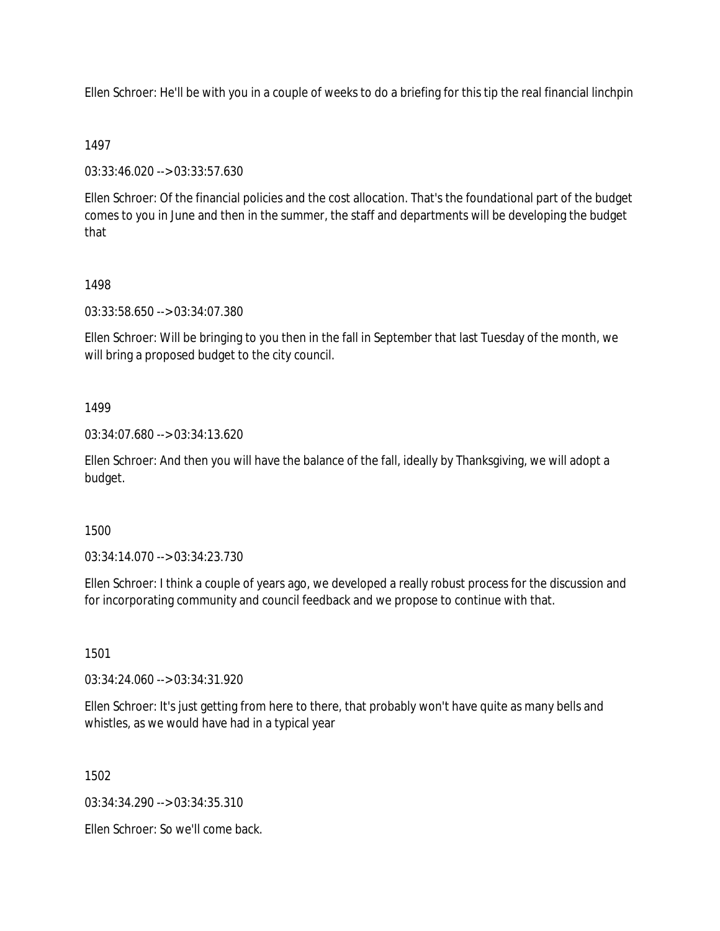Ellen Schroer: He'll be with you in a couple of weeks to do a briefing for this tip the real financial linchpin

### 1497

03:33:46.020 --> 03:33:57.630

Ellen Schroer: Of the financial policies and the cost allocation. That's the foundational part of the budget comes to you in June and then in the summer, the staff and departments will be developing the budget that

### 1498

03:33:58.650 --> 03:34:07.380

Ellen Schroer: Will be bringing to you then in the fall in September that last Tuesday of the month, we will bring a proposed budget to the city council.

### 1499

03:34:07.680 --> 03:34:13.620

Ellen Schroer: And then you will have the balance of the fall, ideally by Thanksgiving, we will adopt a budget.

### 1500

03:34:14.070 --> 03:34:23.730

Ellen Schroer: I think a couple of years ago, we developed a really robust process for the discussion and for incorporating community and council feedback and we propose to continue with that.

### 1501

03:34:24.060 --> 03:34:31.920

Ellen Schroer: It's just getting from here to there, that probably won't have quite as many bells and whistles, as we would have had in a typical year

1502

03:34:34.290 --> 03:34:35.310

Ellen Schroer: So we'll come back.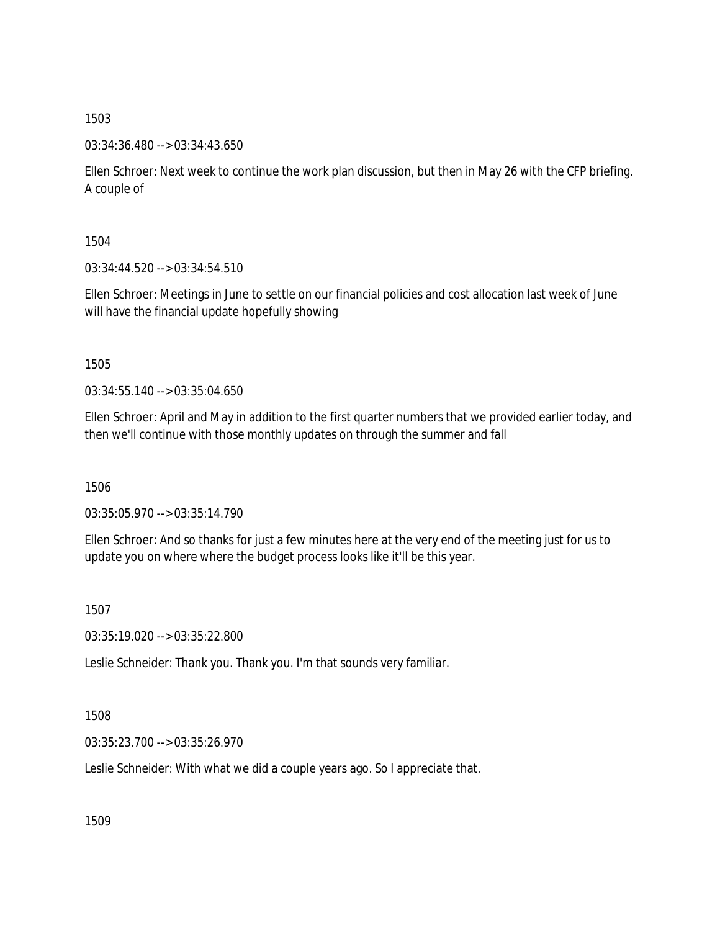03:34:36.480 --> 03:34:43.650

Ellen Schroer: Next week to continue the work plan discussion, but then in May 26 with the CFP briefing. A couple of

1504

03:34:44.520 --> 03:34:54.510

Ellen Schroer: Meetings in June to settle on our financial policies and cost allocation last week of June will have the financial update hopefully showing

1505

03:34:55.140 --> 03:35:04.650

Ellen Schroer: April and May in addition to the first quarter numbers that we provided earlier today, and then we'll continue with those monthly updates on through the summer and fall

1506

03:35:05.970 --> 03:35:14.790

Ellen Schroer: And so thanks for just a few minutes here at the very end of the meeting just for us to update you on where where the budget process looks like it'll be this year.

1507

03:35:19.020 --> 03:35:22.800

Leslie Schneider: Thank you. Thank you. I'm that sounds very familiar.

1508

03:35:23.700 --> 03:35:26.970

Leslie Schneider: With what we did a couple years ago. So I appreciate that.

1509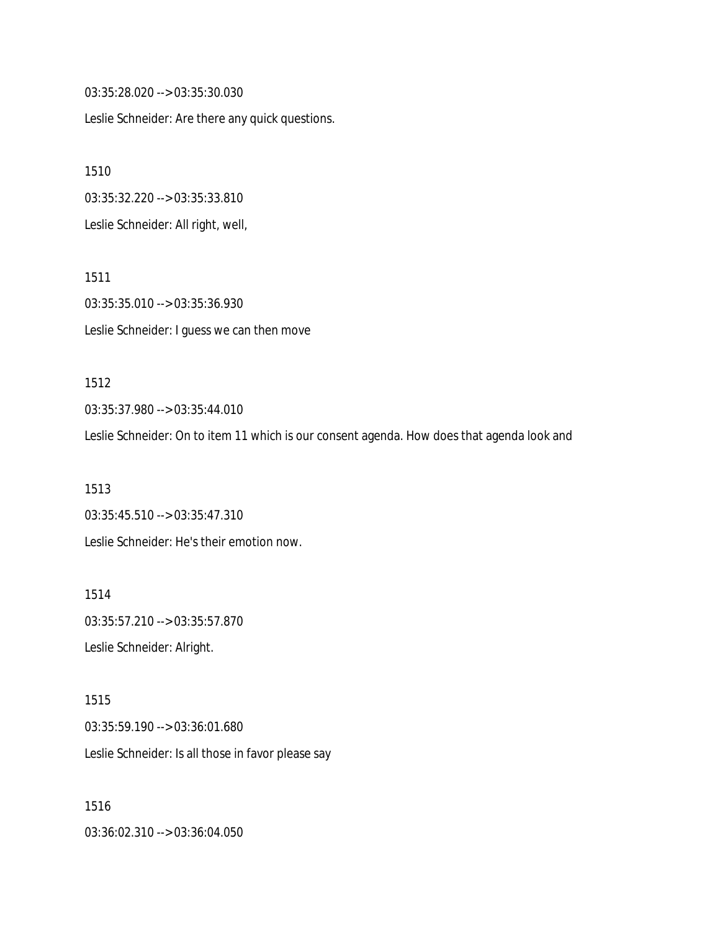03:35:28.020 --> 03:35:30.030

Leslie Schneider: Are there any quick questions.

1510

03:35:32.220 --> 03:35:33.810

Leslie Schneider: All right, well,

1511 03:35:35.010 --> 03:35:36.930 Leslie Schneider: I guess we can then move

1512 03:35:37.980 --> 03:35:44.010

Leslie Schneider: On to item 11 which is our consent agenda. How does that agenda look and

1513 03:35:45.510 --> 03:35:47.310 Leslie Schneider: He's their emotion now.

1514 03:35:57.210 --> 03:35:57.870 Leslie Schneider: Alright.

1515 03:35:59.190 --> 03:36:01.680 Leslie Schneider: Is all those in favor please say

1516 03:36:02.310 --> 03:36:04.050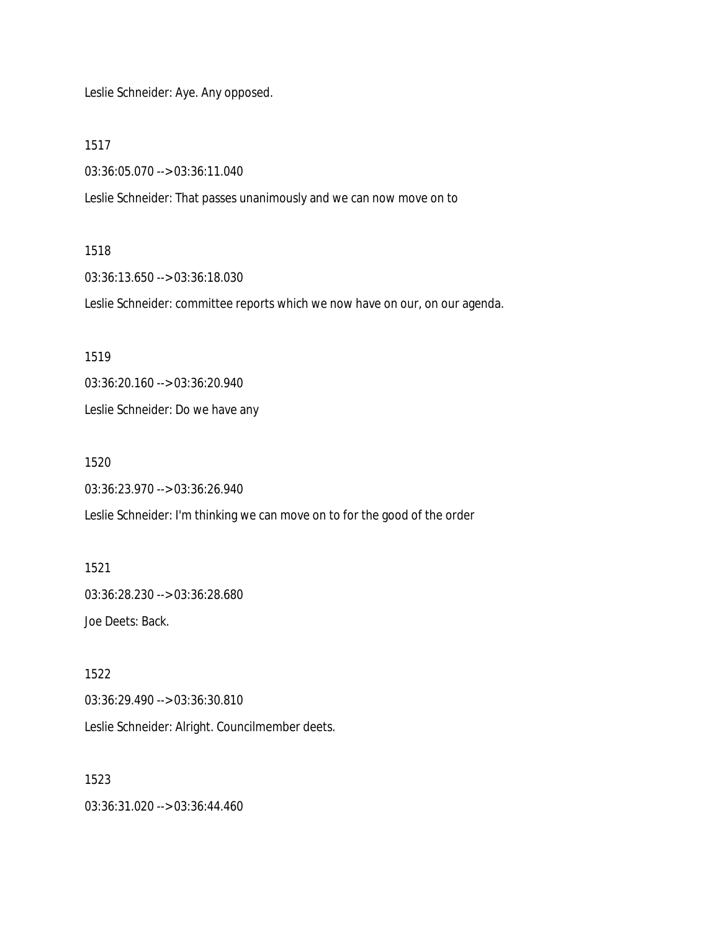Leslie Schneider: Aye. Any opposed.

1517

03:36:05.070 --> 03:36:11.040

Leslie Schneider: That passes unanimously and we can now move on to

#### 1518

03:36:13.650 --> 03:36:18.030

Leslie Schneider: committee reports which we now have on our, on our agenda.

1519

03:36:20.160 --> 03:36:20.940

Leslie Schneider: Do we have any

1520

03:36:23.970 --> 03:36:26.940

Leslie Schneider: I'm thinking we can move on to for the good of the order

1521 03:36:28.230 --> 03:36:28.680 Joe Deets: Back.

1522 03:36:29.490 --> 03:36:30.810

Leslie Schneider: Alright. Councilmember deets.

1523

03:36:31.020 --> 03:36:44.460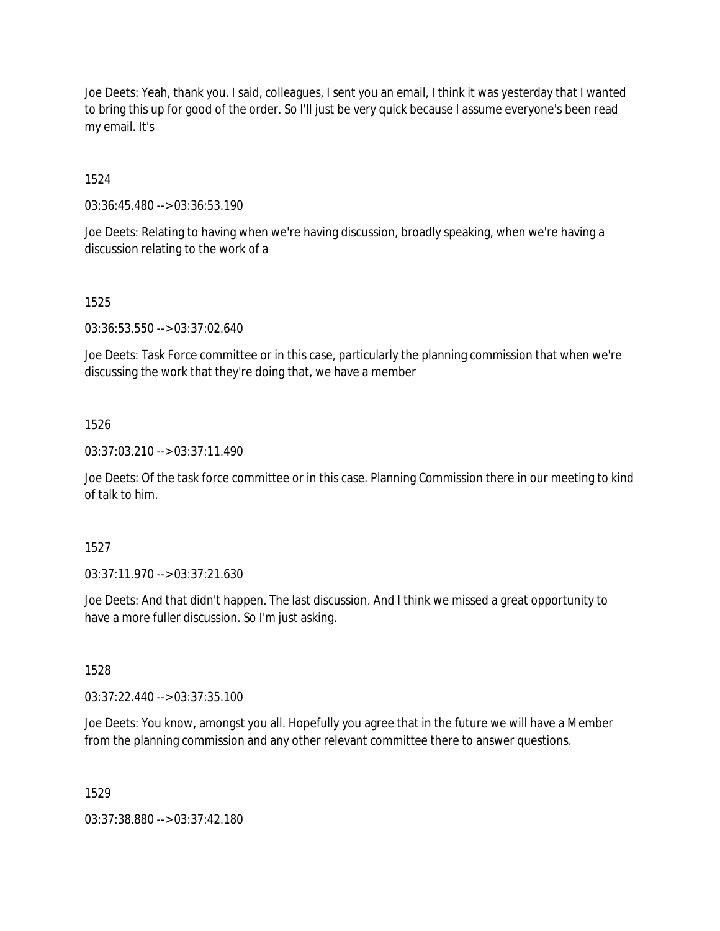Joe Deets: Yeah, thank you. I said, colleagues, I sent you an email, I think it was yesterday that I wanted to bring this up for good of the order. So I'll just be very quick because I assume everyone's been read my email. It's

1524

03:36:45.480 --> 03:36:53.190

Joe Deets: Relating to having when we're having discussion, broadly speaking, when we're having a discussion relating to the work of a

## 1525

03:36:53.550 --> 03:37:02.640

Joe Deets: Task Force committee or in this case, particularly the planning commission that when we're discussing the work that they're doing that, we have a member

### 1526

03:37:03.210 --> 03:37:11.490

Joe Deets: Of the task force committee or in this case. Planning Commission there in our meeting to kind of talk to him.

### 1527

03:37:11.970 --> 03:37:21.630

Joe Deets: And that didn't happen. The last discussion. And I think we missed a great opportunity to have a more fuller discussion. So I'm just asking.

1528

03:37:22.440 --> 03:37:35.100

Joe Deets: You know, amongst you all. Hopefully you agree that in the future we will have a Member from the planning commission and any other relevant committee there to answer questions.

1529

03:37:38.880 --> 03:37:42.180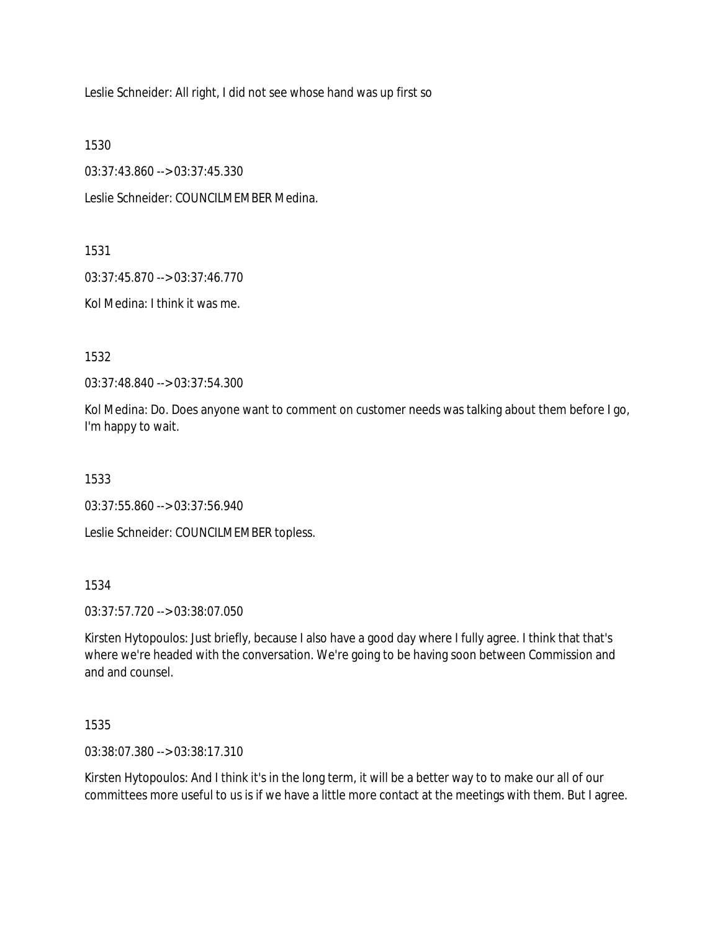Leslie Schneider: All right, I did not see whose hand was up first so

1530

03:37:43.860 --> 03:37:45.330

Leslie Schneider: COUNCILMEMBER Medina.

1531

03:37:45.870 --> 03:37:46.770

Kol Medina: I think it was me.

1532

03:37:48.840 --> 03:37:54.300

Kol Medina: Do. Does anyone want to comment on customer needs was talking about them before I go, I'm happy to wait.

1533

03:37:55.860 --> 03:37:56.940

Leslie Schneider: COUNCILMEMBER topless.

1534

03:37:57.720 --> 03:38:07.050

Kirsten Hytopoulos: Just briefly, because I also have a good day where I fully agree. I think that that's where we're headed with the conversation. We're going to be having soon between Commission and and and counsel.

1535

03:38:07.380 --> 03:38:17.310

Kirsten Hytopoulos: And I think it's in the long term, it will be a better way to to make our all of our committees more useful to us is if we have a little more contact at the meetings with them. But I agree.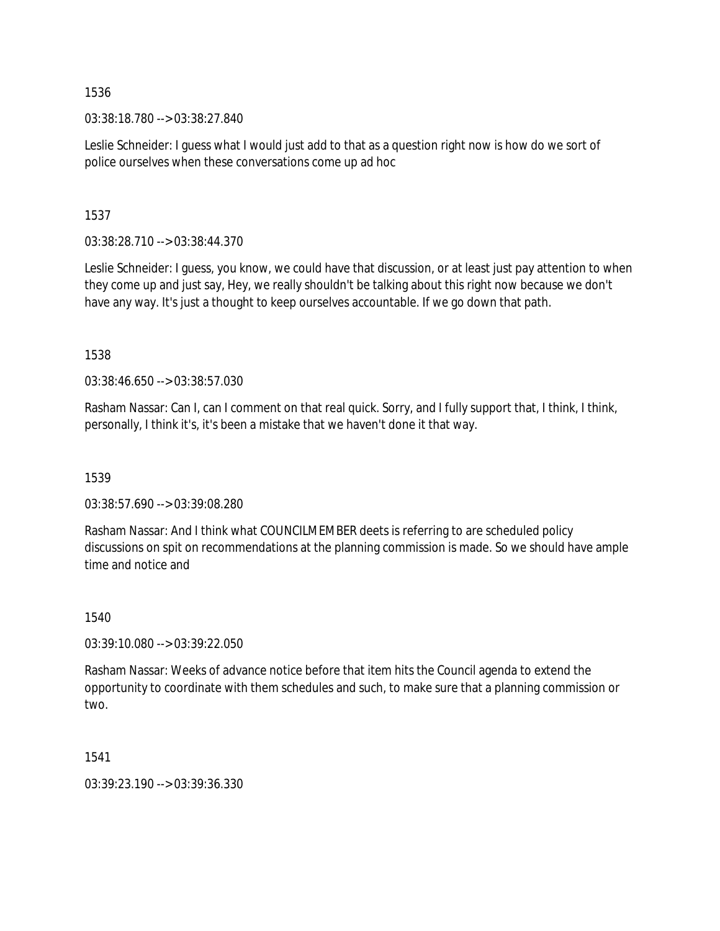03:38:18.780 --> 03:38:27.840

Leslie Schneider: I guess what I would just add to that as a question right now is how do we sort of police ourselves when these conversations come up ad hoc

1537

03:38:28.710 --> 03:38:44.370

Leslie Schneider: I guess, you know, we could have that discussion, or at least just pay attention to when they come up and just say, Hey, we really shouldn't be talking about this right now because we don't have any way. It's just a thought to keep ourselves accountable. If we go down that path.

1538

03:38:46.650 --> 03:38:57.030

Rasham Nassar: Can I, can I comment on that real quick. Sorry, and I fully support that, I think, I think, personally, I think it's, it's been a mistake that we haven't done it that way.

1539

03:38:57.690 --> 03:39:08.280

Rasham Nassar: And I think what COUNCILMEMBER deets is referring to are scheduled policy discussions on spit on recommendations at the planning commission is made. So we should have ample time and notice and

1540

03:39:10.080 --> 03:39:22.050

Rasham Nassar: Weeks of advance notice before that item hits the Council agenda to extend the opportunity to coordinate with them schedules and such, to make sure that a planning commission or two.

1541

03:39:23.190 --> 03:39:36.330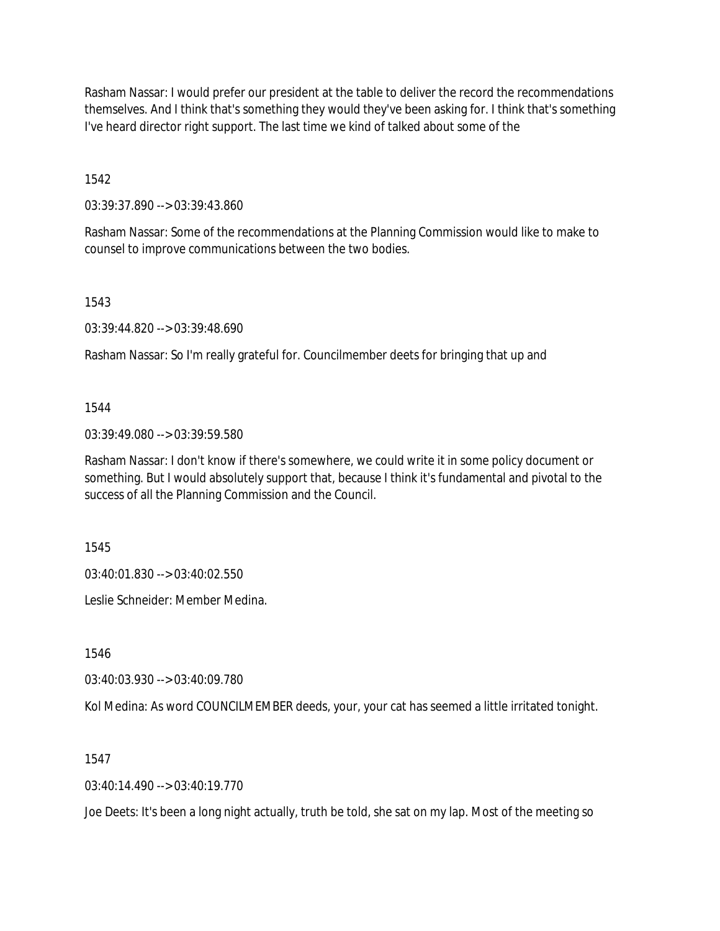Rasham Nassar: I would prefer our president at the table to deliver the record the recommendations themselves. And I think that's something they would they've been asking for. I think that's something I've heard director right support. The last time we kind of talked about some of the

1542

03:39:37.890 --> 03:39:43.860

Rasham Nassar: Some of the recommendations at the Planning Commission would like to make to counsel to improve communications between the two bodies.

1543

03:39:44.820 --> 03:39:48.690

Rasham Nassar: So I'm really grateful for. Councilmember deets for bringing that up and

1544

03:39:49.080 --> 03:39:59.580

Rasham Nassar: I don't know if there's somewhere, we could write it in some policy document or something. But I would absolutely support that, because I think it's fundamental and pivotal to the success of all the Planning Commission and the Council.

1545

03:40:01.830 --> 03:40:02.550

Leslie Schneider: Member Medina.

1546

03:40:03.930 --> 03:40:09.780

Kol Medina: As word COUNCILMEMBER deeds, your, your cat has seemed a little irritated tonight.

1547

03:40:14.490 --> 03:40:19.770

Joe Deets: It's been a long night actually, truth be told, she sat on my lap. Most of the meeting so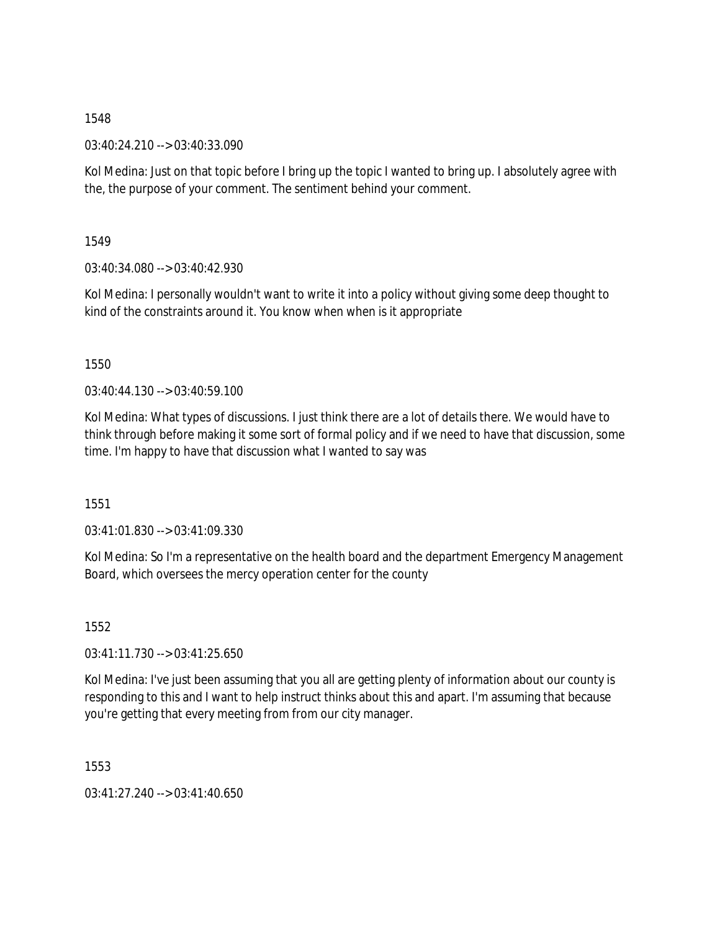03:40:24.210 --> 03:40:33.090

Kol Medina: Just on that topic before I bring up the topic I wanted to bring up. I absolutely agree with the, the purpose of your comment. The sentiment behind your comment.

1549

03:40:34.080 --> 03:40:42.930

Kol Medina: I personally wouldn't want to write it into a policy without giving some deep thought to kind of the constraints around it. You know when when is it appropriate

1550

 $03:40:44.130 \rightarrow 03:40:59.100$ 

Kol Medina: What types of discussions. I just think there are a lot of details there. We would have to think through before making it some sort of formal policy and if we need to have that discussion, some time. I'm happy to have that discussion what I wanted to say was

1551

03:41:01.830 --> 03:41:09.330

Kol Medina: So I'm a representative on the health board and the department Emergency Management Board, which oversees the mercy operation center for the county

1552

03:41:11.730 --> 03:41:25.650

Kol Medina: I've just been assuming that you all are getting plenty of information about our county is responding to this and I want to help instruct thinks about this and apart. I'm assuming that because you're getting that every meeting from from our city manager.

1553

03:41:27.240 --> 03:41:40.650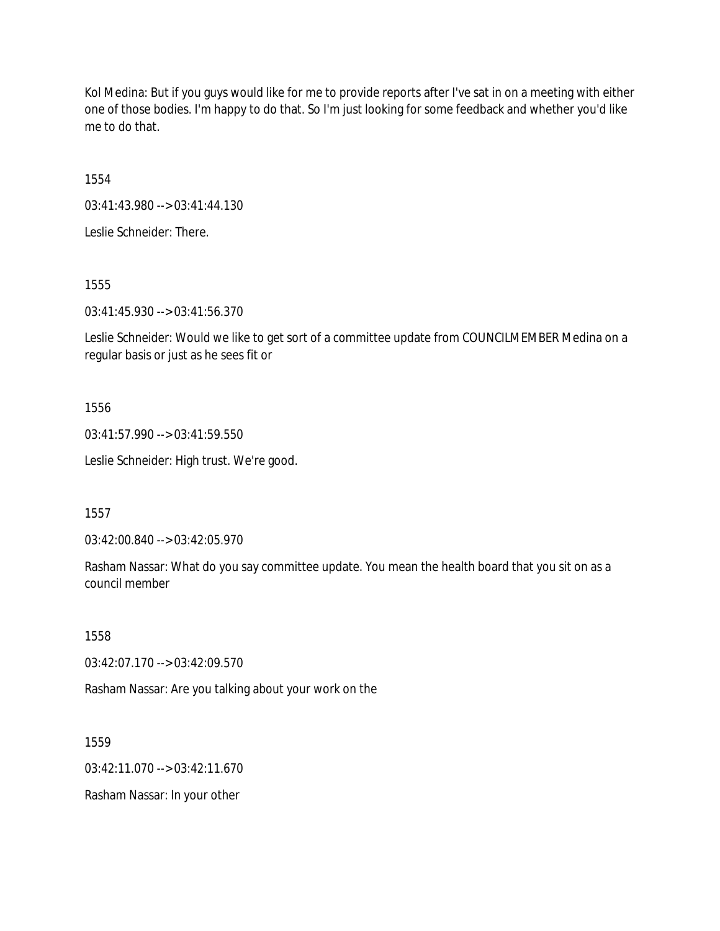Kol Medina: But if you guys would like for me to provide reports after I've sat in on a meeting with either one of those bodies. I'm happy to do that. So I'm just looking for some feedback and whether you'd like me to do that.

1554

03:41:43.980 --> 03:41:44.130

Leslie Schneider: There.

1555

03:41:45.930 --> 03:41:56.370

Leslie Schneider: Would we like to get sort of a committee update from COUNCILMEMBER Medina on a regular basis or just as he sees fit or

1556

03:41:57.990 --> 03:41:59.550

Leslie Schneider: High trust. We're good.

1557

03:42:00.840 --> 03:42:05.970

Rasham Nassar: What do you say committee update. You mean the health board that you sit on as a council member

1558

03:42:07.170 --> 03:42:09.570

Rasham Nassar: Are you talking about your work on the

1559

03:42:11.070 --> 03:42:11.670

Rasham Nassar: In your other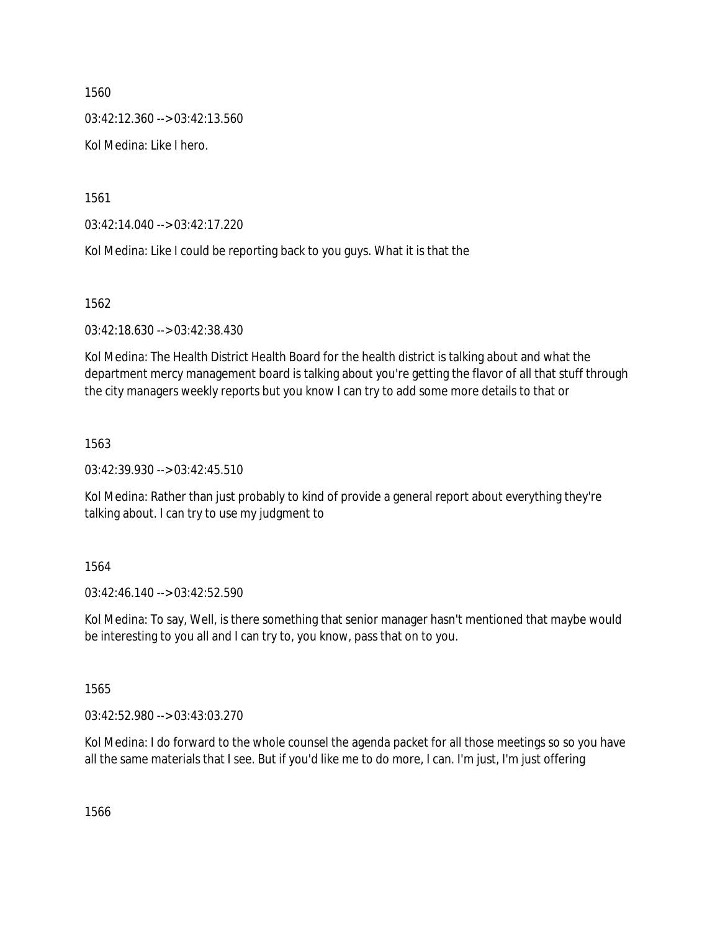03:42:12.360 --> 03:42:13.560

Kol Medina: Like I hero.

1561

03:42:14.040 --> 03:42:17.220

Kol Medina: Like I could be reporting back to you guys. What it is that the

1562

03:42:18.630 --> 03:42:38.430

Kol Medina: The Health District Health Board for the health district is talking about and what the department mercy management board is talking about you're getting the flavor of all that stuff through the city managers weekly reports but you know I can try to add some more details to that or

#### 1563

03:42:39.930 --> 03:42:45.510

Kol Medina: Rather than just probably to kind of provide a general report about everything they're talking about. I can try to use my judgment to

### 1564

03:42:46.140 --> 03:42:52.590

Kol Medina: To say, Well, is there something that senior manager hasn't mentioned that maybe would be interesting to you all and I can try to, you know, pass that on to you.

1565

03:42:52.980 --> 03:43:03.270

Kol Medina: I do forward to the whole counsel the agenda packet for all those meetings so so you have all the same materials that I see. But if you'd like me to do more, I can. I'm just, I'm just offering

1566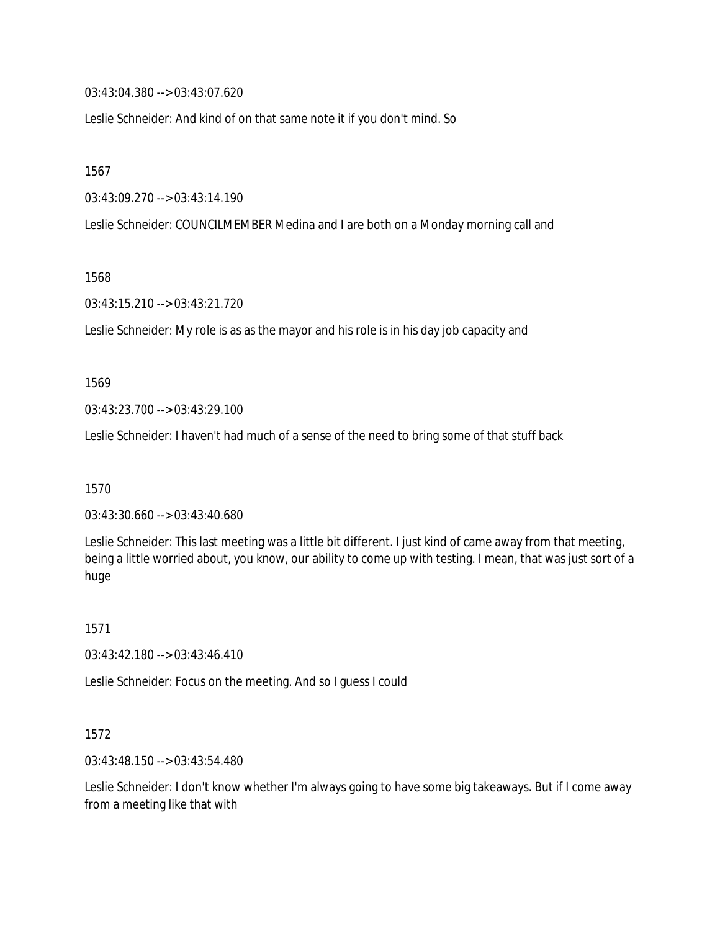03:43:04.380 --> 03:43:07.620

Leslie Schneider: And kind of on that same note it if you don't mind. So

1567

03:43:09.270 --> 03:43:14.190

Leslie Schneider: COUNCILMEMBER Medina and I are both on a Monday morning call and

1568

03:43:15.210 --> 03:43:21.720

Leslie Schneider: My role is as as the mayor and his role is in his day job capacity and

1569

03:43:23.700 --> 03:43:29.100

Leslie Schneider: I haven't had much of a sense of the need to bring some of that stuff back

1570

03:43:30.660 --> 03:43:40.680

Leslie Schneider: This last meeting was a little bit different. I just kind of came away from that meeting, being a little worried about, you know, our ability to come up with testing. I mean, that was just sort of a huge

1571

03:43:42.180 --> 03:43:46.410

Leslie Schneider: Focus on the meeting. And so I guess I could

1572

03:43:48.150 --> 03:43:54.480

Leslie Schneider: I don't know whether I'm always going to have some big takeaways. But if I come away from a meeting like that with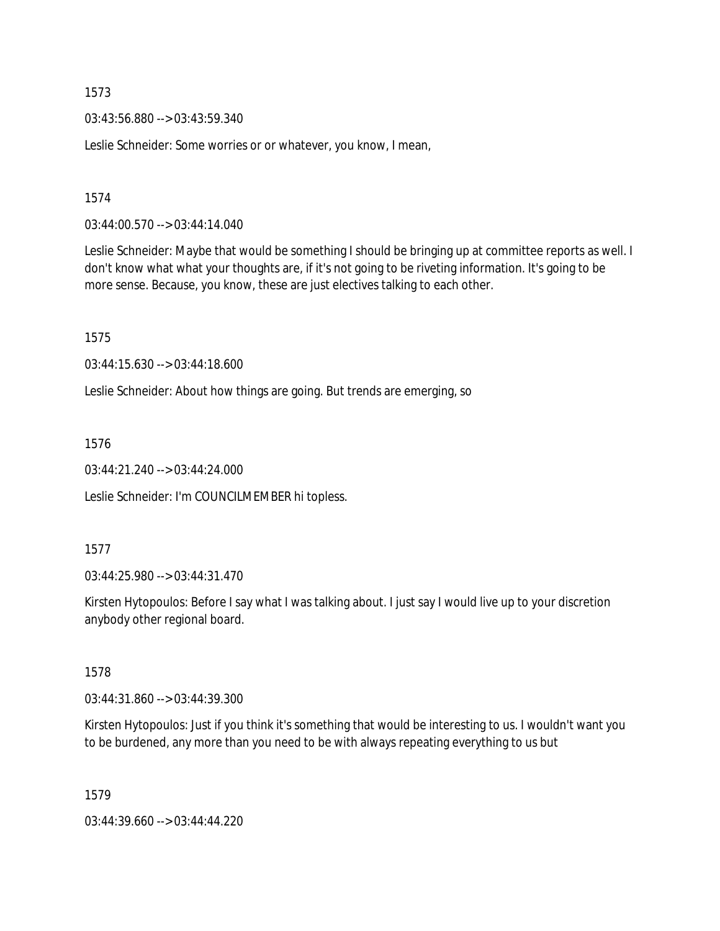03:43:56.880 --> 03:43:59.340

Leslie Schneider: Some worries or or whatever, you know, I mean,

1574

03:44:00.570 --> 03:44:14.040

Leslie Schneider: Maybe that would be something I should be bringing up at committee reports as well. I don't know what what your thoughts are, if it's not going to be riveting information. It's going to be more sense. Because, you know, these are just electives talking to each other.

1575

03:44:15.630 --> 03:44:18.600

Leslie Schneider: About how things are going. But trends are emerging, so

1576

03:44:21.240 --> 03:44:24.000

Leslie Schneider: I'm COUNCILMEMBER hi topless.

1577

03:44:25.980 --> 03:44:31.470

Kirsten Hytopoulos: Before I say what I was talking about. I just say I would live up to your discretion anybody other regional board.

1578

03:44:31.860 --> 03:44:39.300

Kirsten Hytopoulos: Just if you think it's something that would be interesting to us. I wouldn't want you to be burdened, any more than you need to be with always repeating everything to us but

1579

03:44:39.660 --> 03:44:44.220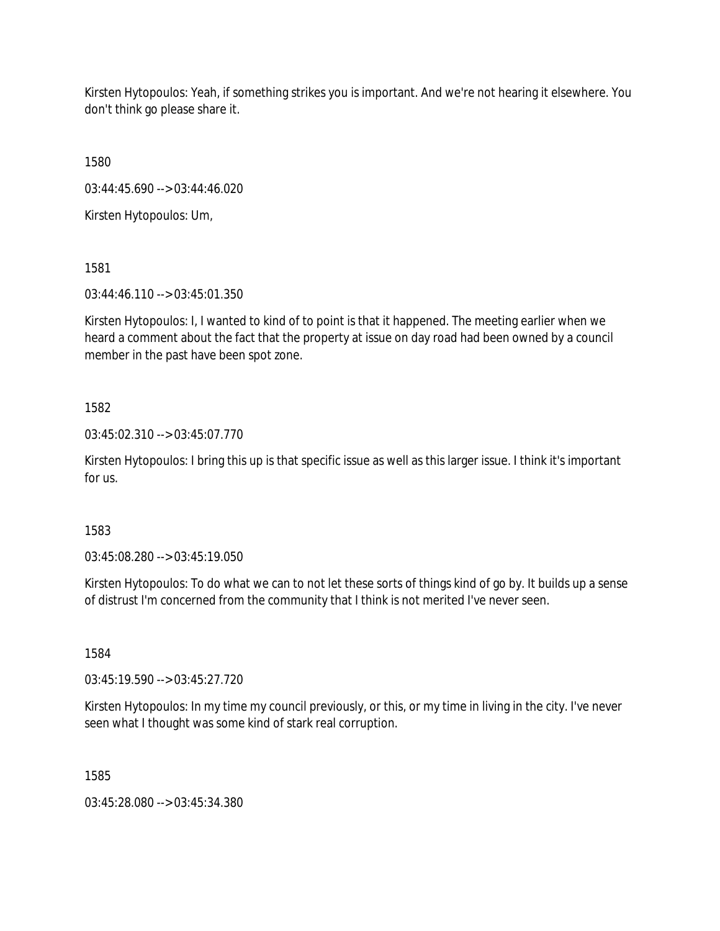Kirsten Hytopoulos: Yeah, if something strikes you is important. And we're not hearing it elsewhere. You don't think go please share it.

1580

03:44:45.690 --> 03:44:46.020

Kirsten Hytopoulos: Um,

1581

03:44:46.110 --> 03:45:01.350

Kirsten Hytopoulos: I, I wanted to kind of to point is that it happened. The meeting earlier when we heard a comment about the fact that the property at issue on day road had been owned by a council member in the past have been spot zone.

# 1582

03:45:02.310 --> 03:45:07.770

Kirsten Hytopoulos: I bring this up is that specific issue as well as this larger issue. I think it's important for us.

1583

03:45:08.280 --> 03:45:19.050

Kirsten Hytopoulos: To do what we can to not let these sorts of things kind of go by. It builds up a sense of distrust I'm concerned from the community that I think is not merited I've never seen.

1584

03:45:19.590 --> 03:45:27.720

Kirsten Hytopoulos: In my time my council previously, or this, or my time in living in the city. I've never seen what I thought was some kind of stark real corruption.

1585

03:45:28.080 --> 03:45:34.380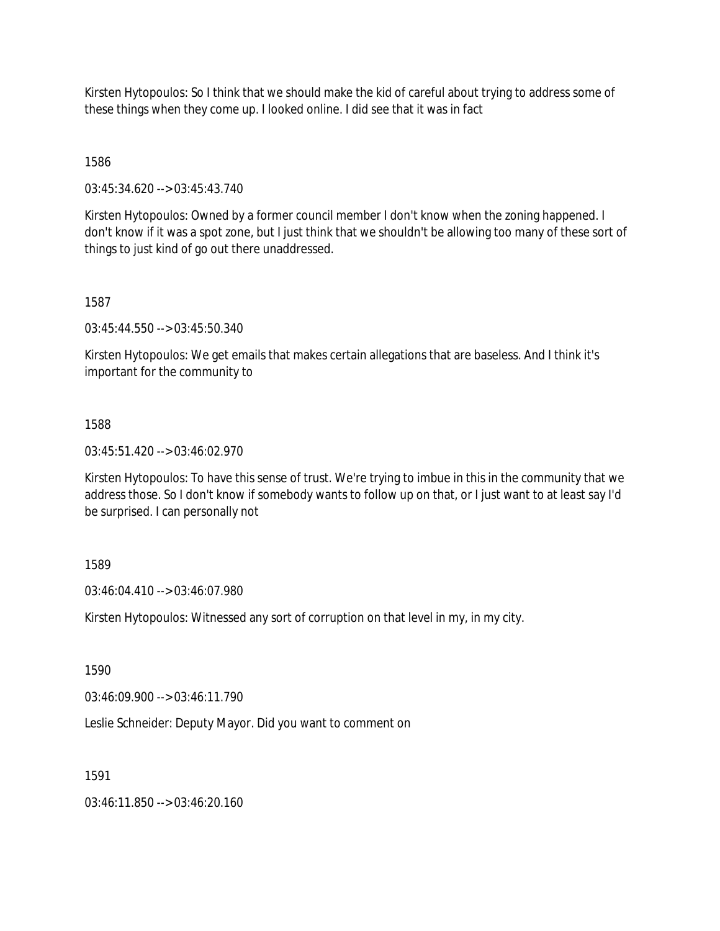Kirsten Hytopoulos: So I think that we should make the kid of careful about trying to address some of these things when they come up. I looked online. I did see that it was in fact

1586

03:45:34.620 --> 03:45:43.740

Kirsten Hytopoulos: Owned by a former council member I don't know when the zoning happened. I don't know if it was a spot zone, but I just think that we shouldn't be allowing too many of these sort of things to just kind of go out there unaddressed.

1587

03:45:44.550 --> 03:45:50.340

Kirsten Hytopoulos: We get emails that makes certain allegations that are baseless. And I think it's important for the community to

1588

03:45:51.420 --> 03:46:02.970

Kirsten Hytopoulos: To have this sense of trust. We're trying to imbue in this in the community that we address those. So I don't know if somebody wants to follow up on that, or I just want to at least say I'd be surprised. I can personally not

1589

03:46:04.410 --> 03:46:07.980

Kirsten Hytopoulos: Witnessed any sort of corruption on that level in my, in my city.

1590

03:46:09.900 --> 03:46:11.790

Leslie Schneider: Deputy Mayor. Did you want to comment on

1591

03:46:11.850 --> 03:46:20.160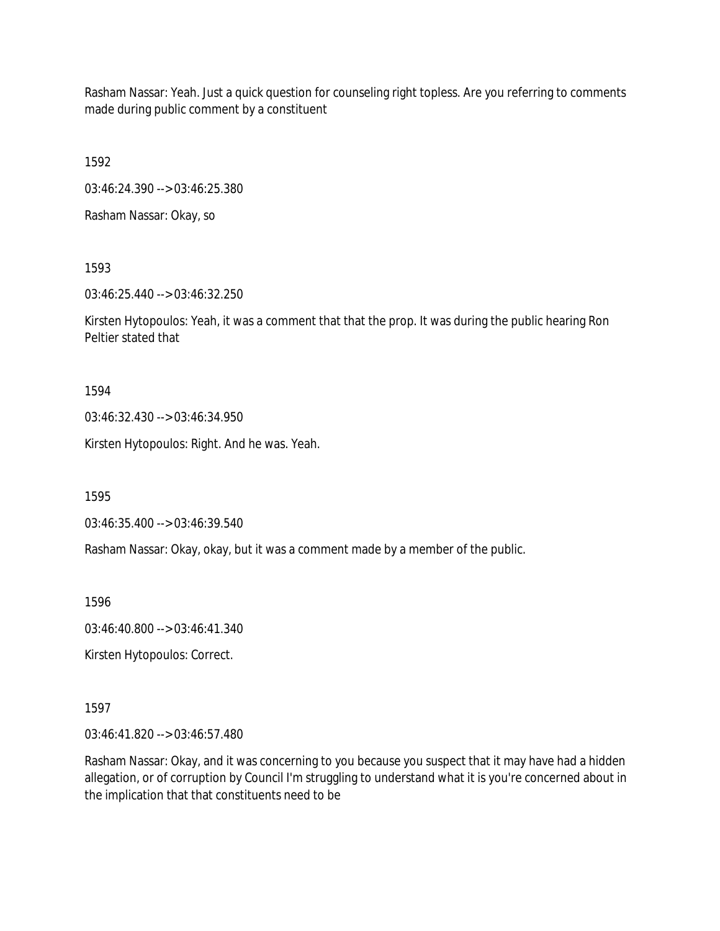Rasham Nassar: Yeah. Just a quick question for counseling right topless. Are you referring to comments made during public comment by a constituent

1592

03:46:24.390 --> 03:46:25.380

Rasham Nassar: Okay, so

1593

03:46:25.440 --> 03:46:32.250

Kirsten Hytopoulos: Yeah, it was a comment that that the prop. It was during the public hearing Ron Peltier stated that

1594

03:46:32.430 --> 03:46:34.950

Kirsten Hytopoulos: Right. And he was. Yeah.

1595

03:46:35.400 --> 03:46:39.540

Rasham Nassar: Okay, okay, but it was a comment made by a member of the public.

1596

03:46:40.800 --> 03:46:41.340

Kirsten Hytopoulos: Correct.

1597

03:46:41.820 --> 03:46:57.480

Rasham Nassar: Okay, and it was concerning to you because you suspect that it may have had a hidden allegation, or of corruption by Council I'm struggling to understand what it is you're concerned about in the implication that that constituents need to be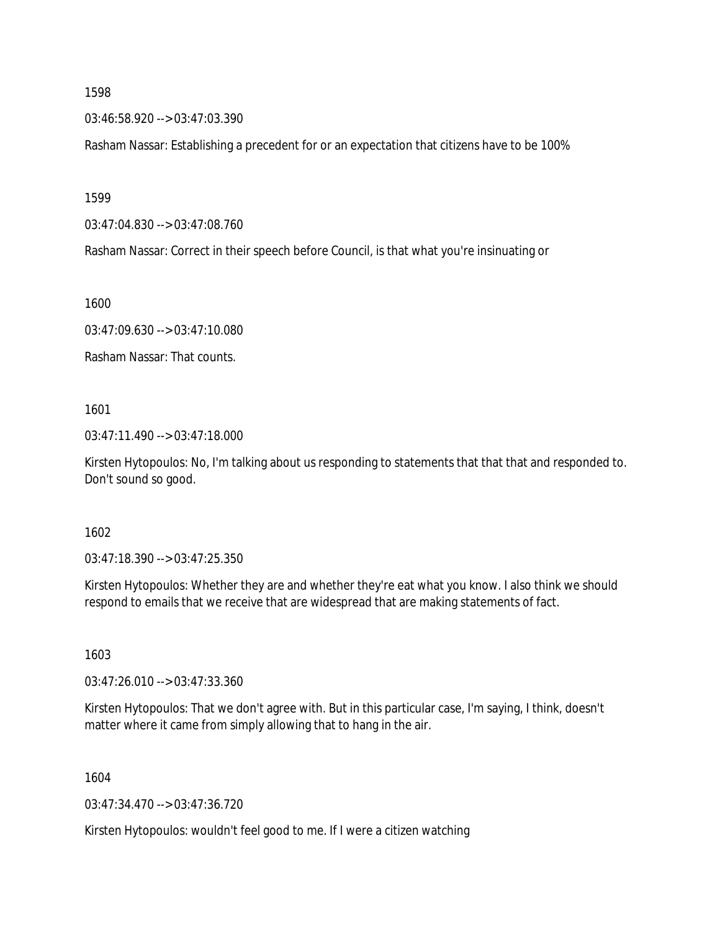1598

03:46:58.920 --> 03:47:03.390

Rasham Nassar: Establishing a precedent for or an expectation that citizens have to be 100%

1599

03:47:04.830 --> 03:47:08.760

Rasham Nassar: Correct in their speech before Council, is that what you're insinuating or

1600

03:47:09.630 --> 03:47:10.080

Rasham Nassar: That counts.

1601

03:47:11.490 --> 03:47:18.000

Kirsten Hytopoulos: No, I'm talking about us responding to statements that that that and responded to. Don't sound so good.

1602

 $03:47:18.390 \rightarrow 03:47:25.350$ 

Kirsten Hytopoulos: Whether they are and whether they're eat what you know. I also think we should respond to emails that we receive that are widespread that are making statements of fact.

1603

03:47:26.010 --> 03:47:33.360

Kirsten Hytopoulos: That we don't agree with. But in this particular case, I'm saying, I think, doesn't matter where it came from simply allowing that to hang in the air.

1604

03:47:34.470 --> 03:47:36.720

Kirsten Hytopoulos: wouldn't feel good to me. If I were a citizen watching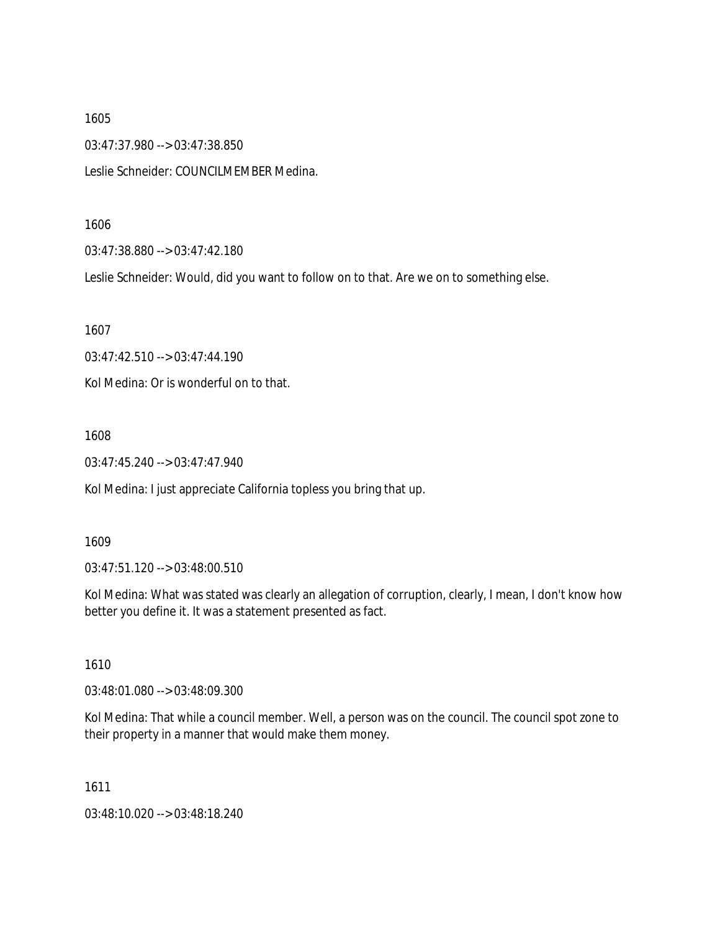1605

03:47:37.980 --> 03:47:38.850

Leslie Schneider: COUNCILMEMBER Medina.

1606

03:47:38.880 --> 03:47:42.180

Leslie Schneider: Would, did you want to follow on to that. Are we on to something else.

1607

03:47:42.510 --> 03:47:44.190

Kol Medina: Or is wonderful on to that.

1608

03:47:45.240 --> 03:47:47.940

Kol Medina: I just appreciate California topless you bring that up.

1609

03:47:51.120 --> 03:48:00.510

Kol Medina: What was stated was clearly an allegation of corruption, clearly, I mean, I don't know how better you define it. It was a statement presented as fact.

1610

03:48:01.080 --> 03:48:09.300

Kol Medina: That while a council member. Well, a person was on the council. The council spot zone to their property in a manner that would make them money.

1611

03:48:10.020 --> 03:48:18.240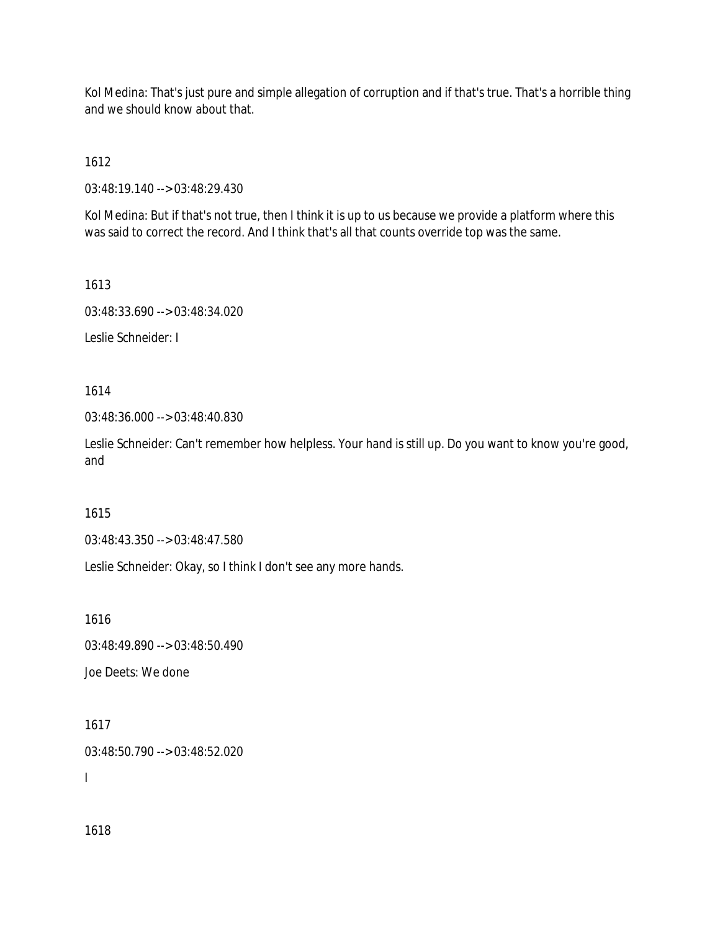Kol Medina: That's just pure and simple allegation of corruption and if that's true. That's a horrible thing and we should know about that.

1612

03:48:19.140 --> 03:48:29.430

Kol Medina: But if that's not true, then I think it is up to us because we provide a platform where this was said to correct the record. And I think that's all that counts override top was the same.

1613

03:48:33.690 --> 03:48:34.020

Leslie Schneider: I

1614

03:48:36.000 --> 03:48:40.830

Leslie Schneider: Can't remember how helpless. Your hand is still up. Do you want to know you're good, and

1615

03:48:43.350 --> 03:48:47.580

Leslie Schneider: Okay, so I think I don't see any more hands.

1616

03:48:49.890 --> 03:48:50.490

Joe Deets: We done

1617 03:48:50.790 --> 03:48:52.020

I

1618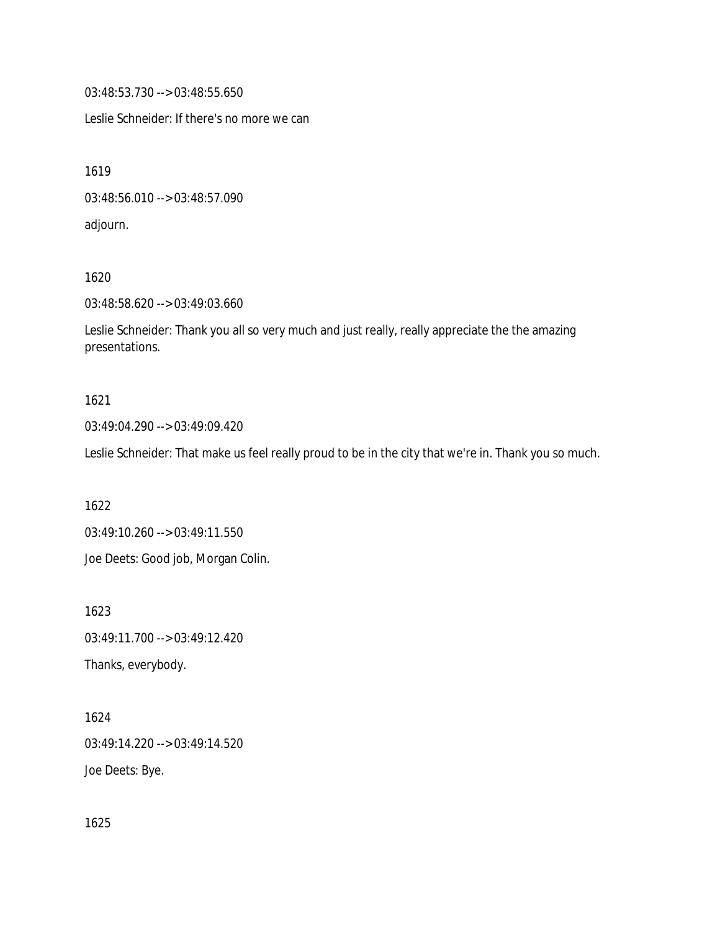03:48:53.730 --> 03:48:55.650

Leslie Schneider: If there's no more we can

1619

03:48:56.010 --> 03:48:57.090

adjourn.

1620

03:48:58.620 --> 03:49:03.660

Leslie Schneider: Thank you all so very much and just really, really appreciate the the amazing presentations.

## 1621

03:49:04.290 --> 03:49:09.420

Leslie Schneider: That make us feel really proud to be in the city that we're in. Thank you so much.

1622

03:49:10.260 --> 03:49:11.550

Joe Deets: Good job, Morgan Colin.

1623 03:49:11.700 --> 03:49:12.420 Thanks, everybody.

1624 03:49:14.220 --> 03:49:14.520 Joe Deets: Bye.

1625